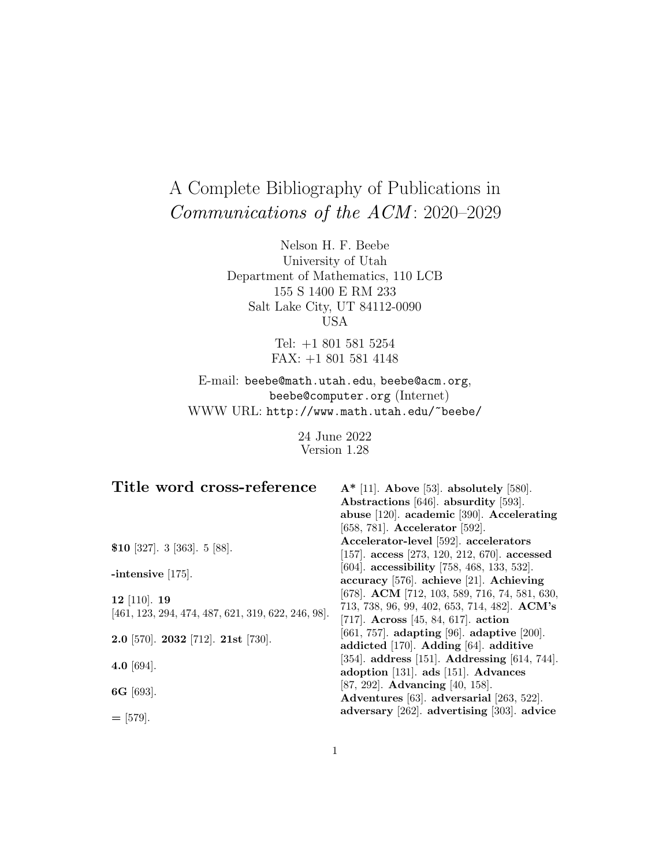# A Complete Bibliography of Publications in Communications of the ACM : 2020–2029

Nelson H. F. Beebe University of Utah Department of Mathematics, 110 LCB 155 S 1400 E RM 233 Salt Lake City, UT 84112-0090 USA

> Tel: +1 801 581 5254 FAX: +1 801 581 4148

E-mail: beebe@math.utah.edu, beebe@acm.org, beebe@computer.org (Internet) WWW URL: http://www.math.utah.edu/~beebe/

> 24 June 2022 Version 1.28

| Title word cross-reference                           | $A^*$ [11]. Above [53]. absolutely [580].            |
|------------------------------------------------------|------------------------------------------------------|
|                                                      | Abstractions [646]. absurdity [593].                 |
|                                                      | abuse [120]. academic [390]. Accelerating            |
|                                                      | [658, 781]. Accelerator [592].                       |
| \$10 [327]. 3 [363]. 5 [88].                         | Accelerator-level [592]. accelerators                |
|                                                      | [157]. $access$ [273, 120, 212, 670]. $accessed$     |
| -intensive $[175]$ .                                 | [604]. accessibility [758, 468, 133, 532].           |
|                                                      | accuracy [576]. achieve [21]. Achieving              |
| $12$ [110]. 19                                       | [678]. <b>ACM</b> [712, 103, 589, 716, 74, 581, 630, |
| $[461, 123, 294, 474, 487, 621, 319, 622, 246, 98].$ | 713, 738, 96, 99, 402, 653, 714, 482. ACM's          |
|                                                      | [717]. Across [45, 84, 617]. action                  |
| $2.0$ [570]. $2032$ [712]. $21st$ [730].             | [661, 757]. adapting [96]. adaptive [200].           |
|                                                      | addicted [170]. Adding [64]. additive                |
| 4.0 [694].                                           | [354]. address [151]. Addressing [614, 744].         |
|                                                      | adoption [131]. ads [151]. Advances                  |
| 6G [693].                                            | [87, 292]. <b>Advancing</b> [40, 158].               |
|                                                      | Adventures [63]. adversarial [263, 522].             |
|                                                      | adversary [262]. advertising [303]. advice           |
| $=$ [579].                                           |                                                      |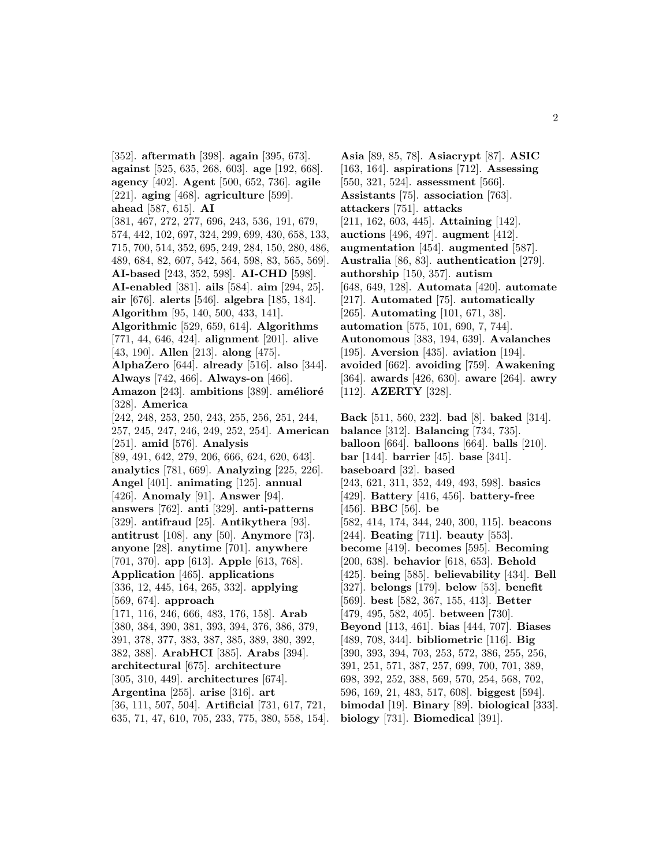[352]. **aftermath** [398]. **again** [395, 673]. **against** [525, 635, 268, 603]. **age** [192, 668]. **agency** [402]. **Agent** [500, 652, 736]. **agile** [221]. **aging** [468]. **agriculture** [599]. **ahead** [587, 615]. **AI** [381, 467, 272, 277, 696, 243, 536, 191, 679, 574, 442, 102, 697, 324, 299, 699, 430, 658, 133, 715, 700, 514, 352, 695, 249, 284, 150, 280, 486, 489, 684, 82, 607, 542, 564, 598, 83, 565, 569]. **AI-based** [243, 352, 598]. **AI-CHD** [598]. **AI-enabled** [381]. **ails** [584]. **aim** [294, 25]. **air** [676]. **alerts** [546]. **algebra** [185, 184]. **Algorithm** [95, 140, 500, 433, 141]. **Algorithmic** [529, 659, 614]. **Algorithms** [771, 44, 646, 424]. **alignment** [201]. **alive** [43, 190]. **Allen** [213]. **along** [475]. **AlphaZero** [644]. **already** [516]. **also** [344]. **Always** [742, 466]. **Always-on** [466]. Amazon<sup>[243]</sup>. ambitions<sup>[389]</sup>. amélioré [328]. **America** [242, 248, 253, 250, 243, 255, 256, 251, 244, 257, 245, 247, 246, 249, 252, 254]. **American** [251]. **amid** [576]. **Analysis** [89, 491, 642, 279, 206, 666, 624, 620, 643]. **analytics** [781, 669]. **Analyzing** [225, 226]. **Angel** [401]. **animating** [125]. **annual** [426]. **Anomaly** [91]. **Answer** [94]. **answers** [762]. **anti** [329]. **anti-patterns** [329]. **antifraud** [25]. **Antikythera** [93]. **antitrust** [108]. **any** [50]. **Anymore** [73]. **anyone** [28]. **anytime** [701]. **anywhere** [701, 370]. **app** [613]. **Apple** [613, 768]. **Application** [465]. **applications** [336, 12, 445, 164, 265, 332]. **applying** [569, 674]. **approach** [171, 116, 246, 666, 483, 176, 158]. **Arab** [380, 384, 390, 381, 393, 394, 376, 386, 379, 391, 378, 377, 383, 387, 385, 389, 380, 392, 382, 388]. **ArabHCI** [385]. **Arabs** [394]. **architectural** [675]. **architecture** [305, 310, 449]. **architectures** [674]. **Argentina** [255]. **arise** [316]. **art** [36, 111, 507, 504]. **Artificial** [731, 617, 721, 635, 71, 47, 610, 705, 233, 775, 380, 558, 154].

**Asia** [89, 85, 78]. **Asiacrypt** [87]. **ASIC** [163, 164]. **aspirations** [712]. **Assessing** [550, 321, 524]. **assessment** [566]. **Assistants** [75]. **association** [763]. **attackers** [751]. **attacks** [211, 162, 603, 445]. **Attaining** [142]. **auctions** [496, 497]. **augment** [412]. **augmentation** [454]. **augmented** [587]. **Australia** [86, 83]. **authentication** [279]. **authorship** [150, 357]. **autism** [648, 649, 128]. **Automata** [420]. **automate** [217]. **Automated** [75]. **automatically** [265]. **Automating** [101, 671, 38]. **automation** [575, 101, 690, 7, 744]. **Autonomous** [383, 194, 639]. **Avalanches** [195]. **Aversion** [435]. **aviation** [194]. **avoided** [662]. **avoiding** [759]. **Awakening** [364]. **awards** [426, 630]. **aware** [264]. **awry** [112]. **AZERTY** [328]. **Back** [511, 560, 232]. **bad** [8]. **baked** [314]. **balance** [312]. **Balancing** [734, 735]. **balloon** [664]. **balloons** [664]. **balls** [210]. **bar** [144]. **barrier** [45]. **base** [341]. **baseboard** [32]. **based** [243, 621, 311, 352, 449, 493, 598]. **basics** [429]. **Battery** [416, 456]. **battery-free** [456]. **BBC** [56]. **be** [582, 414, 174, 344, 240, 300, 115]. **beacons** [244]. **Beating** [711]. **beauty** [553]. **become** [419]. **becomes** [595]. **Becoming** [200, 638]. **behavior** [618, 653]. **Behold** [425]. **being** [585]. **believability** [434]. **Bell** [327]. **belongs** [179]. **below** [53]. **benefit** [569]. **best** [582, 367, 155, 413]. **Better** [479, 495, 582, 405]. **between** [730]. **Beyond** [113, 461]. **bias** [444, 707]. **Biases** [489, 708, 344]. **bibliometric** [116]. **Big** [390, 393, 394, 703, 253, 572, 386, 255, 256, 391, 251, 571, 387, 257, 699, 700, 701, 389, 698, 392, 252, 388, 569, 570, 254, 568, 702, 596, 169, 21, 483, 517, 608]. **biggest** [594]. **bimodal** [19]. **Binary** [89]. **biological** [333].

**biology** [731]. **Biomedical** [391].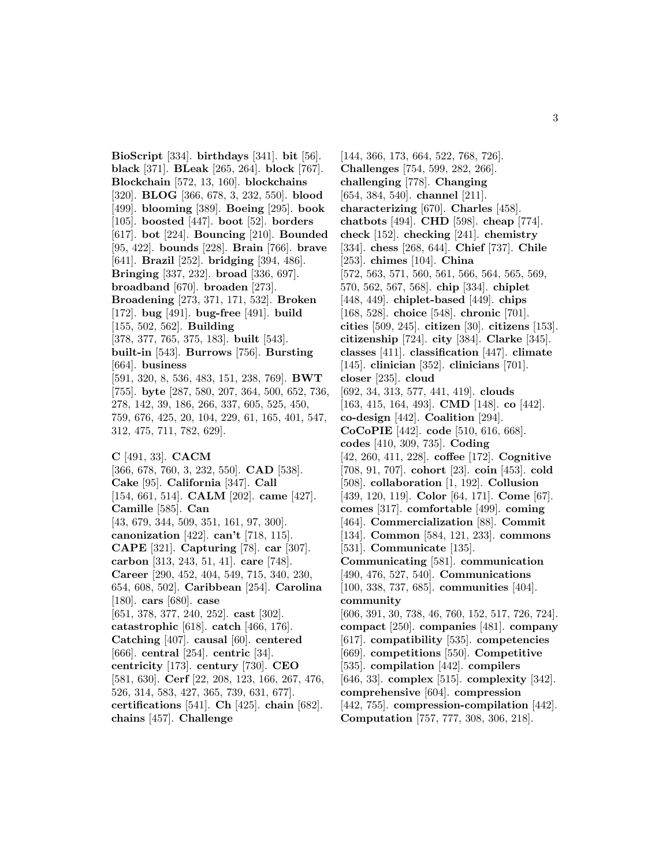**BioScript** [334]. **birthdays** [341]. **bit** [56]. **black** [371]. **BLeak** [265, 264]. **block** [767]. **Blockchain** [572, 13, 160]. **blockchains** [320]. **BLOG** [366, 678, 3, 232, 550]. **blood** [499]. **blooming** [389]. **Boeing** [295]. **book** [105]. **boosted** [447]. **boot** [52]. **borders** [617]. **bot** [224]. **Bouncing** [210]. **Bounded** [95, 422]. **bounds** [228]. **Brain** [766]. **brave** [641]. **Brazil** [252]. **bridging** [394, 486]. **Bringing** [337, 232]. **broad** [336, 697]. **broadband** [670]. **broaden** [273]. **Broadening** [273, 371, 171, 532]. **Broken** [172]. **bug** [491]. **bug-free** [491]. **build** [155, 502, 562]. **Building** [378, 377, 765, 375, 183]. **built** [543]. **built-in** [543]. **Burrows** [756]. **Bursting** [664]. **business** [591, 320, 8, 536, 483, 151, 238, 769]. **BWT** [755]. **byte** [287, 580, 207, 364, 500, 652, 736, 278, 142, 39, 186, 266, 337, 605, 525, 450, 759, 676, 425, 20, 104, 229, 61, 165, 401, 547, 312, 475, 711, 782, 629]. **C** [491, 33]. **CACM** [366, 678, 760, 3, 232, 550]. **CAD** [538]. **Cake** [95]. **California** [347]. **Call** [154, 661, 514]. **CALM** [202]. **came** [427]. **Camille** [585]. **Can** [43, 679, 344, 509, 351, 161, 97, 300]. **canonization** [422]. **can't** [718, 115]. **CAPE** [321]. **Capturing** [78]. **car** [307]. **carbon** [313, 243, 51, 41]. **care** [748]. **Career** [290, 452, 404, 549, 715, 340, 230, 654, 608, 502]. **Caribbean** [254]. **Carolina** [180]. **cars** [680]. **case** [651, 378, 377, 240, 252]. **cast** [302]. **catastrophic** [618]. **catch** [466, 176]. **Catching** [407]. **causal** [60]. **centered** [666]. **central** [254]. **centric** [34]. **centricity** [173]. **century** [730]. **CEO** [581, 630]. **Cerf** [22, 208, 123, 166, 267, 476, 526, 314, 583, 427, 365, 739, 631, 677].

**certifications** [541]. **Ch** [425]. **chain** [682]. **chains** [457]. **Challenge**

[144, 366, 173, 664, 522, 768, 726]. **Challenges** [754, 599, 282, 266]. **challenging** [778]. **Changing** [654, 384, 540]. **channel** [211]. **characterizing** [670]. **Charles** [458]. **chatbots** [494]. **CHD** [598]. **cheap** [774]. **check** [152]. **checking** [241]. **chemistry** [334]. **chess** [268, 644]. **Chief** [737]. **Chile** [253]. **chimes** [104]. **China** [572, 563, 571, 560, 561, 566, 564, 565, 569, 570, 562, 567, 568]. **chip** [334]. **chiplet** [448, 449]. **chiplet-based** [449]. **chips** [168, 528]. **choice** [548]. **chronic** [701]. **cities** [509, 245]. **citizen** [30]. **citizens** [153]. **citizenship** [724]. **city** [384]. **Clarke** [345]. **classes** [411]. **classification** [447]. **climate** [145]. **clinician** [352]. **clinicians** [701]. **closer** [235]. **cloud** [692, 34, 313, 577, 441, 419]. **clouds** [163, 415, 164, 493]. **CMD** [148]. **co** [442]. **co-design** [442]. **Coalition** [294]. **CoCoPIE** [442]. **code** [510, 616, 668]. **codes** [410, 309, 735]. **Coding** [42, 260, 411, 228]. **coffee** [172]. **Cognitive** [708, 91, 707]. **cohort** [23]. **coin** [453]. **cold** [508]. **collaboration** [1, 192]. **Collusion** [439, 120, 119]. **Color** [64, 171]. **Come** [67]. **comes** [317]. **comfortable** [499]. **coming** [464]. **Commercialization** [88]. **Commit** [134]. **Common** [584, 121, 233]. **commons** [531]. **Communicate** [135]. **Communicating** [581]. **communication** [490, 476, 527, 540]. **Communications** [100, 338, 737, 685]. **communities** [404]. **community** [606, 391, 30, 738, 46, 760, 152, 517, 726, 724]. **compact** [250]. **companies** [481]. **company** [617]. **compatibility** [535]. **competencies** [669]. **competitions** [550]. **Competitive** [535]. **compilation** [442]. **compilers** [646, 33]. **complex** [515]. **complexity** [342]. **comprehensive** [604]. **compression** [442, 755]. **compression-compilation** [442]. **Computation** [757, 777, 308, 306, 218].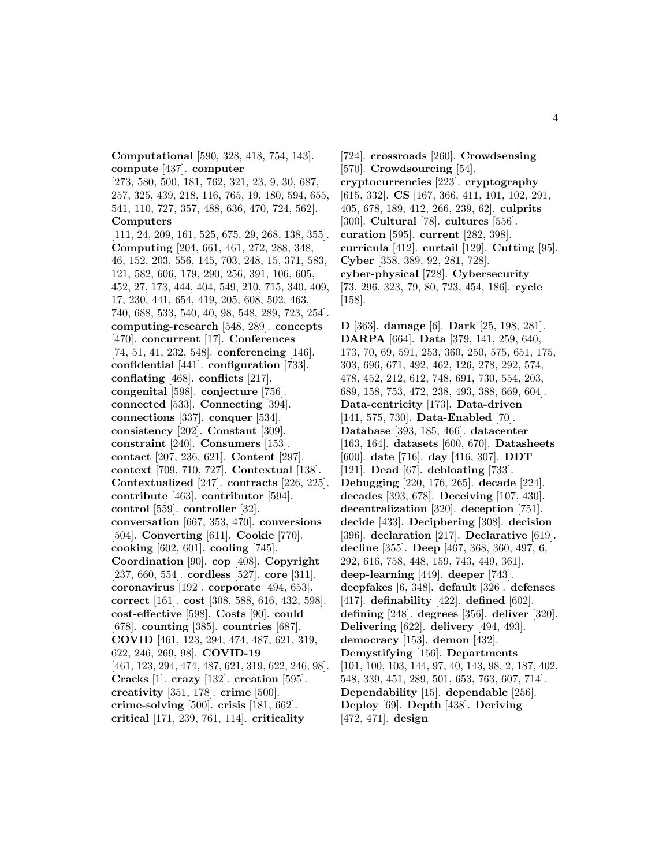**Computational** [590, 328, 418, 754, 143]. **compute** [437]. **computer**

[273, 580, 500, 181, 762, 321, 23, 9, 30, 687, 257, 325, 439, 218, 116, 765, 19, 180, 594, 655, 541, 110, 727, 357, 488, 636, 470, 724, 562]. **Computers** [111, 24, 209, 161, 525, 675, 29, 268, 138, 355]. **Computing** [204, 661, 461, 272, 288, 348, 46, 152, 203, 556, 145, 703, 248, 15, 371, 583, 121, 582, 606, 179, 290, 256, 391, 106, 605, 452, 27, 173, 444, 404, 549, 210, 715, 340, 409, 17, 230, 441, 654, 419, 205, 608, 502, 463, 740, 688, 533, 540, 40, 98, 548, 289, 723, 254]. **computing-research** [548, 289]. **concepts** [470]. **concurrent** [17]. **Conferences** [74, 51, 41, 232, 548]. **conferencing** [146]. **confidential** [441]. **configuration** [733]. **conflating** [468]. **conflicts** [217]. **congenital** [598]. **conjecture** [756]. **connected** [533]. **Connecting** [394]. **connections** [337]. **conquer** [534]. **consistency** [202]. **Constant** [309]. **constraint** [240]. **Consumers** [153]. **contact** [207, 236, 621]. **Content** [297]. **context** [709, 710, 727]. **Contextual** [138]. **Contextualized** [247]. **contracts** [226, 225]. **contribute** [463]. **contributor** [594]. **control** [559]. **controller** [32]. **conversation** [667, 353, 470]. **conversions** [504]. **Converting** [611]. **Cookie** [770]. **cooking** [602, 601]. **cooling** [745]. **Coordination** [90]. **cop** [408]. **Copyright** [237, 660, 554]. **cordless** [527]. **core** [311]. **coronavirus** [192]. **corporate** [494, 653]. **correct** [161]. **cost** [308, 588, 616, 432, 598]. **cost-effective** [598]. **Costs** [90]. **could** [678]. **counting** [385]. **countries** [687]. **COVID** [461, 123, 294, 474, 487, 621, 319, 622, 246, 269, 98]. **COVID-19** [461, 123, 294, 474, 487, 621, 319, 622, 246, 98]. **Cracks** [1]. **crazy** [132]. **creation** [595]. **creativity** [351, 178]. **crime** [500]. **crime-solving** [500]. **crisis** [181, 662]. **critical** [171, 239, 761, 114]. **criticality**

[724]. **crossroads** [260]. **Crowdsensing** [570]. **Crowdsourcing** [54]. **cryptocurrencies** [223]. **cryptography** [615, 332]. **CS** [167, 366, 411, 101, 102, 291, 405, 678, 189, 412, 266, 239, 62]. **culprits** [300]. **Cultural** [78]. **cultures** [556]. **curation** [595]. **current** [282, 398]. **curricula** [412]. **curtail** [129]. **Cutting** [95]. **Cyber** [358, 389, 92, 281, 728]. **cyber-physical** [728]. **Cybersecurity** [73, 296, 323, 79, 80, 723, 454, 186]. **cycle** [158].

**D** [363]. **damage** [6]. **Dark** [25, 198, 281]. **DARPA** [664]. **Data** [379, 141, 259, 640, 173, 70, 69, 591, 253, 360, 250, 575, 651, 175, 303, 696, 671, 492, 462, 126, 278, 292, 574, 478, 452, 212, 612, 748, 691, 730, 554, 203, 689, 158, 753, 472, 238, 493, 388, 669, 604]. **Data-centricity** [173]. **Data-driven** [141, 575, 730]. **Data-Enabled** [70]. **Database** [393, 185, 466]. **datacenter** [163, 164]. **datasets** [600, 670]. **Datasheets** [600]. **date** [716]. **day** [416, 307]. **DDT** [121]. **Dead** [67]. **debloating** [733]. **Debugging** [220, 176, 265]. **decade** [224]. **decades** [393, 678]. **Deceiving** [107, 430]. **decentralization** [320]. **deception** [751]. **decide** [433]. **Deciphering** [308]. **decision** [396]. **declaration** [217]. **Declarative** [619]. **decline** [355]. **Deep** [467, 368, 360, 497, 6, 292, 616, 758, 448, 159, 743, 449, 361]. **deep-learning** [449]. **deeper** [743]. **deepfakes** [6, 348]. **default** [326]. **defenses** [417]. **definability** [422]. **defined** [602]. **defining** [248]. **degrees** [356]. **deliver** [320]. **Delivering** [622]. **delivery** [494, 493]. **democracy** [153]. **demon** [432]. **Demystifying** [156]. **Departments** [101, 100, 103, 144, 97, 40, 143, 98, 2, 187, 402, 548, 339, 451, 289, 501, 653, 763, 607, 714]. **Dependability** [15]. **dependable** [256]. **Deploy** [69]. **Depth** [438]. **Deriving** [472, 471]. **design**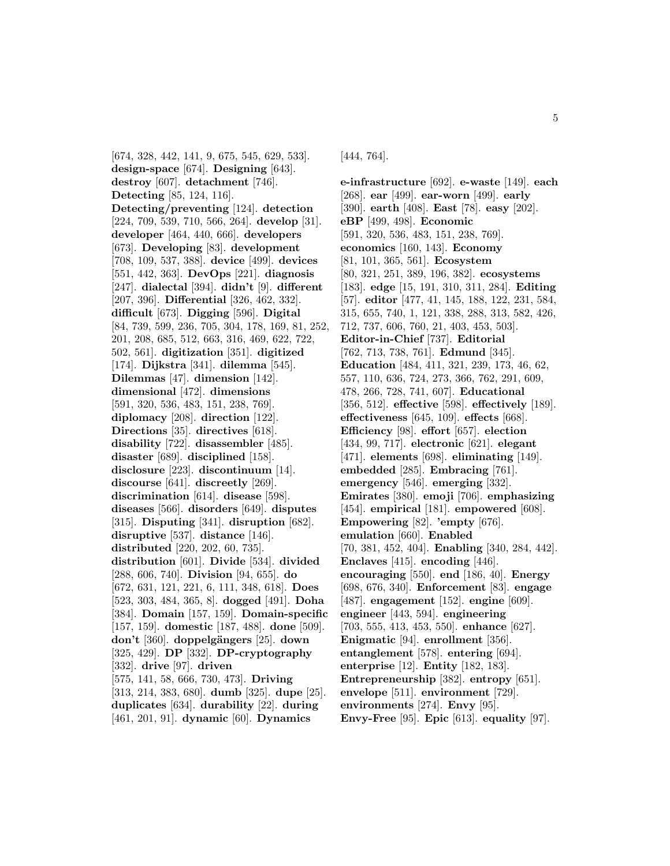[674, 328, 442, 141, 9, 675, 545, 629, 533]. **design-space** [674]. **Designing** [643]. **destroy** [607]. **detachment** [746]. **Detecting** [85, 124, 116]. **Detecting/preventing** [124]. **detection** [224, 709, 539, 710, 566, 264]. **develop** [31]. **developer** [464, 440, 666]. **developers** [673]. **Developing** [83]. **development** [708, 109, 537, 388]. **device** [499]. **devices** [551, 442, 363]. **DevOps** [221]. **diagnosis** [247]. **dialectal** [394]. **didn't** [9]. **different** [207, 396]. **Differential** [326, 462, 332]. **difficult** [673]. **Digging** [596]. **Digital** [84, 739, 599, 236, 705, 304, 178, 169, 81, 252, 201, 208, 685, 512, 663, 316, 469, 622, 722, 502, 561]. **digitization** [351]. **digitized** [174]. **Dijkstra** [341]. **dilemma** [545]. **Dilemmas** [47]. **dimension** [142]. **dimensional** [472]. **dimensions** [591, 320, 536, 483, 151, 238, 769]. **diplomacy** [208]. **direction** [122]. **Directions** [35]. **directives** [618]. **disability** [722]. **disassembler** [485]. **disaster** [689]. **disciplined** [158]. **disclosure** [223]. **discontinuum** [14]. **discourse** [641]. **discreetly** [269]. **discrimination** [614]. **disease** [598]. **diseases** [566]. **disorders** [649]. **disputes** [315]. **Disputing** [341]. **disruption** [682]. **disruptive** [537]. **distance** [146]. **distributed** [220, 202, 60, 735]. **distribution** [601]. **Divide** [534]. **divided** [288, 606, 740]. **Division** [94, 655]. **do** [672, 631, 121, 221, 6, 111, 348, 618]. **Does** [523, 303, 484, 365, 8]. **dogged** [491]. **Doha** [384]. **Domain** [157, 159]. **Domain-specific** [157, 159]. **domestic** [187, 488]. **done** [509]. **don't** [360]. **doppelgängers** [25]. **down** [325, 429]. **DP** [332]. **DP-cryptography** [332]. **drive** [97]. **driven** [575, 141, 58, 666, 730, 473]. **Driving** [313, 214, 383, 680]. **dumb** [325]. **dupe** [25]. **duplicates** [634]. **durability** [22]. **during** [461, 201, 91]. **dynamic** [60]. **Dynamics**

[444, 764].

**e-infrastructure** [692]. **e-waste** [149]. **each** [268]. **ear** [499]. **ear-worn** [499]. **early** [390]. **earth** [408]. **East** [78]. **easy** [202]. **eBP** [499, 498]. **Economic** [591, 320, 536, 483, 151, 238, 769]. **economics** [160, 143]. **Economy** [81, 101, 365, 561]. **Ecosystem** [80, 321, 251, 389, 196, 382]. **ecosystems** [183]. **edge** [15, 191, 310, 311, 284]. **Editing** [57]. **editor** [477, 41, 145, 188, 122, 231, 584, 315, 655, 740, 1, 121, 338, 288, 313, 582, 426, 712, 737, 606, 760, 21, 403, 453, 503]. **Editor-in-Chief** [737]. **Editorial** [762, 713, 738, 761]. **Edmund** [345]. **Education** [484, 411, 321, 239, 173, 46, 62, 557, 110, 636, 724, 273, 366, 762, 291, 609, 478, 266, 728, 741, 607]. **Educational** [356, 512]. **effective** [598]. **effectively** [189]. **effectiveness** [645, 109]. **effects** [668]. **Efficiency** [98]. **effort** [657]. **election** [434, 99, 717]. **electronic** [621]. **elegant** [471]. **elements** [698]. **eliminating** [149]. **embedded** [285]. **Embracing** [761]. **emergency** [546]. **emerging** [332]. **Emirates** [380]. **emoji** [706]. **emphasizing** [454]. **empirical** [181]. **empowered** [608]. **Empowering** [82]. **'empty** [676]. **emulation** [660]. **Enabled** [70, 381, 452, 404]. **Enabling** [340, 284, 442]. **Enclaves** [415]. **encoding** [446]. **encouraging** [550]. **end** [186, 40]. **Energy** [698, 676, 340]. **Enforcement** [83]. **engage** [487]. **engagement** [152]. **engine** [609]. **engineer** [443, 594]. **engineering** [703, 555, 413, 453, 550]. **enhance** [627]. **Enigmatic** [94]. **enrollment** [356]. **entanglement** [578]. **entering** [694]. **enterprise** [12]. **Entity** [182, 183]. **Entrepreneurship** [382]. **entropy** [651]. **envelope** [511]. **environment** [729]. **environments** [274]. **Envy** [95]. **Envy-Free** [95]. **Epic** [613]. **equality** [97].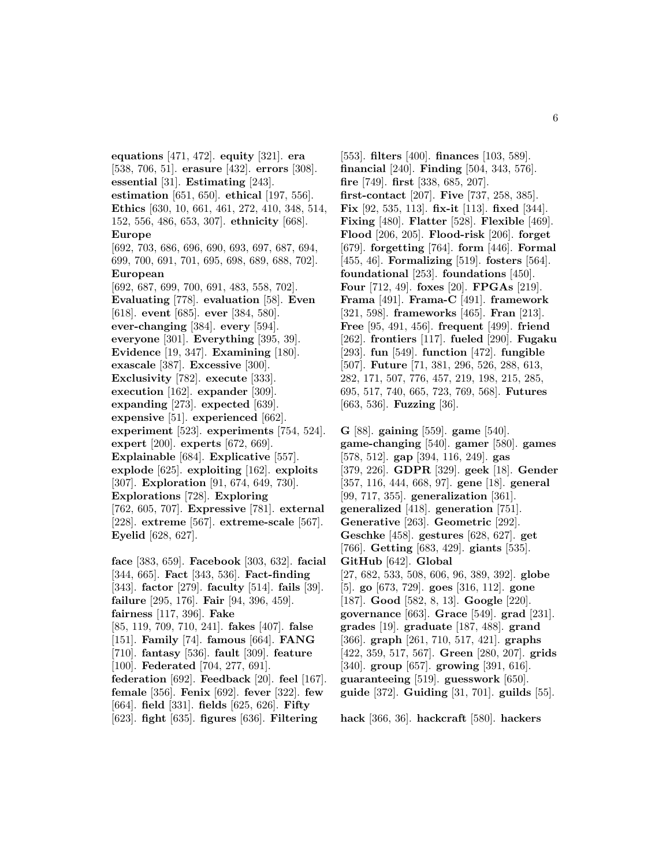**equations** [471, 472]. **equity** [321]. **era** [538, 706, 51]. **erasure** [432]. **errors** [308]. **essential** [31]. **Estimating** [243]. **estimation** [651, 650]. **ethical** [197, 556]. **Ethics** [630, 10, 661, 461, 272, 410, 348, 514, 152, 556, 486, 653, 307]. **ethnicity** [668]. **Europe** [692, 703, 686, 696, 690, 693, 697, 687, 694, 699, 700, 691, 701, 695, 698, 689, 688, 702]. **European** [692, 687, 699, 700, 691, 483, 558, 702]. **Evaluating** [778]. **evaluation** [58]. **Even** [618]. **event** [685]. **ever** [384, 580]. **ever-changing** [384]. **every** [594]. **everyone** [301]. **Everything** [395, 39]. **Evidence** [19, 347]. **Examining** [180]. **exascale** [387]. **Excessive** [300]. **Exclusivity** [782]. **execute** [333]. **execution** [162]. **expander** [309]. **expanding** [273]. **expected** [639]. **expensive** [51]. **experienced** [662]. **experiment** [523]. **experiments** [754, 524]. **expert** [200]. **experts** [672, 669]. **Explainable** [684]. **Explicative** [557]. **explode** [625]. **exploiting** [162]. **exploits** [307]. **Exploration** [91, 674, 649, 730]. **Explorations** [728]. **Exploring** [762, 605, 707]. **Expressive** [781]. **external** [228]. **extreme** [567]. **extreme-scale** [567]. **Eyelid** [628, 627]. **face** [383, 659]. **Facebook** [303, 632]. **facial**

[344, 665]. **Fact** [343, 536]. **Fact-finding** [343]. **factor** [279]. **faculty** [514]. **fails** [39]. **failure** [295, 176]. **Fair** [94, 396, 459]. **fairness** [117, 396]. **Fake** [85, 119, 709, 710, 241]. **fakes** [407]. **false** [151]. **Family** [74]. **famous** [664]. **FANG** [710]. **fantasy** [536]. **fault** [309]. **feature** [100]. **Federated** [704, 277, 691]. **federation** [692]. **Feedback** [20]. **feel** [167]. **female** [356]. **Fenix** [692]. **fever** [322]. **few** [664]. **field** [331]. **fields** [625, 626]. **Fifty** [623]. **fight** [635]. **figures** [636]. **Filtering**

[553]. **filters** [400]. **finances** [103, 589]. **financial** [240]. **Finding** [504, 343, 576]. **fire** [749]. **first** [338, 685, 207]. **first-contact** [207]. **Five** [737, 258, 385]. **Fix** [92, 535, 113]. **fix-it** [113]. **fixed** [344]. **Fixing** [480]. **Flatter** [528]. **Flexible** [469]. **Flood** [206, 205]. **Flood-risk** [206]. **forget** [679]. **forgetting** [764]. **form** [446]. **Formal** [455, 46]. **Formalizing** [519]. **fosters** [564]. **foundational** [253]. **foundations** [450]. **Four** [712, 49]. **foxes** [20]. **FPGAs** [219]. **Frama** [491]. **Frama-C** [491]. **framework** [321, 598]. **frameworks** [465]. **Fran** [213]. **Free** [95, 491, 456]. **frequent** [499]. **friend** [262]. **frontiers** [117]. **fueled** [290]. **Fugaku** [293]. **fun** [549]. **function** [472]. **fungible** [507]. **Future** [71, 381, 296, 526, 288, 613, 282, 171, 507, 776, 457, 219, 198, 215, 285, 695, 517, 740, 665, 723, 769, 568]. **Futures** [663, 536]. **Fuzzing** [36].

**G** [88]. **gaining** [559]. **game** [540]. **game-changing** [540]. **gamer** [580]. **games** [578, 512]. **gap** [394, 116, 249]. **gas** [379, 226]. **GDPR** [329]. **geek** [18]. **Gender** [357, 116, 444, 668, 97]. **gene** [18]. **general** [99, 717, 355]. **generalization** [361]. **generalized** [418]. **generation** [751]. **Generative** [263]. **Geometric** [292]. **Geschke** [458]. **gestures** [628, 627]. **get** [766]. **Getting** [683, 429]. **giants** [535]. **GitHub** [642]. **Global** [27, 682, 533, 508, 606, 96, 389, 392]. **globe** [5]. **go** [673, 729]. **goes** [316, 112]. **gone** [187]. **Good** [582, 8, 13]. **Google** [220]. **governance** [663]. **Grace** [549]. **grad** [231]. **grades** [19]. **graduate** [187, 488]. **grand** [366]. **graph** [261, 710, 517, 421]. **graphs** [422, 359, 517, 567]. **Green** [280, 207]. **grids** [340]. **group** [657]. **growing** [391, 616]. **guaranteeing** [519]. **guesswork** [650]. **guide** [372]. **Guiding** [31, 701]. **guilds** [55].

**hack** [366, 36]. **hackcraft** [580]. **hackers**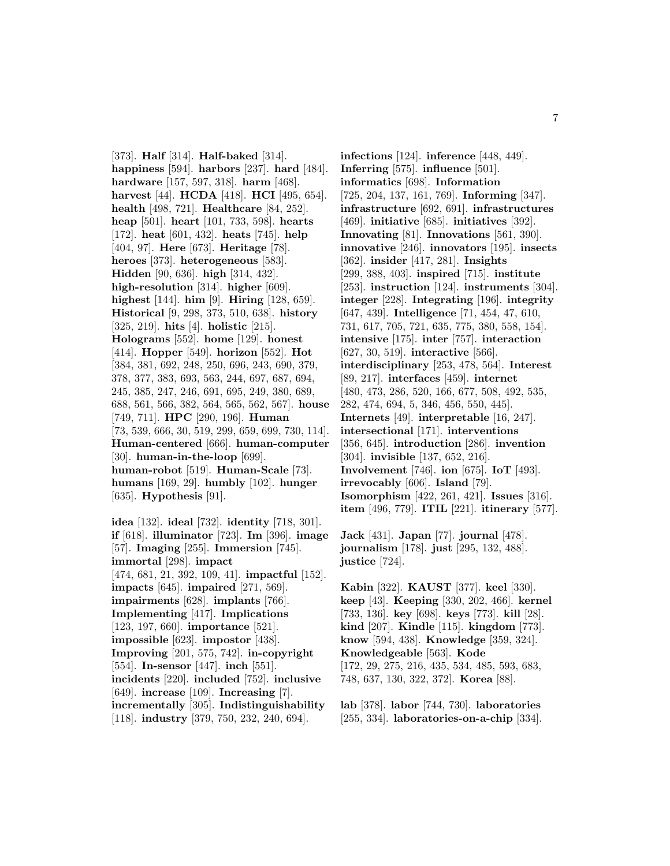[373]. **Half** [314]. **Half-baked** [314]. **happiness** [594]. **harbors** [237]. **hard** [484]. **hardware** [157, 597, 318]. **harm** [468]. **harvest** [44]. **HCDA** [418]. **HCI** [495, 654]. **health** [498, 721]. **Healthcare** [84, 252]. **heap** [501]. **heart** [101, 733, 598]. **hearts** [172]. **heat** [601, 432]. **heats** [745]. **help** [404, 97]. **Here** [673]. **Heritage** [78]. **heroes** [373]. **heterogeneous** [583]. **Hidden** [90, 636]. **high** [314, 432]. **high-resolution** [314]. **higher** [609]. **highest** [144]. **him** [9]. **Hiring** [128, 659]. **Historical** [9, 298, 373, 510, 638]. **history** [325, 219]. **hits** [4]. **holistic** [215]. **Holograms** [552]. **home** [129]. **honest** [414]. **Hopper** [549]. **horizon** [552]. **Hot** [384, 381, 692, 248, 250, 696, 243, 690, 379, 378, 377, 383, 693, 563, 244, 697, 687, 694, 245, 385, 247, 246, 691, 695, 249, 380, 689, 688, 561, 566, 382, 564, 565, 562, 567]. **house** [749, 711]. **HPC** [290, 196]. **Human** [73, 539, 666, 30, 519, 299, 659, 699, 730, 114]. **Human-centered** [666]. **human-computer** [30]. **human-in-the-loop** [699]. **human-robot** [519]. **Human-Scale** [73]. **humans** [169, 29]. **humbly** [102]. **hunger** [635]. **Hypothesis** [91].

**idea** [132]. **ideal** [732]. **identity** [718, 301]. **if** [618]. **illuminator** [723]. **Im** [396]. **image** [57]. **Imaging** [255]. **Immersion** [745]. **immortal** [298]. **impact** [474, 681, 21, 392, 109, 41]. **impactful** [152]. **impacts** [645]. **impaired** [271, 569]. **impairments** [628]. **implants** [766]. **Implementing** [417]. **Implications** [123, 197, 660]. **importance** [521]. **impossible** [623]. **impostor** [438]. **Improving** [201, 575, 742]. **in-copyright** [554]. **In-sensor** [447]. **inch** [551]. **incidents** [220]. **included** [752]. **inclusive** [649]. **increase** [109]. **Increasing** [7]. **incrementally** [305]. **Indistinguishability** [118]. **industry** [379, 750, 232, 240, 694].

**infections** [124]. **inference** [448, 449]. **Inferring** [575]. **influence** [501]. **informatics** [698]. **Information** [725, 204, 137, 161, 769]. **Informing** [347]. **infrastructure** [692, 691]. **infrastructures** [469]. **initiative** [685]. **initiatives** [392]. **Innovating** [81]. **Innovations** [561, 390]. **innovative** [246]. **innovators** [195]. **insects** [362]. **insider** [417, 281]. **Insights** [299, 388, 403]. **inspired** [715]. **institute** [253]. **instruction** [124]. **instruments** [304]. **integer** [228]. **Integrating** [196]. **integrity** [647, 439]. **Intelligence** [71, 454, 47, 610, 731, 617, 705, 721, 635, 775, 380, 558, 154]. **intensive** [175]. **inter** [757]. **interaction** [627, 30, 519]. **interactive** [566]. **interdisciplinary** [253, 478, 564]. **Interest** [89, 217]. **interfaces** [459]. **internet** [480, 473, 286, 520, 166, 677, 508, 492, 535, 282, 474, 694, 5, 346, 456, 550, 445]. **Internets** [49]. **interpretable** [16, 247]. **intersectional** [171]. **interventions** [356, 645]. **introduction** [286]. **invention** [304]. **invisible** [137, 652, 216]. **Involvement** [746]. **ion** [675]. **IoT** [493]. **irrevocably** [606]. **Island** [79]. **Isomorphism** [422, 261, 421]. **Issues** [316]. **item** [496, 779]. **ITIL** [221]. **itinerary** [577].

**Jack** [431]. **Japan** [77]. **journal** [478]. **journalism** [178]. **just** [295, 132, 488]. **justice** [724].

**Kabin** [322]. **KAUST** [377]. **keel** [330]. **keep** [43]. **Keeping** [330, 202, 466]. **kernel** [733, 136]. **key** [698]. **keys** [773]. **kill** [28]. **kind** [207]. **Kindle** [115]. **kingdom** [773]. **know** [594, 438]. **Knowledge** [359, 324]. **Knowledgeable** [563]. **Kode** [172, 29, 275, 216, 435, 534, 485, 593, 683, 748, 637, 130, 322, 372]. **Korea** [88].

**lab** [378]. **labor** [744, 730]. **laboratories** [255, 334]. **laboratories-on-a-chip** [334].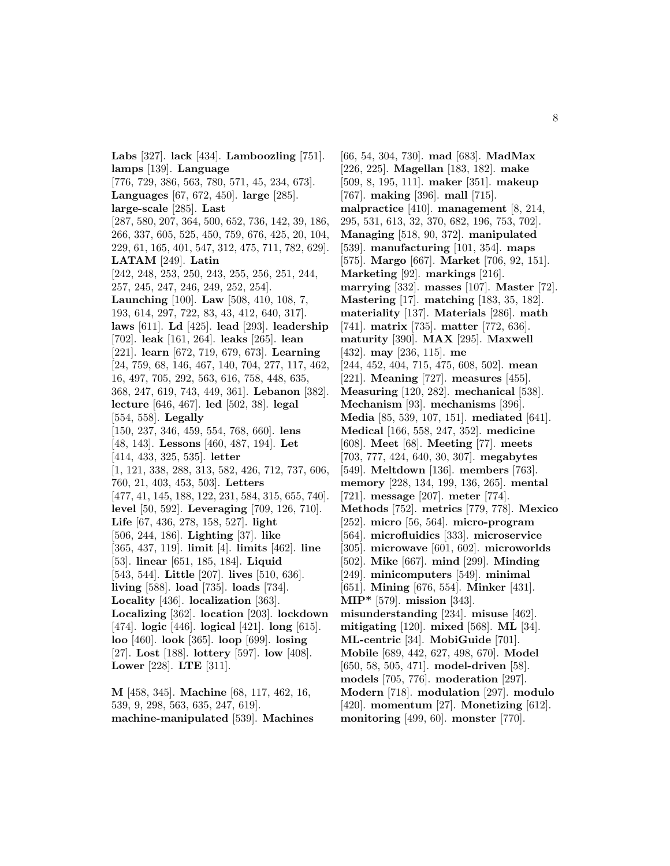**Labs** [327]. **lack** [434]. **Lamboozling** [751]. **lamps** [139]. **Language** [776, 729, 386, 563, 780, 571, 45, 234, 673]. **Languages** [67, 672, 450]. **large** [285]. **large-scale** [285]. **Last** [287, 580, 207, 364, 500, 652, 736, 142, 39, 186, 266, 337, 605, 525, 450, 759, 676, 425, 20, 104, 229, 61, 165, 401, 547, 312, 475, 711, 782, 629]. **LATAM** [249]. **Latin** [242, 248, 253, 250, 243, 255, 256, 251, 244, 257, 245, 247, 246, 249, 252, 254]. **Launching** [100]. **Law** [508, 410, 108, 7, 193, 614, 297, 722, 83, 43, 412, 640, 317]. **laws** [611]. **Ld** [425]. **lead** [293]. **leadership** [702]. **leak** [161, 264]. **leaks** [265]. **lean** [221]. **learn** [672, 719, 679, 673]. **Learning** [24, 759, 68, 146, 467, 140, 704, 277, 117, 462, 16, 497, 705, 292, 563, 616, 758, 448, 635, 368, 247, 619, 743, 449, 361]. **Lebanon** [382]. **lecture** [646, 467]. **led** [502, 38]. **legal** [554, 558]. **Legally** [150, 237, 346, 459, 554, 768, 660]. **lens** [48, 143]. **Lessons** [460, 487, 194]. **Let** [414, 433, 325, 535]. **letter** [1, 121, 338, 288, 313, 582, 426, 712, 737, 606, 760, 21, 403, 453, 503]. **Letters** [477, 41, 145, 188, 122, 231, 584, 315, 655, 740]. **level** [50, 592]. **Leveraging** [709, 126, 710]. **Life** [67, 436, 278, 158, 527]. **light** [506, 244, 186]. **Lighting** [37]. **like** [365, 437, 119]. **limit** [4]. **limits** [462]. **line** [53]. **linear** [651, 185, 184]. **Liquid** [543, 544]. **Little** [207]. **lives** [510, 636]. **living** [588]. **load** [735]. **loads** [734]. **Locality** [436]. **localization** [363]. **Localizing** [362]. **location** [203]. **lockdown** [474]. **logic** [446]. **logical** [421]. **long** [615]. **loo** [460]. **look** [365]. **loop** [699]. **losing** [27]. **Lost** [188]. **lottery** [597]. **low** [408]. **Lower** [228]. **LTE** [311].

**M** [458, 345]. **Machine** [68, 117, 462, 16, 539, 9, 298, 563, 635, 247, 619]. **machine-manipulated** [539]. **Machines**

[66, 54, 304, 730]. **mad** [683]. **MadMax** [226, 225]. **Magellan** [183, 182]. **make** [509, 8, 195, 111]. **maker** [351]. **makeup** [767]. **making** [396]. **mall** [715]. **malpractice** [410]. **management** [8, 214, 295, 531, 613, 32, 370, 682, 196, 753, 702]. **Managing** [518, 90, 372]. **manipulated** [539]. **manufacturing** [101, 354]. **maps** [575]. **Margo** [667]. **Market** [706, 92, 151]. **Marketing** [92]. **markings** [216]. **marrying** [332]. **masses** [107]. **Master** [72]. **Mastering** [17]. **matching** [183, 35, 182]. **materiality** [137]. **Materials** [286]. **math** [741]. **matrix** [735]. **matter** [772, 636]. **maturity** [390]. **MAX** [295]. **Maxwell** [432]. **may** [236, 115]. **me** [244, 452, 404, 715, 475, 608, 502]. **mean** [221]. **Meaning** [727]. **measures** [455]. **Measuring** [120, 282]. **mechanical** [538]. **Mechanism** [93]. **mechanisms** [396]. **Media** [85, 539, 107, 151]. **mediated** [641]. **Medical** [166, 558, 247, 352]. **medicine** [608]. **Meet** [68]. **Meeting** [77]. **meets** [703, 777, 424, 640, 30, 307]. **megabytes** [549]. **Meltdown** [136]. **members** [763]. **memory** [228, 134, 199, 136, 265]. **mental** [721]. **message** [207]. **meter** [774]. **Methods** [752]. **metrics** [779, 778]. **Mexico** [252]. **micro** [56, 564]. **micro-program** [564]. **microfluidics** [333]. **microservice** [305]. **microwave** [601, 602]. **microworlds** [502]. **Mike** [667]. **mind** [299]. **Minding** [249]. **minicomputers** [549]. **minimal** [651]. **Mining** [676, 554]. **Minker** [431]. **MIP\*** [579]. **mission** [343]. **misunderstanding** [234]. **misuse** [462]. **mitigating** [120]. **mixed** [568]. **ML** [34]. **ML-centric** [34]. **MobiGuide** [701]. **Mobile** [689, 442, 627, 498, 670]. **Model** [650, 58, 505, 471]. **model-driven** [58]. **models** [705, 776]. **moderation** [297]. **Modern** [718]. **modulation** [297]. **modulo** [420]. **momentum** [27]. **Monetizing** [612]. **monitoring** [499, 60]. **monster** [770].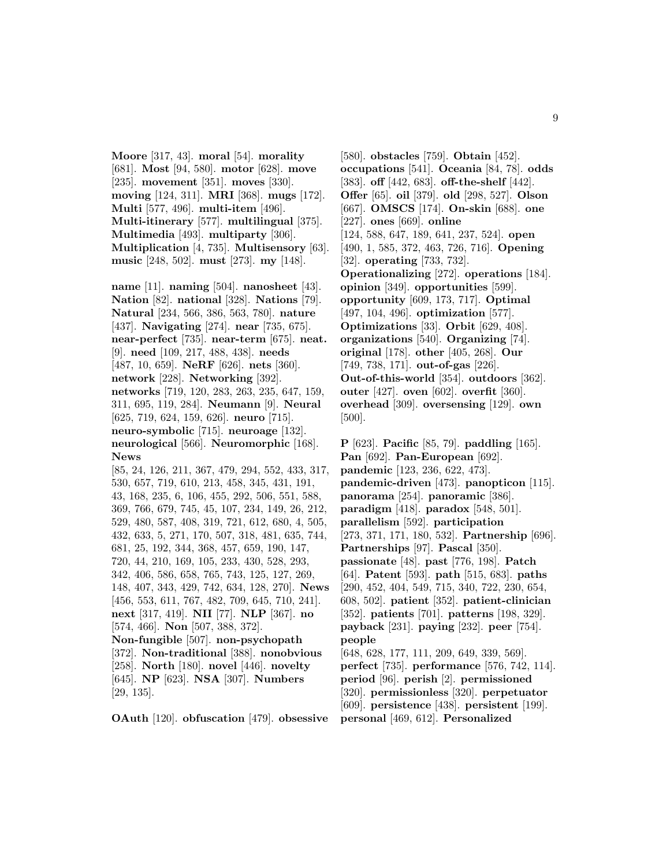**Moore** [317, 43]. **moral** [54]. **morality** [681]. **Most** [94, 580]. **motor** [628]. **move** [235]. **movement** [351]. **moves** [330]. **moving** [124, 311]. **MRI** [368]. **mugs** [172]. **Multi** [577, 496]. **multi-item** [496]. **Multi-itinerary** [577]. **multilingual** [375]. **Multimedia** [493]. **multiparty** [306]. **Multiplication** [4, 735]. **Multisensory** [63]. **music** [248, 502]. **must** [273]. **my** [148].

**name** [11]. **naming** [504]. **nanosheet** [43]. **Nation** [82]. **national** [328]. **Nations** [79]. **Natural** [234, 566, 386, 563, 780]. **nature** [437]. **Navigating** [274]. **near** [735, 675]. **near-perfect** [735]. **near-term** [675]. **neat.** [9]. **need** [109, 217, 488, 438]. **needs** [487, 10, 659]. **NeRF** [626]. **nets** [360]. **network** [228]. **Networking** [392]. **networks** [719, 120, 283, 263, 235, 647, 159, 311, 695, 119, 284]. **Neumann** [9]. **Neural** [625, 719, 624, 159, 626]. **neuro** [715]. **neuro-symbolic** [715]. **neuroage** [132]. **neurological** [566]. **Neuromorphic** [168]. **News**

[85, 24, 126, 211, 367, 479, 294, 552, 433, 317, 530, 657, 719, 610, 213, 458, 345, 431, 191, 43, 168, 235, 6, 106, 455, 292, 506, 551, 588, 369, 766, 679, 745, 45, 107, 234, 149, 26, 212, 529, 480, 587, 408, 319, 721, 612, 680, 4, 505, 432, 633, 5, 271, 170, 507, 318, 481, 635, 744, 681, 25, 192, 344, 368, 457, 659, 190, 147, 720, 44, 210, 169, 105, 233, 430, 528, 293, 342, 406, 586, 658, 765, 743, 125, 127, 269, 148, 407, 343, 429, 742, 634, 128, 270]. **News** [456, 553, 611, 767, 482, 709, 645, 710, 241]. **next** [317, 419]. **NII** [77]. **NLP** [367]. **no** [574, 466]. **Non** [507, 388, 372]. **Non-fungible** [507]. **non-psychopath** [372]. **Non-traditional** [388]. **nonobvious** [258]. **North** [180]. **novel** [446]. **novelty** [645]. **NP** [623]. **NSA** [307]. **Numbers** [29, 135].

[580]. **obstacles** [759]. **Obtain** [452]. **occupations** [541]. **Oceania** [84, 78]. **odds** [383]. **off** [442, 683]. **off-the-shelf** [442]. **Offer** [65]. **oil** [379]. **old** [298, 527]. **Olson** [667]. **OMSCS** [174]. **On-skin** [688]. **one** [227]. **ones** [669]. **online** [124, 588, 647, 189, 641, 237, 524]. **open** [490, 1, 585, 372, 463, 726, 716]. **Opening** [32]. **operating** [733, 732]. **Operationalizing** [272]. **operations** [184]. **opinion** [349]. **opportunities** [599]. **opportunity** [609, 173, 717]. **Optimal** [497, 104, 496]. **optimization** [577]. **Optimizations** [33]. **Orbit** [629, 408]. **organizations** [540]. **Organizing** [74]. **original** [178]. **other** [405, 268]. **Our** [749, 738, 171]. **out-of-gas** [226]. **Out-of-this-world** [354]. **outdoors** [362]. **outer** [427]. **oven** [602]. **overfit** [360]. **overhead** [309]. **oversensing** [129]. **own**

**P** [623]. **Pacific** [85, 79]. **paddling** [165]. **Pan** [692]. **Pan-European** [692]. **pandemic** [123, 236, 622, 473]. **pandemic-driven** [473]. **panopticon** [115]. **panorama** [254]. **panoramic** [386]. **paradigm** [418]. **paradox** [548, 501]. **parallelism** [592]. **participation** [273, 371, 171, 180, 532]. **Partnership** [696]. **Partnerships** [97]. **Pascal** [350]. **passionate** [48]. **past** [776, 198]. **Patch** [64]. **Patent** [593]. **path** [515, 683]. **paths** [290, 452, 404, 549, 715, 340, 722, 230, 654, 608, 502]. **patient** [352]. **patient-clinician** [352]. **patients** [701]. **patterns** [198, 329]. **payback** [231]. **paying** [232]. **peer** [754]. **people** [648, 628, 177, 111, 209, 649, 339, 569].

[500].

**perfect** [735]. **performance** [576, 742, 114]. **period** [96]. **perish** [2]. **permissioned** [320]. **permissionless** [320]. **perpetuator** [609]. **persistence** [438]. **persistent** [199]. **personal** [469, 612]. **Personalized**

**OAuth** [120]. **obfuscation** [479]. **obsessive**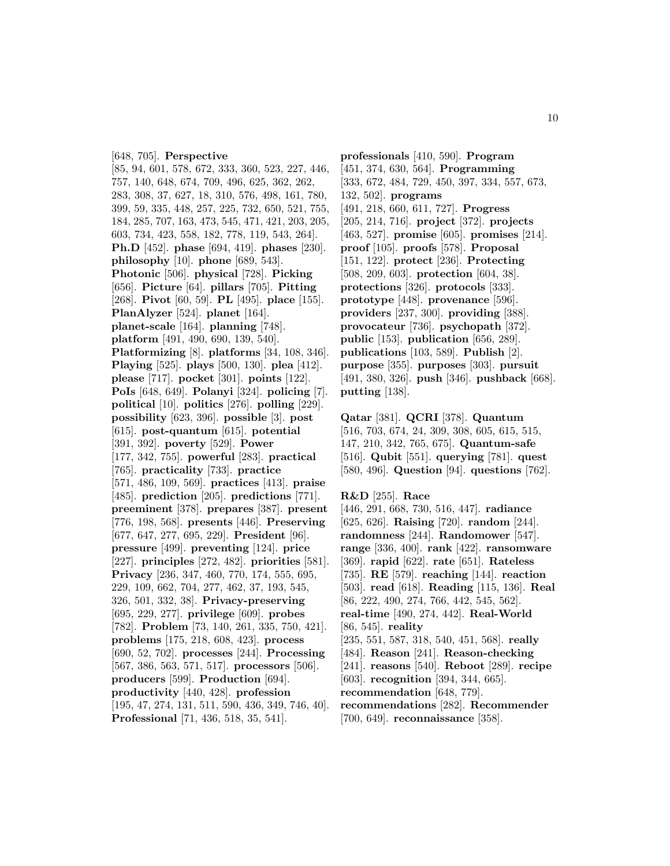[648, 705]. **Perspective** [85, 94, 601, 578, 672, 333, 360, 523, 227, 446, 757, 140, 648, 674, 709, 496, 625, 362, 262, 283, 308, 37, 627, 18, 310, 576, 498, 161, 780, 399, 59, 335, 448, 257, 225, 732, 650, 521, 755, 184, 285, 707, 163, 473, 545, 471, 421, 203, 205, 603, 734, 423, 558, 182, 778, 119, 543, 264]. **Ph.D** [452]. **phase** [694, 419]. **phases** [230]. **philosophy** [10]. **phone** [689, 543]. **Photonic** [506]. **physical** [728]. **Picking** [656]. **Picture** [64]. **pillars** [705]. **Pitting** [268]. **Pivot** [60, 59]. **PL** [495]. **place** [155]. **PlanAlyzer** [524]. **planet** [164]. **planet-scale** [164]. **planning** [748]. **platform** [491, 490, 690, 139, 540]. **Platformizing** [8]. **platforms** [34, 108, 346]. **Playing** [525]. **plays** [500, 130]. **plea** [412]. **please** [717]. **pocket** [301]. **points** [122]. **PoIs** [648, 649]. **Polanyi** [324]. **policing** [7]. **political** [10]. **politics** [276]. **polling** [229]. **possibility** [623, 396]. **possible** [3]. **post** [615]. **post-quantum** [615]. **potential** [391, 392]. **poverty** [529]. **Power** [177, 342, 755]. **powerful** [283]. **practical** [765]. **practicality** [733]. **practice** [571, 486, 109, 569]. **practices** [413]. **praise** [485]. **prediction** [205]. **predictions** [771]. **preeminent** [378]. **prepares** [387]. **present** [776, 198, 568]. **presents** [446]. **Preserving** [677, 647, 277, 695, 229]. **President** [96]. **pressure** [499]. **preventing** [124]. **price** [227]. **principles** [272, 482]. **priorities** [581]. **Privacy** [236, 347, 460, 770, 174, 555, 695, 229, 109, 662, 704, 277, 462, 37, 193, 545, 326, 501, 332, 38]. **Privacy-preserving** [695, 229, 277]. **privilege** [609]. **probes** [782]. **Problem** [73, 140, 261, 335, 750, 421]. **problems** [175, 218, 608, 423]. **process** [690, 52, 702]. **processes** [244]. **Processing** [567, 386, 563, 571, 517]. **processors** [506]. **producers** [599]. **Production** [694]. **productivity** [440, 428]. **profession** [195, 47, 274, 131, 511, 590, 436, 349, 746, 40]. **Professional** [71, 436, 518, 35, 541].

**professionals** [410, 590]. **Program** [451, 374, 630, 564]. **Programming** [333, 672, 484, 729, 450, 397, 334, 557, 673, 132, 502]. **programs** [491, 218, 660, 611, 727]. **Progress** [205, 214, 716]. **project** [372]. **projects** [463, 527]. **promise** [605]. **promises** [214]. **proof** [105]. **proofs** [578]. **Proposal** [151, 122]. **protect** [236]. **Protecting** [508, 209, 603]. **protection** [604, 38]. **protections** [326]. **protocols** [333]. **prototype** [448]. **provenance** [596]. **providers** [237, 300]. **providing** [388]. **provocateur** [736]. **psychopath** [372]. **public** [153]. **publication** [656, 289]. **publications** [103, 589]. **Publish** [2]. **purpose** [355]. **purposes** [303]. **pursuit** [491, 380, 326]. **push** [346]. **pushback** [668]. **putting** [138].

**Qatar** [381]. **QCRI** [378]. **Quantum** [516, 703, 674, 24, 309, 308, 605, 615, 515, 147, 210, 342, 765, 675]. **Quantum-safe** [516]. **Qubit** [551]. **querying** [781]. **quest** [580, 496]. **Question** [94]. **questions** [762].

**R&D** [255]. **Race** [446, 291, 668, 730, 516, 447]. **radiance** [625, 626]. **Raising** [720]. **random** [244]. **randomness** [244]. **Randomower** [547]. **range** [336, 400]. **rank** [422]. **ransomware** [369]. **rapid** [622]. **rate** [651]. **Rateless** [735]. **RE** [579]. **reaching** [144]. **reaction** [503]. **read** [618]. **Reading** [115, 136]. **Real** [86, 222, 490, 274, 766, 442, 545, 562]. **real-time** [490, 274, 442]. **Real-World** [86, 545]. **reality** [235, 551, 587, 318, 540, 451, 568]. **really** [484]. **Reason** [241]. **Reason-checking** [241]. **reasons** [540]. **Reboot** [289]. **recipe** [603]. **recognition** [394, 344, 665]. **recommendation** [648, 779]. **recommendations** [282]. **Recommender** [700, 649]. **reconnaissance** [358].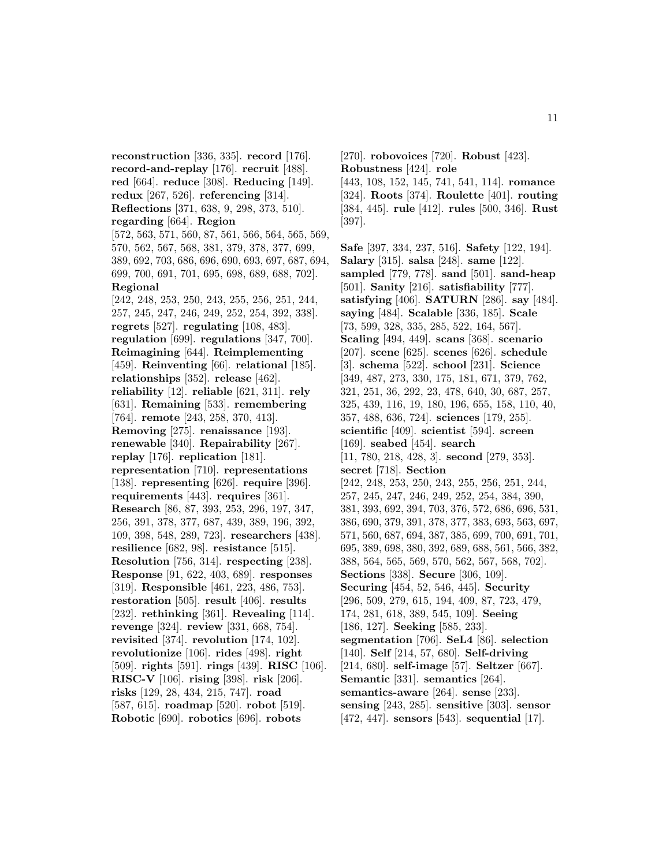**reconstruction** [336, 335]. **record** [176]. **record-and-replay** [176]. **recruit** [488]. **red** [664]. **reduce** [308]. **Reducing** [149]. **redux** [267, 526]. **referencing** [314]. **Reflections** [371, 638, 9, 298, 373, 510]. **regarding** [664]. **Region** [572, 563, 571, 560, 87, 561, 566, 564, 565, 569, 570, 562, 567, 568, 381, 379, 378, 377, 699, 389, 692, 703, 686, 696, 690, 693, 697, 687, 694, 699, 700, 691, 701, 695, 698, 689, 688, 702]. **Regional** [242, 248, 253, 250, 243, 255, 256, 251, 244, 257, 245, 247, 246, 249, 252, 254, 392, 338]. **regrets** [527]. **regulating** [108, 483]. **regulation** [699]. **regulations** [347, 700]. **Reimagining** [644]. **Reimplementing** [459]. **Reinventing** [66]. **relational** [185]. **relationships** [352]. **release** [462]. **reliability** [12]. **reliable** [621, 311]. **rely** [631]. **Remaining** [533]. **remembering** [764]. **remote** [243, 258, 370, 413]. **Removing** [275]. **renaissance** [193]. **renewable** [340]. **Repairability** [267]. **replay** [176]. **replication** [181]. **representation** [710]. **representations** [138]. **representing** [626]. **require** [396]. **requirements** [443]. **requires** [361]. **Research** [86, 87, 393, 253, 296, 197, 347, 256, 391, 378, 377, 687, 439, 389, 196, 392, 109, 398, 548, 289, 723]. **researchers** [438]. **resilience** [682, 98]. **resistance** [515]. **Resolution** [756, 314]. **respecting** [238]. **Response** [91, 622, 403, 689]. **responses** [319]. **Responsible** [461, 223, 486, 753]. **restoration** [505]. **result** [406]. **results** [232]. **rethinking** [361]. **Revealing** [114]. **revenge** [324]. **review** [331, 668, 754]. **revisited** [374]. **revolution** [174, 102]. **revolutionize** [106]. **rides** [498]. **right** [509]. **rights** [591]. **rings** [439]. **RISC** [106]. **RISC-V** [106]. **rising** [398]. **risk** [206]. **risks** [129, 28, 434, 215, 747]. **road** [587, 615]. **roadmap** [520]. **robot** [519]. **Robotic** [690]. **robotics** [696]. **robots**

[270]. **robovoices** [720]. **Robust** [423]. **Robustness** [424]. **role** [443, 108, 152, 145, 741, 541, 114]. **romance** [324]. **Roots** [374]. **Roulette** [401]. **routing** [384, 445]. **rule** [412]. **rules** [500, 346]. **Rust** [397].

**Safe** [397, 334, 237, 516]. **Safety** [122, 194]. **Salary** [315]. **salsa** [248]. **same** [122]. **sampled** [779, 778]. **sand** [501]. **sand-heap** [501]. **Sanity** [216]. **satisfiability** [777]. **satisfying** [406]. **SATURN** [286]. **say** [484]. **saying** [484]. **Scalable** [336, 185]. **Scale** [73, 599, 328, 335, 285, 522, 164, 567]. **Scaling** [494, 449]. **scans** [368]. **scenario** [207]. **scene** [625]. **scenes** [626]. **schedule** [3]. **schema** [522]. **school** [231]. **Science** [349, 487, 273, 330, 175, 181, 671, 379, 762, 321, 251, 36, 292, 23, 478, 640, 30, 687, 257, 325, 439, 116, 19, 180, 196, 655, 158, 110, 40, 357, 488, 636, 724]. **sciences** [179, 255]. **scientific** [409]. **scientist** [594]. **screen** [169]. **seabed** [454]. **search** [11, 780, 218, 428, 3]. **second** [279, 353]. **secret** [718]. **Section** [242, 248, 253, 250, 243, 255, 256, 251, 244, 257, 245, 247, 246, 249, 252, 254, 384, 390, 381, 393, 692, 394, 703, 376, 572, 686, 696, 531, 386, 690, 379, 391, 378, 377, 383, 693, 563, 697, 571, 560, 687, 694, 387, 385, 699, 700, 691, 701, 695, 389, 698, 380, 392, 689, 688, 561, 566, 382, 388, 564, 565, 569, 570, 562, 567, 568, 702]. **Sections** [338]. **Secure** [306, 109]. **Securing** [454, 52, 546, 445]. **Security** [296, 509, 279, 615, 194, 409, 87, 723, 479, 174, 281, 618, 389, 545, 109]. **Seeing** [186, 127]. **Seeking** [585, 233]. **segmentation** [706]. **SeL4** [86]. **selection** [140]. **Self** [214, 57, 680]. **Self-driving** [214, 680]. **self-image** [57]. **Seltzer** [667]. **Semantic** [331]. **semantics** [264]. **semantics-aware** [264]. **sense** [233]. **sensing** [243, 285]. **sensitive** [303]. **sensor** [472, 447]. **sensors** [543]. **sequential** [17].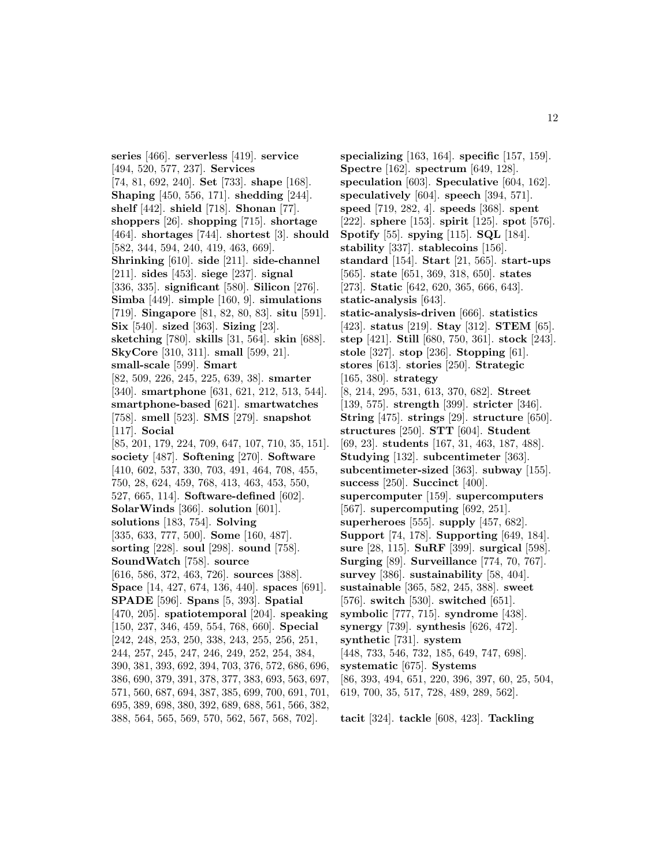**series** [466]. **serverless** [419]. **service** [494, 520, 577, 237]. **Services** [74, 81, 692, 240]. **Set** [733]. **shape** [168]. **Shaping** [450, 556, 171]. **shedding** [244]. **shelf** [442]. **shield** [718]. **Shonan** [77]. **shoppers** [26]. **shopping** [715]. **shortage** [464]. **shortages** [744]. **shortest** [3]. **should** [582, 344, 594, 240, 419, 463, 669]. **Shrinking** [610]. **side** [211]. **side-channel** [211]. **sides** [453]. **siege** [237]. **signal** [336, 335]. **significant** [580]. **Silicon** [276]. **Simba** [449]. **simple** [160, 9]. **simulations** [719]. **Singapore** [81, 82, 80, 83]. **situ** [591]. **Six** [540]. **sized** [363]. **Sizing** [23]. **sketching** [780]. **skills** [31, 564]. **skin** [688]. **SkyCore** [310, 311]. **small** [599, 21]. **small-scale** [599]. **Smart** [82, 509, 226, 245, 225, 639, 38]. **smarter** [340]. **smartphone** [631, 621, 212, 513, 544]. **smartphone-based** [621]. **smartwatches** [758]. **smell** [523]. **SMS** [279]. **snapshot** [117]. **Social** [85, 201, 179, 224, 709, 647, 107, 710, 35, 151]. **society** [487]. **Softening** [270]. **Software** [410, 602, 537, 330, 703, 491, 464, 708, 455, 750, 28, 624, 459, 768, 413, 463, 453, 550, 527, 665, 114]. **Software-defined** [602]. **SolarWinds** [366]. **solution** [601]. **solutions** [183, 754]. **Solving** [335, 633, 777, 500]. **Some** [160, 487]. **sorting** [228]. **soul** [298]. **sound** [758]. **SoundWatch** [758]. **source** [616, 586, 372, 463, 726]. **sources** [388]. **Space** [14, 427, 674, 136, 440]. **spaces** [691]. **SPADE** [596]. **Spans** [5, 393]. **Spatial** [470, 205]. **spatiotemporal** [204]. **speaking** [150, 237, 346, 459, 554, 768, 660]. **Special** [242, 248, 253, 250, 338, 243, 255, 256, 251, 244, 257, 245, 247, 246, 249, 252, 254, 384, 390, 381, 393, 692, 394, 703, 376, 572, 686, 696, 386, 690, 379, 391, 378, 377, 383, 693, 563, 697, 571, 560, 687, 694, 387, 385, 699, 700, 691, 701, 695, 389, 698, 380, 392, 689, 688, 561, 566, 382, 388, 564, 565, 569, 570, 562, 567, 568, 702].

**specializing** [163, 164]. **specific** [157, 159]. **Spectre** [162]. **spectrum** [649, 128]. **speculation** [603]. **Speculative** [604, 162]. **speculatively** [604]. **speech** [394, 571]. **speed** [719, 282, 4]. **speeds** [368]. **spent** [222]. **sphere** [153]. **spirit** [125]. **spot** [576]. **Spotify** [55]. **spying** [115]. **SQL** [184]. **stability** [337]. **stablecoins** [156]. **standard** [154]. **Start** [21, 565]. **start-ups** [565]. **state** [651, 369, 318, 650]. **states** [273]. **Static** [642, 620, 365, 666, 643]. **static-analysis** [643]. **static-analysis-driven** [666]. **statistics** [423]. **status** [219]. **Stay** [312]. **STEM** [65]. **step** [421]. **Still** [680, 750, 361]. **stock** [243]. **stole** [327]. **stop** [236]. **Stopping** [61]. **stores** [613]. **stories** [250]. **Strategic** [165, 380]. **strategy** [8, 214, 295, 531, 613, 370, 682]. **Street** [139, 575]. **strength** [399]. **stricter** [346]. **String** [475]. **strings** [29]. **structure** [650]. **structures** [250]. **STT** [604]. **Student** [69, 23]. **students** [167, 31, 463, 187, 488]. **Studying** [132]. **subcentimeter** [363]. **subcentimeter-sized** [363]. **subway** [155]. **success** [250]. **Succinct** [400]. **supercomputer** [159]. **supercomputers** [567]. **supercomputing** [692, 251]. **superheroes** [555]. **supply** [457, 682]. **Support** [74, 178]. **Supporting** [649, 184]. **sure** [28, 115]. **SuRF** [399]. **surgical** [598]. **Surging** [89]. **Surveillance** [774, 70, 767]. **survey** [386]. **sustainability** [58, 404]. **sustainable** [365, 582, 245, 388]. **sweet** [576]. **switch** [530]. **switched** [651]. **symbolic** [777, 715]. **syndrome** [438]. **synergy** [739]. **synthesis** [626, 472]. **synthetic** [731]. **system** [448, 733, 546, 732, 185, 649, 747, 698]. **systematic** [675]. **Systems** [86, 393, 494, 651, 220, 396, 397, 60, 25, 504, 619, 700, 35, 517, 728, 489, 289, 562].

**tacit** [324]. **tackle** [608, 423]. **Tackling**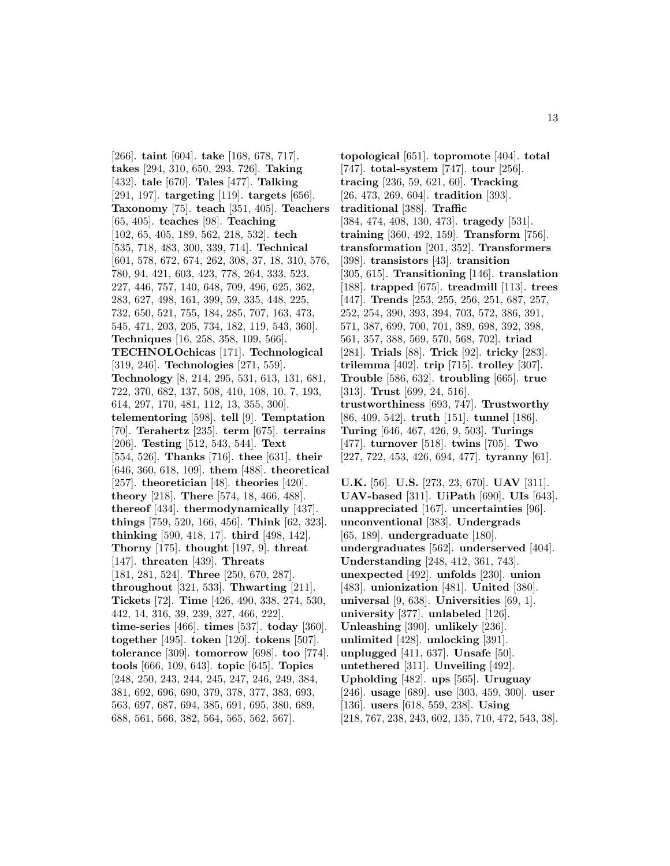[266]. **taint** [604]. **take** [168, 678, 717]. **takes** [294, 310, 650, 293, 726]. **Taking** [432]. **tale** [670]. **Tales** [477]. **Talking** [291, 197]. **targeting** [119]. **targets** [656]. **Taxonomy** [75]. **teach** [351, 405]. **Teachers** [65, 405]. **teaches** [98]. **Teaching** [102, 65, 405, 189, 562, 218, 532]. **tech** [535, 718, 483, 300, 339, 714]. **Technical** [601, 578, 672, 674, 262, 308, 37, 18, 310, 576, 780, 94, 421, 603, 423, 778, 264, 333, 523, 227, 446, 757, 140, 648, 709, 496, 625, 362, 283, 627, 498, 161, 399, 59, 335, 448, 225, 732, 650, 521, 755, 184, 285, 707, 163, 473, 545, 471, 203, 205, 734, 182, 119, 543, 360]. **Techniques** [16, 258, 358, 109, 566]. **TECHNOLOchicas** [171]. **Technological** [319, 246]. **Technologies** [271, 559]. **Technology** [8, 214, 295, 531, 613, 131, 681, 722, 370, 682, 137, 508, 410, 108, 10, 7, 193, 614, 297, 170, 481, 112, 13, 355, 300]. **telementoring** [598]. **tell** [9]. **Temptation** [70]. **Terahertz** [235]. **term** [675]. **terrains** [206]. **Testing** [512, 543, 544]. **Text** [554, 526]. **Thanks** [716]. **thee** [631]. **their** [646, 360, 618, 109]. **them** [488]. **theoretical** [257]. **theoretician** [48]. **theories** [420]. **theory** [218]. **There** [574, 18, 466, 488]. **thereof** [434]. **thermodynamically** [437]. **things** [759, 520, 166, 456]. **Think** [62, 323]. **thinking** [590, 418, 17]. **third** [498, 142]. **Thorny** [175]. **thought** [197, 9]. **threat** [147]. **threaten** [439]. **Threats** [181, 281, 524]. **Three** [250, 670, 287]. **throughout** [321, 533]. **Thwarting** [211]. **Tickets** [72]. **Time** [426, 490, 338, 274, 530, 442, 14, 316, 39, 239, 327, 466, 222]. **time-series** [466]. **times** [537]. **today** [360]. **together** [495]. **token** [120]. **tokens** [507]. **tolerance** [309]. **tomorrow** [698]. **too** [774]. **tools** [666, 109, 643]. **topic** [645]. **Topics** [248, 250, 243, 244, 245, 247, 246, 249, 384, 381, 692, 696, 690, 379, 378, 377, 383, 693, 563, 697, 687, 694, 385, 691, 695, 380, 689, 688, 561, 566, 382, 564, 565, 562, 567].

**topological** [651]. **topromote** [404]. **total** [747]. **total-system** [747]. **tour** [256]. **tracing** [236, 59, 621, 60]. **Tracking** [26, 473, 269, 604]. **tradition** [393]. **traditional** [388]. **Traffic** [384, 474, 408, 130, 473]. **tragedy** [531]. **training** [360, 492, 159]. **Transform** [756]. **transformation** [201, 352]. **Transformers** [398]. **transistors** [43]. **transition** [305, 615]. **Transitioning** [146]. **translation** [188]. **trapped** [675]. **treadmill** [113]. **trees** [447]. **Trends** [253, 255, 256, 251, 687, 257, 252, 254, 390, 393, 394, 703, 572, 386, 391, 571, 387, 699, 700, 701, 389, 698, 392, 398, 561, 357, 388, 569, 570, 568, 702]. **triad** [281]. **Trials** [88]. **Trick** [92]. **tricky** [283]. **trilemma** [402]. **trip** [715]. **trolley** [307]. **Trouble** [586, 632]. **troubling** [665]. **true** [313]. **Trust** [699, 24, 516]. **trustworthiness** [693, 747]. **Trustworthy** [86, 409, 542]. **truth** [151]. **tunnel** [186]. **Turing** [646, 467, 426, 9, 503]. **Turings** [477]. **turnover** [518]. **twins** [705]. **Two** [227, 722, 453, 426, 694, 477]. **tyranny** [61].

**U.K.** [56]. **U.S.** [273, 23, 670]. **UAV** [311]. **UAV-based** [311]. **UiPath** [690]. **UIs** [643]. **unappreciated** [167]. **uncertainties** [96]. **unconventional** [383]. **Undergrads** [65, 189]. **undergraduate** [180]. **undergraduates** [562]. **underserved** [404]. **Understanding** [248, 412, 361, 743]. **unexpected** [492]. **unfolds** [230]. **union** [483]. **unionization** [481]. **United** [380]. **universal** [9, 638]. **Universities** [69, 1]. **university** [377]. **unlabeled** [126]. **Unleashing** [390]. **unlikely** [236]. **unlimited** [428]. **unlocking** [391]. **unplugged** [411, 637]. **Unsafe** [50]. **untethered** [311]. **Unveiling** [492]. **Upholding** [482]. **ups** [565]. **Uruguay** [246]. **usage** [689]. **use** [303, 459, 300]. **user** [136]. **users** [618, 559, 238]. **Using** [218, 767, 238, 243, 602, 135, 710, 472, 543, 38].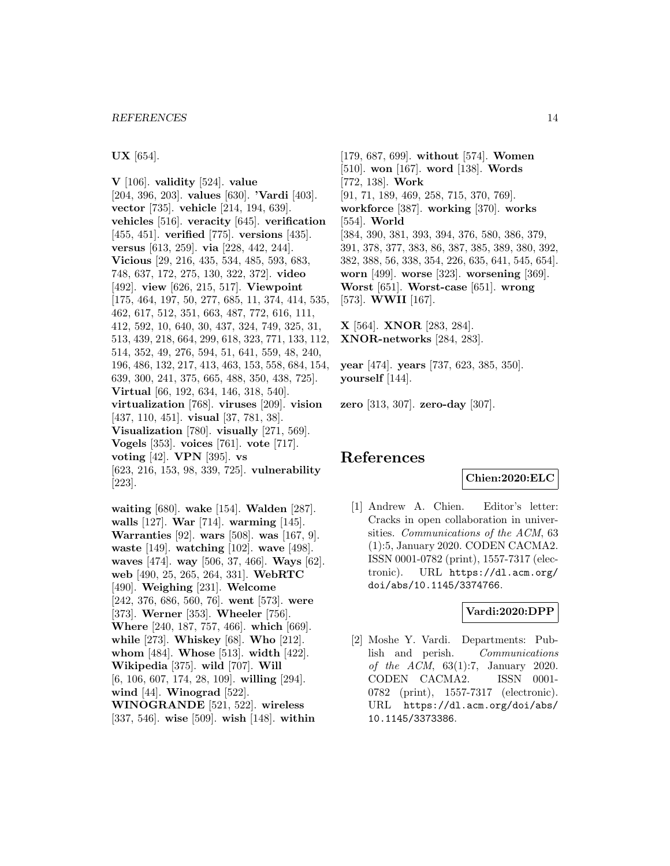**UX** [654].

**V** [106]. **validity** [524]. **value** [204, 396, 203]. **values** [630]. **'Vardi** [403]. **vector** [735]. **vehicle** [214, 194, 639]. **vehicles** [516]. **veracity** [645]. **verification** [455, 451]. **verified** [775]. **versions** [435]. **versus** [613, 259]. **via** [228, 442, 244]. **Vicious** [29, 216, 435, 534, 485, 593, 683, 748, 637, 172, 275, 130, 322, 372]. **video** [492]. **view** [626, 215, 517]. **Viewpoint** [175, 464, 197, 50, 277, 685, 11, 374, 414, 535, 462, 617, 512, 351, 663, 487, 772, 616, 111, 412, 592, 10, 640, 30, 437, 324, 749, 325, 31, 513, 439, 218, 664, 299, 618, 323, 771, 133, 112, 514, 352, 49, 276, 594, 51, 641, 559, 48, 240, 196, 486, 132, 217, 413, 463, 153, 558, 684, 154, 639, 300, 241, 375, 665, 488, 350, 438, 725]. **Virtual** [66, 192, 634, 146, 318, 540]. **virtualization** [768]. **viruses** [209]. **vision** [437, 110, 451]. **visual** [37, 781, 38]. **Visualization** [780]. **visually** [271, 569]. **Vogels** [353]. **voices** [761]. **vote** [717]. **voting** [42]. **VPN** [395]. **vs** [623, 216, 153, 98, 339, 725]. **vulnerability** [223].

**waiting** [680]. **wake** [154]. **Walden** [287]. **walls** [127]. **War** [714]. **warming** [145]. **Warranties** [92]. **wars** [508]. **was** [167, 9]. **waste** [149]. **watching** [102]. **wave** [498]. **waves** [474]. **way** [506, 37, 466]. **Ways** [62]. **web** [490, 25, 265, 264, 331]. **WebRTC** [490]. **Weighing** [231]. **Welcome** [242, 376, 686, 560, 76]. **went** [573]. **were** [373]. **Werner** [353]. **Wheeler** [756]. **Where** [240, 187, 757, 466]. **which** [669]. **while** [273]. **Whiskey** [68]. **Who** [212]. **whom** [484]. **Whose** [513]. **width** [422]. **Wikipedia** [375]. **wild** [707]. **Will** [6, 106, 607, 174, 28, 109]. **willing** [294]. **wind** [44]. **Winograd** [522]. **WINOGRANDE** [521, 522]. **wireless** [337, 546]. **wise** [509]. **wish** [148]. **within**

[179, 687, 699]. **without** [574]. **Women** [510]. **won** [167]. **word** [138]. **Words** [772, 138]. **Work** [91, 71, 189, 469, 258, 715, 370, 769]. **workforce** [387]. **working** [370]. **works** [554]. **World** [384, 390, 381, 393, 394, 376, 580, 386, 379, 391, 378, 377, 383, 86, 387, 385, 389, 380, 392, 382, 388, 56, 338, 354, 226, 635, 641, 545, 654]. **worn** [499]. **worse** [323]. **worsening** [369]. **Worst** [651]. **Worst-case** [651]. **wrong** [573]. **WWII** [167].

**X** [564]. **XNOR** [283, 284]. **XNOR-networks** [284, 283].

**year** [474]. **years** [737, 623, 385, 350]. **yourself** [144].

**zero** [313, 307]. **zero-day** [307].

# **References**

#### **Chien:2020:ELC**

[1] Andrew A. Chien. Editor's letter: Cracks in open collaboration in universities. Communications of the ACM, 63 (1):5, January 2020. CODEN CACMA2. ISSN 0001-0782 (print), 1557-7317 (electronic). URL https://dl.acm.org/ doi/abs/10.1145/3374766.

#### **Vardi:2020:DPP**

[2] Moshe Y. Vardi. Departments: Publish and perish. Communications of the ACM, 63(1):7, January 2020. CODEN CACMA2. ISSN 0001- 0782 (print), 1557-7317 (electronic). URL https://dl.acm.org/doi/abs/ 10.1145/3373386.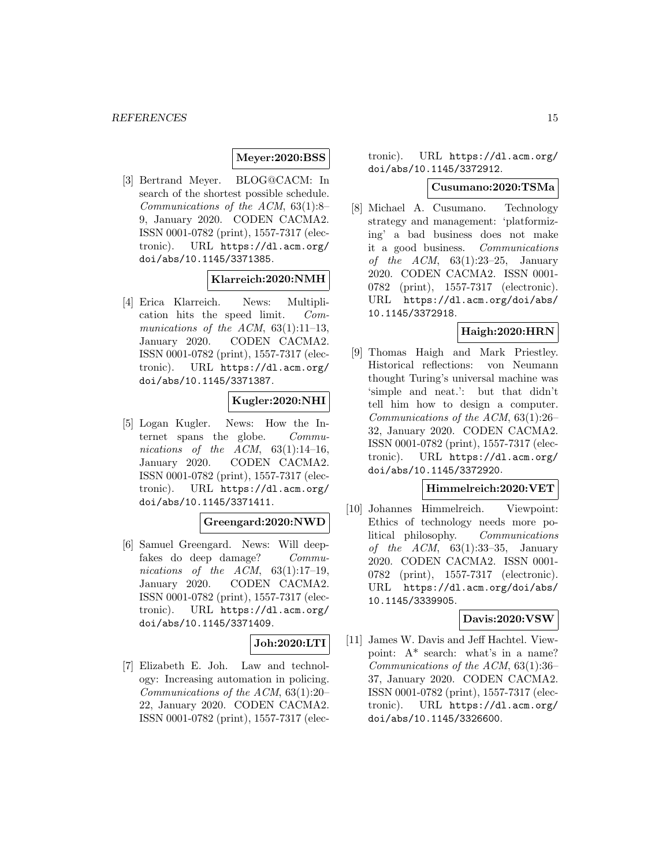# **Meyer:2020:BSS**

[3] Bertrand Meyer. BLOG@CACM: In search of the shortest possible schedule. Communications of the ACM, 63(1):8– 9, January 2020. CODEN CACMA2. ISSN 0001-0782 (print), 1557-7317 (electronic). URL https://dl.acm.org/ doi/abs/10.1145/3371385.

### **Klarreich:2020:NMH**

[4] Erica Klarreich. News: Multiplication hits the speed limit. Communications of the ACM,  $63(1):11-13$ , January 2020. CODEN CACMA2. ISSN 0001-0782 (print), 1557-7317 (electronic). URL https://dl.acm.org/ doi/abs/10.1145/3371387.

### **Kugler:2020:NHI**

[5] Logan Kugler. News: How the Internet spans the globe. Communications of the ACM,  $63(1):14-16$ , January 2020. CODEN CACMA2. ISSN 0001-0782 (print), 1557-7317 (electronic). URL https://dl.acm.org/ doi/abs/10.1145/3371411.

### **Greengard:2020:NWD**

[6] Samuel Greengard. News: Will deepfakes do deep damage? Communications of the ACM,  $63(1):17-19$ , January 2020. CODEN CACMA2. ISSN 0001-0782 (print), 1557-7317 (electronic). URL https://dl.acm.org/ doi/abs/10.1145/3371409.

### **Joh:2020:LTI**

[7] Elizabeth E. Joh. Law and technology: Increasing automation in policing. Communications of the ACM, 63(1):20– 22, January 2020. CODEN CACMA2. ISSN 0001-0782 (print), 1557-7317 (electronic). URL https://dl.acm.org/ doi/abs/10.1145/3372912.

#### **Cusumano:2020:TSMa**

[8] Michael A. Cusumano. Technology strategy and management: 'platformizing' a bad business does not make it a good business. Communications of the  $ACM$ ,  $63(1):23-25$ , January 2020. CODEN CACMA2. ISSN 0001- 0782 (print), 1557-7317 (electronic). URL https://dl.acm.org/doi/abs/ 10.1145/3372918.

### **Haigh:2020:HRN**

[9] Thomas Haigh and Mark Priestley. Historical reflections: von Neumann thought Turing's universal machine was 'simple and neat.': but that didn't tell him how to design a computer. Communications of the ACM, 63(1):26– 32, January 2020. CODEN CACMA2. ISSN 0001-0782 (print), 1557-7317 (electronic). URL https://dl.acm.org/ doi/abs/10.1145/3372920.

### **Himmelreich:2020:VET**

[10] Johannes Himmelreich. Viewpoint: Ethics of technology needs more political philosophy. Communications of the  $ACM$ ,  $63(1):33-35$ , January 2020. CODEN CACMA2. ISSN 0001- 0782 (print), 1557-7317 (electronic). URL https://dl.acm.org/doi/abs/ 10.1145/3339905.

### **Davis:2020:VSW**

[11] James W. Davis and Jeff Hachtel. Viewpoint: A\* search: what's in a name? Communications of the ACM, 63(1):36– 37, January 2020. CODEN CACMA2. ISSN 0001-0782 (print), 1557-7317 (electronic). URL https://dl.acm.org/ doi/abs/10.1145/3326600.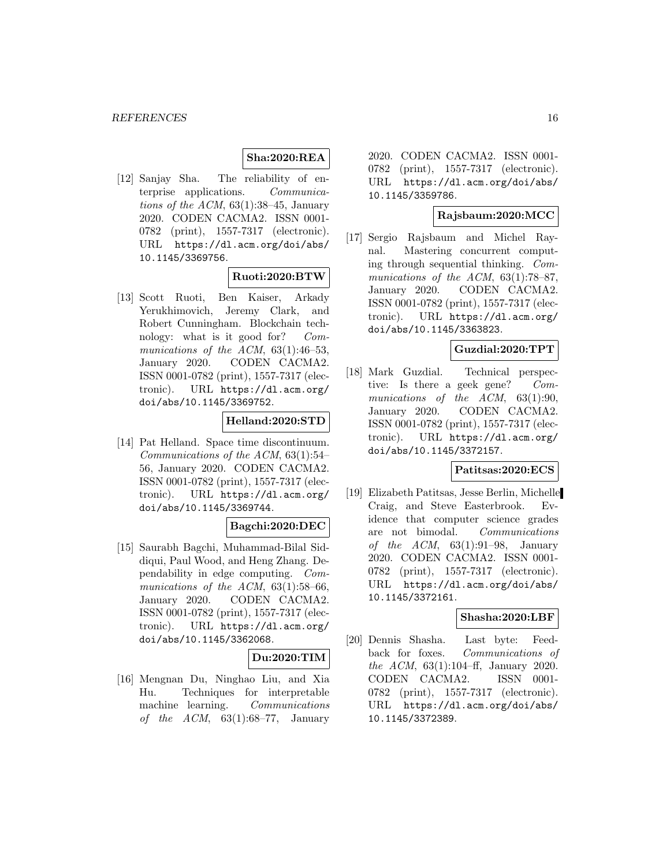### **Sha:2020:REA**

[12] Sanjay Sha. The reliability of enterprise applications. Communications of the ACM,  $63(1):38-45$ , January 2020. CODEN CACMA2. ISSN 0001- 0782 (print), 1557-7317 (electronic). URL https://dl.acm.org/doi/abs/ 10.1145/3369756.

### **Ruoti:2020:BTW**

[13] Scott Ruoti, Ben Kaiser, Arkady Yerukhimovich, Jeremy Clark, and Robert Cunningham. Blockchain technology: what is it good for? Communications of the ACM, 63(1):46–53, January 2020. CODEN CACMA2. ISSN 0001-0782 (print), 1557-7317 (electronic). URL https://dl.acm.org/ doi/abs/10.1145/3369752.

#### **Helland:2020:STD**

[14] Pat Helland. Space time discontinuum. Communications of the ACM, 63(1):54– 56, January 2020. CODEN CACMA2. ISSN 0001-0782 (print), 1557-7317 (electronic). URL https://dl.acm.org/ doi/abs/10.1145/3369744.

### **Bagchi:2020:DEC**

[15] Saurabh Bagchi, Muhammad-Bilal Siddiqui, Paul Wood, and Heng Zhang. Dependability in edge computing. Communications of the ACM,  $63(1):58-66$ , January 2020. CODEN CACMA2. ISSN 0001-0782 (print), 1557-7317 (electronic). URL https://dl.acm.org/ doi/abs/10.1145/3362068.

### **Du:2020:TIM**

[16] Mengnan Du, Ninghao Liu, and Xia Hu. Techniques for interpretable machine learning. Communications of the ACM,  $63(1):68-77$ , January

2020. CODEN CACMA2. ISSN 0001- 0782 (print), 1557-7317 (electronic). URL https://dl.acm.org/doi/abs/ 10.1145/3359786.

### **Rajsbaum:2020:MCC**

[17] Sergio Rajsbaum and Michel Raynal. Mastering concurrent computing through sequential thinking. Communications of the ACM, 63(1):78-87, January 2020. CODEN CACMA2. ISSN 0001-0782 (print), 1557-7317 (electronic). URL https://dl.acm.org/ doi/abs/10.1145/3363823.

#### **Guzdial:2020:TPT**

[18] Mark Guzdial. Technical perspective: Is there a geek gene? Communications of the ACM, 63(1):90, January 2020. CODEN CACMA2. ISSN 0001-0782 (print), 1557-7317 (electronic). URL https://dl.acm.org/ doi/abs/10.1145/3372157.

### **Patitsas:2020:ECS**

[19] Elizabeth Patitsas, Jesse Berlin, Michelle Craig, and Steve Easterbrook. Evidence that computer science grades are not bimodal. Communications of the  $ACM$ ,  $63(1):91-98$ , January 2020. CODEN CACMA2. ISSN 0001- 0782 (print), 1557-7317 (electronic). URL https://dl.acm.org/doi/abs/ 10.1145/3372161.

#### **Shasha:2020:LBF**

[20] Dennis Shasha. Last byte: Feedback for foxes. Communications of the ACM, 63(1):104–ff, January 2020. CODEN CACMA2. ISSN 0001- 0782 (print), 1557-7317 (electronic). URL https://dl.acm.org/doi/abs/ 10.1145/3372389.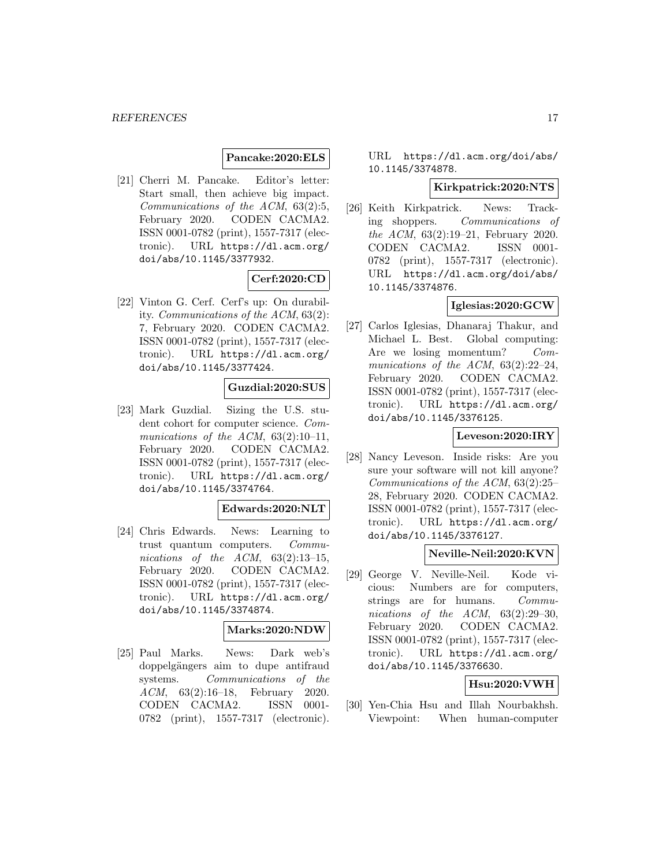#### **Pancake:2020:ELS**

[21] Cherri M. Pancake. Editor's letter: Start small, then achieve big impact. Communications of the ACM, 63(2):5, February 2020. CODEN CACMA2. ISSN 0001-0782 (print), 1557-7317 (electronic). URL https://dl.acm.org/ doi/abs/10.1145/3377932.

# **Cerf:2020:CD**

[22] Vinton G. Cerf. Cerf's up: On durability. Communications of the ACM, 63(2): 7, February 2020. CODEN CACMA2. ISSN 0001-0782 (print), 1557-7317 (electronic). URL https://dl.acm.org/ doi/abs/10.1145/3377424.

### **Guzdial:2020:SUS**

[23] Mark Guzdial. Sizing the U.S. student cohort for computer science. Communications of the ACM,  $63(2):10-11$ , February 2020. CODEN CACMA2. ISSN 0001-0782 (print), 1557-7317 (electronic). URL https://dl.acm.org/ doi/abs/10.1145/3374764.

#### **Edwards:2020:NLT**

[24] Chris Edwards. News: Learning to trust quantum computers. Communications of the ACM,  $63(2):13-15$ , February 2020. CODEN CACMA2. ISSN 0001-0782 (print), 1557-7317 (electronic). URL https://dl.acm.org/ doi/abs/10.1145/3374874.

### **Marks:2020:NDW**

[25] Paul Marks. News: Dark web's doppelgängers aim to dupe antifraud systems. Communications of the ACM, 63(2):16–18, February 2020. CODEN CACMA2. ISSN 0001- 0782 (print), 1557-7317 (electronic).

URL https://dl.acm.org/doi/abs/ 10.1145/3374878.

#### **Kirkpatrick:2020:NTS**

[26] Keith Kirkpatrick. News: Tracking shoppers. Communications of the ACM, 63(2):19–21, February 2020. CODEN CACMA2. ISSN 0001- 0782 (print), 1557-7317 (electronic). URL https://dl.acm.org/doi/abs/ 10.1145/3374876.

### **Iglesias:2020:GCW**

[27] Carlos Iglesias, Dhanaraj Thakur, and Michael L. Best. Global computing: Are we losing momentum? Communications of the ACM,  $63(2):22-24$ , February 2020. CODEN CACMA2. ISSN 0001-0782 (print), 1557-7317 (electronic). URL https://dl.acm.org/ doi/abs/10.1145/3376125.

# **Leveson:2020:IRY**

[28] Nancy Leveson. Inside risks: Are you sure your software will not kill anyone? Communications of the ACM, 63(2):25– 28, February 2020. CODEN CACMA2. ISSN 0001-0782 (print), 1557-7317 (electronic). URL https://dl.acm.org/ doi/abs/10.1145/3376127.

#### **Neville-Neil:2020:KVN**

[29] George V. Neville-Neil. Kode vicious: Numbers are for computers, strings are for humans. Communications of the  $ACM$ ,  $63(2):29-30$ , February 2020. CODEN CACMA2. ISSN 0001-0782 (print), 1557-7317 (electronic). URL https://dl.acm.org/ doi/abs/10.1145/3376630.

# **Hsu:2020:VWH**

[30] Yen-Chia Hsu and Illah Nourbakhsh. Viewpoint: When human-computer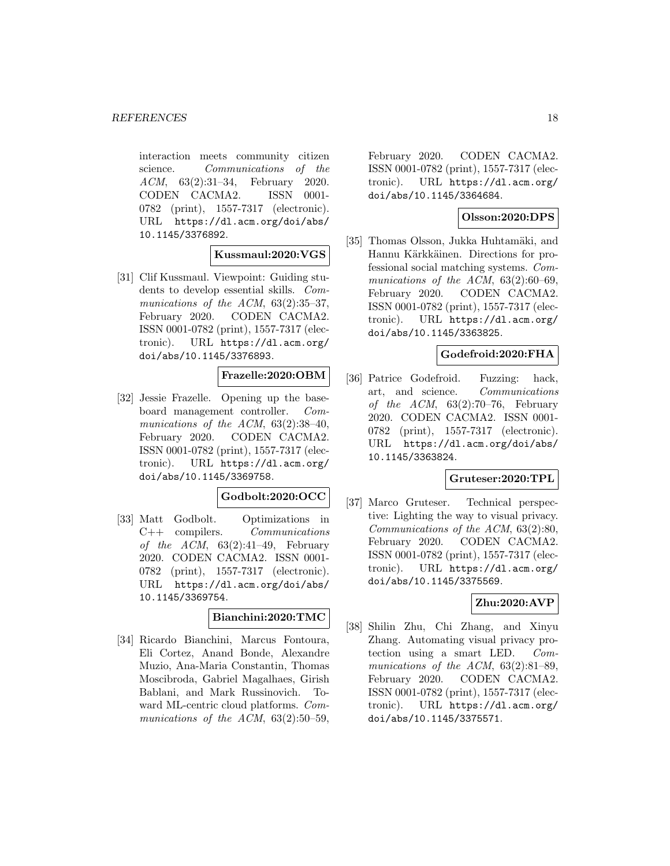interaction meets community citizen science. Communications of the ACM, 63(2):31–34, February 2020. CODEN CACMA2. ISSN 0001- 0782 (print), 1557-7317 (electronic). URL https://dl.acm.org/doi/abs/ 10.1145/3376892.

### **Kussmaul:2020:VGS**

[31] Clif Kussmaul. Viewpoint: Guiding students to develop essential skills. Communications of the ACM, 63(2):35-37, February 2020. CODEN CACMA2. ISSN 0001-0782 (print), 1557-7317 (electronic). URL https://dl.acm.org/ doi/abs/10.1145/3376893.

### **Frazelle:2020:OBM**

[32] Jessie Frazelle. Opening up the baseboard management controller. Communications of the ACM, 63(2):38-40, February 2020. CODEN CACMA2. ISSN 0001-0782 (print), 1557-7317 (electronic). URL https://dl.acm.org/ doi/abs/10.1145/3369758.

### **Godbolt:2020:OCC**

[33] Matt Godbolt. Optimizations in C++ compilers. Communications of the ACM,  $63(2):41-49$ , February 2020. CODEN CACMA2. ISSN 0001- 0782 (print), 1557-7317 (electronic). URL https://dl.acm.org/doi/abs/ 10.1145/3369754.

#### **Bianchini:2020:TMC**

[34] Ricardo Bianchini, Marcus Fontoura, Eli Cortez, Anand Bonde, Alexandre Muzio, Ana-Maria Constantin, Thomas Moscibroda, Gabriel Magalhaes, Girish Bablani, and Mark Russinovich. Toward ML-centric cloud platforms. Communications of the ACM, 63(2):50–59,

February 2020. CODEN CACMA2. ISSN 0001-0782 (print), 1557-7317 (electronic). URL https://dl.acm.org/ doi/abs/10.1145/3364684.

### **Olsson:2020:DPS**

[35] Thomas Olsson, Jukka Huhtamäki, and Hannu Kärkkäinen. Directions for professional social matching systems. Communications of the ACM, 63(2):60–69, February 2020. CODEN CACMA2. ISSN 0001-0782 (print), 1557-7317 (electronic). URL https://dl.acm.org/ doi/abs/10.1145/3363825.

### **Godefroid:2020:FHA**

[36] Patrice Godefroid. Fuzzing: hack, art, and science. Communications of the  $ACM$ ,  $63(2):70-76$ , February 2020. CODEN CACMA2. ISSN 0001- 0782 (print), 1557-7317 (electronic). URL https://dl.acm.org/doi/abs/ 10.1145/3363824.

#### **Gruteser:2020:TPL**

[37] Marco Gruteser. Technical perspective: Lighting the way to visual privacy. Communications of the ACM, 63(2):80, February 2020. CODEN CACMA2. ISSN 0001-0782 (print), 1557-7317 (electronic). URL https://dl.acm.org/ doi/abs/10.1145/3375569.

# **Zhu:2020:AVP**

[38] Shilin Zhu, Chi Zhang, and Xinyu Zhang. Automating visual privacy protection using a smart LED. Communications of the ACM, 63(2):81-89, February 2020. CODEN CACMA2. ISSN 0001-0782 (print), 1557-7317 (electronic). URL https://dl.acm.org/ doi/abs/10.1145/3375571.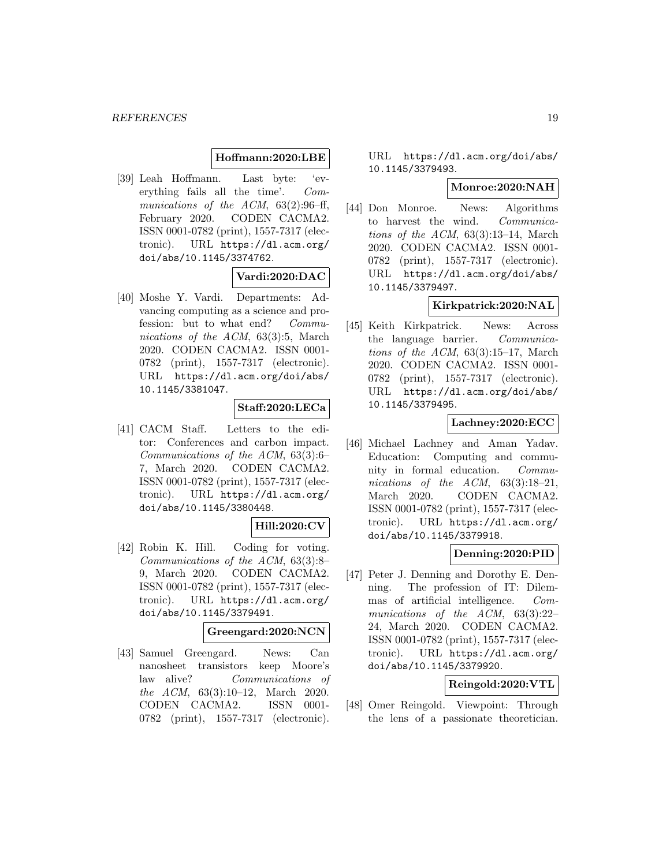### **Hoffmann:2020:LBE**

[39] Leah Hoffmann. Last byte: 'everything fails all the time'. Communications of the ACM,  $63(2):96–ff$ , February 2020. CODEN CACMA2. ISSN 0001-0782 (print), 1557-7317 (electronic). URL https://dl.acm.org/ doi/abs/10.1145/3374762.

### **Vardi:2020:DAC**

[40] Moshe Y. Vardi. Departments: Advancing computing as a science and profession: but to what end? Communications of the ACM, 63(3):5, March 2020. CODEN CACMA2. ISSN 0001- 0782 (print), 1557-7317 (electronic). URL https://dl.acm.org/doi/abs/ 10.1145/3381047.

### **Staff:2020:LECa**

[41] CACM Staff. Letters to the editor: Conferences and carbon impact. Communications of the ACM, 63(3):6– 7, March 2020. CODEN CACMA2. ISSN 0001-0782 (print), 1557-7317 (electronic). URL https://dl.acm.org/ doi/abs/10.1145/3380448.

### **Hill:2020:CV**

[42] Robin K. Hill. Coding for voting. Communications of the ACM, 63(3):8– 9, March 2020. CODEN CACMA2. ISSN 0001-0782 (print), 1557-7317 (electronic). URL https://dl.acm.org/ doi/abs/10.1145/3379491.

### **Greengard:2020:NCN**

[43] Samuel Greengard. News: Can nanosheet transistors keep Moore's law alive? Communications of the ACM, 63(3):10–12, March 2020. CODEN CACMA2. ISSN 0001- 0782 (print), 1557-7317 (electronic).

URL https://dl.acm.org/doi/abs/ 10.1145/3379493.

### **Monroe:2020:NAH**

[44] Don Monroe. News: Algorithms to harvest the wind. Communications of the ACM,  $63(3):13-14$ , March 2020. CODEN CACMA2. ISSN 0001- 0782 (print), 1557-7317 (electronic). URL https://dl.acm.org/doi/abs/ 10.1145/3379497.

### **Kirkpatrick:2020:NAL**

[45] Keith Kirkpatrick. News: Across the language barrier. Communications of the ACM,  $63(3):15-17$ , March 2020. CODEN CACMA2. ISSN 0001- 0782 (print), 1557-7317 (electronic). URL https://dl.acm.org/doi/abs/ 10.1145/3379495.

### **Lachney:2020:ECC**

[46] Michael Lachney and Aman Yadav. Education: Computing and community in formal education. Communications of the ACM,  $63(3):18-21$ , March 2020. CODEN CACMA2. ISSN 0001-0782 (print), 1557-7317 (electronic). URL https://dl.acm.org/ doi/abs/10.1145/3379918.

### **Denning:2020:PID**

[47] Peter J. Denning and Dorothy E. Denning. The profession of IT: Dilemmas of artificial intelligence. Communications of the ACM, 63(3):22– 24, March 2020. CODEN CACMA2. ISSN 0001-0782 (print), 1557-7317 (electronic). URL https://dl.acm.org/ doi/abs/10.1145/3379920.

### **Reingold:2020:VTL**

[48] Omer Reingold. Viewpoint: Through the lens of a passionate theoretician.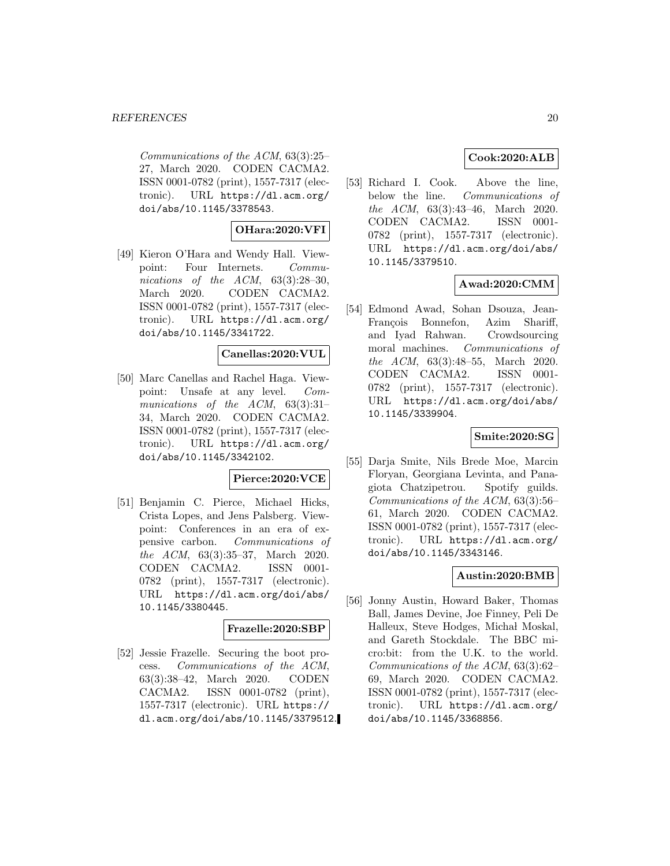Communications of the ACM, 63(3):25– 27, March 2020. CODEN CACMA2. ISSN 0001-0782 (print), 1557-7317 (electronic). URL https://dl.acm.org/ doi/abs/10.1145/3378543.

# **OHara:2020:VFI**

[49] Kieron O'Hara and Wendy Hall. Viewpoint: Four Internets. Communications of the ACM,  $63(3):28-30$ , March 2020. CODEN CACMA2. ISSN 0001-0782 (print), 1557-7317 (electronic). URL https://dl.acm.org/ doi/abs/10.1145/3341722.

### **Canellas:2020:VUL**

[50] Marc Canellas and Rachel Haga. Viewpoint: Unsafe at any level. Communications of the ACM, 63(3):31– 34, March 2020. CODEN CACMA2. ISSN 0001-0782 (print), 1557-7317 (electronic). URL https://dl.acm.org/ doi/abs/10.1145/3342102.

#### **Pierce:2020:VCE**

[51] Benjamin C. Pierce, Michael Hicks, Crista Lopes, and Jens Palsberg. Viewpoint: Conferences in an era of expensive carbon. Communications of the ACM, 63(3):35–37, March 2020. CODEN CACMA2. ISSN 0001- 0782 (print), 1557-7317 (electronic). URL https://dl.acm.org/doi/abs/ 10.1145/3380445.

#### **Frazelle:2020:SBP**

[52] Jessie Frazelle. Securing the boot process. Communications of the ACM, 63(3):38–42, March 2020. CODEN CACMA2. ISSN 0001-0782 (print), 1557-7317 (electronic). URL https:// dl.acm.org/doi/abs/10.1145/3379512.

# **Cook:2020:ALB**

[53] Richard I. Cook. Above the line, below the line. Communications of the ACM, 63(3):43–46, March 2020. CODEN CACMA2. ISSN 0001- 0782 (print), 1557-7317 (electronic). URL https://dl.acm.org/doi/abs/ 10.1145/3379510.

### **Awad:2020:CMM**

[54] Edmond Awad, Sohan Dsouza, Jean-François Bonnefon, Azim Shariff, and Iyad Rahwan. Crowdsourcing moral machines. Communications of the ACM, 63(3):48–55, March 2020. CODEN CACMA2. ISSN 0001- 0782 (print), 1557-7317 (electronic). URL https://dl.acm.org/doi/abs/ 10.1145/3339904.

### **Smite:2020:SG**

[55] Darja Smite, Nils Brede Moe, Marcin Floryan, Georgiana Levinta, and Panagiota Chatzipetrou. Spotify guilds. Communications of the ACM, 63(3):56– 61, March 2020. CODEN CACMA2. ISSN 0001-0782 (print), 1557-7317 (electronic). URL https://dl.acm.org/ doi/abs/10.1145/3343146.

# **Austin:2020:BMB**

[56] Jonny Austin, Howard Baker, Thomas Ball, James Devine, Joe Finney, Peli De Halleux, Steve Hodges, Michał Moskal, and Gareth Stockdale. The BBC micro:bit: from the U.K. to the world. Communications of the ACM, 63(3):62– 69, March 2020. CODEN CACMA2. ISSN 0001-0782 (print), 1557-7317 (electronic). URL https://dl.acm.org/ doi/abs/10.1145/3368856.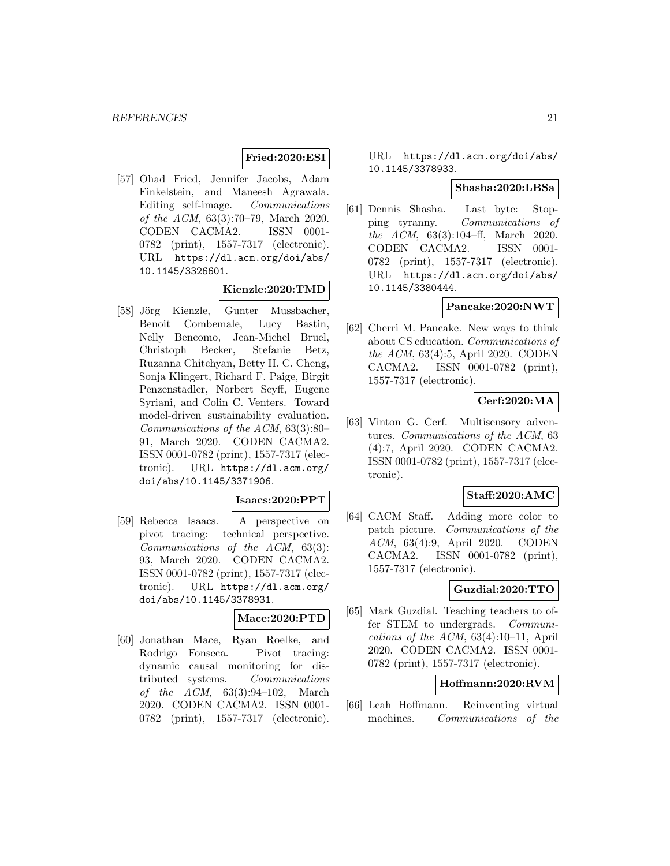### **Fried:2020:ESI**

[57] Ohad Fried, Jennifer Jacobs, Adam Finkelstein, and Maneesh Agrawala. Editing self-image. Communications of the ACM, 63(3):70–79, March 2020. CODEN CACMA2. ISSN 0001- 0782 (print), 1557-7317 (electronic). URL https://dl.acm.org/doi/abs/ 10.1145/3326601.

#### **Kienzle:2020:TMD**

[58] Jörg Kienzle, Gunter Mussbacher, Benoit Combemale, Lucy Bastin, Nelly Bencomo, Jean-Michel Bruel, Christoph Becker, Stefanie Betz, Ruzanna Chitchyan, Betty H. C. Cheng, Sonja Klingert, Richard F. Paige, Birgit Penzenstadler, Norbert Seyff, Eugene Syriani, and Colin C. Venters. Toward model-driven sustainability evaluation. Communications of the ACM, 63(3):80– 91, March 2020. CODEN CACMA2. ISSN 0001-0782 (print), 1557-7317 (electronic). URL https://dl.acm.org/ doi/abs/10.1145/3371906.

### **Isaacs:2020:PPT**

[59] Rebecca Isaacs. A perspective on pivot tracing: technical perspective. Communications of the ACM, 63(3): 93, March 2020. CODEN CACMA2. ISSN 0001-0782 (print), 1557-7317 (electronic). URL https://dl.acm.org/ doi/abs/10.1145/3378931.

#### **Mace:2020:PTD**

[60] Jonathan Mace, Ryan Roelke, and Rodrigo Fonseca. Pivot tracing: dynamic causal monitoring for distributed systems. Communications of the ACM, 63(3):94–102, March 2020. CODEN CACMA2. ISSN 0001- 0782 (print), 1557-7317 (electronic).

URL https://dl.acm.org/doi/abs/ 10.1145/3378933.

#### **Shasha:2020:LBSa**

[61] Dennis Shasha. Last byte: Stopping tyranny. Communications of the ACM, 63(3):104–ff, March 2020. CODEN CACMA2. ISSN 0001- 0782 (print), 1557-7317 (electronic). URL https://dl.acm.org/doi/abs/ 10.1145/3380444.

# **Pancake:2020:NWT**

[62] Cherri M. Pancake. New ways to think about CS education. Communications of the ACM, 63(4):5, April 2020. CODEN CACMA2. ISSN 0001-0782 (print), 1557-7317 (electronic).

### **Cerf:2020:MA**

[63] Vinton G. Cerf. Multisensory adventures. Communications of the ACM, 63 (4):7, April 2020. CODEN CACMA2. ISSN 0001-0782 (print), 1557-7317 (electronic).

#### **Staff:2020:AMC**

[64] CACM Staff. Adding more color to patch picture. Communications of the ACM, 63(4):9, April 2020. CODEN CACMA2. ISSN 0001-0782 (print), 1557-7317 (electronic).

# **Guzdial:2020:TTO**

[65] Mark Guzdial. Teaching teachers to offer STEM to undergrads. Communications of the ACM,  $63(4):10-11$ , April 2020. CODEN CACMA2. ISSN 0001- 0782 (print), 1557-7317 (electronic).

### **Hoffmann:2020:RVM**

[66] Leah Hoffmann. Reinventing virtual machines. Communications of the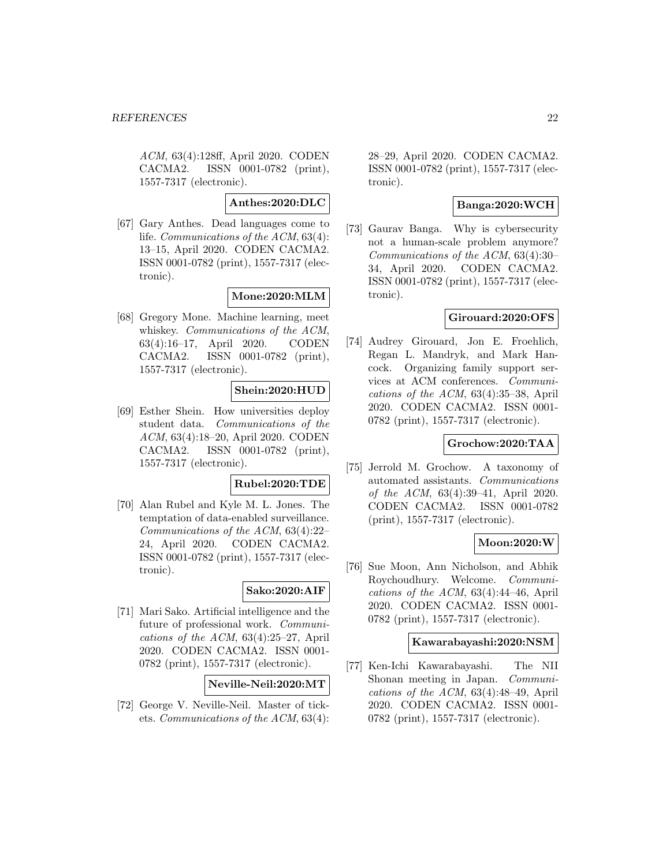ACM, 63(4):128ff, April 2020. CODEN CACMA2. ISSN 0001-0782 (print), 1557-7317 (electronic).

**Anthes:2020:DLC**

[67] Gary Anthes. Dead languages come to life. Communications of the ACM, 63(4): 13–15, April 2020. CODEN CACMA2. ISSN 0001-0782 (print), 1557-7317 (electronic).

### **Mone:2020:MLM**

[68] Gregory Mone. Machine learning, meet whiskey. Communications of the ACM, 63(4):16–17, April 2020. CODEN CACMA2. ISSN 0001-0782 (print), 1557-7317 (electronic).

### **Shein:2020:HUD**

[69] Esther Shein. How universities deploy student data. Communications of the ACM, 63(4):18–20, April 2020. CODEN CACMA2. ISSN 0001-0782 (print), 1557-7317 (electronic).

### **Rubel:2020:TDE**

[70] Alan Rubel and Kyle M. L. Jones. The temptation of data-enabled surveillance. Communications of the ACM, 63(4):22– 24, April 2020. CODEN CACMA2. ISSN 0001-0782 (print), 1557-7317 (electronic).

### **Sako:2020:AIF**

[71] Mari Sako. Artificial intelligence and the future of professional work. Communications of the ACM, 63(4):25–27, April 2020. CODEN CACMA2. ISSN 0001- 0782 (print), 1557-7317 (electronic).

**Neville-Neil:2020:MT**

[72] George V. Neville-Neil. Master of tickets. Communications of the ACM, 63(4): 28–29, April 2020. CODEN CACMA2. ISSN 0001-0782 (print), 1557-7317 (electronic).

# **Banga:2020:WCH**

[73] Gaurav Banga. Why is cybersecurity not a human-scale problem anymore? Communications of the ACM, 63(4):30– 34, April 2020. CODEN CACMA2. ISSN 0001-0782 (print), 1557-7317 (electronic).

### **Girouard:2020:OFS**

[74] Audrey Girouard, Jon E. Froehlich, Regan L. Mandryk, and Mark Hancock. Organizing family support services at ACM conferences. Communications of the ACM,  $63(4):35-38$ , April 2020. CODEN CACMA2. ISSN 0001- 0782 (print), 1557-7317 (electronic).

### **Grochow:2020:TAA**

[75] Jerrold M. Grochow. A taxonomy of automated assistants. Communications of the ACM, 63(4):39–41, April 2020. CODEN CACMA2. ISSN 0001-0782 (print), 1557-7317 (electronic).

### **Moon:2020:W**

[76] Sue Moon, Ann Nicholson, and Abhik Roychoudhury. Welcome. Communications of the ACM,  $63(4):44-46$ , April 2020. CODEN CACMA2. ISSN 0001- 0782 (print), 1557-7317 (electronic).

### **Kawarabayashi:2020:NSM**

[77] Ken-Ichi Kawarabayashi. The NII Shonan meeting in Japan. Communications of the ACM, 63(4):48–49, April 2020. CODEN CACMA2. ISSN 0001- 0782 (print), 1557-7317 (electronic).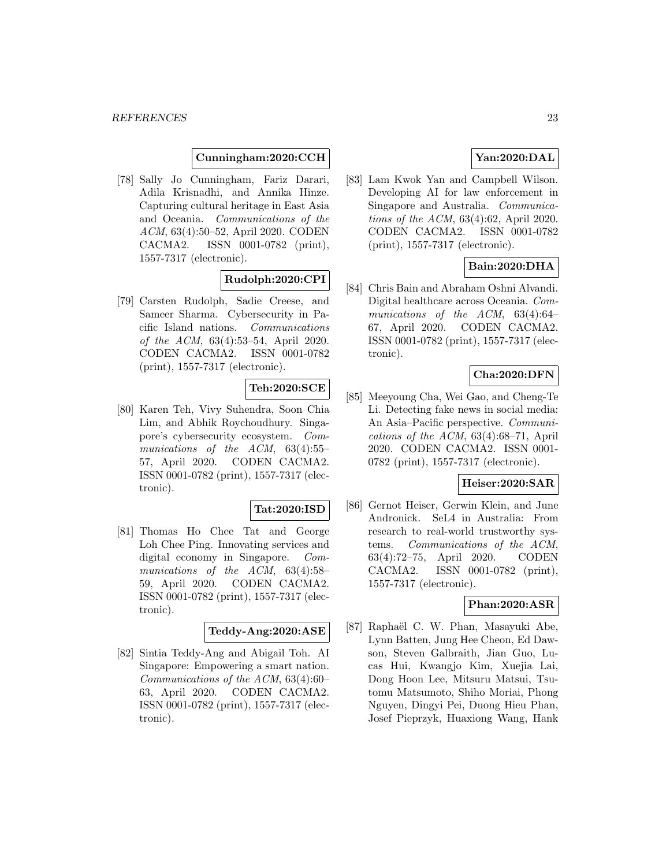### **Cunningham:2020:CCH**

[78] Sally Jo Cunningham, Fariz Darari, Adila Krisnadhi, and Annika Hinze. Capturing cultural heritage in East Asia and Oceania. Communications of the ACM, 63(4):50–52, April 2020. CODEN CACMA2. ISSN 0001-0782 (print), 1557-7317 (electronic).

# **Rudolph:2020:CPI**

[79] Carsten Rudolph, Sadie Creese, and Sameer Sharma. Cybersecurity in Pacific Island nations. Communications of the ACM, 63(4):53–54, April 2020. CODEN CACMA2. ISSN 0001-0782 (print), 1557-7317 (electronic).

# **Teh:2020:SCE**

[80] Karen Teh, Vivy Suhendra, Soon Chia Lim, and Abhik Roychoudhury. Singapore's cybersecurity ecosystem. Communications of the ACM, 63(4):55– 57, April 2020. CODEN CACMA2. ISSN 0001-0782 (print), 1557-7317 (electronic).

### **Tat:2020:ISD**

[81] Thomas Ho Chee Tat and George Loh Chee Ping. Innovating services and digital economy in Singapore. Communications of the ACM, 63(4):58– 59, April 2020. CODEN CACMA2. ISSN 0001-0782 (print), 1557-7317 (electronic).

### **Teddy-Ang:2020:ASE**

[82] Sintia Teddy-Ang and Abigail Toh. AI Singapore: Empowering a smart nation. Communications of the ACM, 63(4):60– 63, April 2020. CODEN CACMA2. ISSN 0001-0782 (print), 1557-7317 (electronic).

# **Yan:2020:DAL**

[83] Lam Kwok Yan and Campbell Wilson. Developing AI for law enforcement in Singapore and Australia. Communications of the ACM, 63(4):62, April 2020. CODEN CACMA2. ISSN 0001-0782 (print), 1557-7317 (electronic).

# **Bain:2020:DHA**

[84] Chris Bain and Abraham Oshni Alvandi. Digital healthcare across Oceania. Communications of the ACM, 63(4):64– 67, April 2020. CODEN CACMA2. ISSN 0001-0782 (print), 1557-7317 (electronic).

### **Cha:2020:DFN**

[85] Meeyoung Cha, Wei Gao, and Cheng-Te Li. Detecting fake news in social media: An Asia–Pacific perspective. Communications of the ACM, 63(4):68–71, April 2020. CODEN CACMA2. ISSN 0001- 0782 (print), 1557-7317 (electronic).

#### **Heiser:2020:SAR**

[86] Gernot Heiser, Gerwin Klein, and June Andronick. SeL4 in Australia: From research to real-world trustworthy systems. Communications of the ACM, 63(4):72–75, April 2020. CODEN CACMA2. ISSN 0001-0782 (print), 1557-7317 (electronic).

### **Phan:2020:ASR**

[87] Raphaël C. W. Phan, Masayuki Abe, Lynn Batten, Jung Hee Cheon, Ed Dawson, Steven Galbraith, Jian Guo, Lucas Hui, Kwangjo Kim, Xuejia Lai, Dong Hoon Lee, Mitsuru Matsui, Tsutomu Matsumoto, Shiho Moriai, Phong Nguyen, Dingyi Pei, Duong Hieu Phan, Josef Pieprzyk, Huaxiong Wang, Hank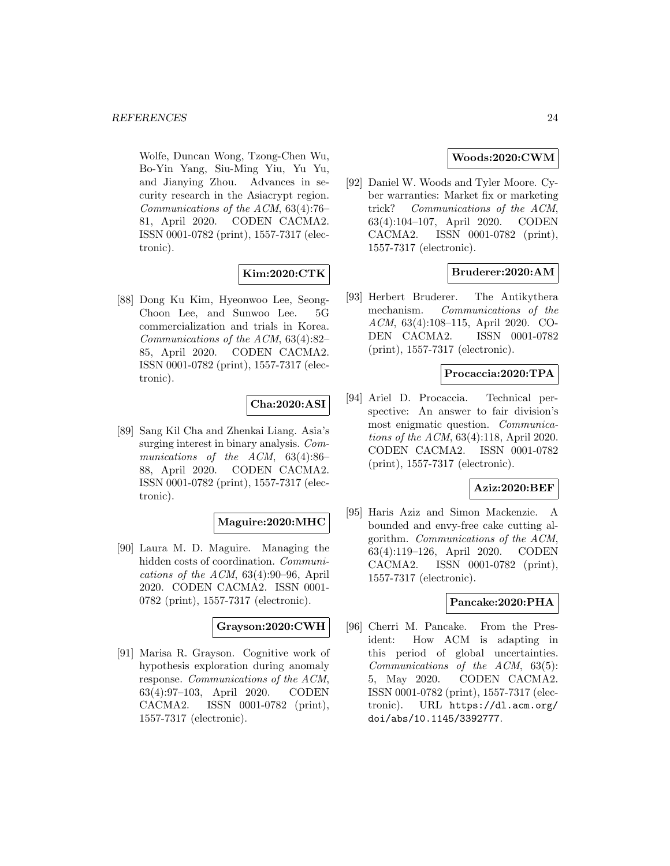Wolfe, Duncan Wong, Tzong-Chen Wu, Bo-Yin Yang, Siu-Ming Yiu, Yu Yu, and Jianying Zhou. Advances in security research in the Asiacrypt region. Communications of the ACM, 63(4):76– 81, April 2020. CODEN CACMA2. ISSN 0001-0782 (print), 1557-7317 (electronic).

# **Kim:2020:CTK**

[88] Dong Ku Kim, Hyeonwoo Lee, Seong-Choon Lee, and Sunwoo Lee. 5G commercialization and trials in Korea. Communications of the ACM, 63(4):82– 85, April 2020. CODEN CACMA2. ISSN 0001-0782 (print), 1557-7317 (electronic).

# **Cha:2020:ASI**

[89] Sang Kil Cha and Zhenkai Liang. Asia's surging interest in binary analysis. Communications of the ACM, 63(4):86– 88, April 2020. CODEN CACMA2. ISSN 0001-0782 (print), 1557-7317 (electronic).

# **Maguire:2020:MHC**

[90] Laura M. D. Maguire. Managing the hidden costs of coordination. Communications of the ACM, 63(4):90–96, April 2020. CODEN CACMA2. ISSN 0001- 0782 (print), 1557-7317 (electronic).

# **Grayson:2020:CWH**

[91] Marisa R. Grayson. Cognitive work of hypothesis exploration during anomaly response. Communications of the ACM, 63(4):97–103, April 2020. CODEN CACMA2. ISSN 0001-0782 (print), 1557-7317 (electronic).

# **Woods:2020:CWM**

[92] Daniel W. Woods and Tyler Moore. Cyber warranties: Market fix or marketing trick? Communications of the ACM, 63(4):104–107, April 2020. CODEN CACMA2. ISSN 0001-0782 (print), 1557-7317 (electronic).

# **Bruderer:2020:AM**

[93] Herbert Bruderer. The Antikythera mechanism. Communications of the ACM, 63(4):108–115, April 2020. CO-DEN CACMA2. ISSN 0001-0782 (print), 1557-7317 (electronic).

### **Procaccia:2020:TPA**

[94] Ariel D. Procaccia. Technical perspective: An answer to fair division's most enigmatic question. Communications of the ACM, 63(4):118, April 2020. CODEN CACMA2. ISSN 0001-0782 (print), 1557-7317 (electronic).

### **Aziz:2020:BEF**

[95] Haris Aziz and Simon Mackenzie. A bounded and envy-free cake cutting algorithm. Communications of the ACM, 63(4):119–126, April 2020. CODEN CACMA2. ISSN 0001-0782 (print), 1557-7317 (electronic).

#### **Pancake:2020:PHA**

[96] Cherri M. Pancake. From the President: How ACM is adapting in this period of global uncertainties. Communications of the ACM, 63(5): 5, May 2020. CODEN CACMA2. ISSN 0001-0782 (print), 1557-7317 (electronic). URL https://dl.acm.org/ doi/abs/10.1145/3392777.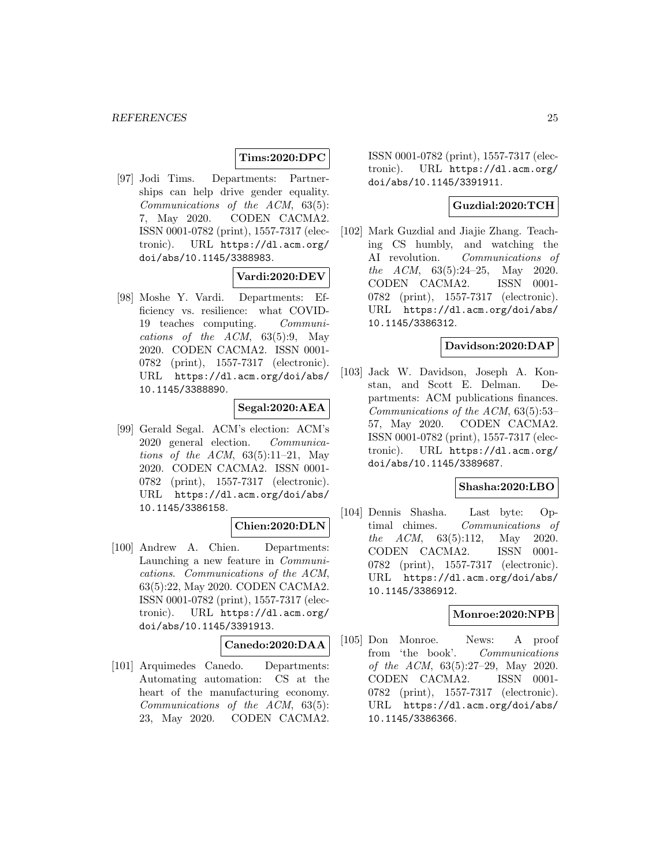### **Tims:2020:DPC**

[97] Jodi Tims. Departments: Partnerships can help drive gender equality. Communications of the ACM, 63(5): 7, May 2020. CODEN CACMA2. ISSN 0001-0782 (print), 1557-7317 (electronic). URL https://dl.acm.org/ doi/abs/10.1145/3388983.

### **Vardi:2020:DEV**

[98] Moshe Y. Vardi. Departments: Efficiency vs. resilience: what COVID-19 teaches computing. Communications of the  $ACM$ ,  $63(5):9$ , May 2020. CODEN CACMA2. ISSN 0001- 0782 (print), 1557-7317 (electronic). URL https://dl.acm.org/doi/abs/ 10.1145/3388890.

#### **Segal:2020:AEA**

[99] Gerald Segal. ACM's election: ACM's 2020 general election. Communications of the ACM,  $63(5):11-21$ , May 2020. CODEN CACMA2. ISSN 0001- 0782 (print), 1557-7317 (electronic). URL https://dl.acm.org/doi/abs/ 10.1145/3386158.

### **Chien:2020:DLN**

[100] Andrew A. Chien. Departments: Launching a new feature in Communications. Communications of the ACM, 63(5):22, May 2020. CODEN CACMA2. ISSN 0001-0782 (print), 1557-7317 (electronic). URL https://dl.acm.org/ doi/abs/10.1145/3391913.

#### **Canedo:2020:DAA**

[101] Arquimedes Canedo. Departments: Automating automation: CS at the heart of the manufacturing economy. Communications of the ACM, 63(5): 23, May 2020. CODEN CACMA2.

ISSN 0001-0782 (print), 1557-7317 (electronic). URL https://dl.acm.org/ doi/abs/10.1145/3391911.

# **Guzdial:2020:TCH**

[102] Mark Guzdial and Jiajie Zhang. Teaching CS humbly, and watching the AI revolution. Communications of the ACM, 63(5):24–25, May 2020. CODEN CACMA2. ISSN 0001- 0782 (print), 1557-7317 (electronic). URL https://dl.acm.org/doi/abs/ 10.1145/3386312.

#### **Davidson:2020:DAP**

[103] Jack W. Davidson, Joseph A. Konstan, and Scott E. Delman. Departments: ACM publications finances. Communications of the ACM, 63(5):53– 57, May 2020. CODEN CACMA2. ISSN 0001-0782 (print), 1557-7317 (electronic). URL https://dl.acm.org/ doi/abs/10.1145/3389687.

### **Shasha:2020:LBO**

[104] Dennis Shasha. Last byte: Optimal chimes. Communications of the ACM, 63(5):112, May 2020. CODEN CACMA2. ISSN 0001- 0782 (print), 1557-7317 (electronic). URL https://dl.acm.org/doi/abs/ 10.1145/3386912.

# **Monroe:2020:NPB**

[105] Don Monroe. News: A proof from 'the book'. Communications of the ACM, 63(5):27–29, May 2020. CODEN CACMA2. ISSN 0001- 0782 (print), 1557-7317 (electronic). URL https://dl.acm.org/doi/abs/ 10.1145/3386366.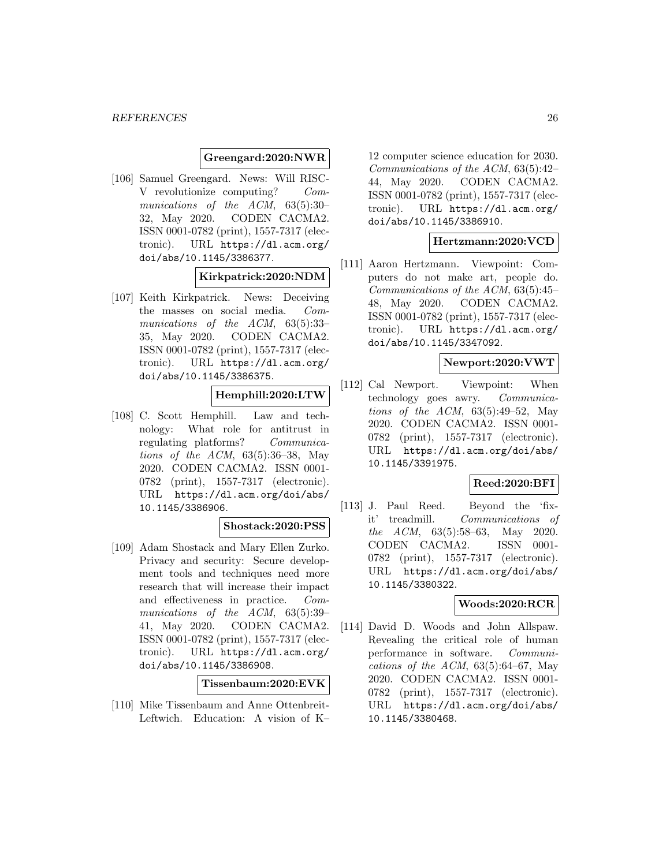### **Greengard:2020:NWR**

[106] Samuel Greengard. News: Will RISC-V revolutionize computing? Communications of the ACM, 63(5):30– 32, May 2020. CODEN CACMA2. ISSN 0001-0782 (print), 1557-7317 (electronic). URL https://dl.acm.org/ doi/abs/10.1145/3386377.

### **Kirkpatrick:2020:NDM**

[107] Keith Kirkpatrick. News: Deceiving the masses on social media. Communications of the ACM, 63(5):33– 35, May 2020. CODEN CACMA2. ISSN 0001-0782 (print), 1557-7317 (electronic). URL https://dl.acm.org/ doi/abs/10.1145/3386375.

#### **Hemphill:2020:LTW**

[108] C. Scott Hemphill. Law and technology: What role for antitrust in regulating platforms? Communications of the ACM,  $63(5):36-38$ , May 2020. CODEN CACMA2. ISSN 0001- 0782 (print), 1557-7317 (electronic). URL https://dl.acm.org/doi/abs/ 10.1145/3386906.

#### **Shostack:2020:PSS**

[109] Adam Shostack and Mary Ellen Zurko. Privacy and security: Secure development tools and techniques need more research that will increase their impact and effectiveness in practice. Communications of the ACM, 63(5):39– 41, May 2020. CODEN CACMA2. ISSN 0001-0782 (print), 1557-7317 (electronic). URL https://dl.acm.org/ doi/abs/10.1145/3386908.

**Tissenbaum:2020:EVK**

[110] Mike Tissenbaum and Anne Ottenbreit-Leftwich. Education: A vision of K– 12 computer science education for 2030. Communications of the ACM, 63(5):42– 44, May 2020. CODEN CACMA2. ISSN 0001-0782 (print), 1557-7317 (electronic). URL https://dl.acm.org/ doi/abs/10.1145/3386910.

#### **Hertzmann:2020:VCD**

[111] Aaron Hertzmann. Viewpoint: Computers do not make art, people do. Communications of the ACM, 63(5):45– 48, May 2020. CODEN CACMA2. ISSN 0001-0782 (print), 1557-7317 (electronic). URL https://dl.acm.org/ doi/abs/10.1145/3347092.

### **Newport:2020:VWT**

[112] Cal Newport. Viewpoint: When technology goes awry. Communications of the ACM,  $63(5):49-52$ , May 2020. CODEN CACMA2. ISSN 0001- 0782 (print), 1557-7317 (electronic). URL https://dl.acm.org/doi/abs/ 10.1145/3391975.

### **Reed:2020:BFI**

[113] J. Paul Reed. Beyond the 'fixit' treadmill. Communications of the ACM, 63(5):58–63, May 2020. CODEN CACMA2. ISSN 0001- 0782 (print), 1557-7317 (electronic). URL https://dl.acm.org/doi/abs/ 10.1145/3380322.

### **Woods:2020:RCR**

[114] David D. Woods and John Allspaw. Revealing the critical role of human performance in software. Communications of the ACM,  $63(5):64-67$ , May 2020. CODEN CACMA2. ISSN 0001- 0782 (print), 1557-7317 (electronic). URL https://dl.acm.org/doi/abs/ 10.1145/3380468.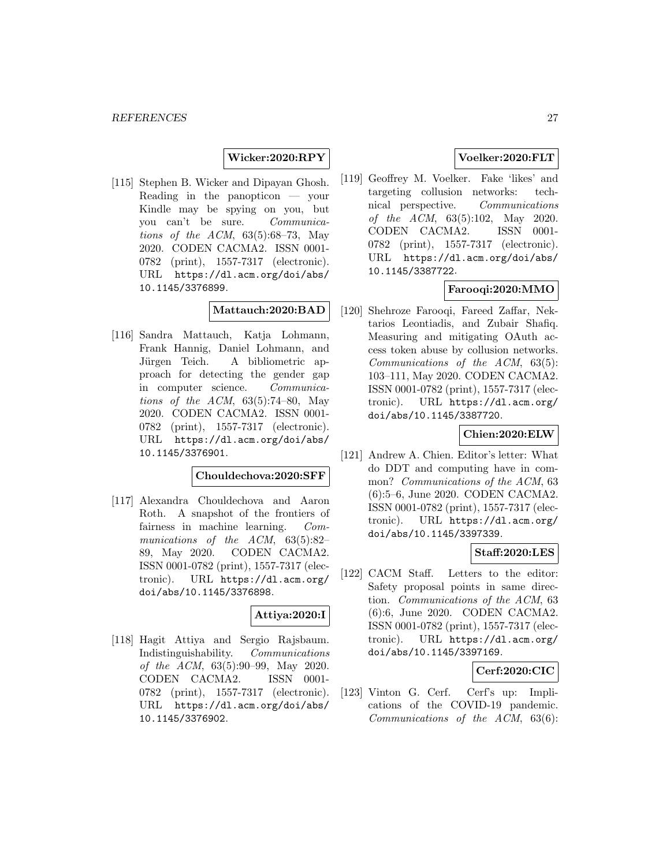**Wicker:2020:RPY**

[115] Stephen B. Wicker and Dipayan Ghosh. Reading in the panopticon — your Kindle may be spying on you, but you can't be sure. Communications of the ACM,  $63(5):68-73$ , May 2020. CODEN CACMA2. ISSN 0001- 0782 (print), 1557-7317 (electronic). URL https://dl.acm.org/doi/abs/ 10.1145/3376899.

### **Mattauch:2020:BAD**

[116] Sandra Mattauch, Katja Lohmann, Frank Hannig, Daniel Lohmann, and Jürgen Teich. A bibliometric approach for detecting the gender gap in computer science. Communications of the ACM,  $63(5):74-80$ , May 2020. CODEN CACMA2. ISSN 0001- 0782 (print), 1557-7317 (electronic). URL https://dl.acm.org/doi/abs/ 10.1145/3376901.

#### **Chouldechova:2020:SFF**

[117] Alexandra Chouldechova and Aaron Roth. A snapshot of the frontiers of fairness in machine learning. Communications of the ACM, 63(5):82– 89, May 2020. CODEN CACMA2. ISSN 0001-0782 (print), 1557-7317 (electronic). URL https://dl.acm.org/ doi/abs/10.1145/3376898.

### **Attiya:2020:I**

[118] Hagit Attiya and Sergio Rajsbaum. Indistinguishability. Communications of the ACM, 63(5):90–99, May 2020. CODEN CACMA2. ISSN 0001- 0782 (print), 1557-7317 (electronic). URL https://dl.acm.org/doi/abs/ 10.1145/3376902.

# **Voelker:2020:FLT**

[119] Geoffrey M. Voelker. Fake 'likes' and targeting collusion networks: technical perspective. Communications of the ACM, 63(5):102, May 2020. CODEN CACMA2. ISSN 0001- 0782 (print), 1557-7317 (electronic). URL https://dl.acm.org/doi/abs/ 10.1145/3387722.

# **Farooqi:2020:MMO**

[120] Shehroze Farooqi, Fareed Zaffar, Nektarios Leontiadis, and Zubair Shafiq. Measuring and mitigating OAuth access token abuse by collusion networks. Communications of the ACM, 63(5): 103–111, May 2020. CODEN CACMA2. ISSN 0001-0782 (print), 1557-7317 (electronic). URL https://dl.acm.org/ doi/abs/10.1145/3387720.

# **Chien:2020:ELW**

[121] Andrew A. Chien. Editor's letter: What do DDT and computing have in common? Communications of the ACM, 63 (6):5–6, June 2020. CODEN CACMA2. ISSN 0001-0782 (print), 1557-7317 (electronic). URL https://dl.acm.org/ doi/abs/10.1145/3397339.

### **Staff:2020:LES**

[122] CACM Staff. Letters to the editor: Safety proposal points in same direction. Communications of the ACM, 63 (6):6, June 2020. CODEN CACMA2. ISSN 0001-0782 (print), 1557-7317 (electronic). URL https://dl.acm.org/ doi/abs/10.1145/3397169.

### **Cerf:2020:CIC**

[123] Vinton G. Cerf. Cerf's up: Implications of the COVID-19 pandemic. Communications of the ACM, 63(6):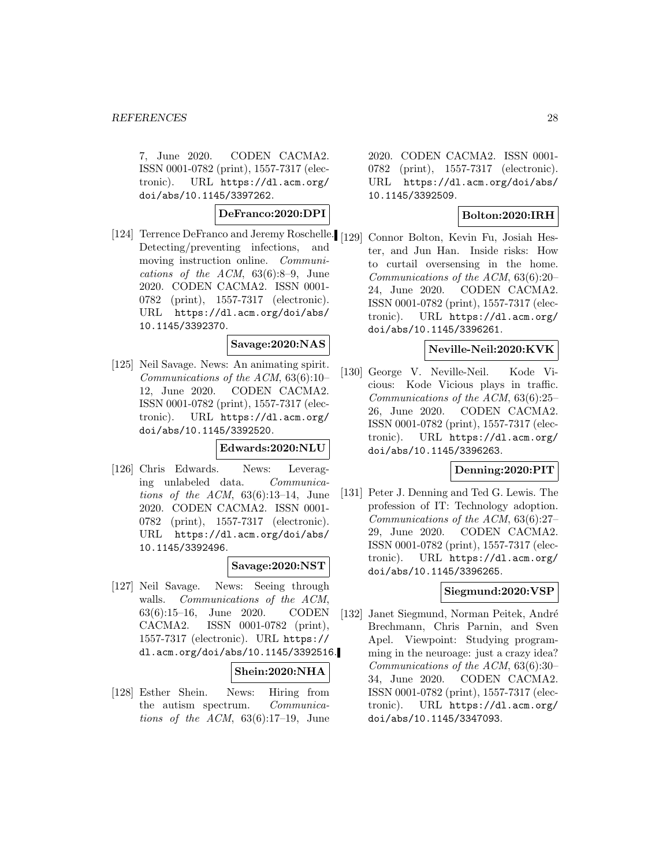7, June 2020. CODEN CACMA2. ISSN 0001-0782 (print), 1557-7317 (electronic). URL https://dl.acm.org/ doi/abs/10.1145/3397262.

#### **DeFranco:2020:DPI**

[124] Terrence DeFranco and Jeremy Roschelle. [129] Connor Bolton, Kevin Fu, Josiah Hes-Detecting/preventing infections, and moving instruction online. Communications of the ACM,  $63(6):8-9$ , June 2020. CODEN CACMA2. ISSN 0001- 0782 (print), 1557-7317 (electronic). URL https://dl.acm.org/doi/abs/ 10.1145/3392370.

# **Savage:2020:NAS**

[125] Neil Savage. News: An animating spirit. Communications of the ACM, 63(6):10– 12, June 2020. CODEN CACMA2. ISSN 0001-0782 (print), 1557-7317 (electronic). URL https://dl.acm.org/ doi/abs/10.1145/3392520.

### **Edwards:2020:NLU**

[126] Chris Edwards. News: Leveraging unlabeled data. Communications of the ACM,  $63(6):13-14$ , June 2020. CODEN CACMA2. ISSN 0001- 0782 (print), 1557-7317 (electronic). URL https://dl.acm.org/doi/abs/ 10.1145/3392496.

### **Savage:2020:NST**

[127] Neil Savage. News: Seeing through walls. Communications of the ACM, 63(6):15–16, June 2020. CODEN CACMA2. ISSN 0001-0782 (print), 1557-7317 (electronic). URL https:// dl.acm.org/doi/abs/10.1145/3392516.

### **Shein:2020:NHA**

[128] Esther Shein. News: Hiring from the autism spectrum. Communications of the ACM,  $63(6):17-19$ , June

2020. CODEN CACMA2. ISSN 0001- 0782 (print), 1557-7317 (electronic). URL https://dl.acm.org/doi/abs/ 10.1145/3392509.

# **Bolton:2020:IRH**

ter, and Jun Han. Inside risks: How to curtail oversensing in the home. Communications of the ACM, 63(6):20– 24, June 2020. CODEN CACMA2. ISSN 0001-0782 (print), 1557-7317 (electronic). URL https://dl.acm.org/ doi/abs/10.1145/3396261.

#### **Neville-Neil:2020:KVK**

[130] George V. Neville-Neil. Kode Vicious: Kode Vicious plays in traffic. Communications of the ACM, 63(6):25– 26, June 2020. CODEN CACMA2. ISSN 0001-0782 (print), 1557-7317 (electronic). URL https://dl.acm.org/ doi/abs/10.1145/3396263.

#### **Denning:2020:PIT**

[131] Peter J. Denning and Ted G. Lewis. The profession of IT: Technology adoption. Communications of the ACM, 63(6):27– 29, June 2020. CODEN CACMA2. ISSN 0001-0782 (print), 1557-7317 (electronic). URL https://dl.acm.org/ doi/abs/10.1145/3396265.

### **Siegmund:2020:VSP**

[132] Janet Siegmund, Norman Peitek, André Brechmann, Chris Parnin, and Sven Apel. Viewpoint: Studying programming in the neuroage: just a crazy idea? Communications of the ACM, 63(6):30– 34, June 2020. CODEN CACMA2. ISSN 0001-0782 (print), 1557-7317 (electronic). URL https://dl.acm.org/ doi/abs/10.1145/3347093.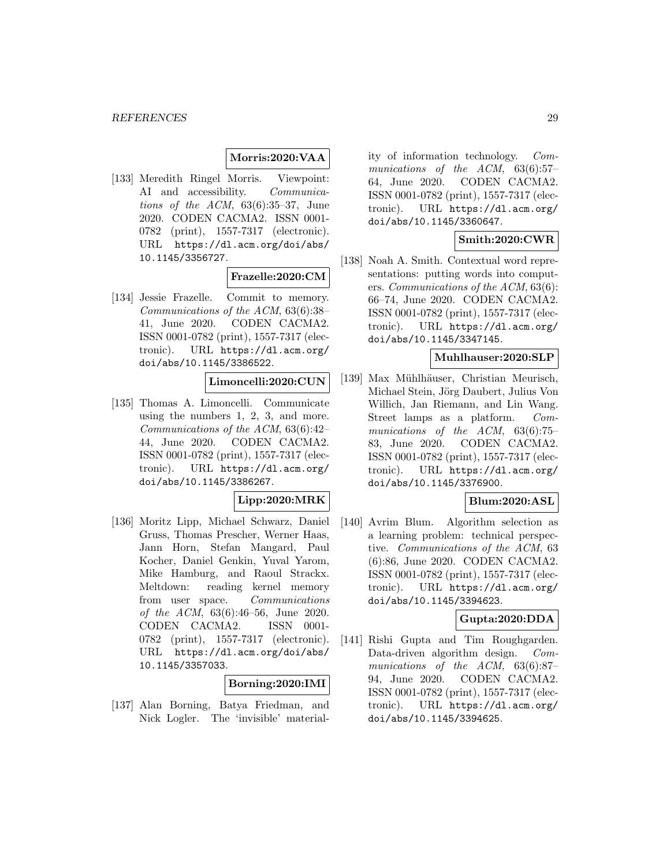### **Morris:2020:VAA**

[133] Meredith Ringel Morris. Viewpoint: AI and accessibility. Communications of the ACM,  $63(6):35-37$ , June 2020. CODEN CACMA2. ISSN 0001- 0782 (print), 1557-7317 (electronic). URL https://dl.acm.org/doi/abs/ 10.1145/3356727.

# **Frazelle:2020:CM**

[134] Jessie Frazelle. Commit to memory. Communications of the ACM, 63(6):38– 41, June 2020. CODEN CACMA2. ISSN 0001-0782 (print), 1557-7317 (electronic). URL https://dl.acm.org/ doi/abs/10.1145/3386522.

### **Limoncelli:2020:CUN**

[135] Thomas A. Limoncelli. Communicate using the numbers 1, 2, 3, and more. Communications of the ACM, 63(6):42– 44, June 2020. CODEN CACMA2. ISSN 0001-0782 (print), 1557-7317 (electronic). URL https://dl.acm.org/ doi/abs/10.1145/3386267.

### **Lipp:2020:MRK**

[136] Moritz Lipp, Michael Schwarz, Daniel Gruss, Thomas Prescher, Werner Haas, Jann Horn, Stefan Mangard, Paul Kocher, Daniel Genkin, Yuval Yarom, Mike Hamburg, and Raoul Strackx. Meltdown: reading kernel memory from user space. Communications of the ACM, 63(6):46–56, June 2020. CODEN CACMA2. ISSN 0001- 0782 (print), 1557-7317 (electronic). URL https://dl.acm.org/doi/abs/ 10.1145/3357033.

#### **Borning:2020:IMI**

[137] Alan Borning, Batya Friedman, and Nick Logler. The 'invisible' material-

ity of information technology. Communications of the ACM, 63(6):57– 64, June 2020. CODEN CACMA2. ISSN 0001-0782 (print), 1557-7317 (electronic). URL https://dl.acm.org/ doi/abs/10.1145/3360647.

# **Smith:2020:CWR**

[138] Noah A. Smith. Contextual word representations: putting words into computers. Communications of the ACM, 63(6): 66–74, June 2020. CODEN CACMA2. ISSN 0001-0782 (print), 1557-7317 (electronic). URL https://dl.acm.org/ doi/abs/10.1145/3347145.

#### **Muhlhauser:2020:SLP**

[139] Max Mühlhäuser, Christian Meurisch, Michael Stein, Jörg Daubert, Julius Von Willich, Jan Riemann, and Lin Wang. Street lamps as a platform. Communications of the ACM, 63(6):75– 83, June 2020. CODEN CACMA2. ISSN 0001-0782 (print), 1557-7317 (electronic). URL https://dl.acm.org/ doi/abs/10.1145/3376900.

### **Blum:2020:ASL**

[140] Avrim Blum. Algorithm selection as a learning problem: technical perspective. Communications of the ACM, 63 (6):86, June 2020. CODEN CACMA2. ISSN 0001-0782 (print), 1557-7317 (electronic). URL https://dl.acm.org/ doi/abs/10.1145/3394623.

# **Gupta:2020:DDA**

[141] Rishi Gupta and Tim Roughgarden. Data-driven algorithm design. Communications of the ACM, 63(6):87– 94, June 2020. CODEN CACMA2. ISSN 0001-0782 (print), 1557-7317 (electronic). URL https://dl.acm.org/ doi/abs/10.1145/3394625.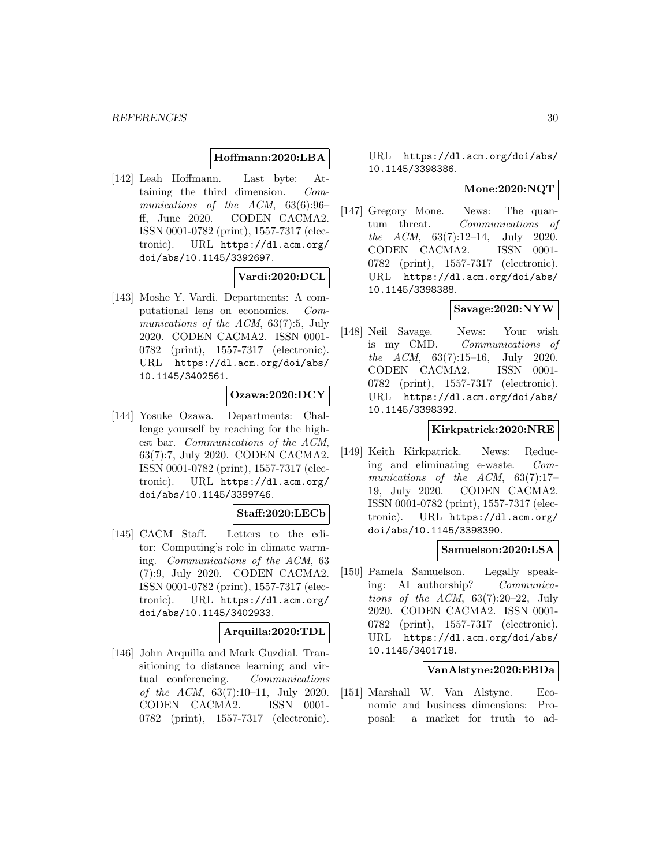#### *REFERENCES* 30

### **Hoffmann:2020:LBA**

[142] Leah Hoffmann. Last byte: Attaining the third dimension. Communications of the ACM, 63(6):96– ff, June 2020. CODEN CACMA2. ISSN 0001-0782 (print), 1557-7317 (electronic). URL https://dl.acm.org/ doi/abs/10.1145/3392697.

### **Vardi:2020:DCL**

[143] Moshe Y. Vardi. Departments: A computational lens on economics. Communications of the ACM, 63(7):5, July 2020. CODEN CACMA2. ISSN 0001- 0782 (print), 1557-7317 (electronic). URL https://dl.acm.org/doi/abs/ 10.1145/3402561.

#### **Ozawa:2020:DCY**

[144] Yosuke Ozawa. Departments: Challenge yourself by reaching for the highest bar. Communications of the ACM, 63(7):7, July 2020. CODEN CACMA2. ISSN 0001-0782 (print), 1557-7317 (electronic). URL https://dl.acm.org/ doi/abs/10.1145/3399746.

#### **Staff:2020:LECb**

[145] CACM Staff. Letters to the editor: Computing's role in climate warming. Communications of the ACM, 63 (7):9, July 2020. CODEN CACMA2. ISSN 0001-0782 (print), 1557-7317 (electronic). URL https://dl.acm.org/ doi/abs/10.1145/3402933.

### **Arquilla:2020:TDL**

[146] John Arquilla and Mark Guzdial. Transitioning to distance learning and virtual conferencing. Communications of the ACM, 63(7):10–11, July 2020. CODEN CACMA2. ISSN 0001- 0782 (print), 1557-7317 (electronic).

URL https://dl.acm.org/doi/abs/ 10.1145/3398386.

#### **Mone:2020:NQT**

[147] Gregory Mone. News: The quantum threat. Communications of the ACM, 63(7):12–14, July 2020. CODEN CACMA2. ISSN 0001- 0782 (print), 1557-7317 (electronic). URL https://dl.acm.org/doi/abs/ 10.1145/3398388.

### **Savage:2020:NYW**

[148] Neil Savage. News: Your wish is my CMD. Communications of the ACM,  $63(7):15-16$ , July 2020. CODEN CACMA2. ISSN 0001- 0782 (print), 1557-7317 (electronic). URL https://dl.acm.org/doi/abs/ 10.1145/3398392.

### **Kirkpatrick:2020:NRE**

[149] Keith Kirkpatrick. News: Reducing and eliminating e-waste. Communications of the ACM, 63(7):17– 19, July 2020. CODEN CACMA2. ISSN 0001-0782 (print), 1557-7317 (electronic). URL https://dl.acm.org/ doi/abs/10.1145/3398390.

### **Samuelson:2020:LSA**

[150] Pamela Samuelson. Legally speaking: AI authorship? Communications of the  $ACM$ ,  $63(7):20-22$ , July 2020. CODEN CACMA2. ISSN 0001- 0782 (print), 1557-7317 (electronic). URL https://dl.acm.org/doi/abs/ 10.1145/3401718.

#### **VanAlstyne:2020:EBDa**

[151] Marshall W. Van Alstyne. Economic and business dimensions: Proposal: a market for truth to ad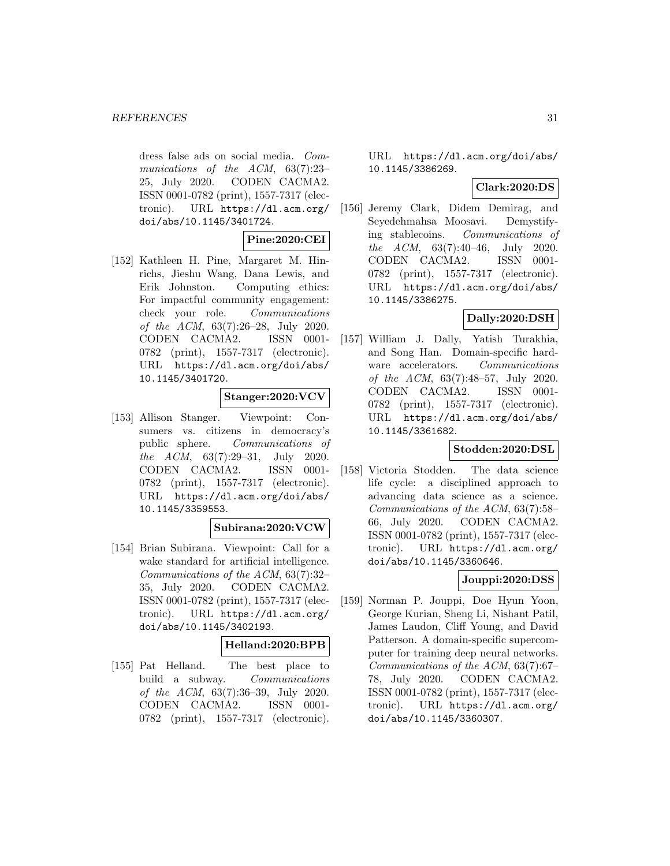dress false ads on social media. Communications of the ACM, 63(7):23– 25, July 2020. CODEN CACMA2. ISSN 0001-0782 (print), 1557-7317 (electronic). URL https://dl.acm.org/ doi/abs/10.1145/3401724.

### **Pine:2020:CEI**

[152] Kathleen H. Pine, Margaret M. Hinrichs, Jieshu Wang, Dana Lewis, and Erik Johnston. Computing ethics: For impactful community engagement: check your role. Communications of the ACM, 63(7):26–28, July 2020. CODEN CACMA2. ISSN 0001- 0782 (print), 1557-7317 (electronic). URL https://dl.acm.org/doi/abs/ 10.1145/3401720.

### **Stanger:2020:VCV**

[153] Allison Stanger. Viewpoint: Consumers vs. citizens in democracy's public sphere. Communications of the ACM, 63(7):29–31, July 2020. CODEN CACMA2. ISSN 0001- 0782 (print), 1557-7317 (electronic). URL https://dl.acm.org/doi/abs/ 10.1145/3359553.

### **Subirana:2020:VCW**

[154] Brian Subirana. Viewpoint: Call for a wake standard for artificial intelligence. Communications of the ACM, 63(7):32– 35, July 2020. CODEN CACMA2. ISSN 0001-0782 (print), 1557-7317 (electronic). URL https://dl.acm.org/ doi/abs/10.1145/3402193.

#### **Helland:2020:BPB**

[155] Pat Helland. The best place to build a subway. Communications of the ACM, 63(7):36–39, July 2020. CODEN CACMA2. ISSN 0001- 0782 (print), 1557-7317 (electronic).

URL https://dl.acm.org/doi/abs/ 10.1145/3386269.

### **Clark:2020:DS**

[156] Jeremy Clark, Didem Demirag, and Seyedehmahsa Moosavi. Demystifying stablecoins. Communications of the ACM, 63(7):40–46, July 2020. CODEN CACMA2. ISSN 0001- 0782 (print), 1557-7317 (electronic). URL https://dl.acm.org/doi/abs/ 10.1145/3386275.

# **Dally:2020:DSH**

[157] William J. Dally, Yatish Turakhia, and Song Han. Domain-specific hardware accelerators. Communications of the ACM, 63(7):48–57, July 2020. CODEN CACMA2. ISSN 0001- 0782 (print), 1557-7317 (electronic). URL https://dl.acm.org/doi/abs/ 10.1145/3361682.

# **Stodden:2020:DSL**

[158] Victoria Stodden. The data science life cycle: a disciplined approach to advancing data science as a science. Communications of the ACM, 63(7):58– 66, July 2020. CODEN CACMA2. ISSN 0001-0782 (print), 1557-7317 (electronic). URL https://dl.acm.org/ doi/abs/10.1145/3360646.

## **Jouppi:2020:DSS**

[159] Norman P. Jouppi, Doe Hyun Yoon, George Kurian, Sheng Li, Nishant Patil, James Laudon, Cliff Young, and David Patterson. A domain-specific supercomputer for training deep neural networks. Communications of the ACM, 63(7):67– 78, July 2020. CODEN CACMA2. ISSN 0001-0782 (print), 1557-7317 (electronic). URL https://dl.acm.org/ doi/abs/10.1145/3360307.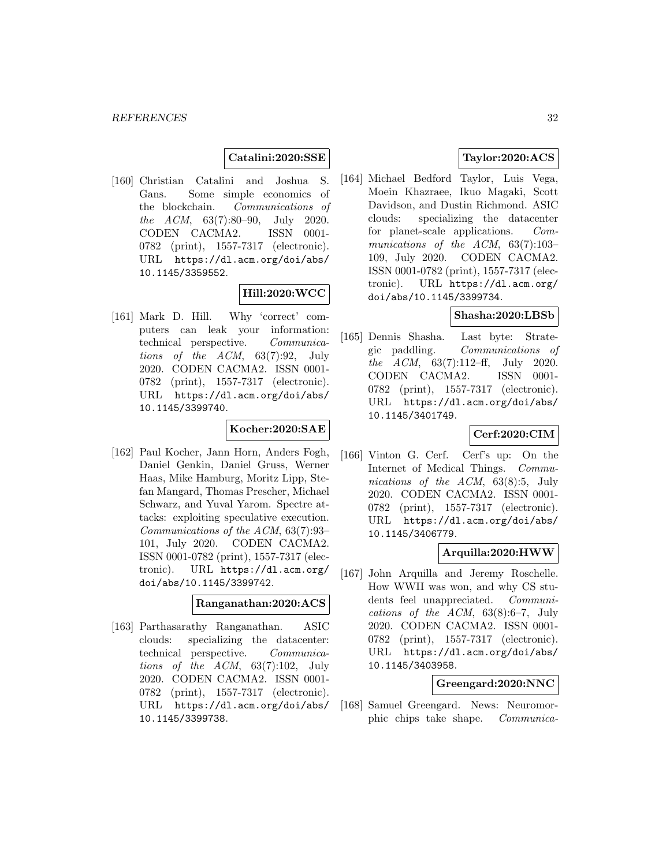#### **Catalini:2020:SSE**

[160] Christian Catalini and Joshua S. Gans. Some simple economics of the blockchain. Communications of the ACM, 63(7):80–90, July 2020. CODEN CACMA2. ISSN 0001- 0782 (print), 1557-7317 (electronic). URL https://dl.acm.org/doi/abs/ 10.1145/3359552.

### **Hill:2020:WCC**

[161] Mark D. Hill. Why 'correct' computers can leak your information: technical perspective. Communications of the ACM, 63(7):92, July 2020. CODEN CACMA2. ISSN 0001- 0782 (print), 1557-7317 (electronic). URL https://dl.acm.org/doi/abs/ 10.1145/3399740.

### **Kocher:2020:SAE**

[162] Paul Kocher, Jann Horn, Anders Fogh, Daniel Genkin, Daniel Gruss, Werner Haas, Mike Hamburg, Moritz Lipp, Stefan Mangard, Thomas Prescher, Michael Schwarz, and Yuval Yarom. Spectre attacks: exploiting speculative execution. Communications of the ACM, 63(7):93– 101, July 2020. CODEN CACMA2. ISSN 0001-0782 (print), 1557-7317 (electronic). URL https://dl.acm.org/ doi/abs/10.1145/3399742.

#### **Ranganathan:2020:ACS**

[163] Parthasarathy Ranganathan. ASIC clouds: specializing the datacenter: technical perspective. Communications of the  $ACM$ ,  $63(7):102$ , July 2020. CODEN CACMA2. ISSN 0001- 0782 (print), 1557-7317 (electronic). URL https://dl.acm.org/doi/abs/ 10.1145/3399738.

### **Taylor:2020:ACS**

[164] Michael Bedford Taylor, Luis Vega, Moein Khazraee, Ikuo Magaki, Scott Davidson, and Dustin Richmond. ASIC clouds: specializing the datacenter for planet-scale applications. Communications of the ACM, 63(7):103– 109, July 2020. CODEN CACMA2. ISSN 0001-0782 (print), 1557-7317 (electronic). URL https://dl.acm.org/ doi/abs/10.1145/3399734.

#### **Shasha:2020:LBSb**

[165] Dennis Shasha. Last byte: Strategic paddling. Communications of the ACM, 63(7):112–ff, July 2020. CODEN CACMA2. ISSN 0001- 0782 (print), 1557-7317 (electronic). URL https://dl.acm.org/doi/abs/ 10.1145/3401749.

# **Cerf:2020:CIM**

[166] Vinton G. Cerf. Cerf's up: On the Internet of Medical Things. Communications of the ACM, 63(8):5, July 2020. CODEN CACMA2. ISSN 0001- 0782 (print), 1557-7317 (electronic). URL https://dl.acm.org/doi/abs/ 10.1145/3406779.

#### **Arquilla:2020:HWW**

[167] John Arquilla and Jeremy Roschelle. How WWII was won, and why CS students feel unappreciated. Communications of the  $ACM$ ,  $63(8):6-7$ , July 2020. CODEN CACMA2. ISSN 0001- 0782 (print), 1557-7317 (electronic). URL https://dl.acm.org/doi/abs/ 10.1145/3403958.

### **Greengard:2020:NNC**

[168] Samuel Greengard. News: Neuromorphic chips take shape. Communica-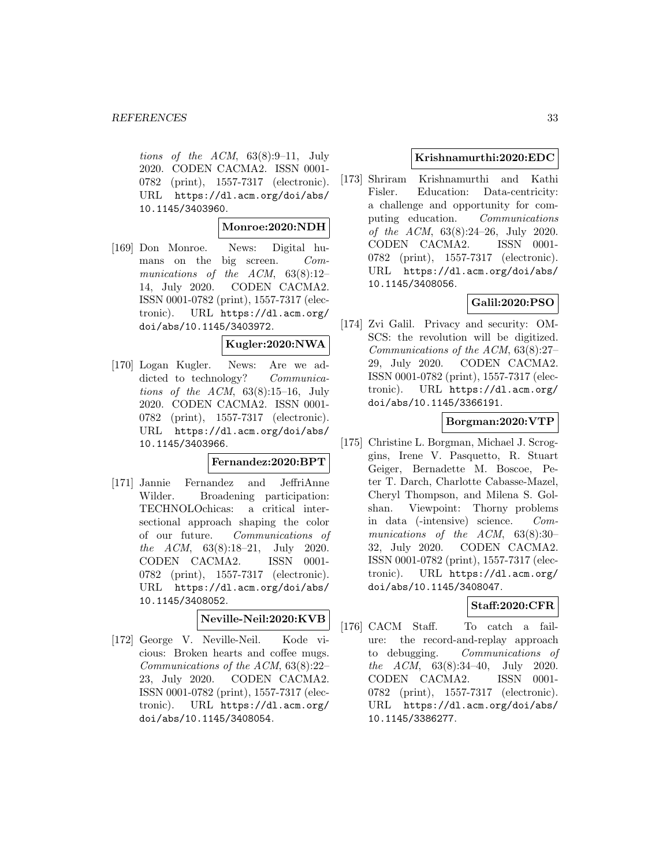tions of the  $ACM$ ,  $63(8):9-11$ , July 2020. CODEN CACMA2. ISSN 0001- 0782 (print), 1557-7317 (electronic). URL https://dl.acm.org/doi/abs/ 10.1145/3403960.

### **Monroe:2020:NDH**

[169] Don Monroe. News: Digital humans on the big screen. Communications of the ACM, 63(8):12– 14, July 2020. CODEN CACMA2. ISSN 0001-0782 (print), 1557-7317 (electronic). URL https://dl.acm.org/ doi/abs/10.1145/3403972.

# **Kugler:2020:NWA**

[170] Logan Kugler. News: Are we addicted to technology? Communications of the ACM,  $63(8):15-16$ , July 2020. CODEN CACMA2. ISSN 0001- 0782 (print), 1557-7317 (electronic). URL https://dl.acm.org/doi/abs/ 10.1145/3403966.

### **Fernandez:2020:BPT**

[171] Jannie Fernandez and JeffriAnne Wilder. Broadening participation: TECHNOLOchicas: a critical intersectional approach shaping the color of our future. Communications of the ACM, 63(8):18–21, July 2020. CODEN CACMA2. ISSN 0001- 0782 (print), 1557-7317 (electronic). URL https://dl.acm.org/doi/abs/ 10.1145/3408052.

# **Neville-Neil:2020:KVB**

[172] George V. Neville-Neil. Kode vicious: Broken hearts and coffee mugs. Communications of the ACM, 63(8):22– 23, July 2020. CODEN CACMA2. ISSN 0001-0782 (print), 1557-7317 (electronic). URL https://dl.acm.org/ doi/abs/10.1145/3408054.

### **Krishnamurthi:2020:EDC**

[173] Shriram Krishnamurthi and Kathi Fisler. Education: Data-centricity: a challenge and opportunity for computing education. Communications of the ACM, 63(8):24–26, July 2020. CODEN CACMA2. ISSN 0001- 0782 (print), 1557-7317 (electronic). URL https://dl.acm.org/doi/abs/ 10.1145/3408056.

# **Galil:2020:PSO**

[174] Zvi Galil. Privacy and security: OM-SCS: the revolution will be digitized. Communications of the ACM, 63(8):27– 29, July 2020. CODEN CACMA2. ISSN 0001-0782 (print), 1557-7317 (electronic). URL https://dl.acm.org/ doi/abs/10.1145/3366191.

### **Borgman:2020:VTP**

[175] Christine L. Borgman, Michael J. Scroggins, Irene V. Pasquetto, R. Stuart Geiger, Bernadette M. Boscoe, Peter T. Darch, Charlotte Cabasse-Mazel, Cheryl Thompson, and Milena S. Golshan. Viewpoint: Thorny problems in data (-intensive) science. Communications of the ACM, 63(8):30– 32, July 2020. CODEN CACMA2. ISSN 0001-0782 (print), 1557-7317 (electronic). URL https://dl.acm.org/ doi/abs/10.1145/3408047.

### **Staff:2020:CFR**

[176] CACM Staff. To catch a failure: the record-and-replay approach to debugging. Communications of the ACM, 63(8):34–40, July 2020. CODEN CACMA2. ISSN 0001- 0782 (print), 1557-7317 (electronic). URL https://dl.acm.org/doi/abs/ 10.1145/3386277.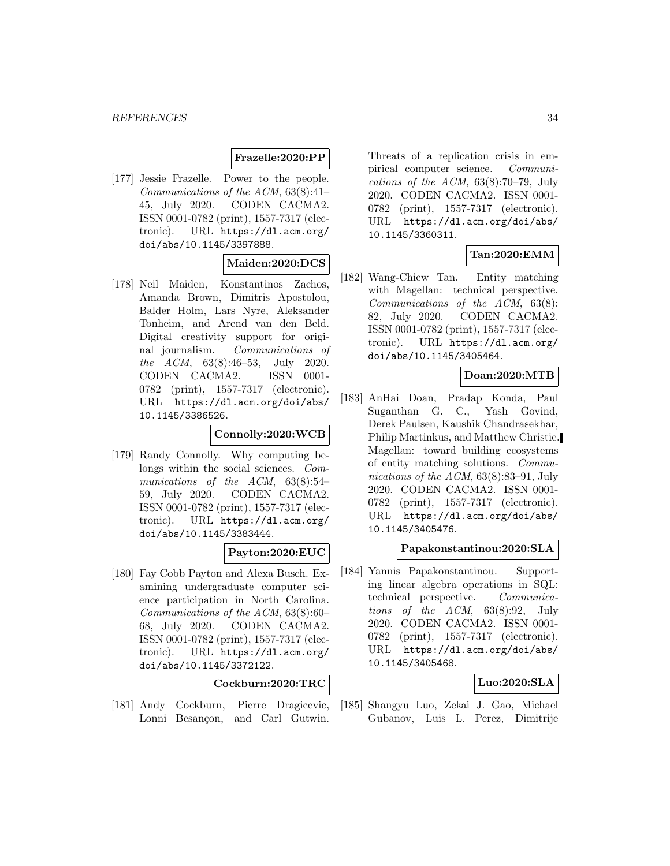### **Frazelle:2020:PP**

[177] Jessie Frazelle. Power to the people. Communications of the ACM, 63(8):41– 45, July 2020. CODEN CACMA2. ISSN 0001-0782 (print), 1557-7317 (electronic). URL https://dl.acm.org/ doi/abs/10.1145/3397888.

### **Maiden:2020:DCS**

[178] Neil Maiden, Konstantinos Zachos, Amanda Brown, Dimitris Apostolou, Balder Holm, Lars Nyre, Aleksander Tonheim, and Arend van den Beld. Digital creativity support for original journalism. Communications of the ACM, 63(8):46–53, July 2020. CODEN CACMA2. ISSN 0001- 0782 (print), 1557-7317 (electronic). URL https://dl.acm.org/doi/abs/ 10.1145/3386526.

# **Connolly:2020:WCB**

[179] Randy Connolly. Why computing belongs within the social sciences. Communications of the ACM, 63(8):54– 59, July 2020. CODEN CACMA2. ISSN 0001-0782 (print), 1557-7317 (electronic). URL https://dl.acm.org/ doi/abs/10.1145/3383444.

# **Payton:2020:EUC**

[180] Fay Cobb Payton and Alexa Busch. Examining undergraduate computer science participation in North Carolina. Communications of the ACM, 63(8):60– 68, July 2020. CODEN CACMA2. ISSN 0001-0782 (print), 1557-7317 (electronic). URL https://dl.acm.org/ doi/abs/10.1145/3372122.

**Cockburn:2020:TRC**

[181] Andy Cockburn, Pierre Dragicevic, Lonni Besançon, and Carl Gutwin.

Threats of a replication crisis in empirical computer science. Communications of the ACM, 63(8):70–79, July 2020. CODEN CACMA2. ISSN 0001- 0782 (print), 1557-7317 (electronic). URL https://dl.acm.org/doi/abs/ 10.1145/3360311.

### **Tan:2020:EMM**

[182] Wang-Chiew Tan. Entity matching with Magellan: technical perspective. Communications of the ACM, 63(8): 82, July 2020. CODEN CACMA2. ISSN 0001-0782 (print), 1557-7317 (electronic). URL https://dl.acm.org/ doi/abs/10.1145/3405464.

### **Doan:2020:MTB**

[183] AnHai Doan, Pradap Konda, Paul Suganthan G. C., Yash Govind, Derek Paulsen, Kaushik Chandrasekhar, Philip Martinkus, and Matthew Christie. Magellan: toward building ecosystems of entity matching solutions. Communications of the ACM, 63(8):83–91, July 2020. CODEN CACMA2. ISSN 0001- 0782 (print), 1557-7317 (electronic). URL https://dl.acm.org/doi/abs/ 10.1145/3405476.

#### **Papakonstantinou:2020:SLA**

[184] Yannis Papakonstantinou. Supporting linear algebra operations in SQL: technical perspective. Communications of the  $ACM$ ,  $63(8):92$ , July 2020. CODEN CACMA2. ISSN 0001- 0782 (print), 1557-7317 (electronic). URL https://dl.acm.org/doi/abs/ 10.1145/3405468.

### **Luo:2020:SLA**

[185] Shangyu Luo, Zekai J. Gao, Michael Gubanov, Luis L. Perez, Dimitrije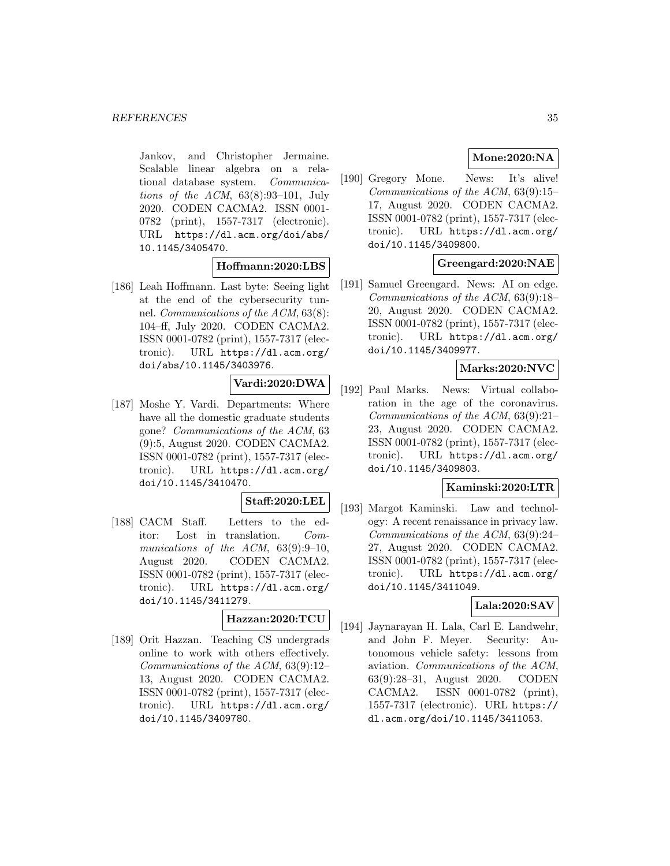Jankov, and Christopher Jermaine. Scalable linear algebra on a relational database system. Communications of the ACM,  $63(8):93-101$ , July 2020. CODEN CACMA2. ISSN 0001- 0782 (print), 1557-7317 (electronic). URL https://dl.acm.org/doi/abs/ 10.1145/3405470.

### **Hoffmann:2020:LBS**

[186] Leah Hoffmann. Last byte: Seeing light at the end of the cybersecurity tunnel. Communications of the ACM, 63(8): 104–ff, July 2020. CODEN CACMA2. ISSN 0001-0782 (print), 1557-7317 (electronic). URL https://dl.acm.org/ doi/abs/10.1145/3403976.

# **Vardi:2020:DWA**

[187] Moshe Y. Vardi. Departments: Where have all the domestic graduate students gone? Communications of the ACM, 63 (9):5, August 2020. CODEN CACMA2. ISSN 0001-0782 (print), 1557-7317 (electronic). URL https://dl.acm.org/ doi/10.1145/3410470.

### **Staff:2020:LEL**

[188] CACM Staff. Letters to the editor: Lost in translation. Communications of the ACM,  $63(9):9-10$ , August 2020. CODEN CACMA2. ISSN 0001-0782 (print), 1557-7317 (electronic). URL https://dl.acm.org/ doi/10.1145/3411279.

### **Hazzan:2020:TCU**

[189] Orit Hazzan. Teaching CS undergrads online to work with others effectively. Communications of the ACM, 63(9):12– 13, August 2020. CODEN CACMA2. ISSN 0001-0782 (print), 1557-7317 (electronic). URL https://dl.acm.org/ doi/10.1145/3409780.

# **Mone:2020:NA**

[190] Gregory Mone. News: It's alive! Communications of the ACM, 63(9):15– 17, August 2020. CODEN CACMA2. ISSN 0001-0782 (print), 1557-7317 (electronic). URL https://dl.acm.org/ doi/10.1145/3409800.

# **Greengard:2020:NAE**

[191] Samuel Greengard. News: AI on edge. Communications of the ACM, 63(9):18– 20, August 2020. CODEN CACMA2. ISSN 0001-0782 (print), 1557-7317 (electronic). URL https://dl.acm.org/ doi/10.1145/3409977.

### **Marks:2020:NVC**

[192] Paul Marks. News: Virtual collaboration in the age of the coronavirus. Communications of the ACM, 63(9):21– 23, August 2020. CODEN CACMA2. ISSN 0001-0782 (print), 1557-7317 (electronic). URL https://dl.acm.org/ doi/10.1145/3409803.

# **Kaminski:2020:LTR**

[193] Margot Kaminski. Law and technology: A recent renaissance in privacy law. Communications of the ACM, 63(9):24– 27, August 2020. CODEN CACMA2. ISSN 0001-0782 (print), 1557-7317 (electronic). URL https://dl.acm.org/ doi/10.1145/3411049.

### **Lala:2020:SAV**

[194] Jaynarayan H. Lala, Carl E. Landwehr, and John F. Meyer. Security: Autonomous vehicle safety: lessons from aviation. Communications of the ACM, 63(9):28–31, August 2020. CODEN CACMA2. ISSN 0001-0782 (print), 1557-7317 (electronic). URL https:// dl.acm.org/doi/10.1145/3411053.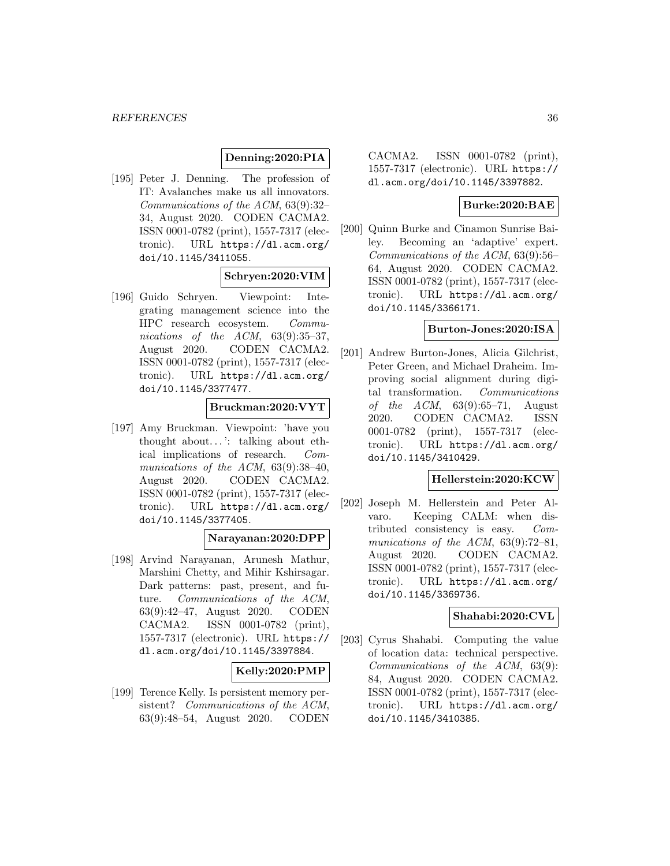#### **Denning:2020:PIA**

[195] Peter J. Denning. The profession of IT: Avalanches make us all innovators. Communications of the ACM, 63(9):32– 34, August 2020. CODEN CACMA2. ISSN 0001-0782 (print), 1557-7317 (electronic). URL https://dl.acm.org/ doi/10.1145/3411055.

#### **Schryen:2020:VIM**

[196] Guido Schryen. Viewpoint: Integrating management science into the HPC research ecosystem. Communications of the  $ACM$ ,  $63(9):35-37$ , August 2020. CODEN CACMA2. ISSN 0001-0782 (print), 1557-7317 (electronic). URL https://dl.acm.org/ doi/10.1145/3377477.

#### **Bruckman:2020:VYT**

[197] Amy Bruckman. Viewpoint: 'have you thought about... ': talking about ethical implications of research. Communications of the ACM, 63(9):38-40, August 2020. CODEN CACMA2. ISSN 0001-0782 (print), 1557-7317 (electronic). URL https://dl.acm.org/ doi/10.1145/3377405.

### **Narayanan:2020:DPP**

[198] Arvind Narayanan, Arunesh Mathur, Marshini Chetty, and Mihir Kshirsagar. Dark patterns: past, present, and future. Communications of the ACM, 63(9):42–47, August 2020. CODEN CACMA2. ISSN 0001-0782 (print), 1557-7317 (electronic). URL https:// dl.acm.org/doi/10.1145/3397884.

### **Kelly:2020:PMP**

[199] Terence Kelly. Is persistent memory persistent? Communications of the ACM, 63(9):48–54, August 2020. CODEN CACMA2. ISSN 0001-0782 (print), 1557-7317 (electronic). URL https:// dl.acm.org/doi/10.1145/3397882.

### **Burke:2020:BAE**

[200] Quinn Burke and Cinamon Sunrise Bailey. Becoming an 'adaptive' expert. Communications of the ACM, 63(9):56– 64, August 2020. CODEN CACMA2. ISSN 0001-0782 (print), 1557-7317 (electronic). URL https://dl.acm.org/ doi/10.1145/3366171.

#### **Burton-Jones:2020:ISA**

[201] Andrew Burton-Jones, Alicia Gilchrist, Peter Green, and Michael Draheim. Improving social alignment during digital transformation. Communications of the ACM,  $63(9):65-71$ , August 2020. CODEN CACMA2. ISSN 0001-0782 (print), 1557-7317 (electronic). URL https://dl.acm.org/ doi/10.1145/3410429.

#### **Hellerstein:2020:KCW**

[202] Joseph M. Hellerstein and Peter Alvaro. Keeping CALM: when distributed consistency is easy. Communications of the ACM,  $63(9)$ :72–81, August 2020. CODEN CACMA2. ISSN 0001-0782 (print), 1557-7317 (electronic). URL https://dl.acm.org/ doi/10.1145/3369736.

#### **Shahabi:2020:CVL**

[203] Cyrus Shahabi. Computing the value of location data: technical perspective. Communications of the ACM, 63(9): 84, August 2020. CODEN CACMA2. ISSN 0001-0782 (print), 1557-7317 (electronic). URL https://dl.acm.org/ doi/10.1145/3410385.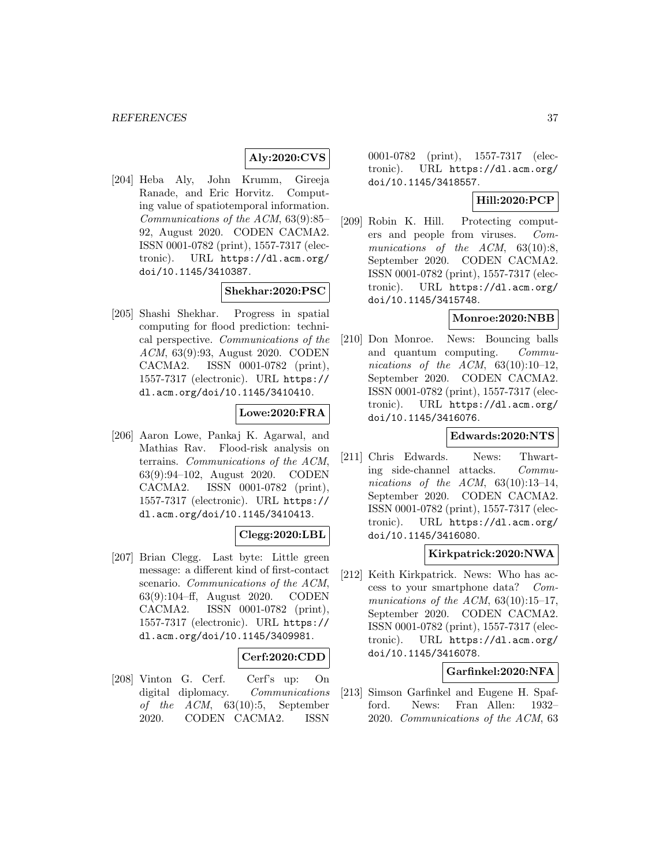# **Aly:2020:CVS**

[204] Heba Aly, John Krumm, Gireeja Ranade, and Eric Horvitz. Computing value of spatiotemporal information. Communications of the ACM, 63(9):85– 92, August 2020. CODEN CACMA2. ISSN 0001-0782 (print), 1557-7317 (electronic). URL https://dl.acm.org/ doi/10.1145/3410387.

### **Shekhar:2020:PSC**

[205] Shashi Shekhar. Progress in spatial computing for flood prediction: technical perspective. Communications of the ACM, 63(9):93, August 2020. CODEN CACMA2. ISSN 0001-0782 (print), 1557-7317 (electronic). URL https:// dl.acm.org/doi/10.1145/3410410.

## **Lowe:2020:FRA**

[206] Aaron Lowe, Pankaj K. Agarwal, and Mathias Rav. Flood-risk analysis on terrains. Communications of the ACM, 63(9):94–102, August 2020. CODEN CACMA2. ISSN 0001-0782 (print), 1557-7317 (electronic). URL https:// dl.acm.org/doi/10.1145/3410413.

## **Clegg:2020:LBL**

[207] Brian Clegg. Last byte: Little green message: a different kind of first-contact scenario. Communications of the ACM, 63(9):104–ff, August 2020. CODEN CACMA2. ISSN 0001-0782 (print), 1557-7317 (electronic). URL https:// dl.acm.org/doi/10.1145/3409981.

#### **Cerf:2020:CDD**

[208] Vinton G. Cerf. Cerf's up: On digital diplomacy. *Communications* of the  $ACM$ ,  $63(10):5$ , September 2020. CODEN CACMA2. ISSN

0001-0782 (print), 1557-7317 (electronic). URL https://dl.acm.org/ doi/10.1145/3418557.

# **Hill:2020:PCP**

[209] Robin K. Hill. Protecting computers and people from viruses. Communications of the ACM, 63(10):8, September 2020. CODEN CACMA2. ISSN 0001-0782 (print), 1557-7317 (electronic). URL https://dl.acm.org/ doi/10.1145/3415748.

## **Monroe:2020:NBB**

[210] Don Monroe. News: Bouncing balls and quantum computing. Communications of the ACM,  $63(10):10-12$ , September 2020. CODEN CACMA2. ISSN 0001-0782 (print), 1557-7317 (electronic). URL https://dl.acm.org/ doi/10.1145/3416076.

# **Edwards:2020:NTS**

[211] Chris Edwards. News: Thwarting side-channel attacks. Communications of the ACM,  $63(10):13-14$ , September 2020. CODEN CACMA2. ISSN 0001-0782 (print), 1557-7317 (electronic). URL https://dl.acm.org/ doi/10.1145/3416080.

### **Kirkpatrick:2020:NWA**

[212] Keith Kirkpatrick. News: Who has access to your smartphone data? Communications of the ACM,  $63(10):15-17$ , September 2020. CODEN CACMA2. ISSN 0001-0782 (print), 1557-7317 (electronic). URL https://dl.acm.org/ doi/10.1145/3416078.

#### **Garfinkel:2020:NFA**

[213] Simson Garfinkel and Eugene H. Spafford. News: Fran Allen: 1932– 2020. Communications of the ACM, 63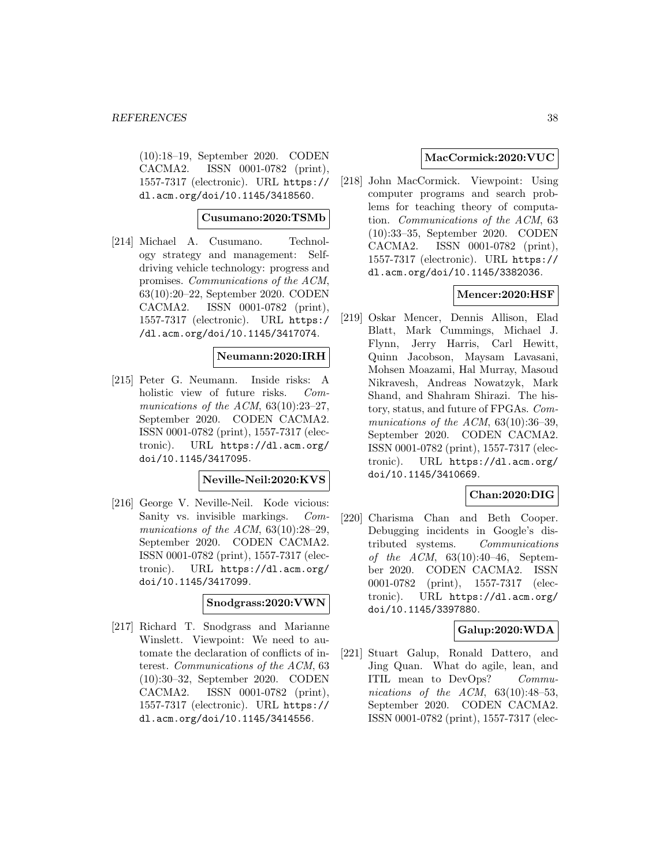(10):18–19, September 2020. CODEN CACMA2. ISSN 0001-0782 (print), 1557-7317 (electronic). URL https:// dl.acm.org/doi/10.1145/3418560.

# **Cusumano:2020:TSMb**

[214] Michael A. Cusumano. Technology strategy and management: Selfdriving vehicle technology: progress and promises. Communications of the ACM, 63(10):20–22, September 2020. CODEN CACMA2. ISSN 0001-0782 (print), 1557-7317 (electronic). URL https:/ /dl.acm.org/doi/10.1145/3417074.

## **Neumann:2020:IRH**

[215] Peter G. Neumann. Inside risks: A holistic view of future risks. Communications of the ACM, 63(10):23-27, September 2020. CODEN CACMA2. ISSN 0001-0782 (print), 1557-7317 (electronic). URL https://dl.acm.org/ doi/10.1145/3417095.

#### **Neville-Neil:2020:KVS**

[216] George V. Neville-Neil. Kode vicious: Sanity vs. invisible markings. Communications of the ACM, 63(10):28-29, September 2020. CODEN CACMA2. ISSN 0001-0782 (print), 1557-7317 (electronic). URL https://dl.acm.org/ doi/10.1145/3417099.

#### **Snodgrass:2020:VWN**

[217] Richard T. Snodgrass and Marianne Winslett. Viewpoint: We need to automate the declaration of conflicts of interest. Communications of the ACM, 63 (10):30–32, September 2020. CODEN CACMA2. ISSN 0001-0782 (print), 1557-7317 (electronic). URL https:// dl.acm.org/doi/10.1145/3414556.

### **MacCormick:2020:VUC**

[218] John MacCormick. Viewpoint: Using computer programs and search problems for teaching theory of computation. Communications of the ACM, 63 (10):33–35, September 2020. CODEN CACMA2. ISSN 0001-0782 (print), 1557-7317 (electronic). URL https:// dl.acm.org/doi/10.1145/3382036.

## **Mencer:2020:HSF**

[219] Oskar Mencer, Dennis Allison, Elad Blatt, Mark Cummings, Michael J. Flynn, Jerry Harris, Carl Hewitt, Quinn Jacobson, Maysam Lavasani, Mohsen Moazami, Hal Murray, Masoud Nikravesh, Andreas Nowatzyk, Mark Shand, and Shahram Shirazi. The history, status, and future of FPGAs. Communications of the ACM, 63(10):36-39, September 2020. CODEN CACMA2. ISSN 0001-0782 (print), 1557-7317 (electronic). URL https://dl.acm.org/ doi/10.1145/3410669.

### **Chan:2020:DIG**

[220] Charisma Chan and Beth Cooper. Debugging incidents in Google's distributed systems. Communications of the ACM,  $63(10):40-46$ , September 2020. CODEN CACMA2. ISSN 0001-0782 (print), 1557-7317 (electronic). URL https://dl.acm.org/ doi/10.1145/3397880.

### **Galup:2020:WDA**

[221] Stuart Galup, Ronald Dattero, and Jing Quan. What do agile, lean, and ITIL mean to DevOps? Communications of the ACM,  $63(10):48-53$ , September 2020. CODEN CACMA2. ISSN 0001-0782 (print), 1557-7317 (elec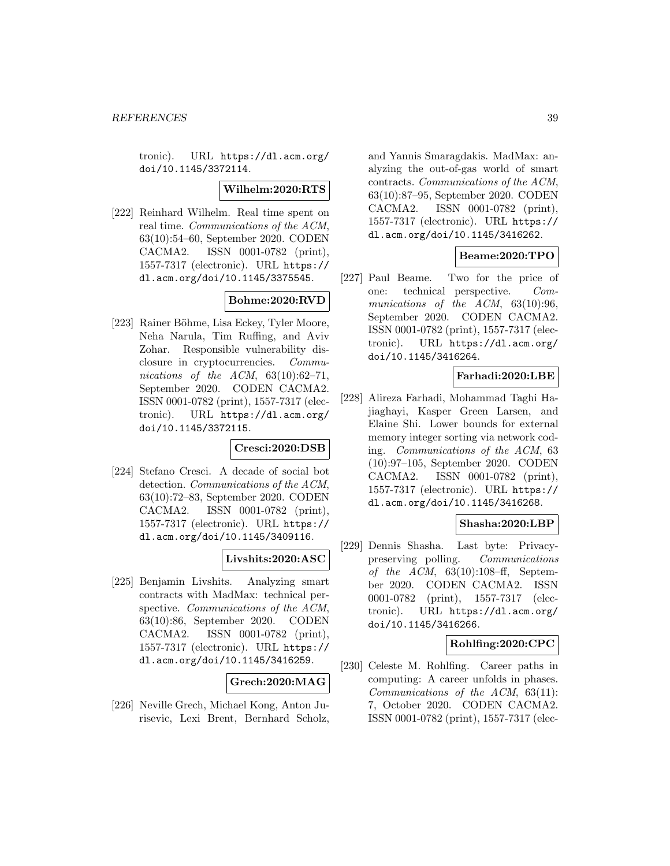tronic). URL https://dl.acm.org/ doi/10.1145/3372114.

### **Wilhelm:2020:RTS**

[222] Reinhard Wilhelm. Real time spent on real time. Communications of the ACM, 63(10):54–60, September 2020. CODEN CACMA2. ISSN 0001-0782 (print), 1557-7317 (electronic). URL https:// dl.acm.org/doi/10.1145/3375545.

# **Bohme:2020:RVD**

[223] Rainer Böhme, Lisa Eckey, Tyler Moore, Neha Narula, Tim Ruffing, and Aviv Zohar. Responsible vulnerability disclosure in cryptocurrencies. Communications of the ACM,  $63(10):62-71$ , September 2020. CODEN CACMA2. ISSN 0001-0782 (print), 1557-7317 (electronic). URL https://dl.acm.org/ doi/10.1145/3372115.

### **Cresci:2020:DSB**

[224] Stefano Cresci. A decade of social bot detection. Communications of the ACM, 63(10):72–83, September 2020. CODEN CACMA2. ISSN 0001-0782 (print), 1557-7317 (electronic). URL https:// dl.acm.org/doi/10.1145/3409116.

# **Livshits:2020:ASC**

[225] Benjamin Livshits. Analyzing smart contracts with MadMax: technical perspective. Communications of the ACM, 63(10):86, September 2020. CODEN CACMA2. ISSN 0001-0782 (print), 1557-7317 (electronic). URL https:// dl.acm.org/doi/10.1145/3416259.

#### **Grech:2020:MAG**

[226] Neville Grech, Michael Kong, Anton Jurisevic, Lexi Brent, Bernhard Scholz,

and Yannis Smaragdakis. MadMax: analyzing the out-of-gas world of smart contracts. Communications of the ACM, 63(10):87–95, September 2020. CODEN CACMA2. ISSN 0001-0782 (print), 1557-7317 (electronic). URL https:// dl.acm.org/doi/10.1145/3416262.

### **Beame:2020:TPO**

[227] Paul Beame. Two for the price of one: technical perspective. Communications of the ACM, 63(10):96, September 2020. CODEN CACMA2. ISSN 0001-0782 (print), 1557-7317 (electronic). URL https://dl.acm.org/ doi/10.1145/3416264.

# **Farhadi:2020:LBE**

[228] Alireza Farhadi, Mohammad Taghi Hajiaghayi, Kasper Green Larsen, and Elaine Shi. Lower bounds for external memory integer sorting via network coding. Communications of the ACM, 63 (10):97–105, September 2020. CODEN CACMA2. ISSN 0001-0782 (print), 1557-7317 (electronic). URL https:// dl.acm.org/doi/10.1145/3416268.

### **Shasha:2020:LBP**

[229] Dennis Shasha. Last byte: Privacypreserving polling. Communications of the  $ACM$ ,  $63(10):108$ -ff, September 2020. CODEN CACMA2. ISSN 0001-0782 (print), 1557-7317 (electronic). URL https://dl.acm.org/ doi/10.1145/3416266.

### **Rohlfing:2020:CPC**

[230] Celeste M. Rohlfing. Career paths in computing: A career unfolds in phases. Communications of the ACM, 63(11): 7, October 2020. CODEN CACMA2. ISSN 0001-0782 (print), 1557-7317 (elec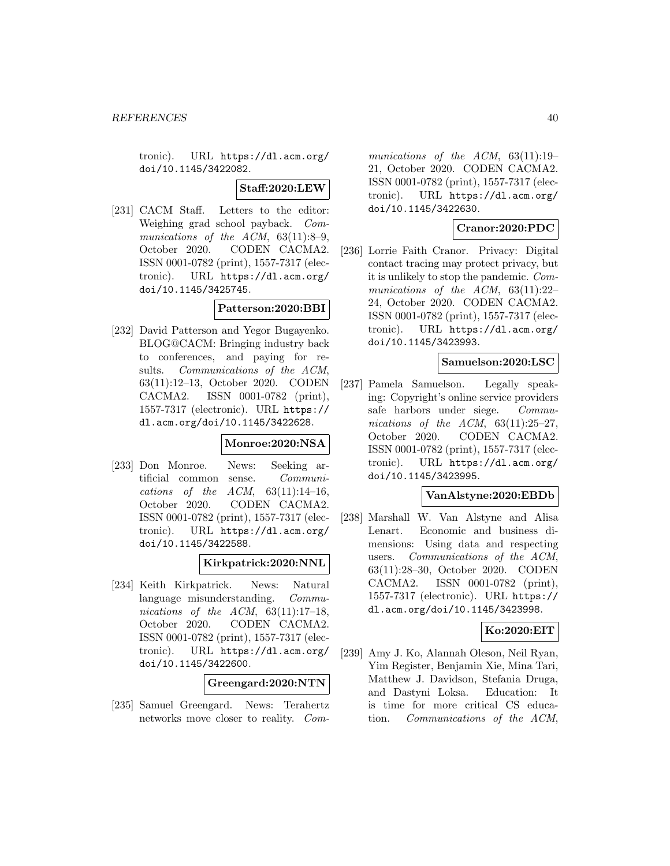tronic). URL https://dl.acm.org/ doi/10.1145/3422082.

**Staff:2020:LEW**

[231] CACM Staff. Letters to the editor: Weighing grad school payback. Communications of the ACM,  $63(11):8-9$ , October 2020. CODEN CACMA2. ISSN 0001-0782 (print), 1557-7317 (electronic). URL https://dl.acm.org/ doi/10.1145/3425745.

# **Patterson:2020:BBI**

[232] David Patterson and Yegor Bugayenko. BLOG@CACM: Bringing industry back to conferences, and paying for results. Communications of the ACM, 63(11):12–13, October 2020. CODEN CACMA2. ISSN 0001-0782 (print), 1557-7317 (electronic). URL https:// dl.acm.org/doi/10.1145/3422628.

#### **Monroe:2020:NSA**

[233] Don Monroe. News: Seeking artificial common sense. Communications of the ACM,  $63(11):14-16$ , October 2020. CODEN CACMA2. ISSN 0001-0782 (print), 1557-7317 (electronic). URL https://dl.acm.org/ doi/10.1145/3422588.

#### **Kirkpatrick:2020:NNL**

[234] Keith Kirkpatrick. News: Natural language misunderstanding. Communications of the ACM,  $63(11):17-18$ , October 2020. CODEN CACMA2. ISSN 0001-0782 (print), 1557-7317 (electronic). URL https://dl.acm.org/ doi/10.1145/3422600.

**Greengard:2020:NTN**

[235] Samuel Greengard. News: Terahertz networks move closer to reality. Communications of the ACM, 63(11):19– 21, October 2020. CODEN CACMA2. ISSN 0001-0782 (print), 1557-7317 (electronic). URL https://dl.acm.org/ doi/10.1145/3422630.

## **Cranor:2020:PDC**

[236] Lorrie Faith Cranor. Privacy: Digital contact tracing may protect privacy, but it is unlikely to stop the pandemic. Communications of the ACM, 63(11):22-24, October 2020. CODEN CACMA2. ISSN 0001-0782 (print), 1557-7317 (electronic). URL https://dl.acm.org/ doi/10.1145/3423993.

### **Samuelson:2020:LSC**

[237] Pamela Samuelson. Legally speaking: Copyright's online service providers safe harbors under siege. Communications of the ACM,  $63(11):25-27$ , October 2020. CODEN CACMA2. ISSN 0001-0782 (print), 1557-7317 (electronic). URL https://dl.acm.org/ doi/10.1145/3423995.

#### **VanAlstyne:2020:EBDb**

[238] Marshall W. Van Alstyne and Alisa Lenart. Economic and business dimensions: Using data and respecting users. Communications of the ACM, 63(11):28–30, October 2020. CODEN CACMA2. ISSN 0001-0782 (print), 1557-7317 (electronic). URL https:// dl.acm.org/doi/10.1145/3423998.

### **Ko:2020:EIT**

[239] Amy J. Ko, Alannah Oleson, Neil Ryan, Yim Register, Benjamin Xie, Mina Tari, Matthew J. Davidson, Stefania Druga, and Dastyni Loksa. Education: It is time for more critical CS education. Communications of the ACM,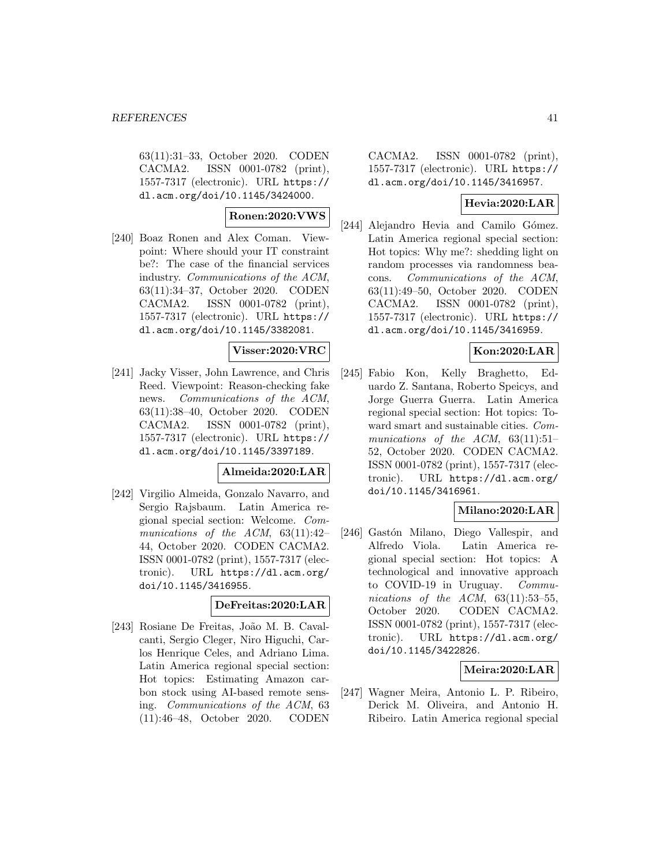63(11):31–33, October 2020. CODEN CACMA2. ISSN 0001-0782 (print), 1557-7317 (electronic). URL https:// dl.acm.org/doi/10.1145/3424000.

# **Ronen:2020:VWS**

[240] Boaz Ronen and Alex Coman. Viewpoint: Where should your IT constraint be?: The case of the financial services industry. Communications of the ACM, 63(11):34–37, October 2020. CODEN CACMA2. ISSN 0001-0782 (print), 1557-7317 (electronic). URL https:// dl.acm.org/doi/10.1145/3382081.

### **Visser:2020:VRC**

[241] Jacky Visser, John Lawrence, and Chris Reed. Viewpoint: Reason-checking fake news. Communications of the ACM, 63(11):38–40, October 2020. CODEN CACMA2. ISSN 0001-0782 (print), 1557-7317 (electronic). URL https:// dl.acm.org/doi/10.1145/3397189.

### **Almeida:2020:LAR**

[242] Virgilio Almeida, Gonzalo Navarro, and Sergio Rajsbaum. Latin America regional special section: Welcome. Communications of the ACM, 63(11):42– 44, October 2020. CODEN CACMA2. ISSN 0001-0782 (print), 1557-7317 (electronic). URL https://dl.acm.org/ doi/10.1145/3416955.

### **DeFreitas:2020:LAR**

[243] Rosiane De Freitas, João M. B. Cavalcanti, Sergio Cleger, Niro Higuchi, Carlos Henrique Celes, and Adriano Lima. Latin America regional special section: Hot topics: Estimating Amazon carbon stock using AI-based remote sensing. Communications of the ACM, 63 (11):46–48, October 2020. CODEN

CACMA2. ISSN 0001-0782 (print), 1557-7317 (electronic). URL https:// dl.acm.org/doi/10.1145/3416957.

## **Hevia:2020:LAR**

[244] Alejandro Hevia and Camilo Gómez. Latin America regional special section: Hot topics: Why me?: shedding light on random processes via randomness beacons. Communications of the ACM, 63(11):49–50, October 2020. CODEN CACMA2. ISSN 0001-0782 (print), 1557-7317 (electronic). URL https:// dl.acm.org/doi/10.1145/3416959.

## **Kon:2020:LAR**

[245] Fabio Kon, Kelly Braghetto, Eduardo Z. Santana, Roberto Speicys, and Jorge Guerra Guerra. Latin America regional special section: Hot topics: Toward smart and sustainable cities. Communications of the ACM,  $63(11):51-$ 52, October 2020. CODEN CACMA2. ISSN 0001-0782 (print), 1557-7317 (electronic). URL https://dl.acm.org/ doi/10.1145/3416961.

### **Milano:2020:LAR**

[246] Gastón Milano, Diego Vallespir, and Alfredo Viola. Latin America regional special section: Hot topics: A technological and innovative approach to COVID-19 in Uruguay. *Commu*nications of the ACM,  $63(11):53-55$ , October 2020. CODEN CACMA2. ISSN 0001-0782 (print), 1557-7317 (electronic). URL https://dl.acm.org/ doi/10.1145/3422826.

### **Meira:2020:LAR**

[247] Wagner Meira, Antonio L. P. Ribeiro, Derick M. Oliveira, and Antonio H. Ribeiro. Latin America regional special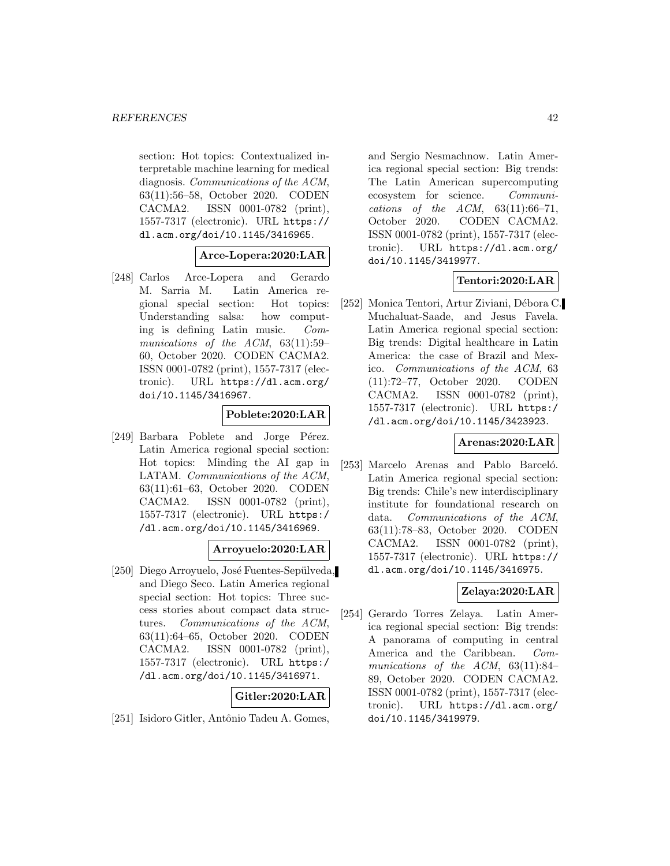section: Hot topics: Contextualized interpretable machine learning for medical diagnosis. Communications of the ACM, 63(11):56–58, October 2020. CODEN CACMA2. ISSN 0001-0782 (print), 1557-7317 (electronic). URL https:// dl.acm.org/doi/10.1145/3416965.

## **Arce-Lopera:2020:LAR**

[248] Carlos Arce-Lopera and Gerardo M. Sarria M. Latin America regional special section: Hot topics: Understanding salsa: how computing is defining Latin music. Communications of the ACM, 63(11):59– 60, October 2020. CODEN CACMA2. ISSN 0001-0782 (print), 1557-7317 (electronic). URL https://dl.acm.org/ doi/10.1145/3416967.

# **Poblete:2020:LAR**

[249] Barbara Poblete and Jorge Pérez. Latin America regional special section: Hot topics: Minding the AI gap in LATAM. Communications of the ACM, 63(11):61–63, October 2020. CODEN CACMA2. ISSN 0001-0782 (print), 1557-7317 (electronic). URL https:/ /dl.acm.org/doi/10.1145/3416969.

## **Arroyuelo:2020:LAR**

[250] Diego Arroyuelo, José Fuentes-Sepülveda, and Diego Seco. Latin America regional special section: Hot topics: Three success stories about compact data structures. Communications of the ACM, 63(11):64–65, October 2020. CODEN CACMA2. ISSN 0001-0782 (print), 1557-7317 (electronic). URL https:/ /dl.acm.org/doi/10.1145/3416971.

# **Gitler:2020:LAR**

[251] Isidoro Gitler, Antônio Tadeu A. Gomes,

and Sergio Nesmachnow. Latin America regional special section: Big trends: The Latin American supercomputing ecosystem for science. Communications of the ACM,  $63(11):66-71$ , October 2020. CODEN CACMA2. ISSN 0001-0782 (print), 1557-7317 (electronic). URL https://dl.acm.org/ doi/10.1145/3419977.

### **Tentori:2020:LAR**

[252] Monica Tentori, Artur Ziviani, Débora C. Muchaluat-Saade, and Jesus Favela. Latin America regional special section: Big trends: Digital healthcare in Latin America: the case of Brazil and Mexico. Communications of the ACM, 63 (11):72–77, October 2020. CODEN CACMA2. ISSN 0001-0782 (print), 1557-7317 (electronic). URL https:/ /dl.acm.org/doi/10.1145/3423923.

### **Arenas:2020:LAR**

[253] Marcelo Arenas and Pablo Barceló. Latin America regional special section: Big trends: Chile's new interdisciplinary institute for foundational research on data. Communications of the ACM, 63(11):78–83, October 2020. CODEN CACMA2. ISSN 0001-0782 (print), 1557-7317 (electronic). URL https:// dl.acm.org/doi/10.1145/3416975.

# **Zelaya:2020:LAR**

[254] Gerardo Torres Zelaya. Latin America regional special section: Big trends: A panorama of computing in central America and the Caribbean. Communications of the ACM, 63(11):84– 89, October 2020. CODEN CACMA2. ISSN 0001-0782 (print), 1557-7317 (electronic). URL https://dl.acm.org/ doi/10.1145/3419979.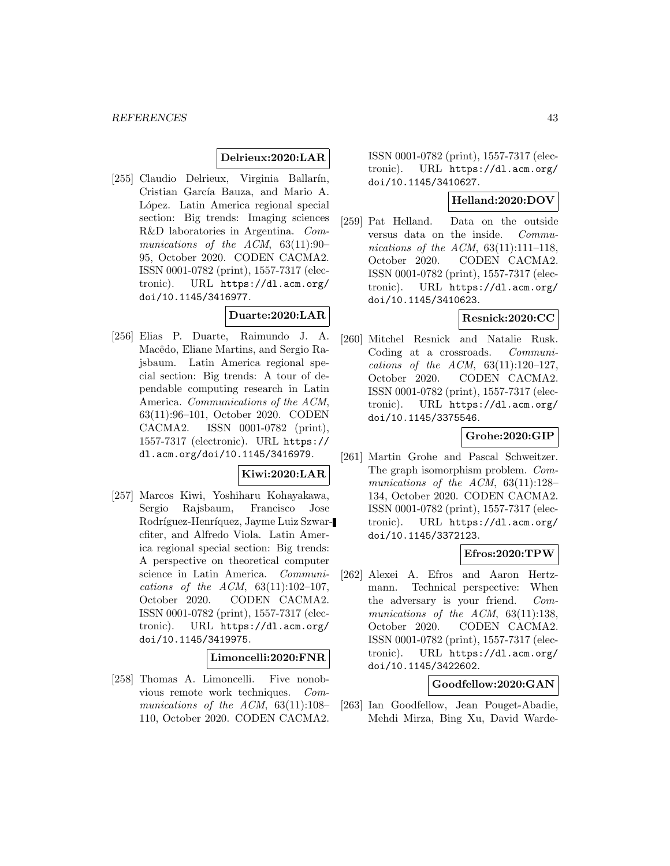### **Delrieux:2020:LAR**

[255] Claudio Delrieux, Virginia Ballarín, Cristian García Bauza, and Mario A. López. Latin America regional special section: Big trends: Imaging sciences R&D laboratories in Argentina. Communications of the ACM,  $63(11):90-$ 95, October 2020. CODEN CACMA2. ISSN 0001-0782 (print), 1557-7317 (electronic). URL https://dl.acm.org/ doi/10.1145/3416977.

# **Duarte:2020:LAR**

[256] Elias P. Duarte, Raimundo J. A. Macêdo, Eliane Martins, and Sergio Rajsbaum. Latin America regional special section: Big trends: A tour of dependable computing research in Latin America. Communications of the ACM, 63(11):96–101, October 2020. CODEN CACMA2. ISSN 0001-0782 (print), 1557-7317 (electronic). URL https:// dl.acm.org/doi/10.1145/3416979.

### **Kiwi:2020:LAR**

[257] Marcos Kiwi, Yoshiharu Kohayakawa, Sergio Rajsbaum, Francisco Jose Rodríguez-Henríquez, Jayme Luiz Szwarcfiter, and Alfredo Viola. Latin America regional special section: Big trends: A perspective on theoretical computer science in Latin America. Communications of the ACM,  $63(11):102-107$ , October 2020. CODEN CACMA2. ISSN 0001-0782 (print), 1557-7317 (electronic). URL https://dl.acm.org/ doi/10.1145/3419975.

### **Limoncelli:2020:FNR**

[258] Thomas A. Limoncelli. Five nonobvious remote work techniques. Communications of the ACM, 63(11):108– 110, October 2020. CODEN CACMA2.

ISSN 0001-0782 (print), 1557-7317 (electronic). URL https://dl.acm.org/ doi/10.1145/3410627.

# **Helland:2020:DOV**

[259] Pat Helland. Data on the outside versus data on the inside. Communications of the ACM,  $63(11):111-118$ , October 2020. CODEN CACMA2. ISSN 0001-0782 (print), 1557-7317 (electronic). URL https://dl.acm.org/ doi/10.1145/3410623.

### **Resnick:2020:CC**

[260] Mitchel Resnick and Natalie Rusk. Coding at a crossroads. Communications of the ACM,  $63(11):120-127$ , October 2020. CODEN CACMA2. ISSN 0001-0782 (print), 1557-7317 (electronic). URL https://dl.acm.org/ doi/10.1145/3375546.

# **Grohe:2020:GIP**

[261] Martin Grohe and Pascal Schweitzer. The graph isomorphism problem. Communications of the ACM, 63(11):128– 134, October 2020. CODEN CACMA2. ISSN 0001-0782 (print), 1557-7317 (electronic). URL https://dl.acm.org/ doi/10.1145/3372123.

### **Efros:2020:TPW**

[262] Alexei A. Efros and Aaron Hertzmann. Technical perspective: When the adversary is your friend. Communications of the ACM, 63(11):138, October 2020. CODEN CACMA2. ISSN 0001-0782 (print), 1557-7317 (electronic). URL https://dl.acm.org/ doi/10.1145/3422602.

## **Goodfellow:2020:GAN**

[263] Ian Goodfellow, Jean Pouget-Abadie, Mehdi Mirza, Bing Xu, David Warde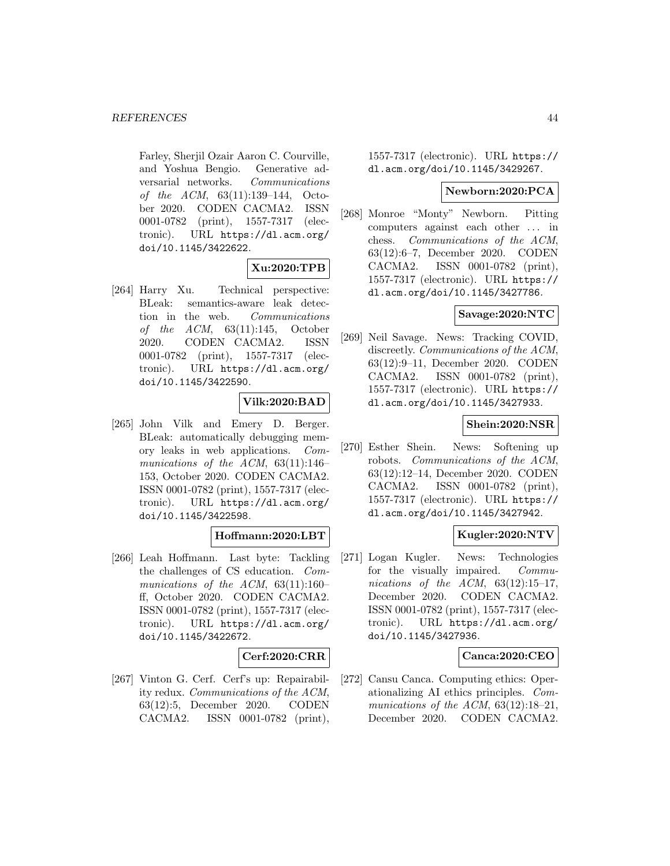Farley, Sherjil Ozair Aaron C. Courville, and Yoshua Bengio. Generative adversarial networks. Communications of the ACM, 63(11):139–144, October 2020. CODEN CACMA2. ISSN 0001-0782 (print), 1557-7317 (electronic). URL https://dl.acm.org/ doi/10.1145/3422622.

# **Xu:2020:TPB**

[264] Harry Xu. Technical perspective: BLeak: semantics-aware leak detection in the web. Communications of the  $ACM$ ,  $63(11):145$ , October 2020. CODEN CACMA2. ISSN 0001-0782 (print), 1557-7317 (electronic). URL https://dl.acm.org/ doi/10.1145/3422590.

### **Vilk:2020:BAD**

[265] John Vilk and Emery D. Berger. BLeak: automatically debugging memory leaks in web applications. Communications of the ACM,  $63(11):146-$ 153, October 2020. CODEN CACMA2. ISSN 0001-0782 (print), 1557-7317 (electronic). URL https://dl.acm.org/ doi/10.1145/3422598.

### **Hoffmann:2020:LBT**

[266] Leah Hoffmann. Last byte: Tackling the challenges of CS education. Communications of the ACM, 63(11):160– ff, October 2020. CODEN CACMA2. ISSN 0001-0782 (print), 1557-7317 (electronic). URL https://dl.acm.org/ doi/10.1145/3422672.

### **Cerf:2020:CRR**

[267] Vinton G. Cerf. Cerf's up: Repairability redux. Communications of the ACM, 63(12):5, December 2020. CODEN CACMA2. ISSN 0001-0782 (print),

1557-7317 (electronic). URL https:// dl.acm.org/doi/10.1145/3429267.

### **Newborn:2020:PCA**

[268] Monroe "Monty" Newborn. Pitting computers against each other ... in chess. Communications of the ACM, 63(12):6–7, December 2020. CODEN CACMA2. ISSN 0001-0782 (print), 1557-7317 (electronic). URL https:// dl.acm.org/doi/10.1145/3427786.

### **Savage:2020:NTC**

[269] Neil Savage. News: Tracking COVID, discreetly. Communications of the ACM, 63(12):9–11, December 2020. CODEN CACMA2. ISSN 0001-0782 (print), 1557-7317 (electronic). URL https:// dl.acm.org/doi/10.1145/3427933.

### **Shein:2020:NSR**

[270] Esther Shein. News: Softening up robots. Communications of the ACM, 63(12):12–14, December 2020. CODEN CACMA2. ISSN 0001-0782 (print), 1557-7317 (electronic). URL https:// dl.acm.org/doi/10.1145/3427942.

### **Kugler:2020:NTV**

[271] Logan Kugler. News: Technologies for the visually impaired. Communications of the ACM,  $63(12):15-17$ , December 2020. CODEN CACMA2. ISSN 0001-0782 (print), 1557-7317 (electronic). URL https://dl.acm.org/ doi/10.1145/3427936.

### **Canca:2020:CEO**

[272] Cansu Canca. Computing ethics: Operationalizing AI ethics principles. Communications of the ACM,  $63(12):18-21$ , December 2020. CODEN CACMA2.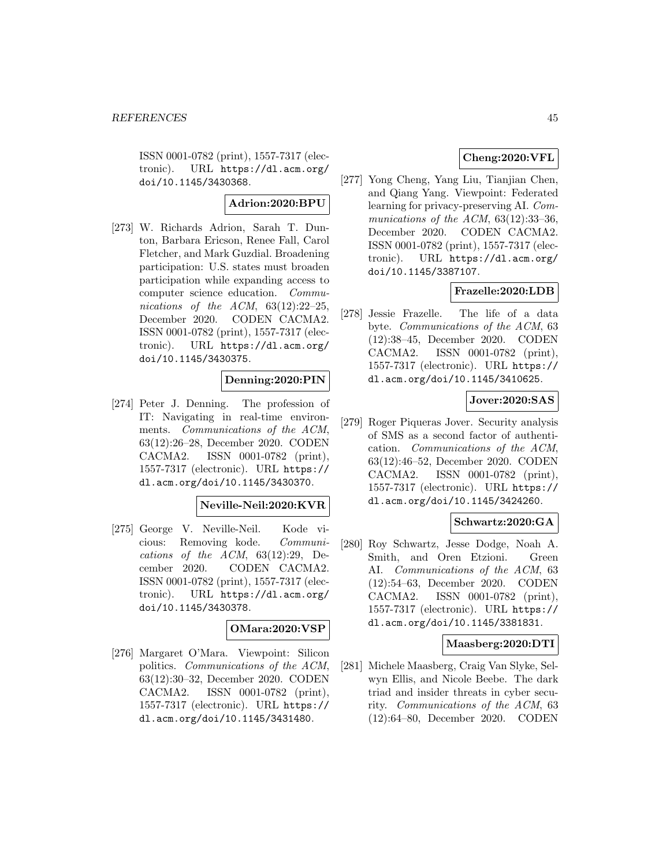ISSN 0001-0782 (print), 1557-7317 (electronic). URL https://dl.acm.org/ doi/10.1145/3430368.

### **Adrion:2020:BPU**

[273] W. Richards Adrion, Sarah T. Dunton, Barbara Ericson, Renee Fall, Carol Fletcher, and Mark Guzdial. Broadening participation: U.S. states must broaden participation while expanding access to computer science education. Communications of the ACM,  $63(12):22-25$ , December 2020. CODEN CACMA2. ISSN 0001-0782 (print), 1557-7317 (electronic). URL https://dl.acm.org/ doi/10.1145/3430375.

### **Denning:2020:PIN**

[274] Peter J. Denning. The profession of IT: Navigating in real-time environments. Communications of the ACM, 63(12):26–28, December 2020. CODEN CACMA2. ISSN 0001-0782 (print), 1557-7317 (electronic). URL https:// dl.acm.org/doi/10.1145/3430370.

#### **Neville-Neil:2020:KVR**

[275] George V. Neville-Neil. Kode vicious: Removing kode. Communications of the  $ACM$ ,  $63(12):29$ , December 2020. CODEN CACMA2. ISSN 0001-0782 (print), 1557-7317 (electronic). URL https://dl.acm.org/ doi/10.1145/3430378.

### **OMara:2020:VSP**

[276] Margaret O'Mara. Viewpoint: Silicon politics. Communications of the ACM, 63(12):30–32, December 2020. CODEN CACMA2. ISSN 0001-0782 (print), 1557-7317 (electronic). URL https:// dl.acm.org/doi/10.1145/3431480.

### **Cheng:2020:VFL**

[277] Yong Cheng, Yang Liu, Tianjian Chen, and Qiang Yang. Viewpoint: Federated learning for privacy-preserving AI. Communications of the ACM,  $63(12):33-36$ , December 2020. CODEN CACMA2. ISSN 0001-0782 (print), 1557-7317 (electronic). URL https://dl.acm.org/ doi/10.1145/3387107.

# **Frazelle:2020:LDB**

[278] Jessie Frazelle. The life of a data byte. Communications of the ACM, 63 (12):38–45, December 2020. CODEN CACMA2. ISSN 0001-0782 (print), 1557-7317 (electronic). URL https:// dl.acm.org/doi/10.1145/3410625.

# **Jover:2020:SAS**

[279] Roger Piqueras Jover. Security analysis of SMS as a second factor of authentication. Communications of the ACM, 63(12):46–52, December 2020. CODEN CACMA2. ISSN 0001-0782 (print), 1557-7317 (electronic). URL https:// dl.acm.org/doi/10.1145/3424260.

### **Schwartz:2020:GA**

[280] Roy Schwartz, Jesse Dodge, Noah A. Smith, and Oren Etzioni. Green AI. Communications of the ACM, 63 (12):54–63, December 2020. CODEN CACMA2. ISSN 0001-0782 (print), 1557-7317 (electronic). URL https:// dl.acm.org/doi/10.1145/3381831.

#### **Maasberg:2020:DTI**

[281] Michele Maasberg, Craig Van Slyke, Selwyn Ellis, and Nicole Beebe. The dark triad and insider threats in cyber security. Communications of the ACM, 63 (12):64–80, December 2020. CODEN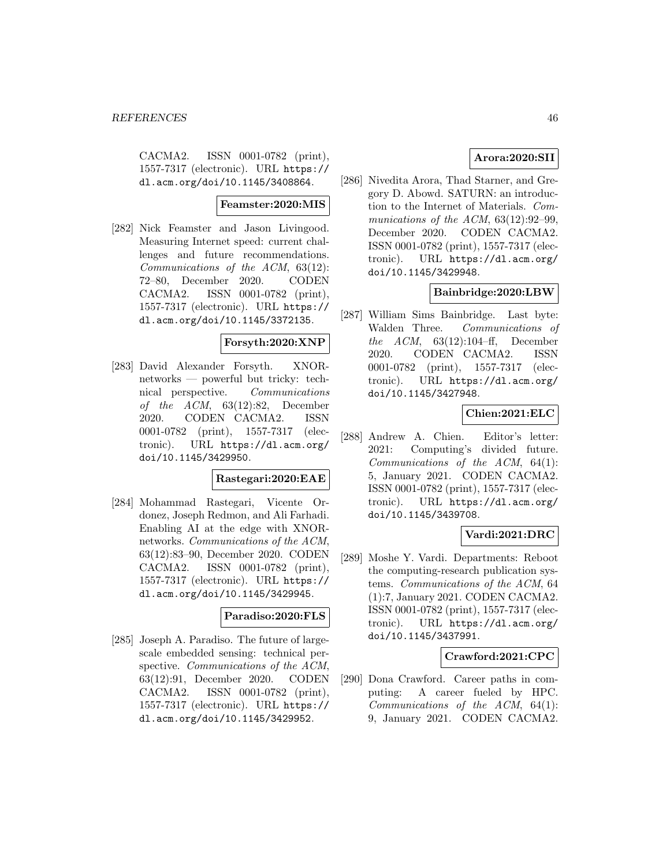CACMA2. ISSN 0001-0782 (print), 1557-7317 (electronic). URL https:// dl.acm.org/doi/10.1145/3408864.

### **Feamster:2020:MIS**

[282] Nick Feamster and Jason Livingood. Measuring Internet speed: current challenges and future recommendations. Communications of the ACM, 63(12): 72–80, December 2020. CODEN CACMA2. ISSN 0001-0782 (print), 1557-7317 (electronic). URL https:// dl.acm.org/doi/10.1145/3372135.

### **Forsyth:2020:XNP**

[283] David Alexander Forsyth. XNORnetworks — powerful but tricky: technical perspective. Communications of the  $ACM$ ,  $63(12):82$ , December 2020. CODEN CACMA2. ISSN 0001-0782 (print), 1557-7317 (electronic). URL https://dl.acm.org/ doi/10.1145/3429950.

#### **Rastegari:2020:EAE**

[284] Mohammad Rastegari, Vicente Ordonez, Joseph Redmon, and Ali Farhadi. Enabling AI at the edge with XNORnetworks. Communications of the ACM, 63(12):83–90, December 2020. CODEN CACMA2. ISSN 0001-0782 (print), 1557-7317 (electronic). URL https:// dl.acm.org/doi/10.1145/3429945.

#### **Paradiso:2020:FLS**

[285] Joseph A. Paradiso. The future of largescale embedded sensing: technical perspective. Communications of the ACM, 63(12):91, December 2020. CODEN CACMA2. ISSN 0001-0782 (print), 1557-7317 (electronic). URL https:// dl.acm.org/doi/10.1145/3429952.

## **Arora:2020:SII**

[286] Nivedita Arora, Thad Starner, and Gregory D. Abowd. SATURN: an introduction to the Internet of Materials. Communications of the ACM, 63(12):92–99. December 2020. CODEN CACMA2. ISSN 0001-0782 (print), 1557-7317 (electronic). URL https://dl.acm.org/ doi/10.1145/3429948.

# **Bainbridge:2020:LBW**

[287] William Sims Bainbridge. Last byte: Walden Three. Communications of the  $ACM$ ,  $63(12):104$ -ff, December 2020. CODEN CACMA2. ISSN 0001-0782 (print), 1557-7317 (electronic). URL https://dl.acm.org/ doi/10.1145/3427948.

## **Chien:2021:ELC**

[288] Andrew A. Chien. Editor's letter: 2021: Computing's divided future. Communications of the ACM, 64(1): 5, January 2021. CODEN CACMA2. ISSN 0001-0782 (print), 1557-7317 (electronic). URL https://dl.acm.org/ doi/10.1145/3439708.

## **Vardi:2021:DRC**

[289] Moshe Y. Vardi. Departments: Reboot the computing-research publication systems. Communications of the ACM, 64 (1):7, January 2021. CODEN CACMA2. ISSN 0001-0782 (print), 1557-7317 (electronic). URL https://dl.acm.org/ doi/10.1145/3437991.

### **Crawford:2021:CPC**

[290] Dona Crawford. Career paths in computing: A career fueled by HPC. Communications of the ACM, 64(1): 9, January 2021. CODEN CACMA2.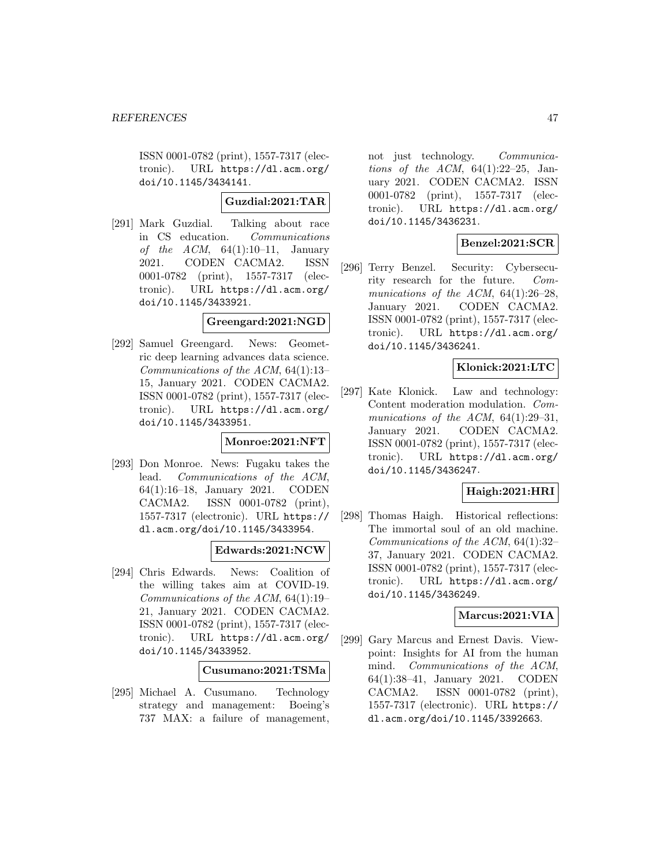ISSN 0001-0782 (print), 1557-7317 (electronic). URL https://dl.acm.org/ doi/10.1145/3434141.

### **Guzdial:2021:TAR**

[291] Mark Guzdial. Talking about race in CS education. Communications of the  $ACM$ ,  $64(1):10-11$ , January 2021. CODEN CACMA2. ISSN 0001-0782 (print), 1557-7317 (electronic). URL https://dl.acm.org/ doi/10.1145/3433921.

#### **Greengard:2021:NGD**

[292] Samuel Greengard. News: Geometric deep learning advances data science. Communications of the ACM, 64(1):13– 15, January 2021. CODEN CACMA2. ISSN 0001-0782 (print), 1557-7317 (electronic). URL https://dl.acm.org/ doi/10.1145/3433951.

#### **Monroe:2021:NFT**

[293] Don Monroe. News: Fugaku takes the lead. Communications of the ACM, 64(1):16–18, January 2021. CODEN CACMA2. ISSN 0001-0782 (print), 1557-7317 (electronic). URL https:// dl.acm.org/doi/10.1145/3433954.

### **Edwards:2021:NCW**

[294] Chris Edwards. News: Coalition of the willing takes aim at COVID-19. Communications of the ACM, 64(1):19– 21, January 2021. CODEN CACMA2. ISSN 0001-0782 (print), 1557-7317 (electronic). URL https://dl.acm.org/ doi/10.1145/3433952.

### **Cusumano:2021:TSMa**

[295] Michael A. Cusumano. Technology strategy and management: Boeing's 737 MAX: a failure of management,

not just technology. Communications of the ACM,  $64(1):22-25$ , January 2021. CODEN CACMA2. ISSN 0001-0782 (print), 1557-7317 (electronic). URL https://dl.acm.org/ doi/10.1145/3436231.

## **Benzel:2021:SCR**

[296] Terry Benzel. Security: Cybersecurity research for the future. Communications of the ACM,  $64(1):26-28$ , January 2021. CODEN CACMA2. ISSN 0001-0782 (print), 1557-7317 (electronic). URL https://dl.acm.org/ doi/10.1145/3436241.

# **Klonick:2021:LTC**

[297] Kate Klonick. Law and technology: Content moderation modulation. Communications of the ACM,  $64(1):29-31$ , January 2021. CODEN CACMA2. ISSN 0001-0782 (print), 1557-7317 (electronic). URL https://dl.acm.org/ doi/10.1145/3436247.

### **Haigh:2021:HRI**

[298] Thomas Haigh. Historical reflections: The immortal soul of an old machine. Communications of the ACM, 64(1):32– 37, January 2021. CODEN CACMA2. ISSN 0001-0782 (print), 1557-7317 (electronic). URL https://dl.acm.org/ doi/10.1145/3436249.

### **Marcus:2021:VIA**

[299] Gary Marcus and Ernest Davis. Viewpoint: Insights for AI from the human mind. Communications of the ACM, 64(1):38–41, January 2021. CODEN CACMA2. ISSN 0001-0782 (print), 1557-7317 (electronic). URL https:// dl.acm.org/doi/10.1145/3392663.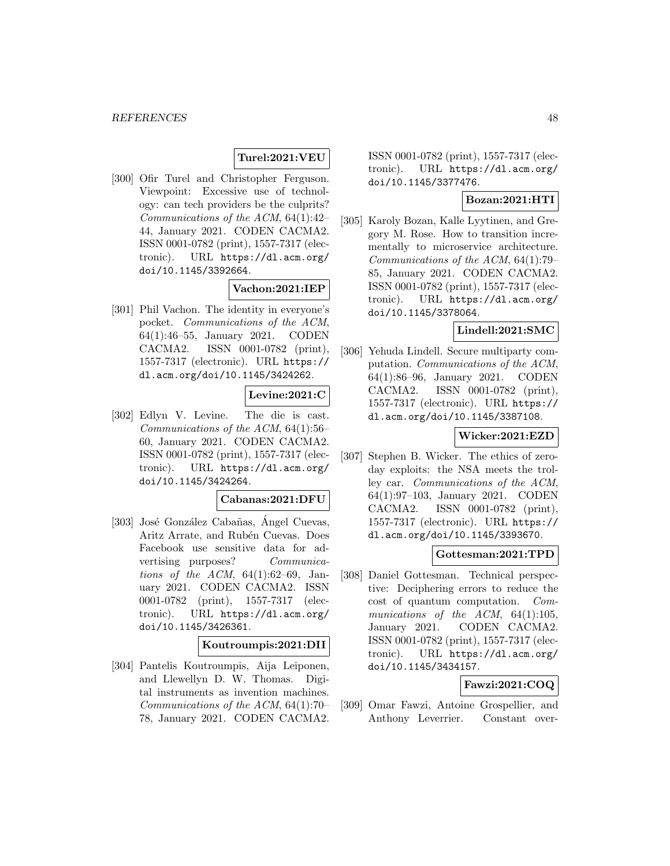### **Turel:2021:VEU**

[300] Ofir Turel and Christopher Ferguson. Viewpoint: Excessive use of technology: can tech providers be the culprits? Communications of the ACM, 64(1):42– 44, January 2021. CODEN CACMA2. ISSN 0001-0782 (print), 1557-7317 (electronic). URL https://dl.acm.org/ doi/10.1145/3392664.

#### **Vachon:2021:IEP**

[301] Phil Vachon. The identity in everyone's pocket. Communications of the ACM, 64(1):46–55, January 2021. CODEN CACMA2. ISSN 0001-0782 (print), 1557-7317 (electronic). URL https:// dl.acm.org/doi/10.1145/3424262.

# **Levine:2021:C**

[302] Edlyn V. Levine. The die is cast. Communications of the ACM, 64(1):56– 60, January 2021. CODEN CACMA2. ISSN 0001-0782 (print), 1557-7317 (electronic). URL https://dl.acm.org/ doi/10.1145/3424264.

#### **Cabanas:2021:DFU**

[303] José González Cabañas, Ángel Cuevas, Aritz Arrate, and Rubén Cuevas. Does Facebook use sensitive data for advertising purposes? Communications of the ACM,  $64(1):62-69$ , January 2021. CODEN CACMA2. ISSN 0001-0782 (print), 1557-7317 (electronic). URL https://dl.acm.org/ doi/10.1145/3426361.

## **Koutroumpis:2021:DII**

[304] Pantelis Koutroumpis, Aija Leiponen, and Llewellyn D. W. Thomas. Digital instruments as invention machines. Communications of the ACM, 64(1):70– 78, January 2021. CODEN CACMA2.

ISSN 0001-0782 (print), 1557-7317 (electronic). URL https://dl.acm.org/ doi/10.1145/3377476.

# **Bozan:2021:HTI**

[305] Karoly Bozan, Kalle Lyytinen, and Gregory M. Rose. How to transition incrementally to microservice architecture. Communications of the ACM, 64(1):79– 85, January 2021. CODEN CACMA2. ISSN 0001-0782 (print), 1557-7317 (electronic). URL https://dl.acm.org/ doi/10.1145/3378064.

### **Lindell:2021:SMC**

[306] Yehuda Lindell. Secure multiparty computation. Communications of the ACM, 64(1):86–96, January 2021. CODEN CACMA2. ISSN 0001-0782 (print), 1557-7317 (electronic). URL https:// dl.acm.org/doi/10.1145/3387108.

## **Wicker:2021:EZD**

[307] Stephen B. Wicker. The ethics of zeroday exploits: the NSA meets the trolley car. Communications of the ACM, 64(1):97–103, January 2021. CODEN CACMA2. ISSN 0001-0782 (print), 1557-7317 (electronic). URL https:// dl.acm.org/doi/10.1145/3393670.

#### **Gottesman:2021:TPD**

[308] Daniel Gottesman. Technical perspective: Deciphering errors to reduce the cost of quantum computation. Communications of the  $ACM$ ,  $64(1):105$ , January 2021. CODEN CACMA2. ISSN 0001-0782 (print), 1557-7317 (electronic). URL https://dl.acm.org/ doi/10.1145/3434157.

# **Fawzi:2021:COQ**

[309] Omar Fawzi, Antoine Grospellier, and Anthony Leverrier. Constant over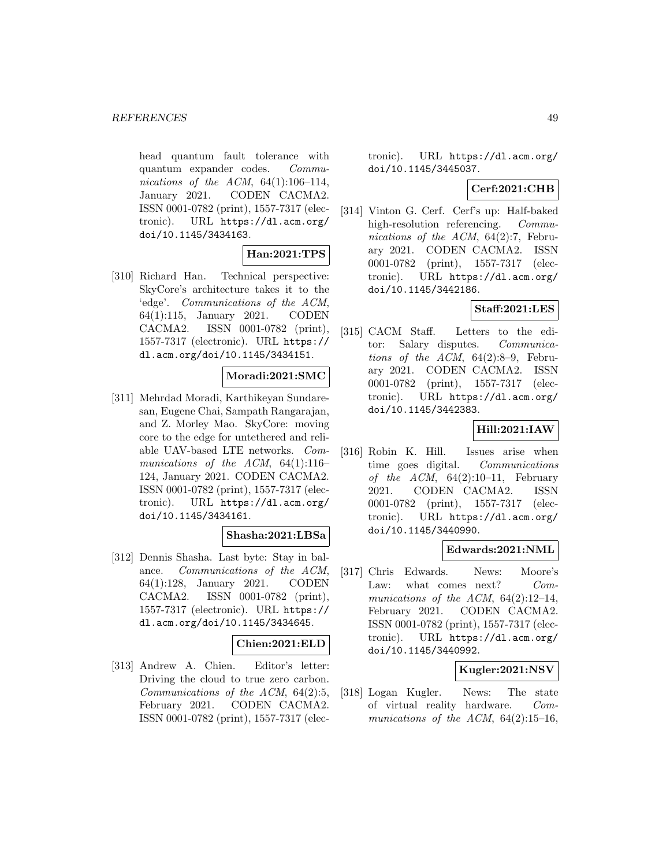head quantum fault tolerance with quantum expander codes. Communications of the ACM,  $64(1):106-114$ , January 2021. CODEN CACMA2. ISSN 0001-0782 (print), 1557-7317 (electronic). URL https://dl.acm.org/ doi/10.1145/3434163.

### **Han:2021:TPS**

[310] Richard Han. Technical perspective: SkyCore's architecture takes it to the 'edge'. Communications of the ACM, 64(1):115, January 2021. CODEN CACMA2. ISSN 0001-0782 (print), 1557-7317 (electronic). URL https:// dl.acm.org/doi/10.1145/3434151.

### **Moradi:2021:SMC**

[311] Mehrdad Moradi, Karthikeyan Sundaresan, Eugene Chai, Sampath Rangarajan, and Z. Morley Mao. SkyCore: moving core to the edge for untethered and reliable UAV-based LTE networks. Communications of the ACM, 64(1):116– 124, January 2021. CODEN CACMA2. ISSN 0001-0782 (print), 1557-7317 (electronic). URL https://dl.acm.org/ doi/10.1145/3434161.

### **Shasha:2021:LBSa**

[312] Dennis Shasha. Last byte: Stay in balance. Communications of the ACM, 64(1):128, January 2021. CODEN CACMA2. ISSN 0001-0782 (print), 1557-7317 (electronic). URL https:// dl.acm.org/doi/10.1145/3434645.

# **Chien:2021:ELD**

[313] Andrew A. Chien. Editor's letter: Driving the cloud to true zero carbon. Communications of the ACM, 64(2):5, February 2021. CODEN CACMA2. ISSN 0001-0782 (print), 1557-7317 (electronic). URL https://dl.acm.org/ doi/10.1145/3445037.

# **Cerf:2021:CHB**

[314] Vinton G. Cerf. Cerf's up: Half-baked high-resolution referencing. Communications of the ACM, 64(2):7, February 2021. CODEN CACMA2. ISSN 0001-0782 (print), 1557-7317 (electronic). URL https://dl.acm.org/ doi/10.1145/3442186.

# **Staff:2021:LES**

[315] CACM Staff. Letters to the editor: Salary disputes. Communications of the  $ACM$ ,  $64(2):8-9$ , February 2021. CODEN CACMA2. ISSN 0001-0782 (print), 1557-7317 (electronic). URL https://dl.acm.org/ doi/10.1145/3442383.

# **Hill:2021:IAW**

[316] Robin K. Hill. Issues arise when time goes digital. Communications of the  $ACM$ ,  $64(2):10-11$ , February 2021. CODEN CACMA2. ISSN 0001-0782 (print), 1557-7317 (electronic). URL https://dl.acm.org/ doi/10.1145/3440990.

### **Edwards:2021:NML**

[317] Chris Edwards. News: Moore's Law: what comes next? Communications of the ACM,  $64(2):12-14$ , February 2021. CODEN CACMA2. ISSN 0001-0782 (print), 1557-7317 (electronic). URL https://dl.acm.org/ doi/10.1145/3440992.

### **Kugler:2021:NSV**

[318] Logan Kugler. News: The state of virtual reality hardware. Communications of the ACM,  $64(2):15-16$ ,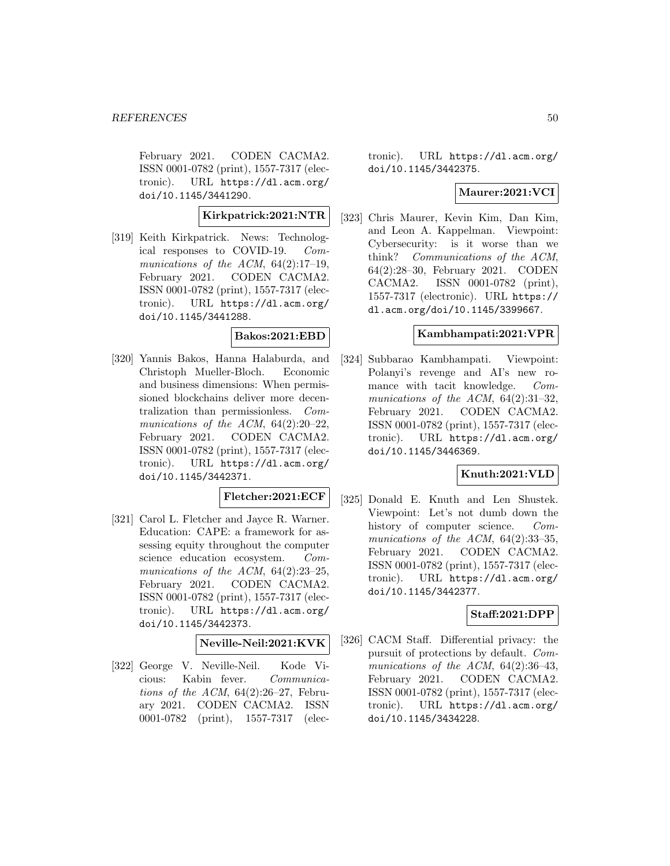February 2021. CODEN CACMA2. ISSN 0001-0782 (print), 1557-7317 (electronic). URL https://dl.acm.org/ doi/10.1145/3441290.

**Kirkpatrick:2021:NTR**

[319] Keith Kirkpatrick. News: Technological responses to COVID-19. Communications of the ACM, 64(2):17-19, February 2021. CODEN CACMA2. ISSN 0001-0782 (print), 1557-7317 (electronic). URL https://dl.acm.org/ doi/10.1145/3441288.

## **Bakos:2021:EBD**

[320] Yannis Bakos, Hanna Halaburda, and Christoph Mueller-Bloch. Economic and business dimensions: When permissioned blockchains deliver more decentralization than permissionless. Communications of the ACM,  $64(2):20-22$ , February 2021. CODEN CACMA2. ISSN 0001-0782 (print), 1557-7317 (electronic). URL https://dl.acm.org/ doi/10.1145/3442371.

# **Fletcher:2021:ECF**

[321] Carol L. Fletcher and Jayce R. Warner. Education: CAPE: a framework for assessing equity throughout the computer science education ecosystem. Communications of the ACM, 64(2):23-25, February 2021. CODEN CACMA2. ISSN 0001-0782 (print), 1557-7317 (electronic). URL https://dl.acm.org/ doi/10.1145/3442373.

#### **Neville-Neil:2021:KVK**

[322] George V. Neville-Neil. Kode Vicious: Kabin fever. Communications of the ACM,  $64(2):26-27$ , February 2021. CODEN CACMA2. ISSN 0001-0782 (print), 1557-7317 (electronic). URL https://dl.acm.org/ doi/10.1145/3442375.

# **Maurer:2021:VCI**

[323] Chris Maurer, Kevin Kim, Dan Kim, and Leon A. Kappelman. Viewpoint: Cybersecurity: is it worse than we think? Communications of the ACM, 64(2):28–30, February 2021. CODEN CACMA2. ISSN 0001-0782 (print), 1557-7317 (electronic). URL https:// dl.acm.org/doi/10.1145/3399667.

### **Kambhampati:2021:VPR**

[324] Subbarao Kambhampati. Viewpoint: Polanyi's revenge and AI's new romance with tacit knowledge. Communications of the ACM,  $64(2):31-32$ , February 2021. CODEN CACMA2. ISSN 0001-0782 (print), 1557-7317 (electronic). URL https://dl.acm.org/ doi/10.1145/3446369.

### **Knuth:2021:VLD**

[325] Donald E. Knuth and Len Shustek. Viewpoint: Let's not dumb down the history of computer science. Communications of the ACM,  $64(2):33-35$ , February 2021. CODEN CACMA2. ISSN 0001-0782 (print), 1557-7317 (electronic). URL https://dl.acm.org/ doi/10.1145/3442377.

# **Staff:2021:DPP**

[326] CACM Staff. Differential privacy: the pursuit of protections by default. Communications of the ACM, 64(2):36-43, February 2021. CODEN CACMA2. ISSN 0001-0782 (print), 1557-7317 (electronic). URL https://dl.acm.org/ doi/10.1145/3434228.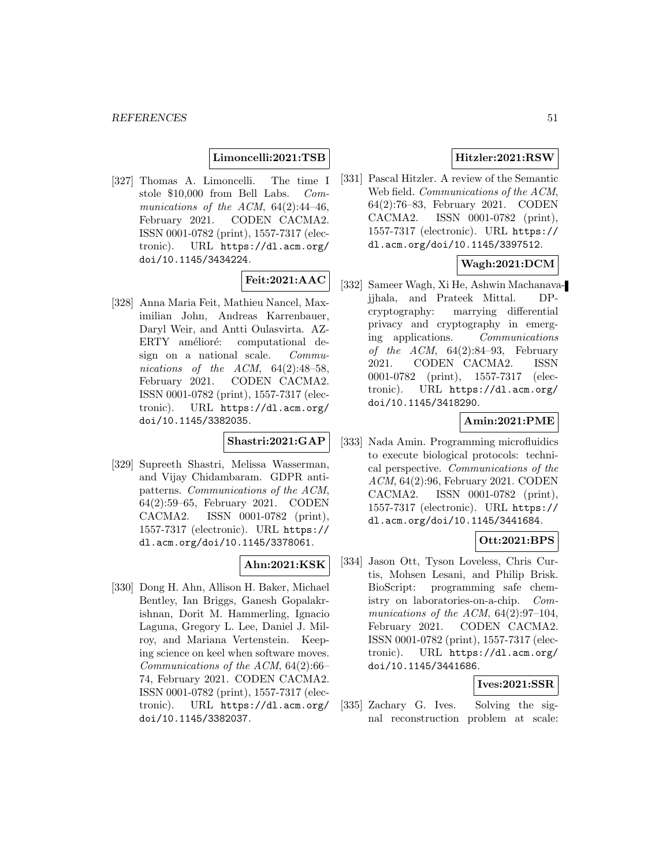### **Limoncelli:2021:TSB**

[327] Thomas A. Limoncelli. The time I stole \$10,000 from Bell Labs. Communications of the ACM,  $64(2):44-46$ , February 2021. CODEN CACMA2. ISSN 0001-0782 (print), 1557-7317 (electronic). URL https://dl.acm.org/ doi/10.1145/3434224.

# **Feit:2021:AAC**

[328] Anna Maria Feit, Mathieu Nancel, Maximilian John, Andreas Karrenbauer, Daryl Weir, and Antti Oulasvirta. AZ-ERTY amélioré: computational design on a national scale. Communications of the  $ACM$ ,  $64(2):48-58$ , February 2021. CODEN CACMA2. ISSN 0001-0782 (print), 1557-7317 (electronic). URL https://dl.acm.org/ doi/10.1145/3382035.

#### **Shastri:2021:GAP**

[329] Supreeth Shastri, Melissa Wasserman, and Vijay Chidambaram. GDPR antipatterns. Communications of the ACM, 64(2):59–65, February 2021. CODEN CACMA2. ISSN 0001-0782 (print), 1557-7317 (electronic). URL https:// dl.acm.org/doi/10.1145/3378061.

# **Ahn:2021:KSK**

[330] Dong H. Ahn, Allison H. Baker, Michael Bentley, Ian Briggs, Ganesh Gopalakrishnan, Dorit M. Hammerling, Ignacio Laguna, Gregory L. Lee, Daniel J. Milroy, and Mariana Vertenstein. Keeping science on keel when software moves. Communications of the ACM, 64(2):66– 74, February 2021. CODEN CACMA2. ISSN 0001-0782 (print), 1557-7317 (electronic). URL https://dl.acm.org/ doi/10.1145/3382037.

# **Hitzler:2021:RSW**

[331] Pascal Hitzler. A review of the Semantic Web field. Communications of the ACM, 64(2):76–83, February 2021. CODEN CACMA2. ISSN 0001-0782 (print), 1557-7317 (electronic). URL https:// dl.acm.org/doi/10.1145/3397512.

# **Wagh:2021:DCM**

[332] Sameer Wagh, Xi He, Ashwin Machanavajjhala, and Prateek Mittal. DPcryptography: marrying differential privacy and cryptography in emerging applications. Communications of the  $ACM$ ,  $64(2):84-93$ , February 2021. CODEN CACMA2. ISSN 0001-0782 (print), 1557-7317 (electronic). URL https://dl.acm.org/ doi/10.1145/3418290.

### **Amin:2021:PME**

[333] Nada Amin. Programming microfluidics to execute biological protocols: technical perspective. Communications of the ACM, 64(2):96, February 2021. CODEN CACMA2. ISSN 0001-0782 (print), 1557-7317 (electronic). URL https:// dl.acm.org/doi/10.1145/3441684.

# **Ott:2021:BPS**

[334] Jason Ott, Tyson Loveless, Chris Curtis, Mohsen Lesani, and Philip Brisk. BioScript: programming safe chemistry on laboratories-on-a-chip. Communications of the ACM, 64(2):97-104, February 2021. CODEN CACMA2. ISSN 0001-0782 (print), 1557-7317 (electronic). URL https://dl.acm.org/ doi/10.1145/3441686.

## **Ives:2021:SSR**

[335] Zachary G. Ives. Solving the signal reconstruction problem at scale: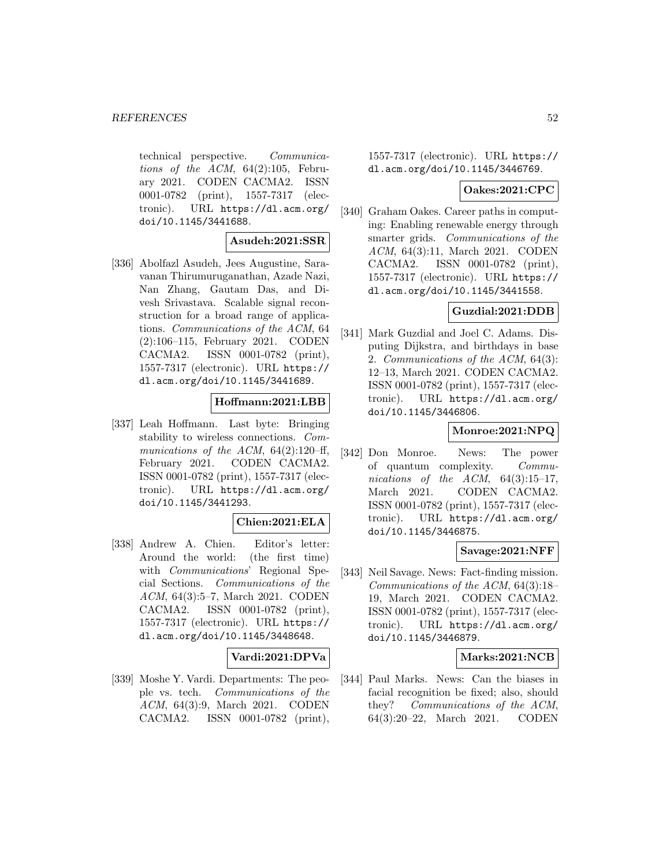technical perspective. Communications of the ACM,  $64(2):105$ , February 2021. CODEN CACMA2. ISSN 0001-0782 (print), 1557-7317 (electronic). URL https://dl.acm.org/ doi/10.1145/3441688.

### **Asudeh:2021:SSR**

[336] Abolfazl Asudeh, Jees Augustine, Saravanan Thirumuruganathan, Azade Nazi, Nan Zhang, Gautam Das, and Divesh Srivastava. Scalable signal reconstruction for a broad range of applications. Communications of the ACM, 64 (2):106–115, February 2021. CODEN CACMA2. ISSN 0001-0782 (print), 1557-7317 (electronic). URL https:// dl.acm.org/doi/10.1145/3441689.

### **Hoffmann:2021:LBB**

[337] Leah Hoffmann. Last byte: Bringing stability to wireless connections. Communications of the ACM,  $64(2):120–ff$ , February 2021. CODEN CACMA2. ISSN 0001-0782 (print), 1557-7317 (electronic). URL https://dl.acm.org/ doi/10.1145/3441293.

### **Chien:2021:ELA**

[338] Andrew A. Chien. Editor's letter: Around the world: (the first time) with Communications' Regional Special Sections. Communications of the ACM, 64(3):5–7, March 2021. CODEN CACMA2. ISSN 0001-0782 (print), 1557-7317 (electronic). URL https:// dl.acm.org/doi/10.1145/3448648.

### **Vardi:2021:DPVa**

[339] Moshe Y. Vardi. Departments: The people vs. tech. Communications of the ACM, 64(3):9, March 2021. CODEN CACMA2. ISSN 0001-0782 (print),

1557-7317 (electronic). URL https:// dl.acm.org/doi/10.1145/3446769.

### **Oakes:2021:CPC**

[340] Graham Oakes. Career paths in computing: Enabling renewable energy through smarter grids. Communications of the ACM, 64(3):11, March 2021. CODEN CACMA2. ISSN 0001-0782 (print), 1557-7317 (electronic). URL https:// dl.acm.org/doi/10.1145/3441558.

### **Guzdial:2021:DDB**

[341] Mark Guzdial and Joel C. Adams. Disputing Dijkstra, and birthdays in base 2. Communications of the ACM, 64(3): 12–13, March 2021. CODEN CACMA2. ISSN 0001-0782 (print), 1557-7317 (electronic). URL https://dl.acm.org/ doi/10.1145/3446806.

### **Monroe:2021:NPQ**

[342] Don Monroe. News: The power of quantum complexity. Communications of the ACM,  $64(3):15-17$ , March 2021. CODEN CACMA2. ISSN 0001-0782 (print), 1557-7317 (electronic). URL https://dl.acm.org/ doi/10.1145/3446875.

#### **Savage:2021:NFF**

[343] Neil Savage. News: Fact-finding mission. Communications of the ACM, 64(3):18– 19, March 2021. CODEN CACMA2. ISSN 0001-0782 (print), 1557-7317 (electronic). URL https://dl.acm.org/ doi/10.1145/3446879.

#### **Marks:2021:NCB**

[344] Paul Marks. News: Can the biases in facial recognition be fixed; also, should they? Communications of the ACM, 64(3):20–22, March 2021. CODEN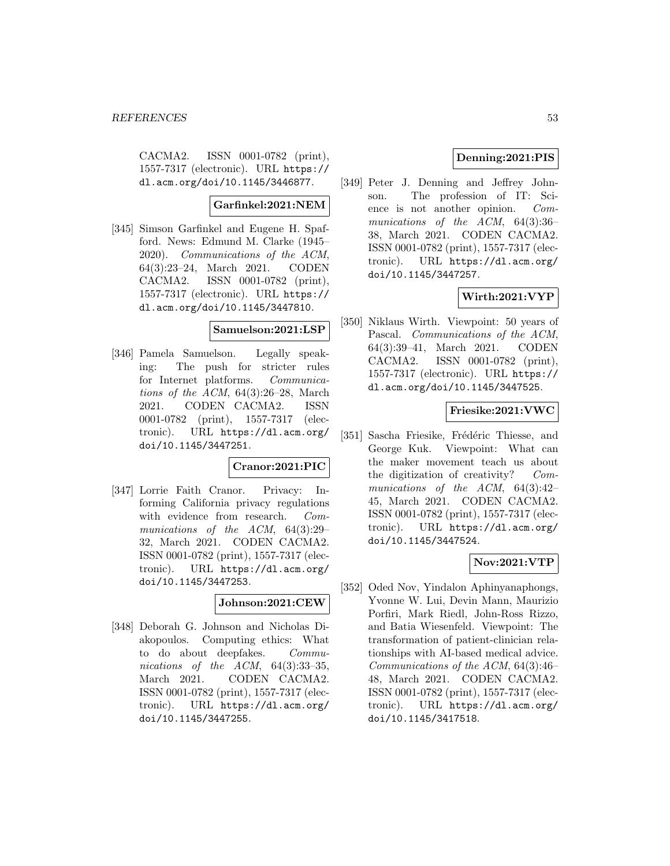CACMA2. ISSN 0001-0782 (print), 1557-7317 (electronic). URL https:// dl.acm.org/doi/10.1145/3446877.

### **Garfinkel:2021:NEM**

[345] Simson Garfinkel and Eugene H. Spafford. News: Edmund M. Clarke (1945– 2020). Communications of the ACM, 64(3):23–24, March 2021. CODEN CACMA2. ISSN 0001-0782 (print), 1557-7317 (electronic). URL https:// dl.acm.org/doi/10.1145/3447810.

### **Samuelson:2021:LSP**

[346] Pamela Samuelson. Legally speaking: The push for stricter rules for Internet platforms. Communications of the ACM,  $64(3):26-28$ , March 2021. CODEN CACMA2. ISSN 0001-0782 (print), 1557-7317 (electronic). URL https://dl.acm.org/ doi/10.1145/3447251.

### **Cranor:2021:PIC**

[347] Lorrie Faith Cranor. Privacy: Informing California privacy regulations with evidence from research. Communications of the ACM, 64(3):29– 32, March 2021. CODEN CACMA2. ISSN 0001-0782 (print), 1557-7317 (electronic). URL https://dl.acm.org/ doi/10.1145/3447253.

### **Johnson:2021:CEW**

[348] Deborah G. Johnson and Nicholas Diakopoulos. Computing ethics: What to do about deepfakes. Communications of the  $ACM$ ,  $64(3):33-35$ , March 2021. CODEN CACMA2. ISSN 0001-0782 (print), 1557-7317 (electronic). URL https://dl.acm.org/ doi/10.1145/3447255.

## **Denning:2021:PIS**

[349] Peter J. Denning and Jeffrey Johnson. The profession of IT: Science is not another opinion. Communications of the ACM, 64(3):36– 38, March 2021. CODEN CACMA2. ISSN 0001-0782 (print), 1557-7317 (electronic). URL https://dl.acm.org/ doi/10.1145/3447257.

## **Wirth:2021:VYP**

[350] Niklaus Wirth. Viewpoint: 50 years of Pascal. Communications of the ACM, 64(3):39–41, March 2021. CODEN CACMA2. ISSN 0001-0782 (print), 1557-7317 (electronic). URL https:// dl.acm.org/doi/10.1145/3447525.

### **Friesike:2021:VWC**

[351] Sascha Friesike, Frédéric Thiesse, and George Kuk. Viewpoint: What can the maker movement teach us about the digitization of creativity? Communications of the ACM, 64(3):42– 45, March 2021. CODEN CACMA2. ISSN 0001-0782 (print), 1557-7317 (electronic). URL https://dl.acm.org/ doi/10.1145/3447524.

### **Nov:2021:VTP**

[352] Oded Nov, Yindalon Aphinyanaphongs, Yvonne W. Lui, Devin Mann, Maurizio Porfiri, Mark Riedl, John-Ross Rizzo, and Batia Wiesenfeld. Viewpoint: The transformation of patient-clinician relationships with AI-based medical advice. Communications of the ACM, 64(3):46– 48, March 2021. CODEN CACMA2. ISSN 0001-0782 (print), 1557-7317 (electronic). URL https://dl.acm.org/ doi/10.1145/3417518.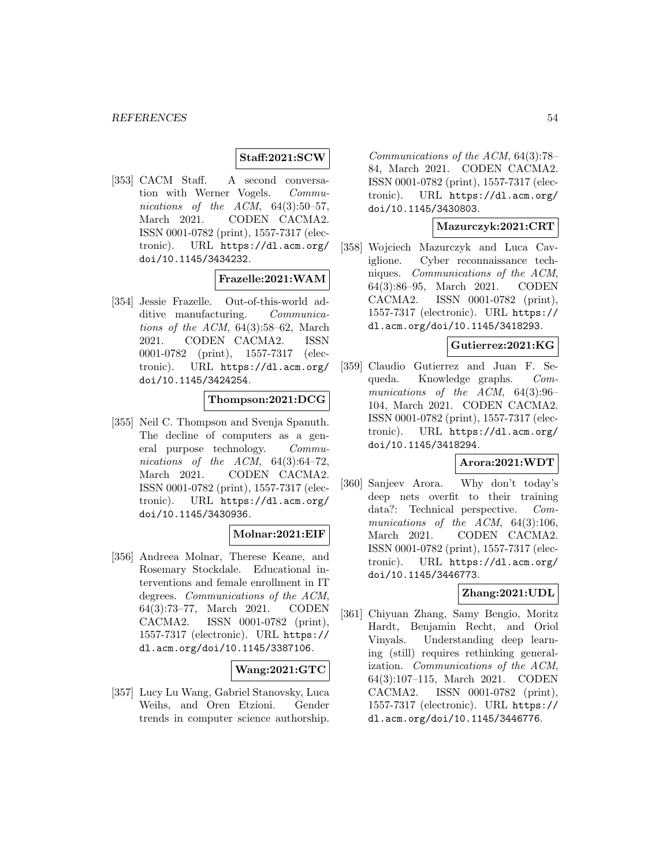### **Staff:2021:SCW**

[353] CACM Staff. A second conversation with Werner Vogels. Communications of the ACM,  $64(3):50-57$ , March 2021. CODEN CACMA2. ISSN 0001-0782 (print), 1557-7317 (electronic). URL https://dl.acm.org/ doi/10.1145/3434232.

### **Frazelle:2021:WAM**

[354] Jessie Frazelle. Out-of-this-world additive manufacturing. Communications of the ACM,  $64(3):58-62$ , March 2021. CODEN CACMA2. ISSN 0001-0782 (print), 1557-7317 (electronic). URL https://dl.acm.org/ doi/10.1145/3424254.

### **Thompson:2021:DCG**

[355] Neil C. Thompson and Svenja Spanuth. The decline of computers as a general purpose technology. Communications of the ACM,  $64(3):64-72$ , March 2021. CODEN CACMA2. ISSN 0001-0782 (print), 1557-7317 (electronic). URL https://dl.acm.org/ doi/10.1145/3430936.

### **Molnar:2021:EIF**

[356] Andreea Molnar, Therese Keane, and Rosemary Stockdale. Educational interventions and female enrollment in IT degrees. Communications of the ACM, 64(3):73–77, March 2021. CODEN CACMA2. ISSN 0001-0782 (print), 1557-7317 (electronic). URL https:// dl.acm.org/doi/10.1145/3387106.

### **Wang:2021:GTC**

[357] Lucy Lu Wang, Gabriel Stanovsky, Luca Weihs, and Oren Etzioni. Gender trends in computer science authorship.

Communications of the ACM, 64(3):78– 84, March 2021. CODEN CACMA2. ISSN 0001-0782 (print), 1557-7317 (electronic). URL https://dl.acm.org/ doi/10.1145/3430803.

### **Mazurczyk:2021:CRT**

[358] Wojciech Mazurczyk and Luca Caviglione. Cyber reconnaissance techniques. Communications of the ACM, 64(3):86–95, March 2021. CODEN CACMA2. ISSN 0001-0782 (print), 1557-7317 (electronic). URL https:// dl.acm.org/doi/10.1145/3418293.

### **Gutierrez:2021:KG**

[359] Claudio Gutierrez and Juan F. Sequeda. Knowledge graphs. Communications of the ACM, 64(3):96– 104, March 2021. CODEN CACMA2. ISSN 0001-0782 (print), 1557-7317 (electronic). URL https://dl.acm.org/ doi/10.1145/3418294.

### **Arora:2021:WDT**

[360] Sanjeev Arora. Why don't today's deep nets overfit to their training data?: Technical perspective. Communications of the ACM, 64(3):106, March 2021. CODEN CACMA2. ISSN 0001-0782 (print), 1557-7317 (electronic). URL https://dl.acm.org/ doi/10.1145/3446773.

### **Zhang:2021:UDL**

[361] Chiyuan Zhang, Samy Bengio, Moritz Hardt, Benjamin Recht, and Oriol Vinyals. Understanding deep learning (still) requires rethinking generalization. Communications of the ACM, 64(3):107–115, March 2021. CODEN CACMA2. ISSN 0001-0782 (print), 1557-7317 (electronic). URL https:// dl.acm.org/doi/10.1145/3446776.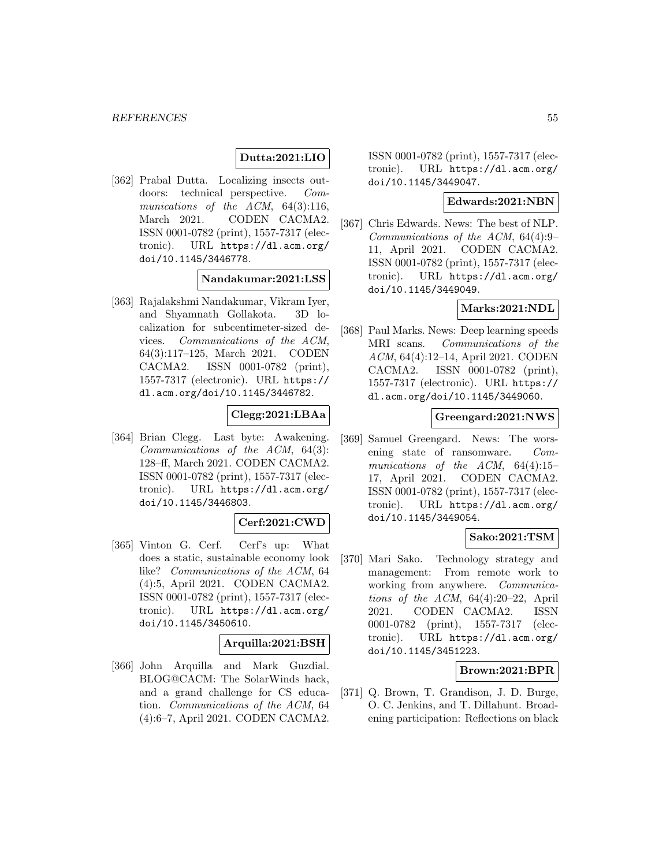# **Dutta:2021:LIO**

[362] Prabal Dutta. Localizing insects outdoors: technical perspective. Communications of the ACM, 64(3):116, March 2021. CODEN CACMA2. ISSN 0001-0782 (print), 1557-7317 (electronic). URL https://dl.acm.org/ doi/10.1145/3446778.

### **Nandakumar:2021:LSS**

[363] Rajalakshmi Nandakumar, Vikram Iyer, and Shyamnath Gollakota. 3D localization for subcentimeter-sized devices. Communications of the ACM, 64(3):117–125, March 2021. CODEN CACMA2. ISSN 0001-0782 (print), 1557-7317 (electronic). URL https:// dl.acm.org/doi/10.1145/3446782.

# **Clegg:2021:LBAa**

[364] Brian Clegg. Last byte: Awakening. Communications of the ACM, 64(3): 128–ff, March 2021. CODEN CACMA2. ISSN 0001-0782 (print), 1557-7317 (electronic). URL https://dl.acm.org/ doi/10.1145/3446803.

# **Cerf:2021:CWD**

[365] Vinton G. Cerf. Cerf's up: What does a static, sustainable economy look like? Communications of the ACM, 64 (4):5, April 2021. CODEN CACMA2. ISSN 0001-0782 (print), 1557-7317 (electronic). URL https://dl.acm.org/ doi/10.1145/3450610.

### **Arquilla:2021:BSH**

[366] John Arquilla and Mark Guzdial. BLOG@CACM: The SolarWinds hack, and a grand challenge for CS education. Communications of the ACM, 64 (4):6–7, April 2021. CODEN CACMA2.

ISSN 0001-0782 (print), 1557-7317 (electronic). URL https://dl.acm.org/ doi/10.1145/3449047.

#### **Edwards:2021:NBN**

[367] Chris Edwards. News: The best of NLP. Communications of the ACM, 64(4):9– 11, April 2021. CODEN CACMA2. ISSN 0001-0782 (print), 1557-7317 (electronic). URL https://dl.acm.org/ doi/10.1145/3449049.

# **Marks:2021:NDL**

[368] Paul Marks. News: Deep learning speeds MRI scans. Communications of the ACM, 64(4):12–14, April 2021. CODEN CACMA2. ISSN 0001-0782 (print), 1557-7317 (electronic). URL https:// dl.acm.org/doi/10.1145/3449060.

#### **Greengard:2021:NWS**

[369] Samuel Greengard. News: The worsening state of ransomware. Communications of the ACM, 64(4):15– 17, April 2021. CODEN CACMA2. ISSN 0001-0782 (print), 1557-7317 (electronic). URL https://dl.acm.org/ doi/10.1145/3449054.

### **Sako:2021:TSM**

[370] Mari Sako. Technology strategy and management: From remote work to working from anywhere. *Communica*tions of the ACM,  $64(4):20-22$ , April 2021. CODEN CACMA2. ISSN 0001-0782 (print), 1557-7317 (electronic). URL https://dl.acm.org/ doi/10.1145/3451223.

### **Brown:2021:BPR**

[371] Q. Brown, T. Grandison, J. D. Burge, O. C. Jenkins, and T. Dillahunt. Broadening participation: Reflections on black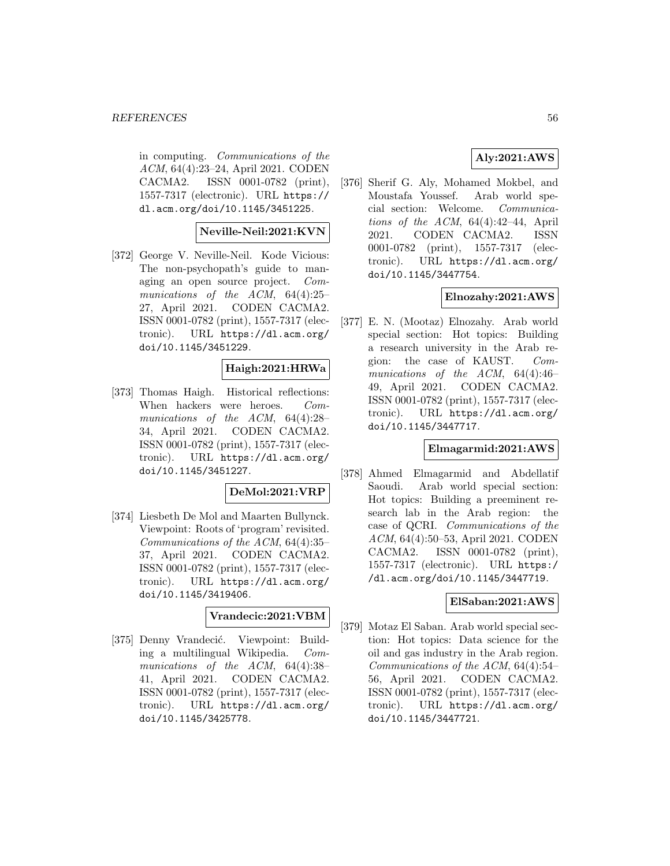in computing. Communications of the ACM, 64(4):23–24, April 2021. CODEN CACMA2. ISSN 0001-0782 (print), 1557-7317 (electronic). URL https:// dl.acm.org/doi/10.1145/3451225.

### **Neville-Neil:2021:KVN**

[372] George V. Neville-Neil. Kode Vicious: The non-psychopath's guide to managing an open source project. Communications of the ACM, 64(4):25– 27, April 2021. CODEN CACMA2. ISSN 0001-0782 (print), 1557-7317 (electronic). URL https://dl.acm.org/ doi/10.1145/3451229.

### **Haigh:2021:HRWa**

[373] Thomas Haigh. Historical reflections: When hackers were heroes. Communications of the ACM, 64(4):28– 34, April 2021. CODEN CACMA2. ISSN 0001-0782 (print), 1557-7317 (electronic). URL https://dl.acm.org/ doi/10.1145/3451227.

## **DeMol:2021:VRP**

[374] Liesbeth De Mol and Maarten Bullynck. Viewpoint: Roots of 'program' revisited. Communications of the ACM, 64(4):35– 37, April 2021. CODEN CACMA2. ISSN 0001-0782 (print), 1557-7317 (electronic). URL https://dl.acm.org/ doi/10.1145/3419406.

# **Vrandecic:2021:VBM**

[375] Denny Vrandecić. Viewpoint: Building a multilingual Wikipedia. Communications of the ACM, 64(4):38– 41, April 2021. CODEN CACMA2. ISSN 0001-0782 (print), 1557-7317 (electronic). URL https://dl.acm.org/ doi/10.1145/3425778.

## **Aly:2021:AWS**

[376] Sherif G. Aly, Mohamed Mokbel, and Moustafa Youssef. Arab world special section: Welcome. Communications of the  $ACM$ ,  $64(4):42-44$ , April 2021. CODEN CACMA2. ISSN 0001-0782 (print), 1557-7317 (electronic). URL https://dl.acm.org/ doi/10.1145/3447754.

### **Elnozahy:2021:AWS**

[377] E. N. (Mootaz) Elnozahy. Arab world special section: Hot topics: Building a research university in the Arab region: the case of KAUST. Communications of the ACM, 64(4):46– 49, April 2021. CODEN CACMA2. ISSN 0001-0782 (print), 1557-7317 (electronic). URL https://dl.acm.org/ doi/10.1145/3447717.

#### **Elmagarmid:2021:AWS**

[378] Ahmed Elmagarmid and Abdellatif Saoudi. Arab world special section: Hot topics: Building a preeminent research lab in the Arab region: the case of QCRI. Communications of the ACM, 64(4):50–53, April 2021. CODEN CACMA2. ISSN 0001-0782 (print), 1557-7317 (electronic). URL https:/ /dl.acm.org/doi/10.1145/3447719.

# **ElSaban:2021:AWS**

[379] Motaz El Saban. Arab world special section: Hot topics: Data science for the oil and gas industry in the Arab region. Communications of the ACM, 64(4):54– 56, April 2021. CODEN CACMA2. ISSN 0001-0782 (print), 1557-7317 (electronic). URL https://dl.acm.org/ doi/10.1145/3447721.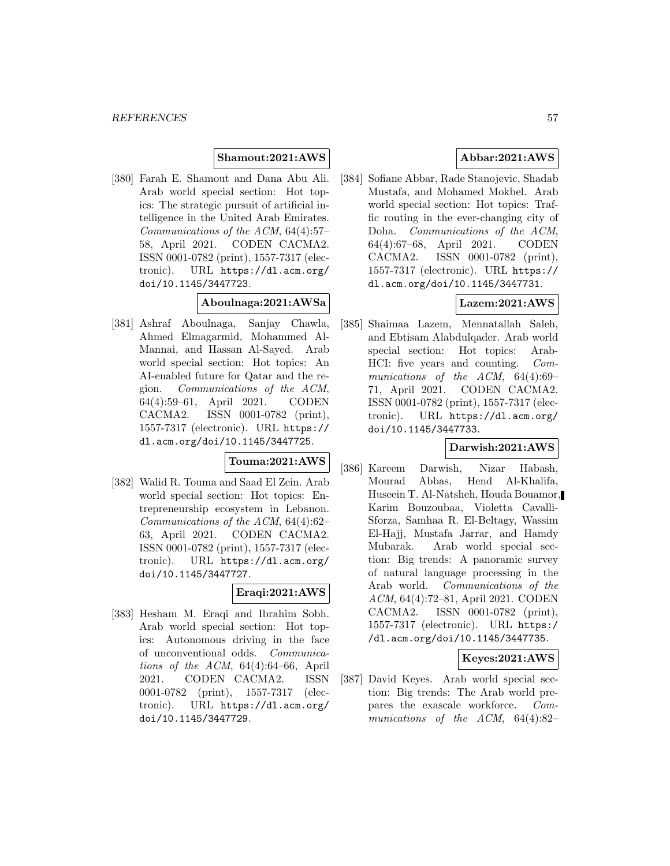# **Shamout:2021:AWS**

[380] Farah E. Shamout and Dana Abu Ali. Arab world special section: Hot topics: The strategic pursuit of artificial intelligence in the United Arab Emirates. Communications of the ACM, 64(4):57– 58, April 2021. CODEN CACMA2. ISSN 0001-0782 (print), 1557-7317 (electronic). URL https://dl.acm.org/ doi/10.1145/3447723.

### **Aboulnaga:2021:AWSa**

[381] Ashraf Aboulnaga, Sanjay Chawla, Ahmed Elmagarmid, Mohammed Al-Mannai, and Hassan Al-Sayed. Arab world special section: Hot topics: An AI-enabled future for Qatar and the region. Communications of the ACM, 64(4):59–61, April 2021. CODEN CACMA2. ISSN 0001-0782 (print), 1557-7317 (electronic). URL https:// dl.acm.org/doi/10.1145/3447725.

# **Touma:2021:AWS**

[382] Walid R. Touma and Saad El Zein. Arab world special section: Hot topics: Entrepreneurship ecosystem in Lebanon. Communications of the ACM, 64(4):62– 63, April 2021. CODEN CACMA2. ISSN 0001-0782 (print), 1557-7317 (electronic). URL https://dl.acm.org/ doi/10.1145/3447727.

### **Eraqi:2021:AWS**

[383] Hesham M. Eraqi and Ibrahim Sobh. Arab world special section: Hot topics: Autonomous driving in the face of unconventional odds. Communications of the  $ACM$ ,  $64(4):64-66$ , April 2021. CODEN CACMA2. ISSN 0001-0782 (print), 1557-7317 (electronic). URL https://dl.acm.org/ doi/10.1145/3447729.

# **Abbar:2021:AWS**

[384] Sofiane Abbar, Rade Stanojevic, Shadab Mustafa, and Mohamed Mokbel. Arab world special section: Hot topics: Traffic routing in the ever-changing city of Doha. Communications of the ACM, 64(4):67–68, April 2021. CODEN CACMA2. ISSN 0001-0782 (print), 1557-7317 (electronic). URL https:// dl.acm.org/doi/10.1145/3447731.

# **Lazem:2021:AWS**

[385] Shaimaa Lazem, Mennatallah Saleh, and Ebtisam Alabdulqader. Arab world special section: Hot topics: Arab-HCI: five years and counting. Communications of the ACM, 64(4):69– 71, April 2021. CODEN CACMA2. ISSN 0001-0782 (print), 1557-7317 (electronic). URL https://dl.acm.org/ doi/10.1145/3447733.

### **Darwish:2021:AWS**

[386] Kareem Darwish, Nizar Habash, Mourad Abbas, Hend Al-Khalifa, Huseein T. Al-Natsheh, Houda Bouamor, Karim Bouzoubaa, Violetta Cavalli-Sforza, Samhaa R. El-Beltagy, Wassim El-Hajj, Mustafa Jarrar, and Hamdy Mubarak. Arab world special section: Big trends: A panoramic survey of natural language processing in the Arab world. Communications of the ACM, 64(4):72–81, April 2021. CODEN CACMA2. ISSN 0001-0782 (print), 1557-7317 (electronic). URL https:/ /dl.acm.org/doi/10.1145/3447735.

### **Keyes:2021:AWS**

[387] David Keyes. Arab world special section: Big trends: The Arab world prepares the exascale workforce. Communications of the ACM, 64(4):82–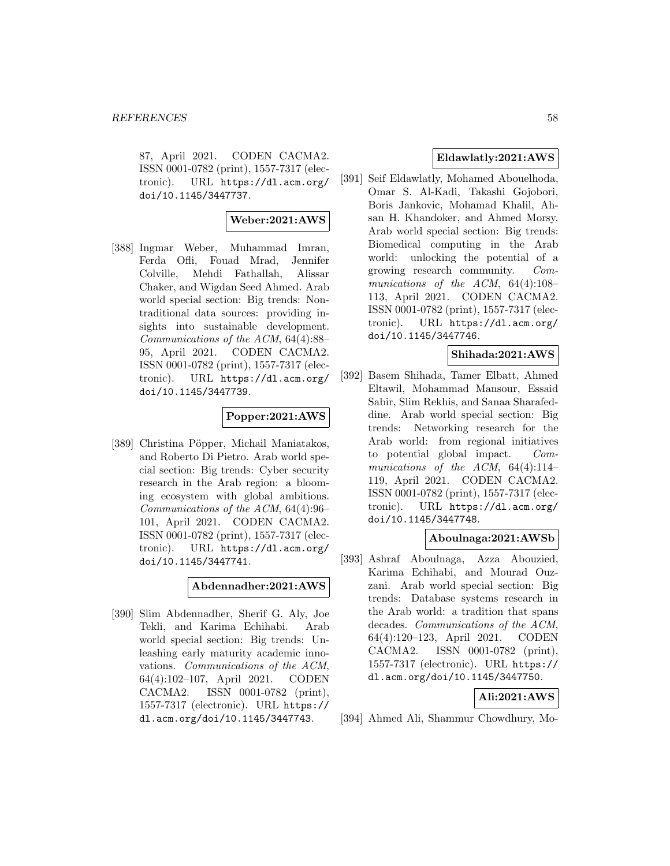87, April 2021. CODEN CACMA2. ISSN 0001-0782 (print), 1557-7317 (electronic). URL https://dl.acm.org/ doi/10.1145/3447737.

# **Weber:2021:AWS**

[388] Ingmar Weber, Muhammad Imran, Ferda Ofli, Fouad Mrad, Jennifer Colville, Mehdi Fathallah, Alissar Chaker, and Wigdan Seed Ahmed. Arab world special section: Big trends: Nontraditional data sources: providing insights into sustainable development. Communications of the ACM, 64(4):88– 95, April 2021. CODEN CACMA2. ISSN 0001-0782 (print), 1557-7317 (electronic). URL https://dl.acm.org/ doi/10.1145/3447739.

## **Popper:2021:AWS**

[389] Christina Pöpper, Michail Maniatakos, and Roberto Di Pietro. Arab world special section: Big trends: Cyber security research in the Arab region: a blooming ecosystem with global ambitions. Communications of the ACM, 64(4):96– 101, April 2021. CODEN CACMA2. ISSN 0001-0782 (print), 1557-7317 (electronic). URL https://dl.acm.org/ doi/10.1145/3447741.

### **Abdennadher:2021:AWS**

[390] Slim Abdennadher, Sherif G. Aly, Joe Tekli, and Karima Echihabi. Arab world special section: Big trends: Unleashing early maturity academic innovations. Communications of the ACM, 64(4):102–107, April 2021. CODEN CACMA2. ISSN 0001-0782 (print), 1557-7317 (electronic). URL https:// dl.acm.org/doi/10.1145/3447743.

### **Eldawlatly:2021:AWS**

[391] Seif Eldawlatly, Mohamed Abouelhoda, Omar S. Al-Kadi, Takashi Gojobori, Boris Jankovic, Mohamad Khalil, Ahsan H. Khandoker, and Ahmed Morsy. Arab world special section: Big trends: Biomedical computing in the Arab world: unlocking the potential of a growing research community. Communications of the ACM, 64(4):108– 113, April 2021. CODEN CACMA2. ISSN 0001-0782 (print), 1557-7317 (electronic). URL https://dl.acm.org/ doi/10.1145/3447746.

## **Shihada:2021:AWS**

[392] Basem Shihada, Tamer Elbatt, Ahmed Eltawil, Mohammad Mansour, Essaid Sabir, Slim Rekhis, and Sanaa Sharafeddine. Arab world special section: Big trends: Networking research for the Arab world: from regional initiatives to potential global impact. Communications of the ACM, 64(4):114– 119, April 2021. CODEN CACMA2. ISSN 0001-0782 (print), 1557-7317 (electronic). URL https://dl.acm.org/ doi/10.1145/3447748.

### **Aboulnaga:2021:AWSb**

[393] Ashraf Aboulnaga, Azza Abouzied, Karima Echihabi, and Mourad Ouzzani. Arab world special section: Big trends: Database systems research in the Arab world: a tradition that spans decades. Communications of the ACM, 64(4):120–123, April 2021. CODEN CACMA2. ISSN 0001-0782 (print), 1557-7317 (electronic). URL https:// dl.acm.org/doi/10.1145/3447750.

## **Ali:2021:AWS**

[394] Ahmed Ali, Shammur Chowdhury, Mo-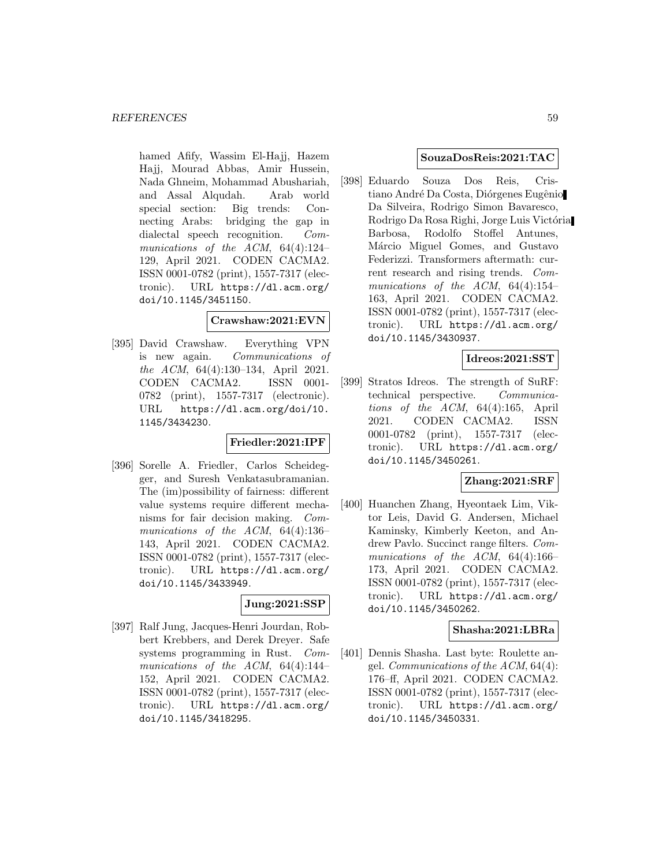hamed Afify, Wassim El-Hajj, Hazem Hajj, Mourad Abbas, Amir Hussein, Nada Ghneim, Mohammad Abushariah, and Assal Alqudah. Arab world special section: Big trends: Connecting Arabs: bridging the gap in dialectal speech recognition. Communications of the ACM, 64(4):124– 129, April 2021. CODEN CACMA2. ISSN 0001-0782 (print), 1557-7317 (electronic). URL https://dl.acm.org/ doi/10.1145/3451150.

### **Crawshaw:2021:EVN**

[395] David Crawshaw. Everything VPN is new again. Communications of the ACM, 64(4):130–134, April 2021. CODEN CACMA2. ISSN 0001- 0782 (print), 1557-7317 (electronic). URL https://dl.acm.org/doi/10. 1145/3434230.

### **Friedler:2021:IPF**

[396] Sorelle A. Friedler, Carlos Scheidegger, and Suresh Venkatasubramanian. The (im)possibility of fairness: different value systems require different mechanisms for fair decision making. Communications of the ACM, 64(4):136– 143, April 2021. CODEN CACMA2. ISSN 0001-0782 (print), 1557-7317 (electronic). URL https://dl.acm.org/ doi/10.1145/3433949.

# **Jung:2021:SSP**

[397] Ralf Jung, Jacques-Henri Jourdan, Robbert Krebbers, and Derek Dreyer. Safe systems programming in Rust. Communications of the ACM, 64(4):144– 152, April 2021. CODEN CACMA2. ISSN 0001-0782 (print), 1557-7317 (electronic). URL https://dl.acm.org/ doi/10.1145/3418295.

### **SouzaDosReis:2021:TAC**

[398] Eduardo Souza Dos Reis, Cristiano André Da Costa, Diórgenes Eugênio Da Silveira, Rodrigo Simon Bavaresco, Rodrigo Da Rosa Righi, Jorge Luis Victória Barbosa, Rodolfo Stoffel Antunes, Márcio Miguel Gomes, and Gustavo Federizzi. Transformers aftermath: current research and rising trends. Communications of the ACM, 64(4):154– 163, April 2021. CODEN CACMA2. ISSN 0001-0782 (print), 1557-7317 (electronic). URL https://dl.acm.org/ doi/10.1145/3430937.

## **Idreos:2021:SST**

[399] Stratos Idreos. The strength of SuRF: technical perspective. Communications of the ACM, 64(4):165, April 2021. CODEN CACMA2. ISSN 0001-0782 (print), 1557-7317 (electronic). URL https://dl.acm.org/ doi/10.1145/3450261.

### **Zhang:2021:SRF**

[400] Huanchen Zhang, Hyeontaek Lim, Viktor Leis, David G. Andersen, Michael Kaminsky, Kimberly Keeton, and Andrew Pavlo. Succinct range filters. Communications of the ACM, 64(4):166– 173, April 2021. CODEN CACMA2. ISSN 0001-0782 (print), 1557-7317 (electronic). URL https://dl.acm.org/ doi/10.1145/3450262.

### **Shasha:2021:LBRa**

[401] Dennis Shasha. Last byte: Roulette angel. Communications of the  $ACM$ ,  $64(4)$ : 176–ff, April 2021. CODEN CACMA2. ISSN 0001-0782 (print), 1557-7317 (electronic). URL https://dl.acm.org/ doi/10.1145/3450331.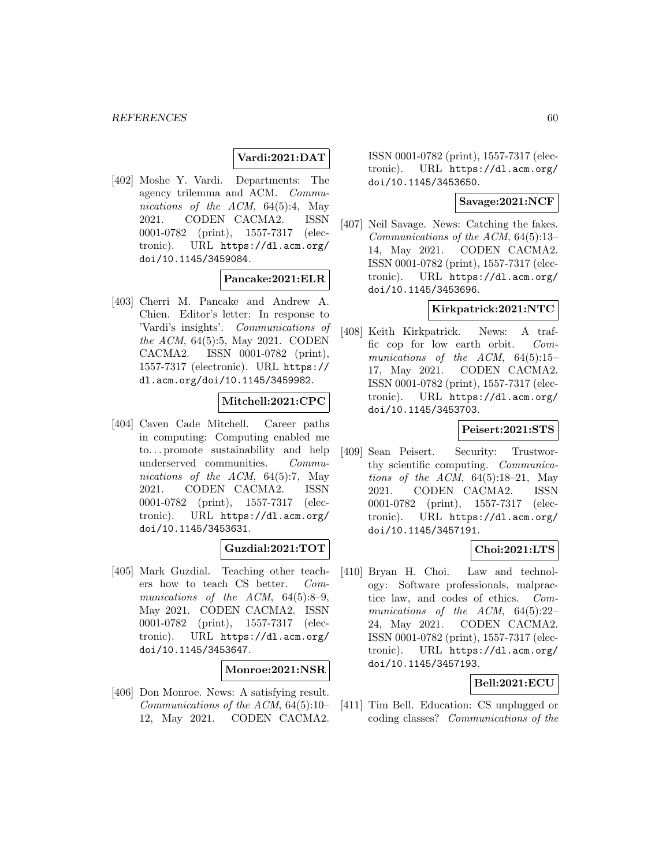### **Vardi:2021:DAT**

[402] Moshe Y. Vardi. Departments: The agency trilemma and ACM. Communications of the ACM,  $64(5):4$ , May 2021. CODEN CACMA2. ISSN 0001-0782 (print), 1557-7317 (electronic). URL https://dl.acm.org/ doi/10.1145/3459084.

#### **Pancake:2021:ELR**

[403] Cherri M. Pancake and Andrew A. Chien. Editor's letter: In response to 'Vardi's insights'. Communications of the ACM, 64(5):5, May 2021. CODEN CACMA2. ISSN 0001-0782 (print), 1557-7317 (electronic). URL https:// dl.acm.org/doi/10.1145/3459982.

### **Mitchell:2021:CPC**

[404] Caven Cade Mitchell. Career paths in computing: Computing enabled me to... promote sustainability and help underserved communities. Communications of the ACM, 64(5):7, May 2021. CODEN CACMA2. ISSN 0001-0782 (print), 1557-7317 (electronic). URL https://dl.acm.org/ doi/10.1145/3453631.

### **Guzdial:2021:TOT**

[405] Mark Guzdial. Teaching other teachers how to teach CS better. Communications of the ACM, 64(5):8-9, May 2021. CODEN CACMA2. ISSN 0001-0782 (print), 1557-7317 (electronic). URL https://dl.acm.org/ doi/10.1145/3453647.

#### **Monroe:2021:NSR**

[406] Don Monroe. News: A satisfying result. Communications of the ACM, 64(5):10– 12, May 2021. CODEN CACMA2.

ISSN 0001-0782 (print), 1557-7317 (electronic). URL https://dl.acm.org/ doi/10.1145/3453650.

## **Savage:2021:NCF**

[407] Neil Savage. News: Catching the fakes. Communications of the ACM, 64(5):13– 14, May 2021. CODEN CACMA2. ISSN 0001-0782 (print), 1557-7317 (electronic). URL https://dl.acm.org/ doi/10.1145/3453696.

## **Kirkpatrick:2021:NTC**

[408] Keith Kirkpatrick. News: A traffic cop for low earth orbit. Communications of the ACM, 64(5):15– 17, May 2021. CODEN CACMA2. ISSN 0001-0782 (print), 1557-7317 (electronic). URL https://dl.acm.org/ doi/10.1145/3453703.

### **Peisert:2021:STS**

[409] Sean Peisert. Security: Trustworthy scientific computing. Communications of the ACM,  $64(5):18-21$ , May 2021. CODEN CACMA2. ISSN 0001-0782 (print), 1557-7317 (electronic). URL https://dl.acm.org/ doi/10.1145/3457191.

### **Choi:2021:LTS**

[410] Bryan H. Choi. Law and technology: Software professionals, malpractice law, and codes of ethics. Communications of the ACM, 64(5):22– 24, May 2021. CODEN CACMA2. ISSN 0001-0782 (print), 1557-7317 (electronic). URL https://dl.acm.org/ doi/10.1145/3457193.

## **Bell:2021:ECU**

[411] Tim Bell. Education: CS unplugged or coding classes? Communications of the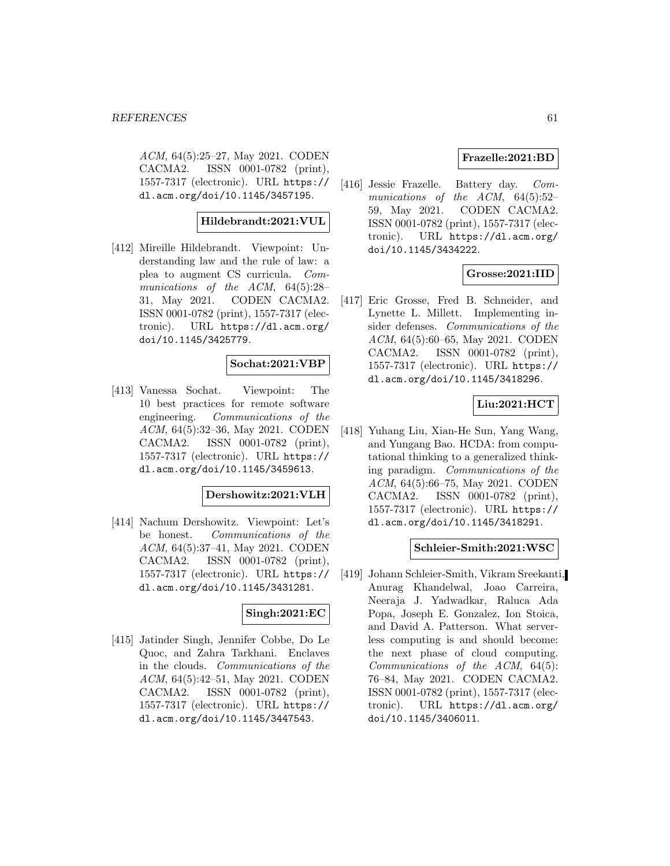ACM, 64(5):25–27, May 2021. CODEN CACMA2. ISSN 0001-0782 (print), 1557-7317 (electronic). URL https:// dl.acm.org/doi/10.1145/3457195.

# **Hildebrandt:2021:VUL**

[412] Mireille Hildebrandt. Viewpoint: Understanding law and the rule of law: a plea to augment CS curricula. Communications of the ACM, 64(5):28– 31, May 2021. CODEN CACMA2. ISSN 0001-0782 (print), 1557-7317 (electronic). URL https://dl.acm.org/ doi/10.1145/3425779.

## **Sochat:2021:VBP**

[413] Vanessa Sochat. Viewpoint: The 10 best practices for remote software engineering. Communications of the ACM, 64(5):32–36, May 2021. CODEN CACMA2. ISSN 0001-0782 (print), 1557-7317 (electronic). URL https:// dl.acm.org/doi/10.1145/3459613.

#### **Dershowitz:2021:VLH**

[414] Nachum Dershowitz. Viewpoint: Let's be honest. Communications of the ACM, 64(5):37–41, May 2021. CODEN CACMA2. ISSN 0001-0782 (print), 1557-7317 (electronic). URL https:// dl.acm.org/doi/10.1145/3431281.

# **Singh:2021:EC**

[415] Jatinder Singh, Jennifer Cobbe, Do Le Quoc, and Zahra Tarkhani. Enclaves in the clouds. Communications of the ACM, 64(5):42–51, May 2021. CODEN CACMA2. ISSN 0001-0782 (print), 1557-7317 (electronic). URL https:// dl.acm.org/doi/10.1145/3447543.

### **Frazelle:2021:BD**

[416] Jessie Frazelle. Battery day. Communications of the ACM, 64(5):52– 59, May 2021. CODEN CACMA2. ISSN 0001-0782 (print), 1557-7317 (electronic). URL https://dl.acm.org/ doi/10.1145/3434222.

## **Grosse:2021:IID**

[417] Eric Grosse, Fred B. Schneider, and Lynette L. Millett. Implementing insider defenses. Communications of the ACM, 64(5):60–65, May 2021. CODEN CACMA2. ISSN 0001-0782 (print), 1557-7317 (electronic). URL https:// dl.acm.org/doi/10.1145/3418296.

### **Liu:2021:HCT**

[418] Yuhang Liu, Xian-He Sun, Yang Wang, and Yungang Bao. HCDA: from computational thinking to a generalized thinking paradigm. Communications of the ACM, 64(5):66–75, May 2021. CODEN CACMA2. ISSN 0001-0782 (print), 1557-7317 (electronic). URL https:// dl.acm.org/doi/10.1145/3418291.

#### **Schleier-Smith:2021:WSC**

[419] Johann Schleier-Smith, Vikram Sreekanti, Anurag Khandelwal, Joao Carreira, Neeraja J. Yadwadkar, Raluca Ada Popa, Joseph E. Gonzalez, Ion Stoica, and David A. Patterson. What serverless computing is and should become: the next phase of cloud computing. Communications of the ACM, 64(5): 76–84, May 2021. CODEN CACMA2. ISSN 0001-0782 (print), 1557-7317 (electronic). URL https://dl.acm.org/ doi/10.1145/3406011.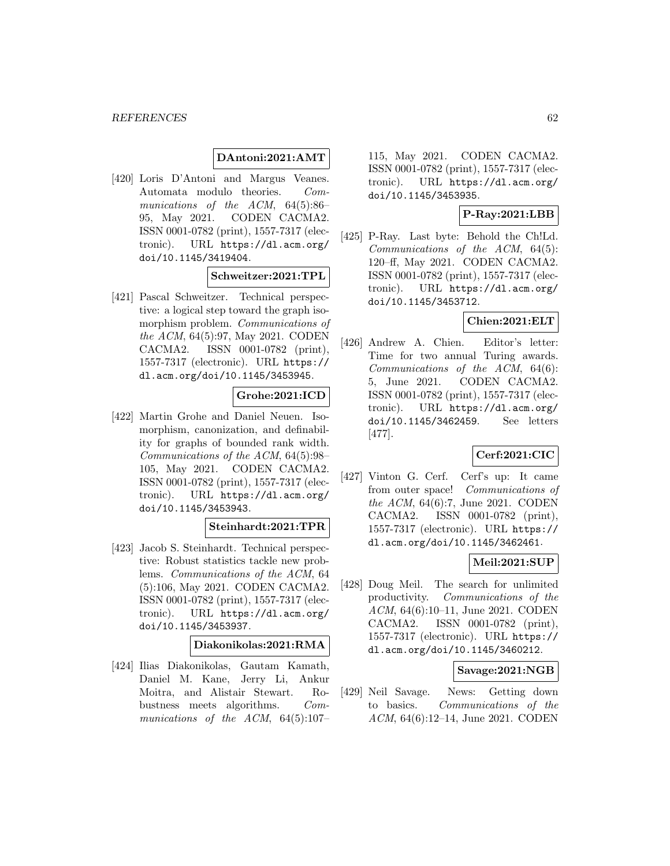## **DAntoni:2021:AMT**

[420] Loris D'Antoni and Margus Veanes. Automata modulo theories. Communications of the ACM, 64(5):86– 95, May 2021. CODEN CACMA2. ISSN 0001-0782 (print), 1557-7317 (electronic). URL https://dl.acm.org/ doi/10.1145/3419404.

#### **Schweitzer:2021:TPL**

[421] Pascal Schweitzer. Technical perspective: a logical step toward the graph isomorphism problem. Communications of the ACM, 64(5):97, May 2021. CODEN CACMA2. ISSN 0001-0782 (print), 1557-7317 (electronic). URL https:// dl.acm.org/doi/10.1145/3453945.

# **Grohe:2021:ICD**

[422] Martin Grohe and Daniel Neuen. Isomorphism, canonization, and definability for graphs of bounded rank width. Communications of the ACM, 64(5):98– 105, May 2021. CODEN CACMA2. ISSN 0001-0782 (print), 1557-7317 (electronic). URL https://dl.acm.org/ doi/10.1145/3453943.

### **Steinhardt:2021:TPR**

[423] Jacob S. Steinhardt. Technical perspective: Robust statistics tackle new problems. Communications of the ACM, 64 (5):106, May 2021. CODEN CACMA2. ISSN 0001-0782 (print), 1557-7317 (electronic). URL https://dl.acm.org/ doi/10.1145/3453937.

#### **Diakonikolas:2021:RMA**

[424] Ilias Diakonikolas, Gautam Kamath, Daniel M. Kane, Jerry Li, Ankur Moitra, and Alistair Stewart. Robustness meets algorithms. Communications of the ACM, 64(5):107–

115, May 2021. CODEN CACMA2. ISSN 0001-0782 (print), 1557-7317 (electronic). URL https://dl.acm.org/ doi/10.1145/3453935.

### **P-Ray:2021:LBB**

[425] P-Ray. Last byte: Behold the Ch!Ld. Communications of the ACM, 64(5): 120–ff, May 2021. CODEN CACMA2. ISSN 0001-0782 (print), 1557-7317 (electronic). URL https://dl.acm.org/ doi/10.1145/3453712.

### **Chien:2021:ELT**

[426] Andrew A. Chien. Editor's letter: Time for two annual Turing awards. Communications of the ACM, 64(6): 5, June 2021. CODEN CACMA2. ISSN 0001-0782 (print), 1557-7317 (electronic). URL https://dl.acm.org/ doi/10.1145/3462459. See letters [477].

# **Cerf:2021:CIC**

[427] Vinton G. Cerf. Cerf's up: It came from outer space! Communications of the ACM, 64(6):7, June 2021. CODEN CACMA2. ISSN 0001-0782 (print), 1557-7317 (electronic). URL https:// dl.acm.org/doi/10.1145/3462461.

### **Meil:2021:SUP**

[428] Doug Meil. The search for unlimited productivity. Communications of the ACM, 64(6):10–11, June 2021. CODEN CACMA2. ISSN 0001-0782 (print), 1557-7317 (electronic). URL https:// dl.acm.org/doi/10.1145/3460212.

### **Savage:2021:NGB**

[429] Neil Savage. News: Getting down to basics. Communications of the ACM, 64(6):12–14, June 2021. CODEN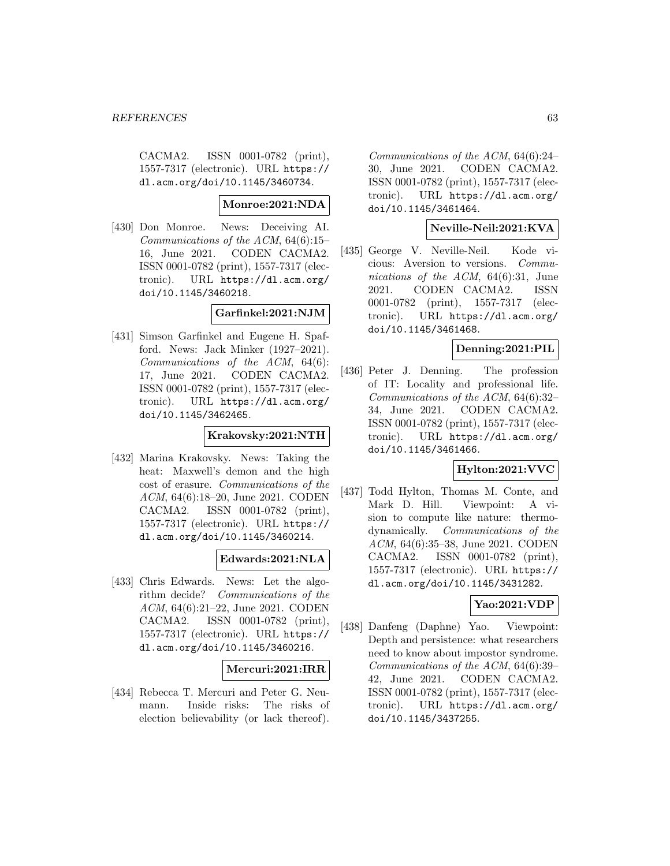CACMA2. ISSN 0001-0782 (print), 1557-7317 (electronic). URL https:// dl.acm.org/doi/10.1145/3460734.

### **Monroe:2021:NDA**

[430] Don Monroe. News: Deceiving AI. Communications of the ACM, 64(6):15– 16, June 2021. CODEN CACMA2. ISSN 0001-0782 (print), 1557-7317 (electronic). URL https://dl.acm.org/ doi/10.1145/3460218.

### **Garfinkel:2021:NJM**

[431] Simson Garfinkel and Eugene H. Spafford. News: Jack Minker (1927–2021). Communications of the ACM, 64(6): 17, June 2021. CODEN CACMA2. ISSN 0001-0782 (print), 1557-7317 (electronic). URL https://dl.acm.org/ doi/10.1145/3462465.

## **Krakovsky:2021:NTH**

[432] Marina Krakovsky. News: Taking the heat: Maxwell's demon and the high cost of erasure. Communications of the ACM, 64(6):18–20, June 2021. CODEN CACMA2. ISSN 0001-0782 (print), 1557-7317 (electronic). URL https:// dl.acm.org/doi/10.1145/3460214.

### **Edwards:2021:NLA**

[433] Chris Edwards. News: Let the algorithm decide? Communications of the ACM, 64(6):21–22, June 2021. CODEN CACMA2. ISSN 0001-0782 (print), 1557-7317 (electronic). URL https:// dl.acm.org/doi/10.1145/3460216.

#### **Mercuri:2021:IRR**

[434] Rebecca T. Mercuri and Peter G. Neumann. Inside risks: The risks of election believability (or lack thereof).

Communications of the ACM, 64(6):24– 30, June 2021. CODEN CACMA2. ISSN 0001-0782 (print), 1557-7317 (electronic). URL https://dl.acm.org/ doi/10.1145/3461464.

### **Neville-Neil:2021:KVA**

[435] George V. Neville-Neil. Kode vicious: Aversion to versions. Communications of the ACM, 64(6):31, June 2021. CODEN CACMA2. ISSN 0001-0782 (print), 1557-7317 (electronic). URL https://dl.acm.org/ doi/10.1145/3461468.

### **Denning:2021:PIL**

[436] Peter J. Denning. The profession of IT: Locality and professional life. Communications of the ACM, 64(6):32– 34, June 2021. CODEN CACMA2. ISSN 0001-0782 (print), 1557-7317 (electronic). URL https://dl.acm.org/ doi/10.1145/3461466.

### **Hylton:2021:VVC**

[437] Todd Hylton, Thomas M. Conte, and Mark D. Hill. Viewpoint: A vision to compute like nature: thermodynamically. Communications of the ACM, 64(6):35–38, June 2021. CODEN CACMA2. ISSN 0001-0782 (print), 1557-7317 (electronic). URL https:// dl.acm.org/doi/10.1145/3431282.

### **Yao:2021:VDP**

[438] Danfeng (Daphne) Yao. Viewpoint: Depth and persistence: what researchers need to know about impostor syndrome. Communications of the ACM, 64(6):39– 42, June 2021. CODEN CACMA2. ISSN 0001-0782 (print), 1557-7317 (electronic). URL https://dl.acm.org/ doi/10.1145/3437255.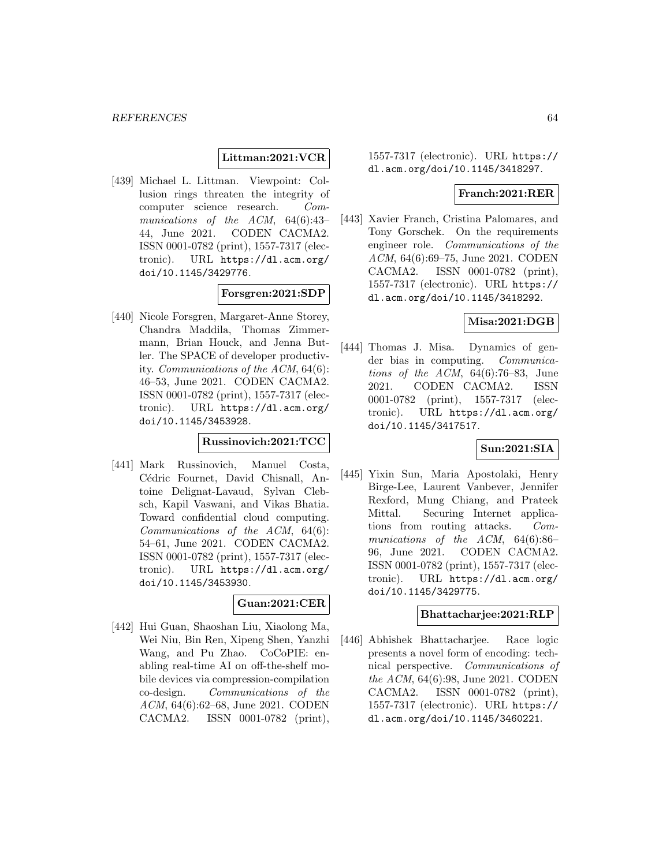**Littman:2021:VCR**

[439] Michael L. Littman. Viewpoint: Collusion rings threaten the integrity of computer science research. Communications of the ACM, 64(6):43– 44, June 2021. CODEN CACMA2. ISSN 0001-0782 (print), 1557-7317 (electronic). URL https://dl.acm.org/ doi/10.1145/3429776.

### **Forsgren:2021:SDP**

[440] Nicole Forsgren, Margaret-Anne Storey, Chandra Maddila, Thomas Zimmermann, Brian Houck, and Jenna Butler. The SPACE of developer productivity. Communications of the ACM, 64(6): 46–53, June 2021. CODEN CACMA2. ISSN 0001-0782 (print), 1557-7317 (electronic). URL https://dl.acm.org/ doi/10.1145/3453928.

#### **Russinovich:2021:TCC**

[441] Mark Russinovich, Manuel Costa, Cédric Fournet, David Chisnall, Antoine Delignat-Lavaud, Sylvan Clebsch, Kapil Vaswani, and Vikas Bhatia. Toward confidential cloud computing. Communications of the ACM, 64(6): 54–61, June 2021. CODEN CACMA2. ISSN 0001-0782 (print), 1557-7317 (electronic). URL https://dl.acm.org/ doi/10.1145/3453930.

### **Guan:2021:CER**

[442] Hui Guan, Shaoshan Liu, Xiaolong Ma, Wei Niu, Bin Ren, Xipeng Shen, Yanzhi Wang, and Pu Zhao. CoCoPIE: enabling real-time AI on off-the-shelf mobile devices via compression-compilation co-design. Communications of the ACM, 64(6):62–68, June 2021. CODEN CACMA2. ISSN 0001-0782 (print),

1557-7317 (electronic). URL https:// dl.acm.org/doi/10.1145/3418297.

### **Franch:2021:RER**

[443] Xavier Franch, Cristina Palomares, and Tony Gorschek. On the requirements engineer role. Communications of the ACM, 64(6):69–75, June 2021. CODEN CACMA2. ISSN 0001-0782 (print), 1557-7317 (electronic). URL https:// dl.acm.org/doi/10.1145/3418292.

### **Misa:2021:DGB**

[444] Thomas J. Misa. Dynamics of gender bias in computing. Communications of the ACM,  $64(6):76-83$ , June 2021. CODEN CACMA2. ISSN 0001-0782 (print), 1557-7317 (electronic). URL https://dl.acm.org/ doi/10.1145/3417517.

### **Sun:2021:SIA**

[445] Yixin Sun, Maria Apostolaki, Henry Birge-Lee, Laurent Vanbever, Jennifer Rexford, Mung Chiang, and Prateek Mittal. Securing Internet applications from routing attacks. Communications of the ACM, 64(6):86– 96, June 2021. CODEN CACMA2. ISSN 0001-0782 (print), 1557-7317 (electronic). URL https://dl.acm.org/ doi/10.1145/3429775.

### **Bhattacharjee:2021:RLP**

[446] Abhishek Bhattacharjee. Race logic presents a novel form of encoding: technical perspective. Communications of the ACM, 64(6):98, June 2021. CODEN CACMA2. ISSN 0001-0782 (print), 1557-7317 (electronic). URL https:// dl.acm.org/doi/10.1145/3460221.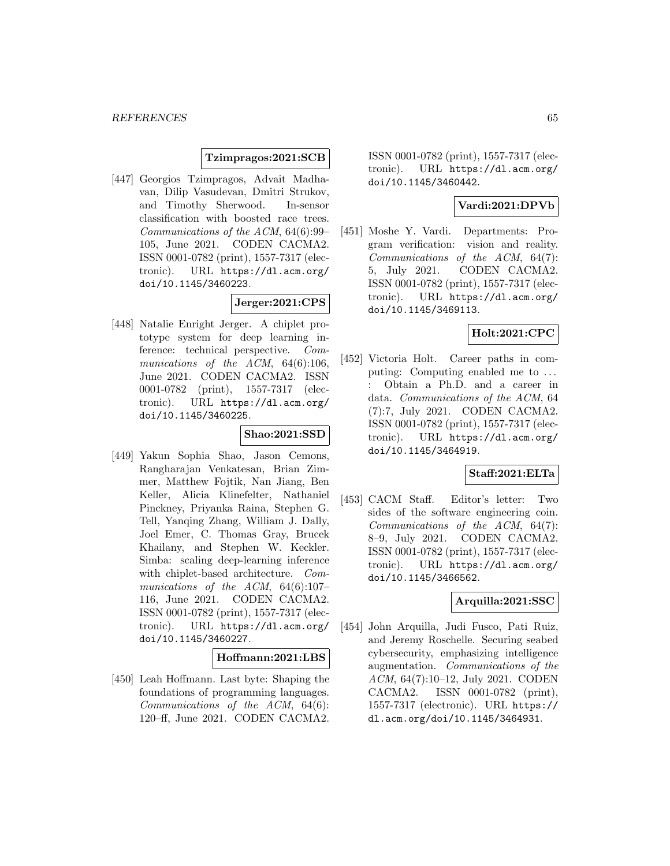### **Tzimpragos:2021:SCB**

[447] Georgios Tzimpragos, Advait Madhavan, Dilip Vasudevan, Dmitri Strukov, and Timothy Sherwood. In-sensor classification with boosted race trees. Communications of the ACM, 64(6):99– 105, June 2021. CODEN CACMA2. ISSN 0001-0782 (print), 1557-7317 (electronic). URL https://dl.acm.org/ doi/10.1145/3460223.

### **Jerger:2021:CPS**

[448] Natalie Enright Jerger. A chiplet prototype system for deep learning inference: technical perspective. Communications of the ACM, 64(6):106, June 2021. CODEN CACMA2. ISSN 0001-0782 (print), 1557-7317 (electronic). URL https://dl.acm.org/ doi/10.1145/3460225.

#### **Shao:2021:SSD**

[449] Yakun Sophia Shao, Jason Cemons, Rangharajan Venkatesan, Brian Zimmer, Matthew Fojtik, Nan Jiang, Ben Keller, Alicia Klinefelter, Nathaniel Pinckney, Priyanka Raina, Stephen G. Tell, Yanqing Zhang, William J. Dally, Joel Emer, C. Thomas Gray, Brucek Khailany, and Stephen W. Keckler. Simba: scaling deep-learning inference with chiplet-based architecture. *Com*munications of the ACM, 64(6):107– 116, June 2021. CODEN CACMA2. ISSN 0001-0782 (print), 1557-7317 (electronic). URL https://dl.acm.org/ doi/10.1145/3460227.

#### **Hoffmann:2021:LBS**

[450] Leah Hoffmann. Last byte: Shaping the foundations of programming languages. Communications of the ACM, 64(6): 120–ff, June 2021. CODEN CACMA2.

ISSN 0001-0782 (print), 1557-7317 (electronic). URL https://dl.acm.org/ doi/10.1145/3460442.

### **Vardi:2021:DPVb**

[451] Moshe Y. Vardi. Departments: Program verification: vision and reality. Communications of the ACM, 64(7): 5, July 2021. CODEN CACMA2. ISSN 0001-0782 (print), 1557-7317 (electronic). URL https://dl.acm.org/ doi/10.1145/3469113.

### **Holt:2021:CPC**

[452] Victoria Holt. Career paths in computing: Computing enabled me to ... : Obtain a Ph.D. and a career in data. Communications of the ACM, 64 (7):7, July 2021. CODEN CACMA2. ISSN 0001-0782 (print), 1557-7317 (electronic). URL https://dl.acm.org/ doi/10.1145/3464919.

#### **Staff:2021:ELTa**

[453] CACM Staff. Editor's letter: Two sides of the software engineering coin. Communications of the ACM, 64(7): 8–9, July 2021. CODEN CACMA2. ISSN 0001-0782 (print), 1557-7317 (electronic). URL https://dl.acm.org/ doi/10.1145/3466562.

# **Arquilla:2021:SSC**

[454] John Arquilla, Judi Fusco, Pati Ruiz, and Jeremy Roschelle. Securing seabed cybersecurity, emphasizing intelligence augmentation. Communications of the ACM, 64(7):10–12, July 2021. CODEN CACMA2. ISSN 0001-0782 (print), 1557-7317 (electronic). URL https:// dl.acm.org/doi/10.1145/3464931.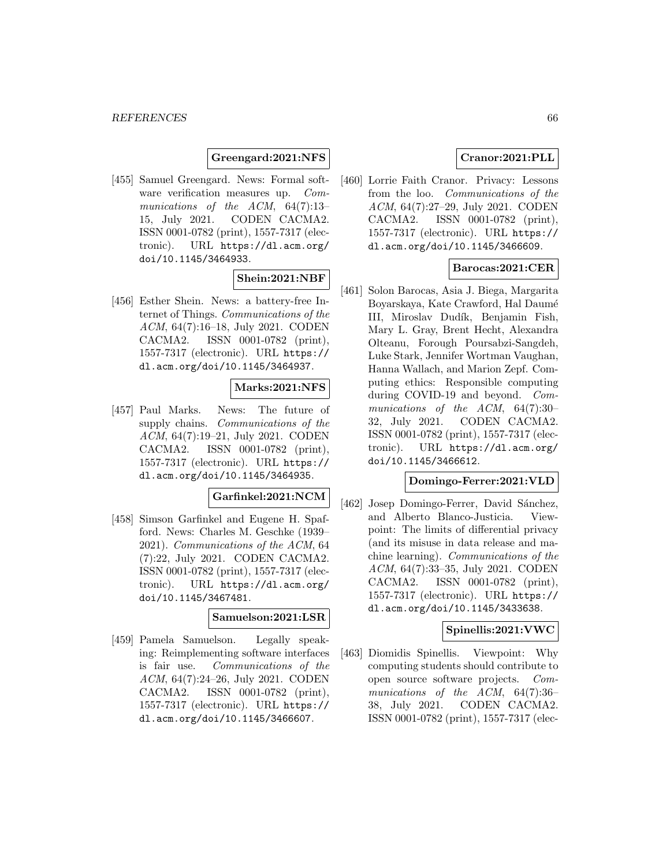### **Greengard:2021:NFS**

[455] Samuel Greengard. News: Formal software verification measures up. Communications of the ACM, 64(7):13– 15, July 2021. CODEN CACMA2. ISSN 0001-0782 (print), 1557-7317 (electronic). URL https://dl.acm.org/ doi/10.1145/3464933.

# **Shein:2021:NBF**

[456] Esther Shein. News: a battery-free Internet of Things. Communications of the ACM, 64(7):16–18, July 2021. CODEN CACMA2. ISSN 0001-0782 (print), 1557-7317 (electronic). URL https:// dl.acm.org/doi/10.1145/3464937.

## **Marks:2021:NFS**

[457] Paul Marks. News: The future of supply chains. Communications of the ACM, 64(7):19–21, July 2021. CODEN CACMA2. ISSN 0001-0782 (print), 1557-7317 (electronic). URL https:// dl.acm.org/doi/10.1145/3464935.

### **Garfinkel:2021:NCM**

[458] Simson Garfinkel and Eugene H. Spafford. News: Charles M. Geschke (1939– 2021). Communications of the ACM, 64 (7):22, July 2021. CODEN CACMA2. ISSN 0001-0782 (print), 1557-7317 (electronic). URL https://dl.acm.org/ doi/10.1145/3467481.

#### **Samuelson:2021:LSR**

[459] Pamela Samuelson. Legally speaking: Reimplementing software interfaces is fair use. Communications of the ACM, 64(7):24–26, July 2021. CODEN CACMA2. ISSN 0001-0782 (print), 1557-7317 (electronic). URL https:// dl.acm.org/doi/10.1145/3466607.

# **Cranor:2021:PLL**

[460] Lorrie Faith Cranor. Privacy: Lessons from the loo. Communications of the ACM, 64(7):27–29, July 2021. CODEN CACMA2. ISSN 0001-0782 (print), 1557-7317 (electronic). URL https:// dl.acm.org/doi/10.1145/3466609.

## **Barocas:2021:CER**

[461] Solon Barocas, Asia J. Biega, Margarita Boyarskaya, Kate Crawford, Hal Daum´e III, Miroslav Dudík, Benjamin Fish, Mary L. Gray, Brent Hecht, Alexandra Olteanu, Forough Poursabzi-Sangdeh, Luke Stark, Jennifer Wortman Vaughan, Hanna Wallach, and Marion Zepf. Computing ethics: Responsible computing during COVID-19 and beyond. Communications of the ACM, 64(7):30– 32, July 2021. CODEN CACMA2. ISSN 0001-0782 (print), 1557-7317 (electronic). URL https://dl.acm.org/ doi/10.1145/3466612.

### **Domingo-Ferrer:2021:VLD**

[462] Josep Domingo-Ferrer, David Sánchez, and Alberto Blanco-Justicia. Viewpoint: The limits of differential privacy (and its misuse in data release and machine learning). Communications of the ACM, 64(7):33–35, July 2021. CODEN CACMA2. ISSN 0001-0782 (print), 1557-7317 (electronic). URL https:// dl.acm.org/doi/10.1145/3433638.

### **Spinellis:2021:VWC**

[463] Diomidis Spinellis. Viewpoint: Why computing students should contribute to open source software projects. Communications of the ACM, 64(7):36– 38, July 2021. CODEN CACMA2. ISSN 0001-0782 (print), 1557-7317 (elec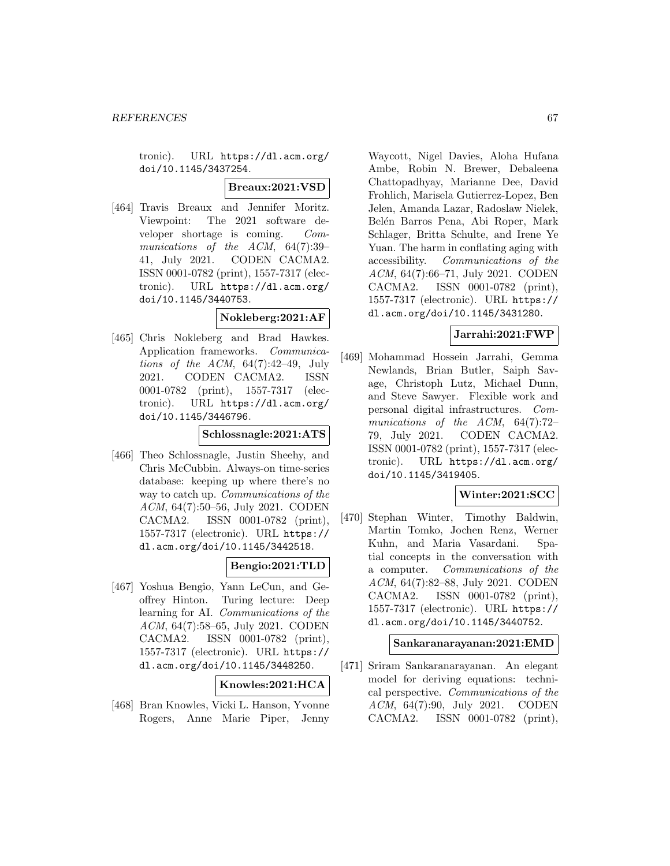tronic). URL https://dl.acm.org/ doi/10.1145/3437254.

**Breaux:2021:VSD**

[464] Travis Breaux and Jennifer Moritz. Viewpoint: The 2021 software developer shortage is coming. Communications of the ACM, 64(7):39– 41, July 2021. CODEN CACMA2. ISSN 0001-0782 (print), 1557-7317 (electronic). URL https://dl.acm.org/ doi/10.1145/3440753.

### **Nokleberg:2021:AF**

[465] Chris Nokleberg and Brad Hawkes. Application frameworks. Communications of the ACM,  $64(7):42-49$ , July 2021. CODEN CACMA2. ISSN 0001-0782 (print), 1557-7317 (electronic). URL https://dl.acm.org/ doi/10.1145/3446796.

#### **Schlossnagle:2021:ATS**

[466] Theo Schlossnagle, Justin Sheehy, and Chris McCubbin. Always-on time-series database: keeping up where there's no way to catch up. Communications of the ACM, 64(7):50–56, July 2021. CODEN CACMA2. ISSN 0001-0782 (print), 1557-7317 (electronic). URL https:// dl.acm.org/doi/10.1145/3442518.

### **Bengio:2021:TLD**

[467] Yoshua Bengio, Yann LeCun, and Geoffrey Hinton. Turing lecture: Deep learning for AI. Communications of the ACM, 64(7):58–65, July 2021. CODEN CACMA2. ISSN 0001-0782 (print), 1557-7317 (electronic). URL https:// dl.acm.org/doi/10.1145/3448250.

**Knowles:2021:HCA**

[468] Bran Knowles, Vicki L. Hanson, Yvonne Rogers, Anne Marie Piper, Jenny

Waycott, Nigel Davies, Aloha Hufana Ambe, Robin N. Brewer, Debaleena Chattopadhyay, Marianne Dee, David Frohlich, Marisela Gutierrez-Lopez, Ben Jelen, Amanda Lazar, Radoslaw Nielek, Belén Barros Pena, Abi Roper, Mark Schlager, Britta Schulte, and Irene Ye Yuan. The harm in conflating aging with accessibility. Communications of the ACM, 64(7):66–71, July 2021. CODEN CACMA2. ISSN 0001-0782 (print), 1557-7317 (electronic). URL https:// dl.acm.org/doi/10.1145/3431280.

### **Jarrahi:2021:FWP**

[469] Mohammad Hossein Jarrahi, Gemma Newlands, Brian Butler, Saiph Savage, Christoph Lutz, Michael Dunn, and Steve Sawyer. Flexible work and personal digital infrastructures. Communications of the ACM, 64(7):72– 79, July 2021. CODEN CACMA2. ISSN 0001-0782 (print), 1557-7317 (electronic). URL https://dl.acm.org/ doi/10.1145/3419405.

### **Winter:2021:SCC**

[470] Stephan Winter, Timothy Baldwin, Martin Tomko, Jochen Renz, Werner Kuhn, and Maria Vasardani. Spatial concepts in the conversation with a computer. Communications of the ACM, 64(7):82–88, July 2021. CODEN CACMA2. ISSN 0001-0782 (print), 1557-7317 (electronic). URL https:// dl.acm.org/doi/10.1145/3440752.

#### **Sankaranarayanan:2021:EMD**

[471] Sriram Sankaranarayanan. An elegant model for deriving equations: technical perspective. Communications of the ACM, 64(7):90, July 2021. CODEN CACMA2. ISSN 0001-0782 (print),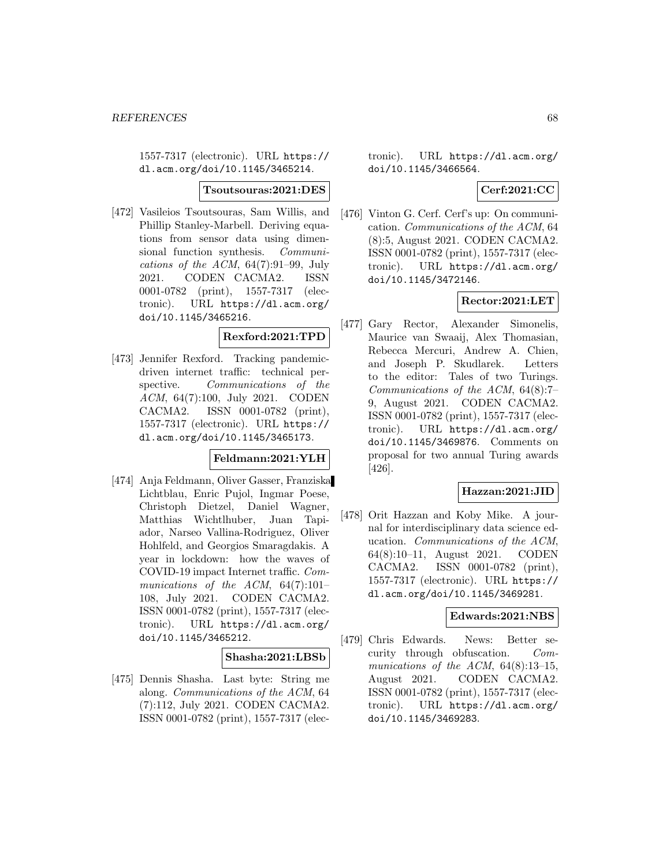1557-7317 (electronic). URL https:// dl.acm.org/doi/10.1145/3465214.

#### **Tsoutsouras:2021:DES**

[472] Vasileios Tsoutsouras, Sam Willis, and Phillip Stanley-Marbell. Deriving equations from sensor data using dimensional function synthesis. Communications of the ACM,  $64(7):91-99$ , July 2021. CODEN CACMA2. ISSN 0001-0782 (print), 1557-7317 (electronic). URL https://dl.acm.org/ doi/10.1145/3465216.

### **Rexford:2021:TPD**

[473] Jennifer Rexford. Tracking pandemicdriven internet traffic: technical perspective. Communications of the ACM, 64(7):100, July 2021. CODEN CACMA2. ISSN 0001-0782 (print), 1557-7317 (electronic). URL https:// dl.acm.org/doi/10.1145/3465173.

#### **Feldmann:2021:YLH**

[474] Anja Feldmann, Oliver Gasser, Franziska Lichtblau, Enric Pujol, Ingmar Poese, Christoph Dietzel, Daniel Wagner, Matthias Wichtlhuber, Juan Tapiador, Narseo Vallina-Rodriguez, Oliver Hohlfeld, and Georgios Smaragdakis. A year in lockdown: how the waves of COVID-19 impact Internet traffic. Communications of the ACM, 64(7):101– 108, July 2021. CODEN CACMA2. ISSN 0001-0782 (print), 1557-7317 (electronic). URL https://dl.acm.org/ doi/10.1145/3465212.

#### **Shasha:2021:LBSb**

[475] Dennis Shasha. Last byte: String me along. Communications of the ACM, 64 (7):112, July 2021. CODEN CACMA2. ISSN 0001-0782 (print), 1557-7317 (electronic). URL https://dl.acm.org/ doi/10.1145/3466564.

### **Cerf:2021:CC**

[476] Vinton G. Cerf. Cerf's up: On communication. Communications of the ACM, 64 (8):5, August 2021. CODEN CACMA2. ISSN 0001-0782 (print), 1557-7317 (electronic). URL https://dl.acm.org/ doi/10.1145/3472146.

## **Rector:2021:LET**

[477] Gary Rector, Alexander Simonelis, Maurice van Swaaij, Alex Thomasian, Rebecca Mercuri, Andrew A. Chien, and Joseph P. Skudlarek. Letters to the editor: Tales of two Turings. Communications of the ACM, 64(8):7– 9, August 2021. CODEN CACMA2. ISSN 0001-0782 (print), 1557-7317 (electronic). URL https://dl.acm.org/ doi/10.1145/3469876. Comments on proposal for two annual Turing awards [426].

### **Hazzan:2021:JID**

[478] Orit Hazzan and Koby Mike. A journal for interdisciplinary data science education. Communications of the ACM, 64(8):10–11, August 2021. CODEN CACMA2. ISSN 0001-0782 (print), 1557-7317 (electronic). URL https:// dl.acm.org/doi/10.1145/3469281.

#### **Edwards:2021:NBS**

[479] Chris Edwards. News: Better security through obfuscation. Communications of the ACM,  $64(8):13-15$ , August 2021. CODEN CACMA2. ISSN 0001-0782 (print), 1557-7317 (electronic). URL https://dl.acm.org/ doi/10.1145/3469283.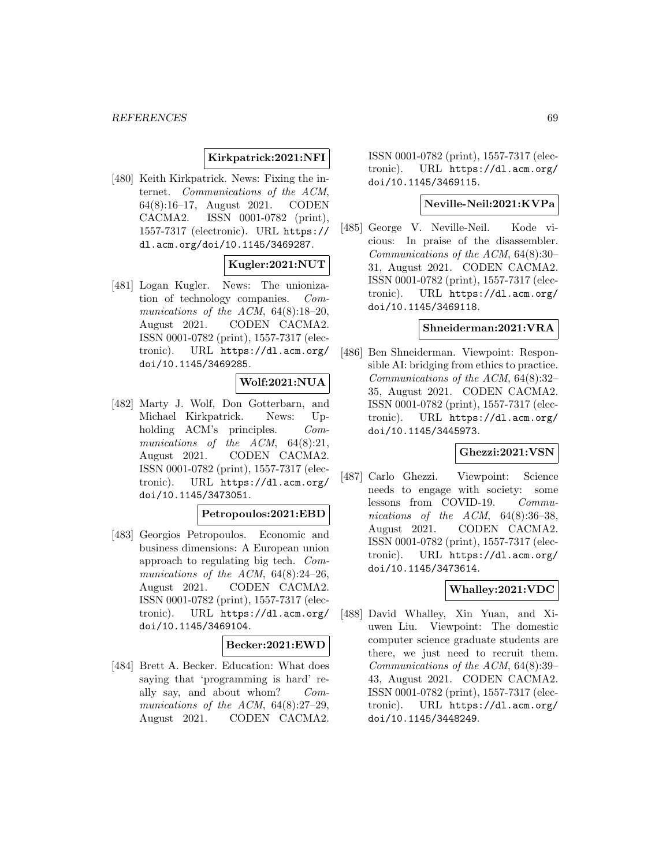### **Kirkpatrick:2021:NFI**

[480] Keith Kirkpatrick. News: Fixing the internet. Communications of the ACM, 64(8):16–17, August 2021. CODEN CACMA2. ISSN 0001-0782 (print), 1557-7317 (electronic). URL https:// dl.acm.org/doi/10.1145/3469287.

# **Kugler:2021:NUT**

[481] Logan Kugler. News: The unionization of technology companies. Communications of the ACM, 64(8):18-20, August 2021. CODEN CACMA2. ISSN 0001-0782 (print), 1557-7317 (electronic). URL https://dl.acm.org/ doi/10.1145/3469285.

### **Wolf:2021:NUA**

[482] Marty J. Wolf, Don Gotterbarn, and Michael Kirkpatrick. News: Upholding ACM's principles. Communications of the ACM,  $64(8):21$ , August 2021. CODEN CACMA2. ISSN 0001-0782 (print), 1557-7317 (electronic). URL https://dl.acm.org/ doi/10.1145/3473051.

#### **Petropoulos:2021:EBD**

[483] Georgios Petropoulos. Economic and business dimensions: A European union approach to regulating big tech. Communications of the ACM,  $64(8):24-26$ , August 2021. CODEN CACMA2. ISSN 0001-0782 (print), 1557-7317 (electronic). URL https://dl.acm.org/ doi/10.1145/3469104.

#### **Becker:2021:EWD**

[484] Brett A. Becker. Education: What does saying that 'programming is hard' really say, and about whom? Communications of the ACM, 64(8):27-29, August 2021. CODEN CACMA2.

ISSN 0001-0782 (print), 1557-7317 (electronic). URL https://dl.acm.org/ doi/10.1145/3469115.

## **Neville-Neil:2021:KVPa**

[485] George V. Neville-Neil. Kode vicious: In praise of the disassembler. Communications of the ACM, 64(8):30– 31, August 2021. CODEN CACMA2. ISSN 0001-0782 (print), 1557-7317 (electronic). URL https://dl.acm.org/ doi/10.1145/3469118.

### **Shneiderman:2021:VRA**

[486] Ben Shneiderman. Viewpoint: Responsible AI: bridging from ethics to practice. Communications of the ACM, 64(8):32– 35, August 2021. CODEN CACMA2. ISSN 0001-0782 (print), 1557-7317 (electronic). URL https://dl.acm.org/ doi/10.1145/3445973.

## **Ghezzi:2021:VSN**

[487] Carlo Ghezzi. Viewpoint: Science needs to engage with society: some lessons from COVID-19. Communications of the ACM, 64(8):36–38, August 2021. CODEN CACMA2. ISSN 0001-0782 (print), 1557-7317 (electronic). URL https://dl.acm.org/ doi/10.1145/3473614.

#### **Whalley:2021:VDC**

[488] David Whalley, Xin Yuan, and Xiuwen Liu. Viewpoint: The domestic computer science graduate students are there, we just need to recruit them. Communications of the ACM, 64(8):39– 43, August 2021. CODEN CACMA2. ISSN 0001-0782 (print), 1557-7317 (electronic). URL https://dl.acm.org/ doi/10.1145/3448249.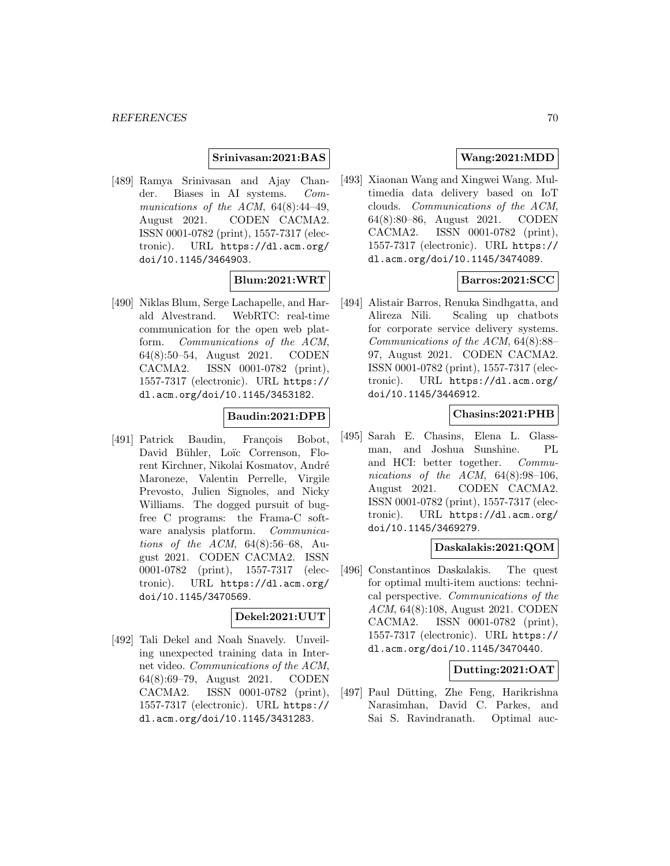### **Srinivasan:2021:BAS**

[489] Ramya Srinivasan and Ajay Chander. Biases in AI systems. Communications of the ACM,  $64(8):44-49$ , August 2021. CODEN CACMA2. ISSN 0001-0782 (print), 1557-7317 (electronic). URL https://dl.acm.org/ doi/10.1145/3464903.

# **Blum:2021:WRT**

[490] Niklas Blum, Serge Lachapelle, and Harald Alvestrand. WebRTC: real-time communication for the open web platform. Communications of the ACM, 64(8):50–54, August 2021. CODEN CACMA2. ISSN 0001-0782 (print), 1557-7317 (electronic). URL https:// dl.acm.org/doi/10.1145/3453182.

# **Baudin:2021:DPB**

[491] Patrick Baudin, François Bobot, David Bühler, Loïc Correnson, Florent Kirchner, Nikolai Kosmatov, André Maroneze, Valentin Perrelle, Virgile Prevosto, Julien Signoles, and Nicky Williams. The dogged pursuit of bugfree C programs: the Frama-C software analysis platform. *Communica*tions of the ACM,  $64(8):56-68$ , August 2021. CODEN CACMA2. ISSN 0001-0782 (print), 1557-7317 (electronic). URL https://dl.acm.org/ doi/10.1145/3470569.

### **Dekel:2021:UUT**

[492] Tali Dekel and Noah Snavely. Unveiling unexpected training data in Internet video. Communications of the ACM, 64(8):69–79, August 2021. CODEN CACMA2. ISSN 0001-0782 (print), 1557-7317 (electronic). URL https:// dl.acm.org/doi/10.1145/3431283.

# **Wang:2021:MDD**

[493] Xiaonan Wang and Xingwei Wang. Multimedia data delivery based on IoT clouds. Communications of the ACM, 64(8):80–86, August 2021. CODEN CACMA2. ISSN 0001-0782 (print), 1557-7317 (electronic). URL https:// dl.acm.org/doi/10.1145/3474089.

### **Barros:2021:SCC**

[494] Alistair Barros, Renuka Sindhgatta, and Alireza Nili. Scaling up chatbots for corporate service delivery systems. Communications of the ACM, 64(8):88– 97, August 2021. CODEN CACMA2. ISSN 0001-0782 (print), 1557-7317 (electronic). URL https://dl.acm.org/ doi/10.1145/3446912.

### **Chasins:2021:PHB**

[495] Sarah E. Chasins, Elena L. Glassman, and Joshua Sunshine. PL and HCI: better together. Communications of the ACM,  $64(8):98-106$ , August 2021. CODEN CACMA2. ISSN 0001-0782 (print), 1557-7317 (electronic). URL https://dl.acm.org/ doi/10.1145/3469279.

#### **Daskalakis:2021:QOM**

[496] Constantinos Daskalakis. The quest for optimal multi-item auctions: technical perspective. Communications of the ACM, 64(8):108, August 2021. CODEN CACMA2. ISSN 0001-0782 (print), 1557-7317 (electronic). URL https:// dl.acm.org/doi/10.1145/3470440.

### **Dutting:2021:OAT**

[497] Paul Dütting, Zhe Feng, Harikrishna Narasimhan, David C. Parkes, and Sai S. Ravindranath. Optimal auc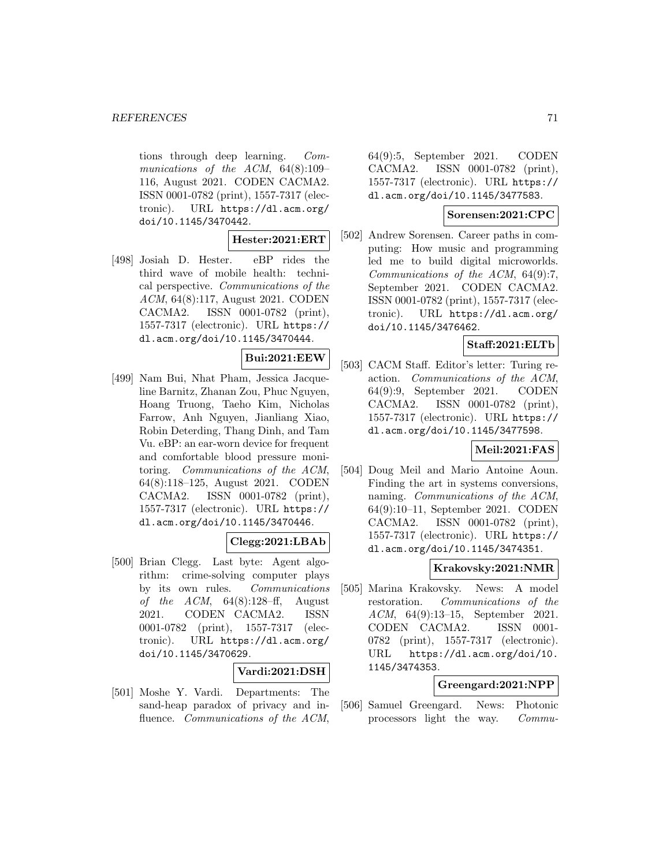tions through deep learning. Communications of the ACM, 64(8):109– 116, August 2021. CODEN CACMA2. ISSN 0001-0782 (print), 1557-7317 (electronic). URL https://dl.acm.org/ doi/10.1145/3470442.

### **Hester:2021:ERT**

[498] Josiah D. Hester. eBP rides the third wave of mobile health: technical perspective. Communications of the ACM, 64(8):117, August 2021. CODEN CACMA2. ISSN 0001-0782 (print), 1557-7317 (electronic). URL https:// dl.acm.org/doi/10.1145/3470444.

### **Bui:2021:EEW**

[499] Nam Bui, Nhat Pham, Jessica Jacqueline Barnitz, Zhanan Zou, Phuc Nguyen, Hoang Truong, Taeho Kim, Nicholas Farrow, Anh Nguyen, Jianliang Xiao, Robin Deterding, Thang Dinh, and Tam Vu. eBP: an ear-worn device for frequent and comfortable blood pressure monitoring. Communications of the ACM, 64(8):118–125, August 2021. CODEN CACMA2. ISSN 0001-0782 (print), 1557-7317 (electronic). URL https:// dl.acm.org/doi/10.1145/3470446.

### **Clegg:2021:LBAb**

[500] Brian Clegg. Last byte: Agent algorithm: crime-solving computer plays by its own rules. Communications of the ACM,  $64(8):128-f$ , August 2021. CODEN CACMA2. ISSN 0001-0782 (print), 1557-7317 (electronic). URL https://dl.acm.org/ doi/10.1145/3470629.

## **Vardi:2021:DSH**

[501] Moshe Y. Vardi. Departments: The sand-heap paradox of privacy and influence. *Communications* of the ACM,

64(9):5, September 2021. CODEN CACMA2. ISSN 0001-0782 (print), 1557-7317 (electronic). URL https:// dl.acm.org/doi/10.1145/3477583.

### **Sorensen:2021:CPC**

[502] Andrew Sorensen. Career paths in computing: How music and programming led me to build digital microworlds. Communications of the ACM, 64(9):7, September 2021. CODEN CACMA2. ISSN 0001-0782 (print), 1557-7317 (electronic). URL https://dl.acm.org/ doi/10.1145/3476462.

# **Staff:2021:ELTb**

[503] CACM Staff. Editor's letter: Turing reaction. Communications of the ACM, 64(9):9, September 2021. CODEN CACMA2. ISSN 0001-0782 (print), 1557-7317 (electronic). URL https:// dl.acm.org/doi/10.1145/3477598.

## **Meil:2021:FAS**

[504] Doug Meil and Mario Antoine Aoun. Finding the art in systems conversions, naming. Communications of the ACM, 64(9):10–11, September 2021. CODEN CACMA2. ISSN 0001-0782 (print), 1557-7317 (electronic). URL https:// dl.acm.org/doi/10.1145/3474351.

#### **Krakovsky:2021:NMR**

[505] Marina Krakovsky. News: A model restoration. Communications of the ACM, 64(9):13–15, September 2021. CODEN CACMA2. ISSN 0001- 0782 (print), 1557-7317 (electronic). URL https://dl.acm.org/doi/10. 1145/3474353.

### **Greengard:2021:NPP**

[506] Samuel Greengard. News: Photonic processors light the way. Commu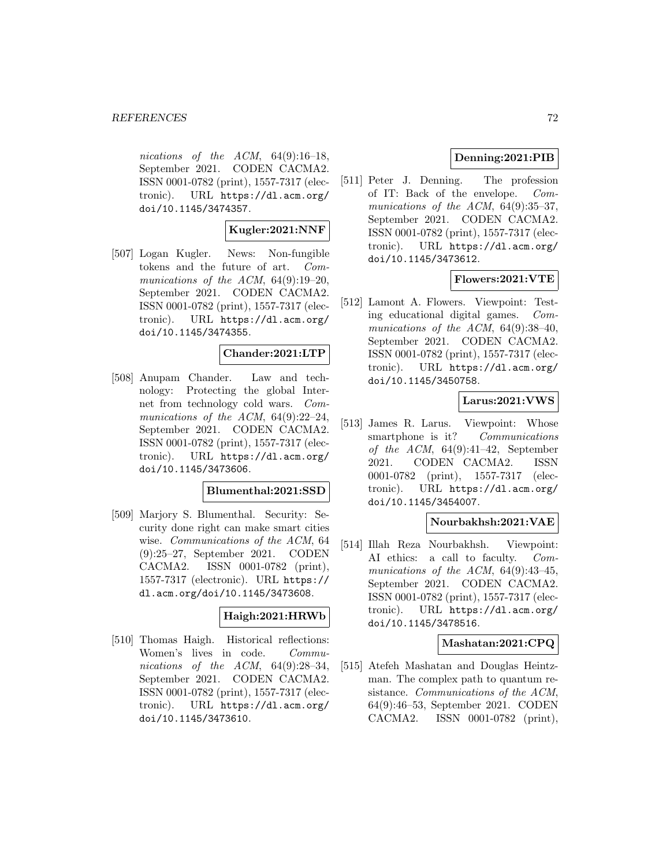nications of the ACM, 64(9):16–18, September 2021. CODEN CACMA2. ISSN 0001-0782 (print), 1557-7317 (electronic). URL https://dl.acm.org/ doi/10.1145/3474357.

### **Kugler:2021:NNF**

[507] Logan Kugler. News: Non-fungible tokens and the future of art. Communications of the ACM, 64(9):19–20, September 2021. CODEN CACMA2. ISSN 0001-0782 (print), 1557-7317 (electronic). URL https://dl.acm.org/ doi/10.1145/3474355.

#### **Chander:2021:LTP**

[508] Anupam Chander. Law and technology: Protecting the global Internet from technology cold wars. Communications of the ACM,  $64(9):22-24$ , September 2021. CODEN CACMA2. ISSN 0001-0782 (print), 1557-7317 (electronic). URL https://dl.acm.org/ doi/10.1145/3473606.

### **Blumenthal:2021:SSD**

[509] Marjory S. Blumenthal. Security: Security done right can make smart cities wise. Communications of the ACM, 64 (9):25–27, September 2021. CODEN CACMA2. ISSN 0001-0782 (print), 1557-7317 (electronic). URL https:// dl.acm.org/doi/10.1145/3473608.

#### **Haigh:2021:HRWb**

[510] Thomas Haigh. Historical reflections: Women's lives in code. Communications of the ACM, 64(9):28–34, September 2021. CODEN CACMA2. ISSN 0001-0782 (print), 1557-7317 (electronic). URL https://dl.acm.org/ doi/10.1145/3473610.

## **Denning:2021:PIB**

[511] Peter J. Denning. The profession of IT: Back of the envelope. Communications of the ACM, 64(9):35-37, September 2021. CODEN CACMA2. ISSN 0001-0782 (print), 1557-7317 (electronic). URL https://dl.acm.org/ doi/10.1145/3473612.

### **Flowers:2021:VTE**

[512] Lamont A. Flowers. Viewpoint: Testing educational digital games. Communications of the ACM, 64(9):38-40, September 2021. CODEN CACMA2. ISSN 0001-0782 (print), 1557-7317 (electronic). URL https://dl.acm.org/ doi/10.1145/3450758.

## **Larus:2021:VWS**

[513] James R. Larus. Viewpoint: Whose smartphone is it? Communications of the  $ACM$ ,  $64(9):41-42$ , September 2021. CODEN CACMA2. ISSN 0001-0782 (print), 1557-7317 (electronic). URL https://dl.acm.org/ doi/10.1145/3454007.

### **Nourbakhsh:2021:VAE**

[514] Illah Reza Nourbakhsh. Viewpoint: AI ethics: a call to faculty. Communications of the ACM, 64(9):43-45, September 2021. CODEN CACMA2. ISSN 0001-0782 (print), 1557-7317 (electronic). URL https://dl.acm.org/ doi/10.1145/3478516.

### **Mashatan:2021:CPQ**

[515] Atefeh Mashatan and Douglas Heintzman. The complex path to quantum resistance. Communications of the ACM, 64(9):46–53, September 2021. CODEN CACMA2. ISSN 0001-0782 (print),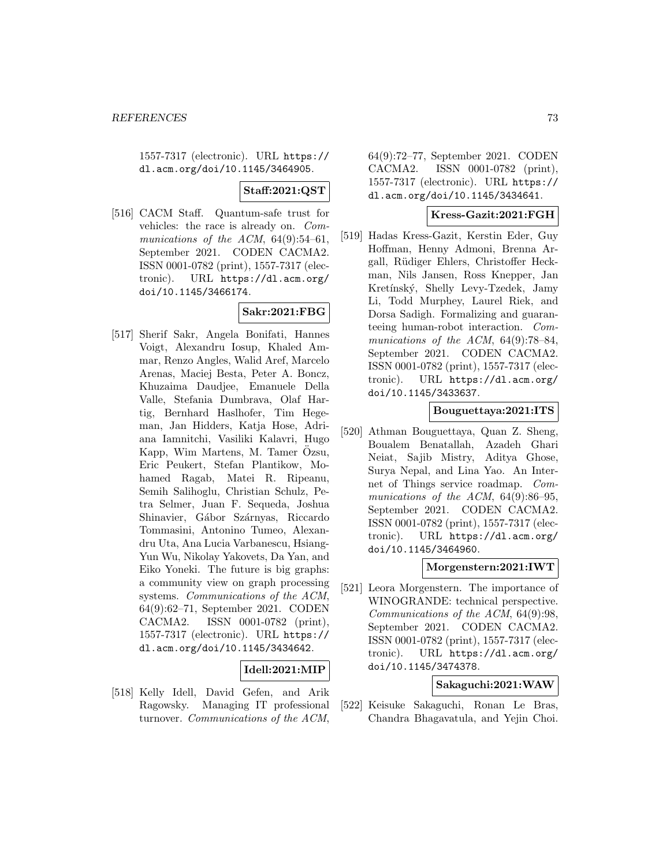1557-7317 (electronic). URL https:// dl.acm.org/doi/10.1145/3464905.

**Staff:2021:QST**

[516] CACM Staff. Quantum-safe trust for vehicles: the race is already on. Communications of the ACM,  $64(9):54-61$ , September 2021. CODEN CACMA2. ISSN 0001-0782 (print), 1557-7317 (electronic). URL https://dl.acm.org/ doi/10.1145/3466174.

# **Sakr:2021:FBG**

[517] Sherif Sakr, Angela Bonifati, Hannes Voigt, Alexandru Iosup, Khaled Ammar, Renzo Angles, Walid Aref, Marcelo Arenas, Maciej Besta, Peter A. Boncz, Khuzaima Daudjee, Emanuele Della Valle, Stefania Dumbrava, Olaf Hartig, Bernhard Haslhofer, Tim Hegeman, Jan Hidders, Katja Hose, Adriana Iamnitchi, Vasiliki Kalavri, Hugo Kapp, Wim Martens, M. Tamer Ozsu, Eric Peukert, Stefan Plantikow, Mohamed Ragab, Matei R. Ripeanu, Semih Salihoglu, Christian Schulz, Petra Selmer, Juan F. Sequeda, Joshua Shinavier, Gábor Szárnyas, Riccardo Tommasini, Antonino Tumeo, Alexandru Uta, Ana Lucia Varbanescu, Hsiang-Yun Wu, Nikolay Yakovets, Da Yan, and Eiko Yoneki. The future is big graphs: a community view on graph processing systems. Communications of the ACM, 64(9):62–71, September 2021. CODEN CACMA2. ISSN 0001-0782 (print), 1557-7317 (electronic). URL https:// dl.acm.org/doi/10.1145/3434642.

#### **Idell:2021:MIP**

[518] Kelly Idell, David Gefen, and Arik Ragowsky. Managing IT professional turnover. Communications of the ACM,

64(9):72–77, September 2021. CODEN CACMA2. ISSN 0001-0782 (print), 1557-7317 (electronic). URL https:// dl.acm.org/doi/10.1145/3434641.

#### **Kress-Gazit:2021:FGH**

[519] Hadas Kress-Gazit, Kerstin Eder, Guy Hoffman, Henny Admoni, Brenna Argall, R¨udiger Ehlers, Christoffer Heckman, Nils Jansen, Ross Knepper, Jan Kretínský, Shelly Levy-Tzedek, Jamy Li, Todd Murphey, Laurel Riek, and Dorsa Sadigh. Formalizing and guaranteeing human-robot interaction. Communications of the ACM, 64(9):78–84, September 2021. CODEN CACMA2. ISSN 0001-0782 (print), 1557-7317 (electronic). URL https://dl.acm.org/ doi/10.1145/3433637.

#### **Bouguettaya:2021:ITS**

[520] Athman Bouguettaya, Quan Z. Sheng, Boualem Benatallah, Azadeh Ghari Neiat, Sajib Mistry, Aditya Ghose, Surya Nepal, and Lina Yao. An Internet of Things service roadmap. Communications of the ACM, 64(9):86-95, September 2021. CODEN CACMA2. ISSN 0001-0782 (print), 1557-7317 (electronic). URL https://dl.acm.org/ doi/10.1145/3464960.

#### **Morgenstern:2021:IWT**

[521] Leora Morgenstern. The importance of WINOGRANDE: technical perspective. Communications of the ACM, 64(9):98, September 2021. CODEN CACMA2. ISSN 0001-0782 (print), 1557-7317 (electronic). URL https://dl.acm.org/ doi/10.1145/3474378.

## **Sakaguchi:2021:WAW**

[522] Keisuke Sakaguchi, Ronan Le Bras, Chandra Bhagavatula, and Yejin Choi.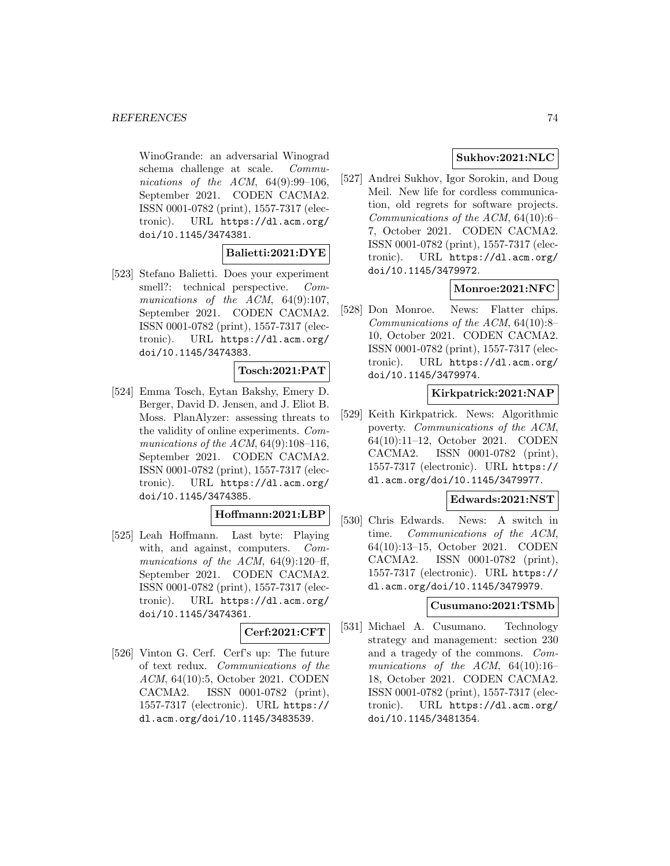WinoGrande: an adversarial Winograd schema challenge at scale. Communications of the ACM,  $64(9):99-106$ , September 2021. CODEN CACMA2. ISSN 0001-0782 (print), 1557-7317 (electronic). URL https://dl.acm.org/ doi/10.1145/3474381.

#### **Balietti:2021:DYE**

[523] Stefano Balietti. Does your experiment smell?: technical perspective. Communications of the ACM, 64(9):107, September 2021. CODEN CACMA2. ISSN 0001-0782 (print), 1557-7317 (electronic). URL https://dl.acm.org/ doi/10.1145/3474383.

## **Tosch:2021:PAT**

[524] Emma Tosch, Eytan Bakshy, Emery D. Berger, David D. Jensen, and J. Eliot B. Moss. PlanAlyzer: assessing threats to the validity of online experiments. Communications of the ACM,  $64(9)$ :108-116, September 2021. CODEN CACMA2. ISSN 0001-0782 (print), 1557-7317 (electronic). URL https://dl.acm.org/ doi/10.1145/3474385.

# **Hoffmann:2021:LBP**

[525] Leah Hoffmann. Last byte: Playing with, and against, computers. *Com*munications of the ACM,  $64(9):120-ff$ , September 2021. CODEN CACMA2. ISSN 0001-0782 (print), 1557-7317 (electronic). URL https://dl.acm.org/ doi/10.1145/3474361.

#### **Cerf:2021:CFT**

[526] Vinton G. Cerf. Cerf's up: The future of text redux. Communications of the ACM, 64(10):5, October 2021. CODEN CACMA2. ISSN 0001-0782 (print), 1557-7317 (electronic). URL https:// dl.acm.org/doi/10.1145/3483539.

# **Sukhov:2021:NLC**

[527] Andrei Sukhov, Igor Sorokin, and Doug Meil. New life for cordless communication, old regrets for software projects. Communications of the ACM, 64(10):6– 7, October 2021. CODEN CACMA2. ISSN 0001-0782 (print), 1557-7317 (electronic). URL https://dl.acm.org/ doi/10.1145/3479972.

# **Monroe:2021:NFC**

[528] Don Monroe. News: Flatter chips. Communications of the ACM, 64(10):8– 10, October 2021. CODEN CACMA2. ISSN 0001-0782 (print), 1557-7317 (electronic). URL https://dl.acm.org/ doi/10.1145/3479974.

### **Kirkpatrick:2021:NAP**

[529] Keith Kirkpatrick. News: Algorithmic poverty. Communications of the ACM, 64(10):11–12, October 2021. CODEN CACMA2. ISSN 0001-0782 (print), 1557-7317 (electronic). URL https:// dl.acm.org/doi/10.1145/3479977.

#### **Edwards:2021:NST**

[530] Chris Edwards. News: A switch in time. Communications of the ACM, 64(10):13–15, October 2021. CODEN CACMA2. ISSN 0001-0782 (print), 1557-7317 (electronic). URL https:// dl.acm.org/doi/10.1145/3479979.

#### **Cusumano:2021:TSMb**

[531] Michael A. Cusumano. Technology strategy and management: section 230 and a tragedy of the commons. Communications of the ACM, 64(10):16– 18, October 2021. CODEN CACMA2. ISSN 0001-0782 (print), 1557-7317 (electronic). URL https://dl.acm.org/ doi/10.1145/3481354.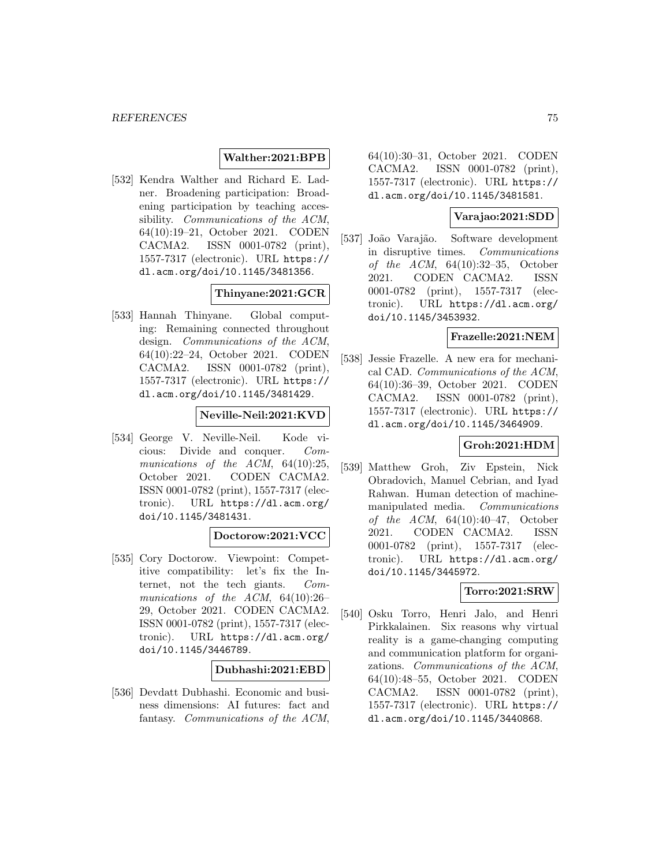#### **Walther:2021:BPB**

[532] Kendra Walther and Richard E. Ladner. Broadening participation: Broadening participation by teaching accessibility. Communications of the ACM, 64(10):19–21, October 2021. CODEN CACMA2. ISSN 0001-0782 (print), 1557-7317 (electronic). URL https:// dl.acm.org/doi/10.1145/3481356.

#### **Thinyane:2021:GCR**

[533] Hannah Thinyane. Global computing: Remaining connected throughout design. Communications of the ACM, 64(10):22–24, October 2021. CODEN CACMA2. ISSN 0001-0782 (print), 1557-7317 (electronic). URL https:// dl.acm.org/doi/10.1145/3481429.

#### **Neville-Neil:2021:KVD**

[534] George V. Neville-Neil. Kode vicious: Divide and conquer. Communications of the ACM, 64(10):25, October 2021. CODEN CACMA2. ISSN 0001-0782 (print), 1557-7317 (electronic). URL https://dl.acm.org/ doi/10.1145/3481431.

#### **Doctorow:2021:VCC**

[535] Cory Doctorow. Viewpoint: Competitive compatibility: let's fix the Internet, not the tech giants. Communications of the ACM, 64(10):26– 29, October 2021. CODEN CACMA2. ISSN 0001-0782 (print), 1557-7317 (electronic). URL https://dl.acm.org/ doi/10.1145/3446789.

#### **Dubhashi:2021:EBD**

[536] Devdatt Dubhashi. Economic and business dimensions: AI futures: fact and fantasy. Communications of the ACM,

64(10):30–31, October 2021. CODEN CACMA2. ISSN 0001-0782 (print), 1557-7317 (electronic). URL https:// dl.acm.org/doi/10.1145/3481581.

# **Varajao:2021:SDD**

[537] João Varajão. Software development in disruptive times. Communications of the ACM, 64(10):32–35, October 2021. CODEN CACMA2. ISSN 0001-0782 (print), 1557-7317 (electronic). URL https://dl.acm.org/ doi/10.1145/3453932.

# **Frazelle:2021:NEM**

[538] Jessie Frazelle. A new era for mechanical CAD. Communications of the ACM, 64(10):36–39, October 2021. CODEN CACMA2. ISSN 0001-0782 (print), 1557-7317 (electronic). URL https:// dl.acm.org/doi/10.1145/3464909.

### **Groh:2021:HDM**

[539] Matthew Groh, Ziv Epstein, Nick Obradovich, Manuel Cebrian, and Iyad Rahwan. Human detection of machinemanipulated media. Communications of the ACM,  $64(10):40-47$ , October 2021. CODEN CACMA2. ISSN 0001-0782 (print), 1557-7317 (electronic). URL https://dl.acm.org/ doi/10.1145/3445972.

#### **Torro:2021:SRW**

[540] Osku Torro, Henri Jalo, and Henri Pirkkalainen. Six reasons why virtual reality is a game-changing computing and communication platform for organizations. Communications of the ACM, 64(10):48–55, October 2021. CODEN CACMA2. ISSN 0001-0782 (print), 1557-7317 (electronic). URL https:// dl.acm.org/doi/10.1145/3440868.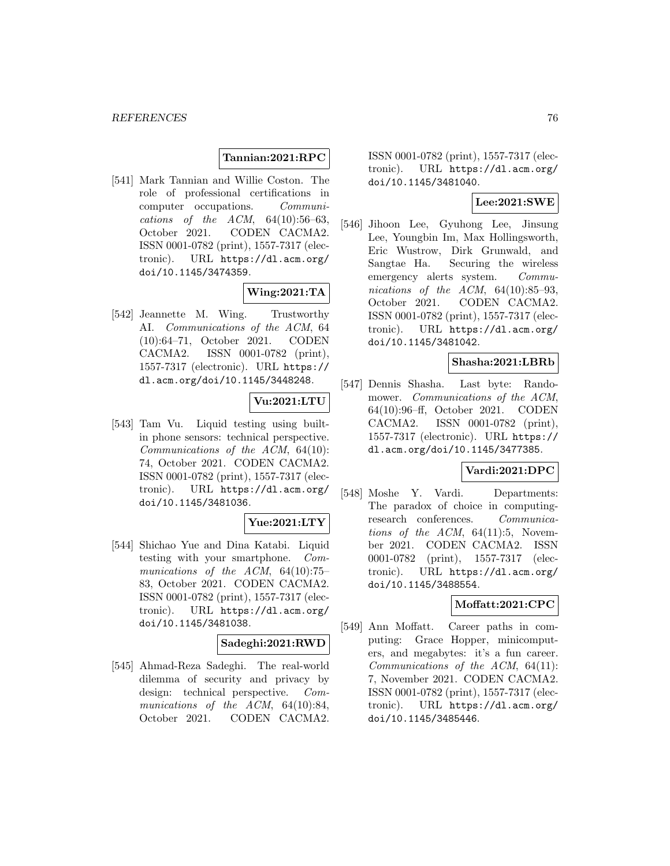#### **Tannian:2021:RPC**

[541] Mark Tannian and Willie Coston. The role of professional certifications in computer occupations. Communications of the ACM,  $64(10):56-63$ , October 2021. CODEN CACMA2. ISSN 0001-0782 (print), 1557-7317 (electronic). URL https://dl.acm.org/ doi/10.1145/3474359.

## **Wing:2021:TA**

[542] Jeannette M. Wing. Trustworthy AI. Communications of the ACM, 64 (10):64–71, October 2021. CODEN CACMA2. ISSN 0001-0782 (print), 1557-7317 (electronic). URL https:// dl.acm.org/doi/10.1145/3448248.

#### **Vu:2021:LTU**

[543] Tam Vu. Liquid testing using builtin phone sensors: technical perspective. Communications of the ACM, 64(10): 74, October 2021. CODEN CACMA2. ISSN 0001-0782 (print), 1557-7317 (electronic). URL https://dl.acm.org/ doi/10.1145/3481036.

## **Yue:2021:LTY**

[544] Shichao Yue and Dina Katabi. Liquid testing with your smartphone. Communications of the ACM, 64(10):75– 83, October 2021. CODEN CACMA2. ISSN 0001-0782 (print), 1557-7317 (electronic). URL https://dl.acm.org/ doi/10.1145/3481038.

#### **Sadeghi:2021:RWD**

[545] Ahmad-Reza Sadeghi. The real-world dilemma of security and privacy by design: technical perspective. Communications of the ACM, 64(10):84, October 2021. CODEN CACMA2.

ISSN 0001-0782 (print), 1557-7317 (electronic). URL https://dl.acm.org/ doi/10.1145/3481040.

## **Lee:2021:SWE**

[546] Jihoon Lee, Gyuhong Lee, Jinsung Lee, Youngbin Im, Max Hollingsworth, Eric Wustrow, Dirk Grunwald, and Sangtae Ha. Securing the wireless emergency alerts system. Communications of the ACM,  $64(10):85-93$ , October 2021. CODEN CACMA2. ISSN 0001-0782 (print), 1557-7317 (electronic). URL https://dl.acm.org/ doi/10.1145/3481042.

## **Shasha:2021:LBRb**

[547] Dennis Shasha. Last byte: Randomower. Communications of the ACM, 64(10):96–ff, October 2021. CODEN CACMA2. ISSN 0001-0782 (print), 1557-7317 (electronic). URL https:// dl.acm.org/doi/10.1145/3477385.

#### **Vardi:2021:DPC**

[548] Moshe Y. Vardi. Departments: The paradox of choice in computingresearch conferences. Communications of the  $ACM$ ,  $64(11):5$ , November 2021. CODEN CACMA2. ISSN 0001-0782 (print), 1557-7317 (electronic). URL https://dl.acm.org/ doi/10.1145/3488554.

### **Moffatt:2021:CPC**

[549] Ann Moffatt. Career paths in computing: Grace Hopper, minicomputers, and megabytes: it's a fun career. Communications of the ACM, 64(11): 7, November 2021. CODEN CACMA2. ISSN 0001-0782 (print), 1557-7317 (electronic). URL https://dl.acm.org/ doi/10.1145/3485446.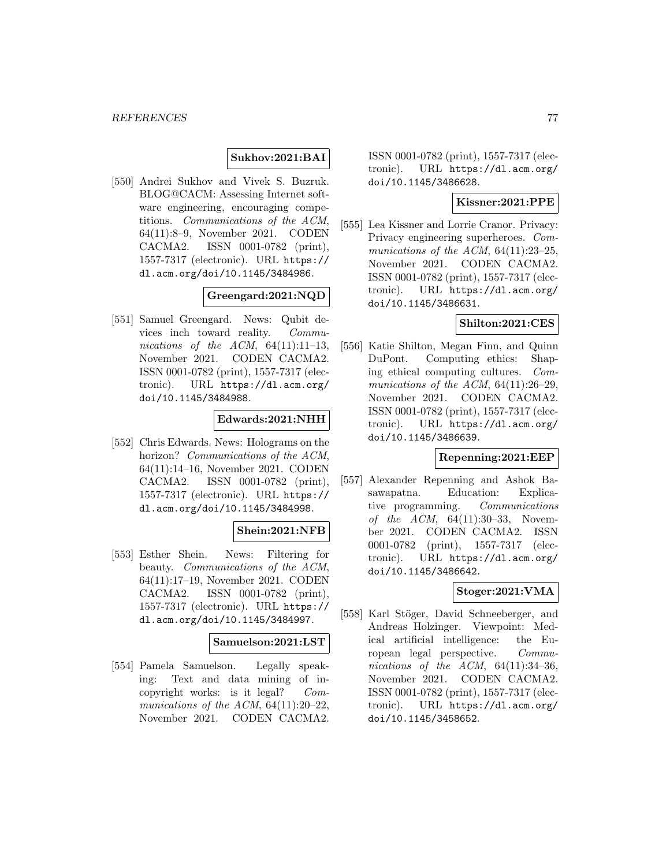## **Sukhov:2021:BAI**

[550] Andrei Sukhov and Vivek S. Buzruk. BLOG@CACM: Assessing Internet software engineering, encouraging competitions. Communications of the ACM, 64(11):8–9, November 2021. CODEN CACMA2. ISSN 0001-0782 (print), 1557-7317 (electronic). URL https:// dl.acm.org/doi/10.1145/3484986.

#### **Greengard:2021:NQD**

[551] Samuel Greengard. News: Qubit devices inch toward reality. Communications of the ACM,  $64(11):11-13$ , November 2021. CODEN CACMA2. ISSN 0001-0782 (print), 1557-7317 (electronic). URL https://dl.acm.org/ doi/10.1145/3484988.

### **Edwards:2021:NHH**

[552] Chris Edwards. News: Holograms on the horizon? *Communications of the ACM*, 64(11):14–16, November 2021. CODEN CACMA2. ISSN 0001-0782 (print), 1557-7317 (electronic). URL https:// dl.acm.org/doi/10.1145/3484998.

#### **Shein:2021:NFB**

[553] Esther Shein. News: Filtering for beauty. Communications of the ACM, 64(11):17–19, November 2021. CODEN CACMA2. ISSN 0001-0782 (print), 1557-7317 (electronic). URL https:// dl.acm.org/doi/10.1145/3484997.

#### **Samuelson:2021:LST**

[554] Pamela Samuelson. Legally speaking: Text and data mining of incopyright works: is it legal? Communications of the ACM,  $64(11):20-22$ , November 2021. CODEN CACMA2.

ISSN 0001-0782 (print), 1557-7317 (electronic). URL https://dl.acm.org/ doi/10.1145/3486628.

### **Kissner:2021:PPE**

[555] Lea Kissner and Lorrie Cranor. Privacy: Privacy engineering superheroes. Communications of the ACM,  $64(11):23-25$ , November 2021. CODEN CACMA2. ISSN 0001-0782 (print), 1557-7317 (electronic). URL https://dl.acm.org/ doi/10.1145/3486631.

## **Shilton:2021:CES**

[556] Katie Shilton, Megan Finn, and Quinn DuPont. Computing ethics: Shaping ethical computing cultures. Communications of the ACM,  $64(11):26-29$ , November 2021. CODEN CACMA2. ISSN 0001-0782 (print), 1557-7317 (electronic). URL https://dl.acm.org/ doi/10.1145/3486639.

#### **Repenning:2021:EEP**

[557] Alexander Repenning and Ashok Basawapatna. Education: Explicative programming. Communications of the  $ACM$ ,  $64(11):30-33$ , November 2021. CODEN CACMA2. ISSN 0001-0782 (print), 1557-7317 (electronic). URL https://dl.acm.org/ doi/10.1145/3486642.

#### **Stoger:2021:VMA**

[558] Karl Stöger, David Schneeberger, and Andreas Holzinger. Viewpoint: Medical artificial intelligence: the European legal perspective. Communications of the ACM,  $64(11):34-36$ , November 2021. CODEN CACMA2. ISSN 0001-0782 (print), 1557-7317 (electronic). URL https://dl.acm.org/ doi/10.1145/3458652.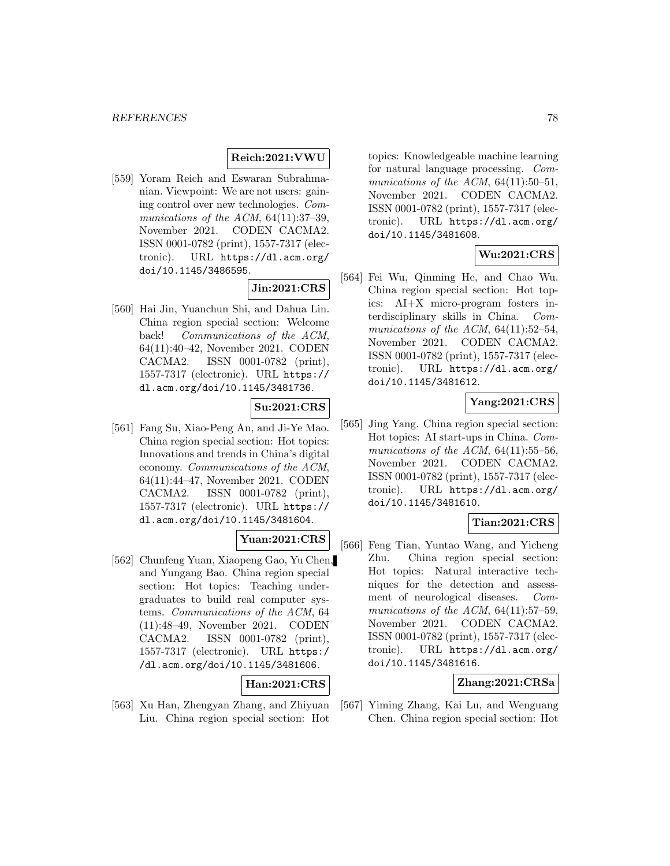#### **Reich:2021:VWU**

[559] Yoram Reich and Eswaran Subrahmanian. Viewpoint: We are not users: gaining control over new technologies. Communications of the ACM,  $64(11):37-39$ , November 2021. CODEN CACMA2. ISSN 0001-0782 (print), 1557-7317 (electronic). URL https://dl.acm.org/ doi/10.1145/3486595.

# **Jin:2021:CRS**

[560] Hai Jin, Yuanchun Shi, and Dahua Lin. China region special section: Welcome back! Communications of the ACM, 64(11):40–42, November 2021. CODEN CACMA2. ISSN 0001-0782 (print), 1557-7317 (electronic). URL https:// dl.acm.org/doi/10.1145/3481736.

#### **Su:2021:CRS**

[561] Fang Su, Xiao-Peng An, and Ji-Ye Mao. China region special section: Hot topics: Innovations and trends in China's digital economy. Communications of the ACM, 64(11):44–47, November 2021. CODEN CACMA2. ISSN 0001-0782 (print), 1557-7317 (electronic). URL https:// dl.acm.org/doi/10.1145/3481604.

## **Yuan:2021:CRS**

[562] Chunfeng Yuan, Xiaopeng Gao, Yu Chen, and Yungang Bao. China region special section: Hot topics: Teaching undergraduates to build real computer systems. Communications of the ACM, 64 (11):48–49, November 2021. CODEN CACMA2. ISSN 0001-0782 (print), 1557-7317 (electronic). URL https:/ /dl.acm.org/doi/10.1145/3481606.

#### **Han:2021:CRS**

[563] Xu Han, Zhengyan Zhang, and Zhiyuan Liu. China region special section: Hot

topics: Knowledgeable machine learning for natural language processing. Communications of the ACM,  $64(11):50-51$ , November 2021. CODEN CACMA2. ISSN 0001-0782 (print), 1557-7317 (electronic). URL https://dl.acm.org/ doi/10.1145/3481608.

## **Wu:2021:CRS**

[564] Fei Wu, Qinming He, and Chao Wu. China region special section: Hot topics: AI+X micro-program fosters interdisciplinary skills in China. Communications of the ACM,  $64(11):52-54$ , November 2021. CODEN CACMA2. ISSN 0001-0782 (print), 1557-7317 (electronic). URL https://dl.acm.org/ doi/10.1145/3481612.

## **Yang:2021:CRS**

[565] Jing Yang. China region special section: Hot topics: AI start-ups in China. Communications of the ACM,  $64(11):55-56$ , November 2021. CODEN CACMA2. ISSN 0001-0782 (print), 1557-7317 (electronic). URL https://dl.acm.org/ doi/10.1145/3481610.

# **Tian:2021:CRS**

[566] Feng Tian, Yuntao Wang, and Yicheng Zhu. China region special section: Hot topics: Natural interactive techniques for the detection and assessment of neurological diseases. Communications of the ACM,  $64(11):57-59$ , November 2021. CODEN CACMA2. ISSN 0001-0782 (print), 1557-7317 (electronic). URL https://dl.acm.org/ doi/10.1145/3481616.

# **Zhang:2021:CRSa**

[567] Yiming Zhang, Kai Lu, and Wenguang Chen. China region special section: Hot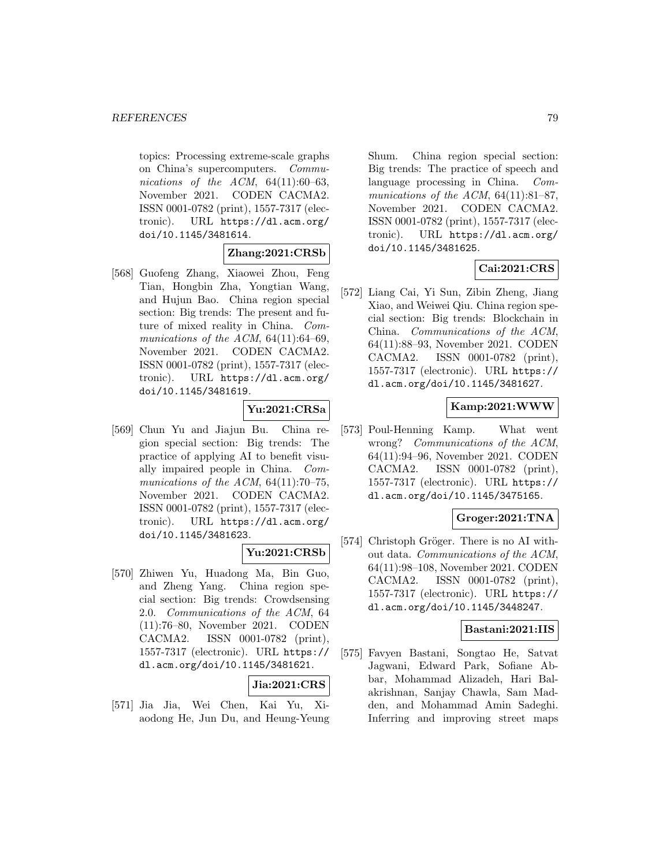topics: Processing extreme-scale graphs on China's supercomputers. Communications of the ACM,  $64(11):60-63$ , November 2021. CODEN CACMA2. ISSN 0001-0782 (print), 1557-7317 (electronic). URL https://dl.acm.org/ doi/10.1145/3481614.

**Zhang:2021:CRSb**

[568] Guofeng Zhang, Xiaowei Zhou, Feng Tian, Hongbin Zha, Yongtian Wang, and Hujun Bao. China region special section: Big trends: The present and future of mixed reality in China. Communications of the ACM,  $64(11):64-69$ , November 2021. CODEN CACMA2. ISSN 0001-0782 (print), 1557-7317 (electronic). URL https://dl.acm.org/ doi/10.1145/3481619.

# **Yu:2021:CRSa**

[569] Chun Yu and Jiajun Bu. China region special section: Big trends: The practice of applying AI to benefit visually impaired people in China. Communications of the ACM, 64(11):70–75, November 2021. CODEN CACMA2. ISSN 0001-0782 (print), 1557-7317 (electronic). URL https://dl.acm.org/ doi/10.1145/3481623.

# **Yu:2021:CRSb**

[570] Zhiwen Yu, Huadong Ma, Bin Guo, and Zheng Yang. China region special section: Big trends: Crowdsensing 2.0. Communications of the ACM, 64 (11):76–80, November 2021. CODEN CACMA2. ISSN 0001-0782 (print), 1557-7317 (electronic). URL https:// dl.acm.org/doi/10.1145/3481621.

#### **Jia:2021:CRS**

[571] Jia Jia, Wei Chen, Kai Yu, Xiaodong He, Jun Du, and Heung-Yeung Shum. China region special section: Big trends: The practice of speech and language processing in China. Communications of the ACM,  $64(11):81-87$ , November 2021. CODEN CACMA2. ISSN 0001-0782 (print), 1557-7317 (electronic). URL https://dl.acm.org/ doi/10.1145/3481625.

# **Cai:2021:CRS**

[572] Liang Cai, Yi Sun, Zibin Zheng, Jiang Xiao, and Weiwei Qiu. China region special section: Big trends: Blockchain in China. Communications of the ACM, 64(11):88–93, November 2021. CODEN CACMA2. ISSN 0001-0782 (print), 1557-7317 (electronic). URL https:// dl.acm.org/doi/10.1145/3481627.

## **Kamp:2021:WWW**

[573] Poul-Henning Kamp. What went wrong? Communications of the ACM, 64(11):94–96, November 2021. CODEN CACMA2. ISSN 0001-0782 (print), 1557-7317 (electronic). URL https:// dl.acm.org/doi/10.1145/3475165.

#### **Groger:2021:TNA**

[574] Christoph Gröger. There is no AI without data. Communications of the ACM, 64(11):98–108, November 2021. CODEN CACMA2. ISSN 0001-0782 (print), 1557-7317 (electronic). URL https:// dl.acm.org/doi/10.1145/3448247.

#### **Bastani:2021:IIS**

[575] Favyen Bastani, Songtao He, Satvat Jagwani, Edward Park, Sofiane Abbar, Mohammad Alizadeh, Hari Balakrishnan, Sanjay Chawla, Sam Madden, and Mohammad Amin Sadeghi. Inferring and improving street maps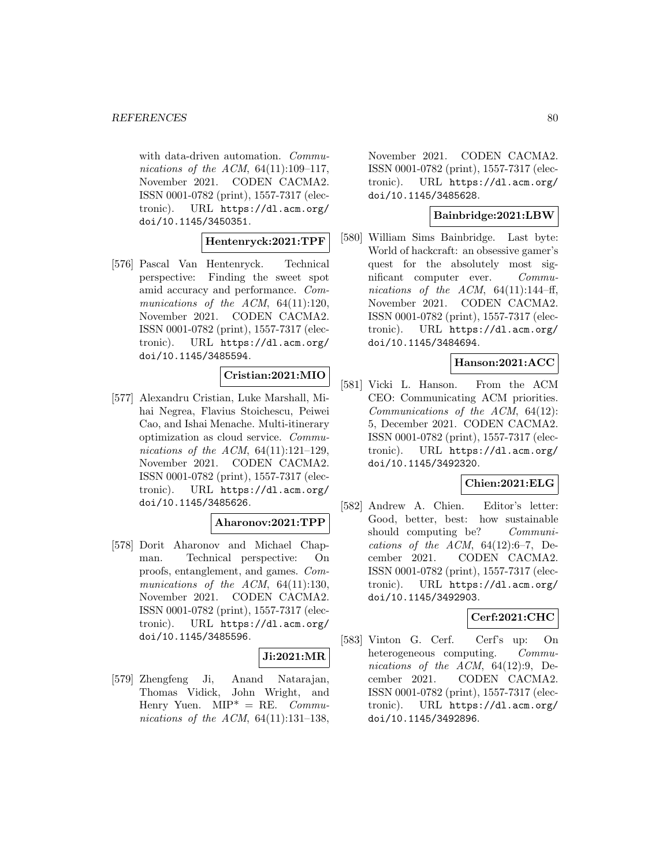with data-driven automation. *Commu*nications of the ACM,  $64(11):109-117$ , November 2021. CODEN CACMA2. ISSN 0001-0782 (print), 1557-7317 (electronic). URL https://dl.acm.org/ doi/10.1145/3450351.

#### **Hentenryck:2021:TPF**

[576] Pascal Van Hentenryck. Technical perspective: Finding the sweet spot amid accuracy and performance. Communications of the ACM, 64(11):120, November 2021. CODEN CACMA2. ISSN 0001-0782 (print), 1557-7317 (electronic). URL https://dl.acm.org/ doi/10.1145/3485594.

#### **Cristian:2021:MIO**

[577] Alexandru Cristian, Luke Marshall, Mihai Negrea, Flavius Stoichescu, Peiwei Cao, and Ishai Menache. Multi-itinerary optimization as cloud service. Communications of the ACM,  $64(11):121-129$ , November 2021. CODEN CACMA2. ISSN 0001-0782 (print), 1557-7317 (electronic). URL https://dl.acm.org/ doi/10.1145/3485626.

#### **Aharonov:2021:TPP**

[578] Dorit Aharonov and Michael Chapman. Technical perspective: On proofs, entanglement, and games. Communications of the ACM, 64(11):130, November 2021. CODEN CACMA2. ISSN 0001-0782 (print), 1557-7317 (electronic). URL https://dl.acm.org/ doi/10.1145/3485596.

#### **Ji:2021:MR**

[579] Zhengfeng Ji, Anand Natarajan, Thomas Vidick, John Wright, and Henry Yuen.  $\text{MIP}^* = \text{RE}$ .  $\text{Commu-}$ nications of the ACM,  $64(11):131-138$ , November 2021. CODEN CACMA2. ISSN 0001-0782 (print), 1557-7317 (electronic). URL https://dl.acm.org/ doi/10.1145/3485628.

#### **Bainbridge:2021:LBW**

[580] William Sims Bainbridge. Last byte: World of hackcraft: an obsessive gamer's quest for the absolutely most significant computer ever. Communications of the ACM,  $64(11):144-ff$ , November 2021. CODEN CACMA2. ISSN 0001-0782 (print), 1557-7317 (electronic). URL https://dl.acm.org/ doi/10.1145/3484694.

## **Hanson:2021:ACC**

[581] Vicki L. Hanson. From the ACM CEO: Communicating ACM priorities. Communications of the ACM, 64(12): 5, December 2021. CODEN CACMA2. ISSN 0001-0782 (print), 1557-7317 (electronic). URL https://dl.acm.org/ doi/10.1145/3492320.

#### **Chien:2021:ELG**

[582] Andrew A. Chien. Editor's letter: Good, better, best: how sustainable should computing be? Communications of the ACM,  $64(12):6-7$ , December 2021. CODEN CACMA2. ISSN 0001-0782 (print), 1557-7317 (electronic). URL https://dl.acm.org/ doi/10.1145/3492903.

## **Cerf:2021:CHC**

[583] Vinton G. Cerf. Cerf's up: On heterogeneous computing. Communications of the ACM, 64(12):9, December 2021. CODEN CACMA2. ISSN 0001-0782 (print), 1557-7317 (electronic). URL https://dl.acm.org/ doi/10.1145/3492896.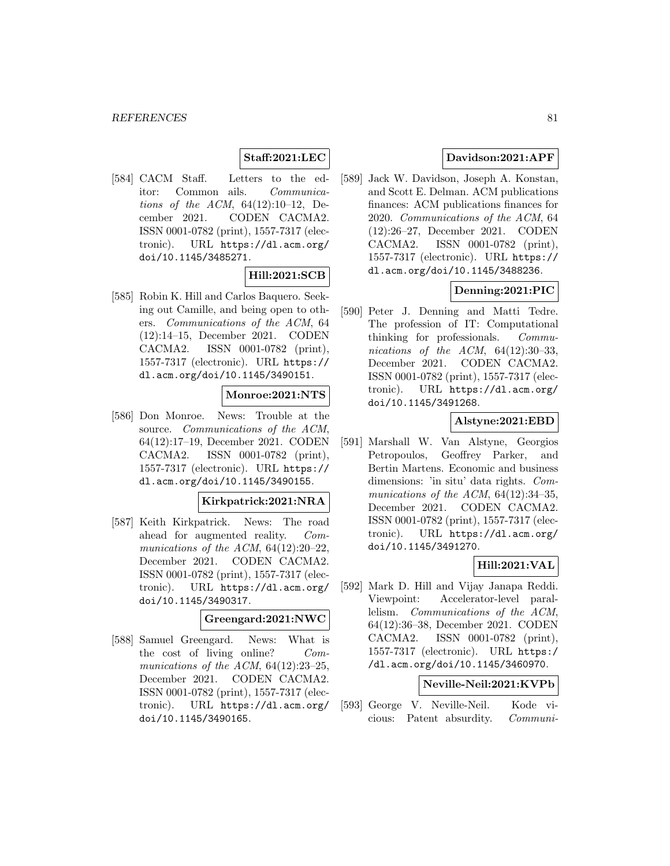# **Staff:2021:LEC**

[584] CACM Staff. Letters to the editor: Common ails. Communications of the ACM,  $64(12):10-12$ , December 2021. CODEN CACMA2. ISSN 0001-0782 (print), 1557-7317 (electronic). URL https://dl.acm.org/ doi/10.1145/3485271.

# **Hill:2021:SCB**

[585] Robin K. Hill and Carlos Baquero. Seeking out Camille, and being open to others. Communications of the ACM, 64 (12):14–15, December 2021. CODEN CACMA2. ISSN 0001-0782 (print), 1557-7317 (electronic). URL https:// dl.acm.org/doi/10.1145/3490151.

#### **Monroe:2021:NTS**

[586] Don Monroe. News: Trouble at the source. Communications of the ACM, 64(12):17–19, December 2021. CODEN CACMA2. ISSN 0001-0782 (print), 1557-7317 (electronic). URL https:// dl.acm.org/doi/10.1145/3490155.

#### **Kirkpatrick:2021:NRA**

[587] Keith Kirkpatrick. News: The road ahead for augmented reality. Communications of the ACM,  $64(12):20-22$ , December 2021. CODEN CACMA2. ISSN 0001-0782 (print), 1557-7317 (electronic). URL https://dl.acm.org/ doi/10.1145/3490317.

### **Greengard:2021:NWC**

[588] Samuel Greengard. News: What is the cost of living online? Communications of the ACM, 64(12):23-25, December 2021. CODEN CACMA2. ISSN 0001-0782 (print), 1557-7317 (electronic). URL https://dl.acm.org/ doi/10.1145/3490165.

### **Davidson:2021:APF**

[589] Jack W. Davidson, Joseph A. Konstan, and Scott E. Delman. ACM publications finances: ACM publications finances for 2020. Communications of the ACM, 64 (12):26–27, December 2021. CODEN CACMA2. ISSN 0001-0782 (print), 1557-7317 (electronic). URL https:// dl.acm.org/doi/10.1145/3488236.

## **Denning:2021:PIC**

[590] Peter J. Denning and Matti Tedre. The profession of IT: Computational thinking for professionals. Communications of the ACM,  $64(12):30-33$ , December 2021. CODEN CACMA2. ISSN 0001-0782 (print), 1557-7317 (electronic). URL https://dl.acm.org/ doi/10.1145/3491268.

### **Alstyne:2021:EBD**

[591] Marshall W. Van Alstyne, Georgios Petropoulos, Geoffrey Parker, and Bertin Martens. Economic and business dimensions: 'in situ' data rights. Communications of the ACM,  $64(12):34-35$ , December 2021. CODEN CACMA2. ISSN 0001-0782 (print), 1557-7317 (electronic). URL https://dl.acm.org/ doi/10.1145/3491270.

## **Hill:2021:VAL**

[592] Mark D. Hill and Vijay Janapa Reddi. Viewpoint: Accelerator-level parallelism. Communications of the ACM, 64(12):36–38, December 2021. CODEN CACMA2. ISSN 0001-0782 (print), 1557-7317 (electronic). URL https:/ /dl.acm.org/doi/10.1145/3460970.

#### **Neville-Neil:2021:KVPb**

[593] George V. Neville-Neil. Kode vicious: Patent absurdity. Communi-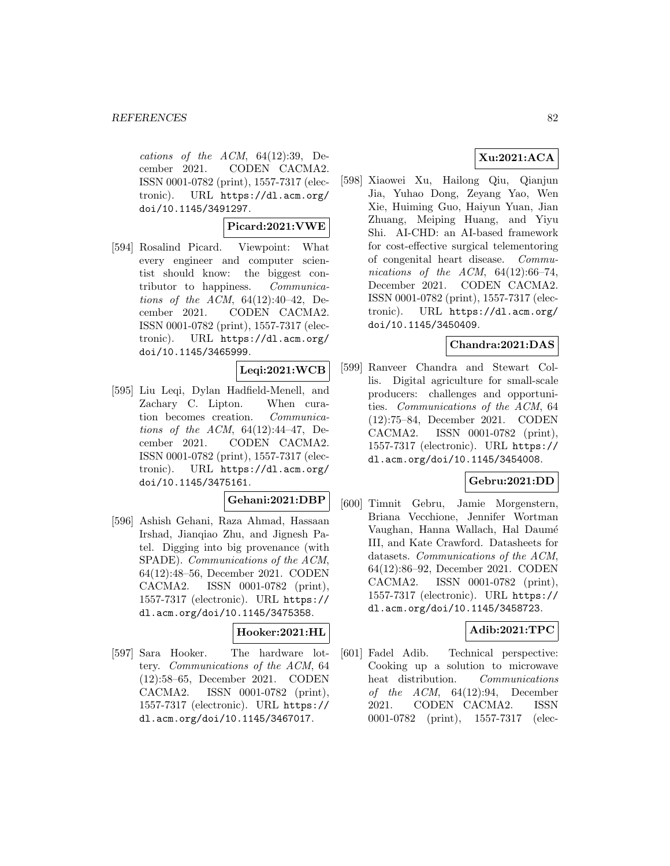cations of the  $ACM$ ,  $64(12):39$ , December 2021. CODEN CACMA2. ISSN 0001-0782 (print), 1557-7317 (electronic). URL https://dl.acm.org/ doi/10.1145/3491297.

#### **Picard:2021:VWE**

[594] Rosalind Picard. Viewpoint: What every engineer and computer scientist should know: the biggest contributor to happiness. Communications of the ACM,  $64(12):40-42$ , December 2021. CODEN CACMA2. ISSN 0001-0782 (print), 1557-7317 (electronic). URL https://dl.acm.org/ doi/10.1145/3465999.

### **Leqi:2021:WCB**

[595] Liu Leqi, Dylan Hadfield-Menell, and Zachary C. Lipton. When curation becomes creation. Communications of the ACM,  $64(12):44-47$ , December 2021. CODEN CACMA2. ISSN 0001-0782 (print), 1557-7317 (electronic). URL https://dl.acm.org/ doi/10.1145/3475161.

#### **Gehani:2021:DBP**

[596] Ashish Gehani, Raza Ahmad, Hassaan Irshad, Jianqiao Zhu, and Jignesh Patel. Digging into big provenance (with SPADE). Communications of the ACM, 64(12):48–56, December 2021. CODEN CACMA2. ISSN 0001-0782 (print), 1557-7317 (electronic). URL https:// dl.acm.org/doi/10.1145/3475358.

# **Hooker:2021:HL**

[597] Sara Hooker. The hardware lottery. Communications of the ACM, 64 (12):58–65, December 2021. CODEN CACMA2. ISSN 0001-0782 (print), 1557-7317 (electronic). URL https:// dl.acm.org/doi/10.1145/3467017.

# **Xu:2021:ACA**

[598] Xiaowei Xu, Hailong Qiu, Qianjun Jia, Yuhao Dong, Zeyang Yao, Wen Xie, Huiming Guo, Haiyun Yuan, Jian Zhuang, Meiping Huang, and Yiyu Shi. AI-CHD: an AI-based framework for cost-effective surgical telementoring of congenital heart disease. Communications of the ACM,  $64(12):66-74$ , December 2021. CODEN CACMA2. ISSN 0001-0782 (print), 1557-7317 (electronic). URL https://dl.acm.org/ doi/10.1145/3450409.

#### **Chandra:2021:DAS**

[599] Ranveer Chandra and Stewart Collis. Digital agriculture for small-scale producers: challenges and opportunities. Communications of the ACM, 64 (12):75–84, December 2021. CODEN CACMA2. ISSN 0001-0782 (print), 1557-7317 (electronic). URL https:// dl.acm.org/doi/10.1145/3454008.

#### **Gebru:2021:DD**

[600] Timnit Gebru, Jamie Morgenstern, Briana Vecchione, Jennifer Wortman Vaughan, Hanna Wallach, Hal Daumé III, and Kate Crawford. Datasheets for datasets. Communications of the ACM, 64(12):86–92, December 2021. CODEN CACMA2. ISSN 0001-0782 (print), 1557-7317 (electronic). URL https:// dl.acm.org/doi/10.1145/3458723.

## **Adib:2021:TPC**

[601] Fadel Adib. Technical perspective: Cooking up a solution to microwave heat distribution. Communications of the  $ACM$ ,  $64(12):94$ , December 2021. CODEN CACMA2. ISSN 0001-0782 (print), 1557-7317 (elec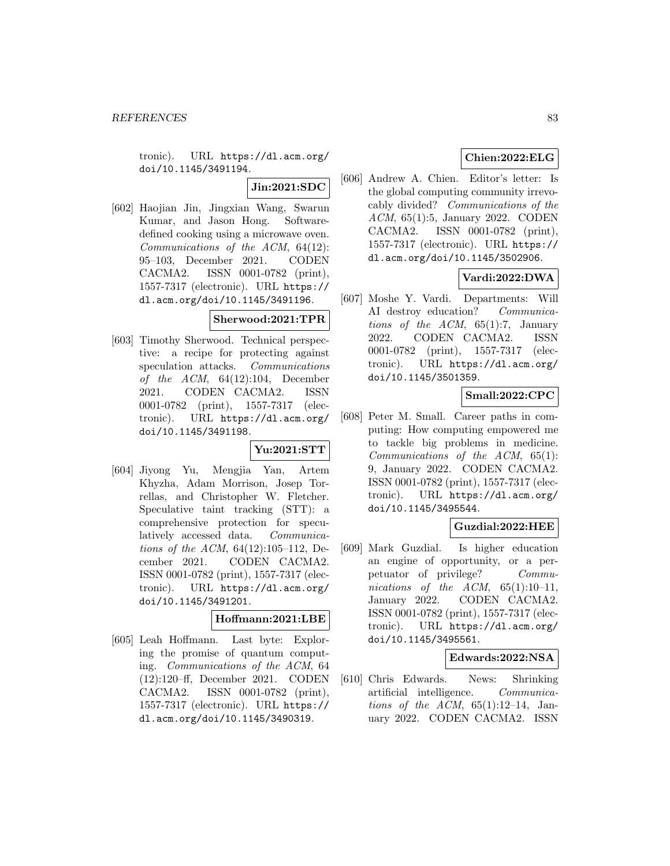tronic). URL https://dl.acm.org/ doi/10.1145/3491194.

**Jin:2021:SDC**

[602] Haojian Jin, Jingxian Wang, Swarun Kumar, and Jason Hong. Softwaredefined cooking using a microwave oven. Communications of the ACM, 64(12): 95–103, December 2021. CODEN CACMA2. ISSN 0001-0782 (print), 1557-7317 (electronic). URL https:// dl.acm.org/doi/10.1145/3491196.

#### **Sherwood:2021:TPR**

[603] Timothy Sherwood. Technical perspective: a recipe for protecting against speculation attacks. Communications of the  $ACM$ ,  $64(12):104$ , December 2021. CODEN CACMA2. ISSN 0001-0782 (print), 1557-7317 (electronic). URL https://dl.acm.org/ doi/10.1145/3491198.

# **Yu:2021:STT**

[604] Jiyong Yu, Mengjia Yan, Artem Khyzha, Adam Morrison, Josep Torrellas, and Christopher W. Fletcher. Speculative taint tracking (STT): a comprehensive protection for speculatively accessed data. Communications of the ACM, 64(12):105–112, December 2021. CODEN CACMA2. ISSN 0001-0782 (print), 1557-7317 (electronic). URL https://dl.acm.org/ doi/10.1145/3491201.

#### **Hoffmann:2021:LBE**

[605] Leah Hoffmann. Last byte: Exploring the promise of quantum computing. Communications of the ACM, 64 (12):120–ff, December 2021. CODEN CACMA2. ISSN 0001-0782 (print), 1557-7317 (electronic). URL https:// dl.acm.org/doi/10.1145/3490319.

# **Chien:2022:ELG**

[606] Andrew A. Chien. Editor's letter: Is the global computing community irrevocably divided? Communications of the ACM, 65(1):5, January 2022. CODEN CACMA2. ISSN 0001-0782 (print), 1557-7317 (electronic). URL https:// dl.acm.org/doi/10.1145/3502906.

## **Vardi:2022:DWA**

[607] Moshe Y. Vardi. Departments: Will AI destroy education? Communications of the  $ACM$ ,  $65(1):7$ , January 2022. CODEN CACMA2. ISSN 0001-0782 (print), 1557-7317 (electronic). URL https://dl.acm.org/ doi/10.1145/3501359.

# **Small:2022:CPC**

[608] Peter M. Small. Career paths in computing: How computing empowered me to tackle big problems in medicine. Communications of the ACM, 65(1): 9, January 2022. CODEN CACMA2. ISSN 0001-0782 (print), 1557-7317 (electronic). URL https://dl.acm.org/ doi/10.1145/3495544.

#### **Guzdial:2022:HEE**

[609] Mark Guzdial. Is higher education an engine of opportunity, or a perpetuator of privilege? Communications of the  $ACM$ ,  $65(1):10-11$ , January 2022. CODEN CACMA2. ISSN 0001-0782 (print), 1557-7317 (electronic). URL https://dl.acm.org/ doi/10.1145/3495561.

#### **Edwards:2022:NSA**

[610] Chris Edwards. News: Shrinking artificial intelligence. Communications of the ACM,  $65(1):12-14$ , January 2022. CODEN CACMA2. ISSN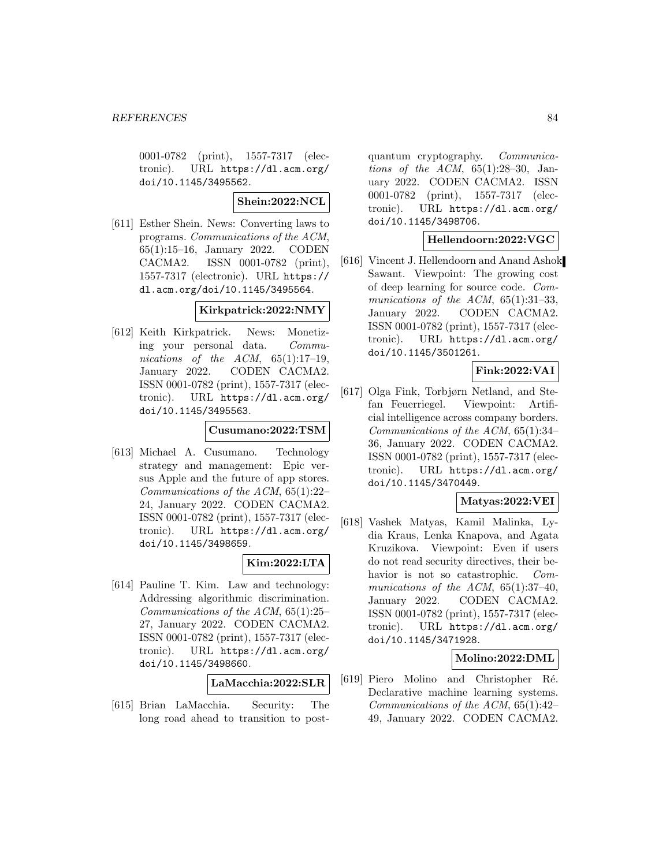0001-0782 (print), 1557-7317 (electronic). URL https://dl.acm.org/ doi/10.1145/3495562.

#### **Shein:2022:NCL**

[611] Esther Shein. News: Converting laws to programs. Communications of the ACM, 65(1):15–16, January 2022. CODEN CACMA2. ISSN 0001-0782 (print), 1557-7317 (electronic). URL https:// dl.acm.org/doi/10.1145/3495564.

#### **Kirkpatrick:2022:NMY**

[612] Keith Kirkpatrick. News: Monetizing your personal data. Communications of the ACM,  $65(1):17-19$ , January 2022. CODEN CACMA2. ISSN 0001-0782 (print), 1557-7317 (electronic). URL https://dl.acm.org/ doi/10.1145/3495563.

## **Cusumano:2022:TSM**

[613] Michael A. Cusumano. Technology strategy and management: Epic versus Apple and the future of app stores. Communications of the ACM, 65(1):22– 24, January 2022. CODEN CACMA2. ISSN 0001-0782 (print), 1557-7317 (electronic). URL https://dl.acm.org/ doi/10.1145/3498659.

# **Kim:2022:LTA**

[614] Pauline T. Kim. Law and technology: Addressing algorithmic discrimination. Communications of the ACM, 65(1):25– 27, January 2022. CODEN CACMA2. ISSN 0001-0782 (print), 1557-7317 (electronic). URL https://dl.acm.org/ doi/10.1145/3498660.

**LaMacchia:2022:SLR**

[615] Brian LaMacchia. Security: The long road ahead to transition to postquantum cryptography. Communications of the ACM,  $65(1):28-30$ , January 2022. CODEN CACMA2. ISSN 0001-0782 (print), 1557-7317 (electronic). URL https://dl.acm.org/ doi/10.1145/3498706.

### **Hellendoorn:2022:VGC**

[616] Vincent J. Hellendoorn and Anand Ashok Sawant. Viewpoint: The growing cost of deep learning for source code. Communications of the ACM,  $65(1):31-33$ , January 2022. CODEN CACMA2. ISSN 0001-0782 (print), 1557-7317 (electronic). URL https://dl.acm.org/ doi/10.1145/3501261.

## **Fink:2022:VAI**

[617] Olga Fink, Torbjørn Netland, and Stefan Feuerriegel. Viewpoint: Artificial intelligence across company borders. Communications of the ACM, 65(1):34– 36, January 2022. CODEN CACMA2. ISSN 0001-0782 (print), 1557-7317 (electronic). URL https://dl.acm.org/ doi/10.1145/3470449.

#### **Matyas:2022:VEI**

[618] Vashek Matyas, Kamil Malinka, Lydia Kraus, Lenka Knapova, and Agata Kruzikova. Viewpoint: Even if users do not read security directives, their behavior is not so catastrophic. Communications of the ACM,  $65(1):37-40$ , January 2022. CODEN CACMA2. ISSN 0001-0782 (print), 1557-7317 (electronic). URL https://dl.acm.org/ doi/10.1145/3471928.

## **Molino:2022:DML**

[619] Piero Molino and Christopher Ré. Declarative machine learning systems. Communications of the ACM, 65(1):42– 49, January 2022. CODEN CACMA2.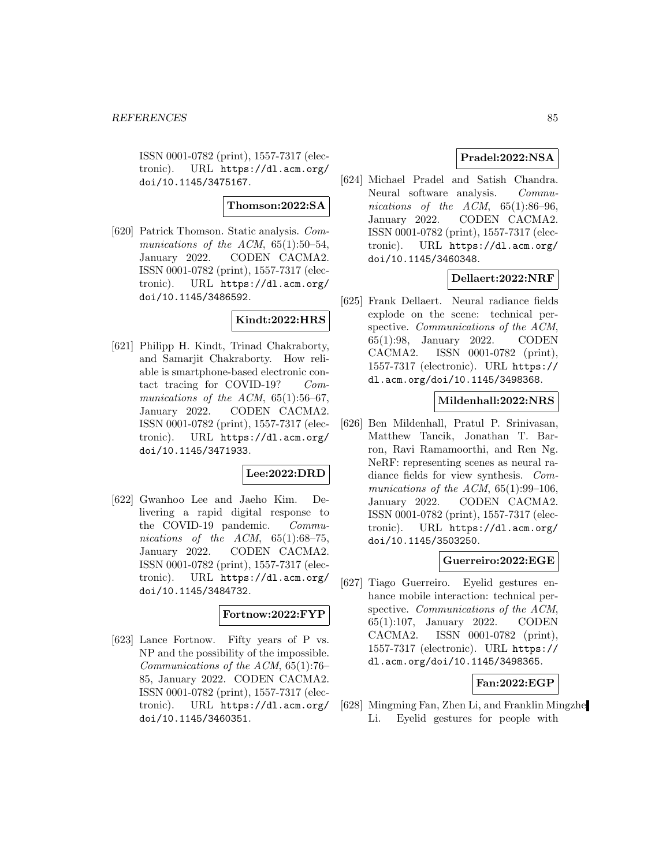ISSN 0001-0782 (print), 1557-7317 (electronic). URL https://dl.acm.org/ doi/10.1145/3475167.

#### **Thomson:2022:SA**

[620] Patrick Thomson. Static analysis. Communications of the ACM,  $65(1):50-54$ , January 2022. CODEN CACMA2. ISSN 0001-0782 (print), 1557-7317 (electronic). URL https://dl.acm.org/ doi/10.1145/3486592.

# **Kindt:2022:HRS**

[621] Philipp H. Kindt, Trinad Chakraborty, and Samarjit Chakraborty. How reliable is smartphone-based electronic contact tracing for COVID-19? Communications of the ACM,  $65(1):56-67$ , January 2022. CODEN CACMA2. ISSN 0001-0782 (print), 1557-7317 (electronic). URL https://dl.acm.org/ doi/10.1145/3471933.

#### **Lee:2022:DRD**

[622] Gwanhoo Lee and Jaeho Kim. Delivering a rapid digital response to the COVID-19 pandemic. Communications of the ACM,  $65(1):68-75$ , January 2022. CODEN CACMA2. ISSN 0001-0782 (print), 1557-7317 (electronic). URL https://dl.acm.org/ doi/10.1145/3484732.

#### **Fortnow:2022:FYP**

[623] Lance Fortnow. Fifty years of P vs. NP and the possibility of the impossible. Communications of the ACM, 65(1):76– 85, January 2022. CODEN CACMA2. ISSN 0001-0782 (print), 1557-7317 (electronic). URL https://dl.acm.org/ doi/10.1145/3460351.

# **Pradel:2022:NSA**

[624] Michael Pradel and Satish Chandra. Neural software analysis. Communications of the ACM,  $65(1):86-96$ , January 2022. CODEN CACMA2. ISSN 0001-0782 (print), 1557-7317 (electronic). URL https://dl.acm.org/ doi/10.1145/3460348.

## **Dellaert:2022:NRF**

[625] Frank Dellaert. Neural radiance fields explode on the scene: technical perspective. *Communications* of the ACM, 65(1):98, January 2022. CODEN CACMA2. ISSN 0001-0782 (print), 1557-7317 (electronic). URL https:// dl.acm.org/doi/10.1145/3498368.

#### **Mildenhall:2022:NRS**

[626] Ben Mildenhall, Pratul P. Srinivasan, Matthew Tancik, Jonathan T. Barron, Ravi Ramamoorthi, and Ren Ng. NeRF: representing scenes as neural radiance fields for view synthesis. Communications of the ACM,  $65(1):99-106$ , January 2022. CODEN CACMA2. ISSN 0001-0782 (print), 1557-7317 (electronic). URL https://dl.acm.org/ doi/10.1145/3503250.

# **Guerreiro:2022:EGE**

[627] Tiago Guerreiro. Eyelid gestures enhance mobile interaction: technical perspective. Communications of the ACM, 65(1):107, January 2022. CODEN CACMA2. ISSN 0001-0782 (print), 1557-7317 (electronic). URL https:// dl.acm.org/doi/10.1145/3498365.

#### **Fan:2022:EGP**

[628] Mingming Fan, Zhen Li, and Franklin Mingzhe Li. Eyelid gestures for people with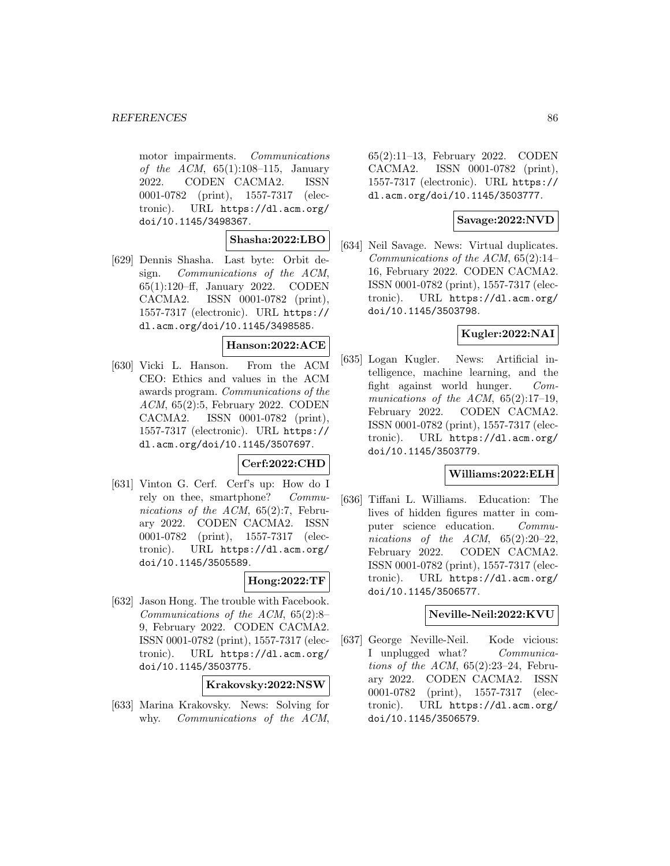motor impairments. Communications of the ACM,  $65(1):108-115$ , January 2022. CODEN CACMA2. ISSN 0001-0782 (print), 1557-7317 (electronic). URL https://dl.acm.org/ doi/10.1145/3498367.

# **Shasha:2022:LBO**

[629] Dennis Shasha. Last byte: Orbit design. Communications of the ACM, 65(1):120–ff, January 2022. CODEN CACMA2. ISSN 0001-0782 (print), 1557-7317 (electronic). URL https:// dl.acm.org/doi/10.1145/3498585.

#### **Hanson:2022:ACE**

[630] Vicki L. Hanson. From the ACM CEO: Ethics and values in the ACM awards program. Communications of the ACM, 65(2):5, February 2022. CODEN CACMA2. ISSN 0001-0782 (print), 1557-7317 (electronic). URL https:// dl.acm.org/doi/10.1145/3507697.

# **Cerf:2022:CHD**

[631] Vinton G. Cerf. Cerf's up: How do I rely on thee, smartphone? Communications of the ACM, 65(2):7, February 2022. CODEN CACMA2. ISSN 0001-0782 (print), 1557-7317 (electronic). URL https://dl.acm.org/ doi/10.1145/3505589.

#### **Hong:2022:TF**

[632] Jason Hong. The trouble with Facebook. Communications of the ACM, 65(2):8– 9, February 2022. CODEN CACMA2. ISSN 0001-0782 (print), 1557-7317 (electronic). URL https://dl.acm.org/ doi/10.1145/3503775.

**Krakovsky:2022:NSW**

[633] Marina Krakovsky. News: Solving for why. *Communications* of the ACM, 65(2):11–13, February 2022. CODEN CACMA2. ISSN 0001-0782 (print), 1557-7317 (electronic). URL https:// dl.acm.org/doi/10.1145/3503777.

## **Savage:2022:NVD**

[634] Neil Savage. News: Virtual duplicates. Communications of the ACM, 65(2):14– 16, February 2022. CODEN CACMA2. ISSN 0001-0782 (print), 1557-7317 (electronic). URL https://dl.acm.org/ doi/10.1145/3503798.

#### **Kugler:2022:NAI**

[635] Logan Kugler. News: Artificial intelligence, machine learning, and the fight against world hunger. Communications of the ACM,  $65(2):17-19$ , February 2022. CODEN CACMA2. ISSN 0001-0782 (print), 1557-7317 (electronic). URL https://dl.acm.org/ doi/10.1145/3503779.

### **Williams:2022:ELH**

[636] Tiffani L. Williams. Education: The lives of hidden figures matter in computer science education. Communications of the ACM,  $65(2):20-22$ , February 2022. CODEN CACMA2. ISSN 0001-0782 (print), 1557-7317 (electronic). URL https://dl.acm.org/ doi/10.1145/3506577.

# **Neville-Neil:2022:KVU**

[637] George Neville-Neil. Kode vicious: I unplugged what? Communications of the ACM,  $65(2):23-24$ , February 2022. CODEN CACMA2. ISSN 0001-0782 (print), 1557-7317 (electronic). URL https://dl.acm.org/ doi/10.1145/3506579.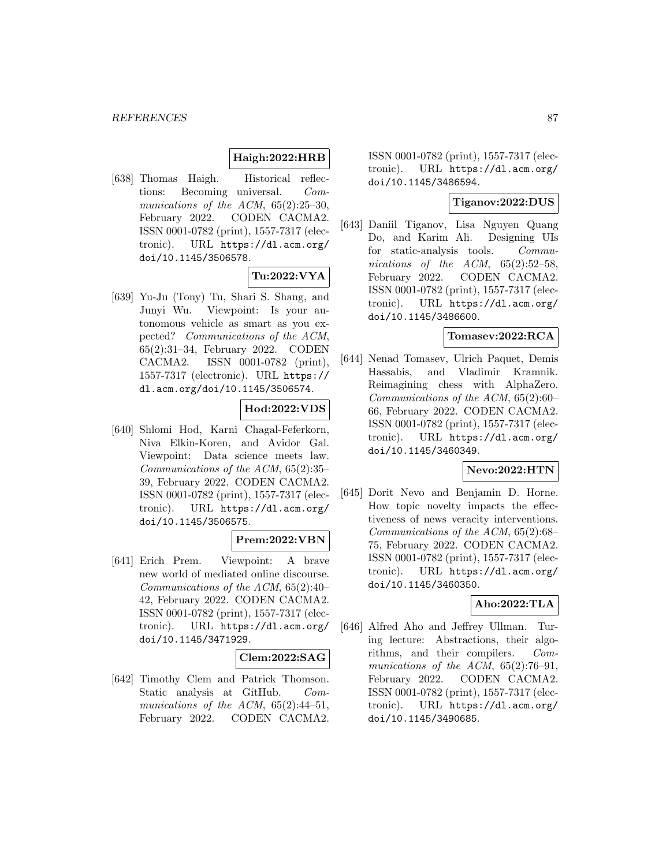### **Haigh:2022:HRB**

[638] Thomas Haigh. Historical reflections: Becoming universal. Communications of the ACM, 65(2):25–30, February 2022. CODEN CACMA2. ISSN 0001-0782 (print), 1557-7317 (electronic). URL https://dl.acm.org/ doi/10.1145/3506578.

#### **Tu:2022:VYA**

[639] Yu-Ju (Tony) Tu, Shari S. Shang, and Junyi Wu. Viewpoint: Is your autonomous vehicle as smart as you expected? Communications of the ACM, 65(2):31–34, February 2022. CODEN CACMA2. ISSN 0001-0782 (print), 1557-7317 (electronic). URL https:// dl.acm.org/doi/10.1145/3506574.

# **Hod:2022:VDS**

[640] Shlomi Hod, Karni Chagal-Feferkorn, Niva Elkin-Koren, and Avidor Gal. Viewpoint: Data science meets law. Communications of the ACM, 65(2):35– 39, February 2022. CODEN CACMA2. ISSN 0001-0782 (print), 1557-7317 (electronic). URL https://dl.acm.org/ doi/10.1145/3506575.

#### **Prem:2022:VBN**

[641] Erich Prem. Viewpoint: A brave new world of mediated online discourse. Communications of the ACM, 65(2):40– 42, February 2022. CODEN CACMA2. ISSN 0001-0782 (print), 1557-7317 (electronic). URL https://dl.acm.org/ doi/10.1145/3471929.

#### **Clem:2022:SAG**

[642] Timothy Clem and Patrick Thomson. Static analysis at GitHub. Communications of the ACM,  $65(2):44-51$ , February 2022. CODEN CACMA2.

ISSN 0001-0782 (print), 1557-7317 (electronic). URL https://dl.acm.org/ doi/10.1145/3486594.

## **Tiganov:2022:DUS**

[643] Daniil Tiganov, Lisa Nguyen Quang Do, and Karim Ali. Designing UIs for static-analysis tools. Communications of the  $ACM$ ,  $65(2):52-58$ , February 2022. CODEN CACMA2. ISSN 0001-0782 (print), 1557-7317 (electronic). URL https://dl.acm.org/ doi/10.1145/3486600.

# **Tomasev:2022:RCA**

[644] Nenad Tomasev, Ulrich Paquet, Demis Hassabis, and Vladimir Kramnik. Reimagining chess with AlphaZero. Communications of the ACM, 65(2):60– 66, February 2022. CODEN CACMA2. ISSN 0001-0782 (print), 1557-7317 (electronic). URL https://dl.acm.org/ doi/10.1145/3460349.

#### **Nevo:2022:HTN**

[645] Dorit Nevo and Benjamin D. Horne. How topic novelty impacts the effectiveness of news veracity interventions. Communications of the ACM, 65(2):68– 75, February 2022. CODEN CACMA2. ISSN 0001-0782 (print), 1557-7317 (electronic). URL https://dl.acm.org/ doi/10.1145/3460350.

### **Aho:2022:TLA**

[646] Alfred Aho and Jeffrey Ullman. Turing lecture: Abstractions, their algorithms, and their compilers. Communications of the ACM,  $65(2):76-91$ , February 2022. CODEN CACMA2. ISSN 0001-0782 (print), 1557-7317 (electronic). URL https://dl.acm.org/ doi/10.1145/3490685.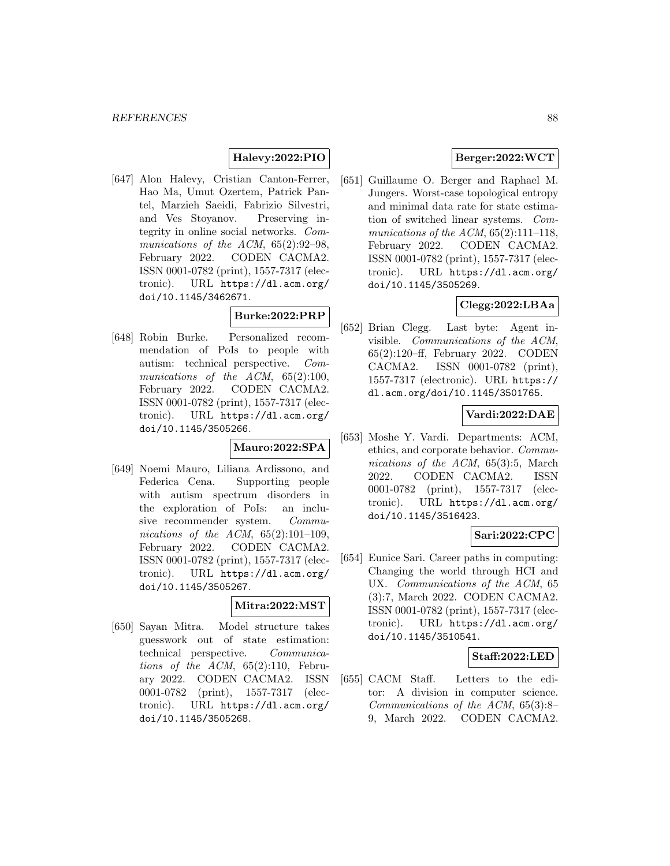### **Halevy:2022:PIO**

[647] Alon Halevy, Cristian Canton-Ferrer, Hao Ma, Umut Ozertem, Patrick Pantel, Marzieh Saeidi, Fabrizio Silvestri, and Ves Stoyanov. Preserving integrity in online social networks. Communications of the ACM, 65(2):92-98, February 2022. CODEN CACMA2. ISSN 0001-0782 (print), 1557-7317 (electronic). URL https://dl.acm.org/ doi/10.1145/3462671.

# **Burke:2022:PRP**

[648] Robin Burke. Personalized recommendation of PoIs to people with autism: technical perspective. Communications of the ACM, 65(2):100, February 2022. CODEN CACMA2. ISSN 0001-0782 (print), 1557-7317 (electronic). URL https://dl.acm.org/ doi/10.1145/3505266.

#### **Mauro:2022:SPA**

[649] Noemi Mauro, Liliana Ardissono, and Federica Cena. Supporting people with autism spectrum disorders in the exploration of PoIs: an inclusive recommender system. Communications of the ACM,  $65(2):101-109$ , February 2022. CODEN CACMA2. ISSN 0001-0782 (print), 1557-7317 (electronic). URL https://dl.acm.org/ doi/10.1145/3505267.

#### **Mitra:2022:MST**

[650] Sayan Mitra. Model structure takes guesswork out of state estimation: technical perspective. Communications of the  $ACM$ ,  $65(2):110$ , February 2022. CODEN CACMA2. ISSN 0001-0782 (print), 1557-7317 (electronic). URL https://dl.acm.org/ doi/10.1145/3505268.

# **Berger:2022:WCT**

[651] Guillaume O. Berger and Raphael M. Jungers. Worst-case topological entropy and minimal data rate for state estimation of switched linear systems. Communications of the  $ACM$ ,  $65(2):111-118$ , February 2022. CODEN CACMA2. ISSN 0001-0782 (print), 1557-7317 (electronic). URL https://dl.acm.org/ doi/10.1145/3505269.

# **Clegg:2022:LBAa**

[652] Brian Clegg. Last byte: Agent invisible. Communications of the ACM, 65(2):120–ff, February 2022. CODEN CACMA2. ISSN 0001-0782 (print), 1557-7317 (electronic). URL https:// dl.acm.org/doi/10.1145/3501765.

# **Vardi:2022:DAE**

[653] Moshe Y. Vardi. Departments: ACM, ethics, and corporate behavior. Communications of the ACM, 65(3):5, March 2022. CODEN CACMA2. ISSN 0001-0782 (print), 1557-7317 (electronic). URL https://dl.acm.org/ doi/10.1145/3516423.

## **Sari:2022:CPC**

[654] Eunice Sari. Career paths in computing: Changing the world through HCI and UX. Communications of the ACM, 65 (3):7, March 2022. CODEN CACMA2. ISSN 0001-0782 (print), 1557-7317 (electronic). URL https://dl.acm.org/ doi/10.1145/3510541.

#### **Staff:2022:LED**

[655] CACM Staff. Letters to the editor: A division in computer science. Communications of the ACM, 65(3):8– 9, March 2022. CODEN CACMA2.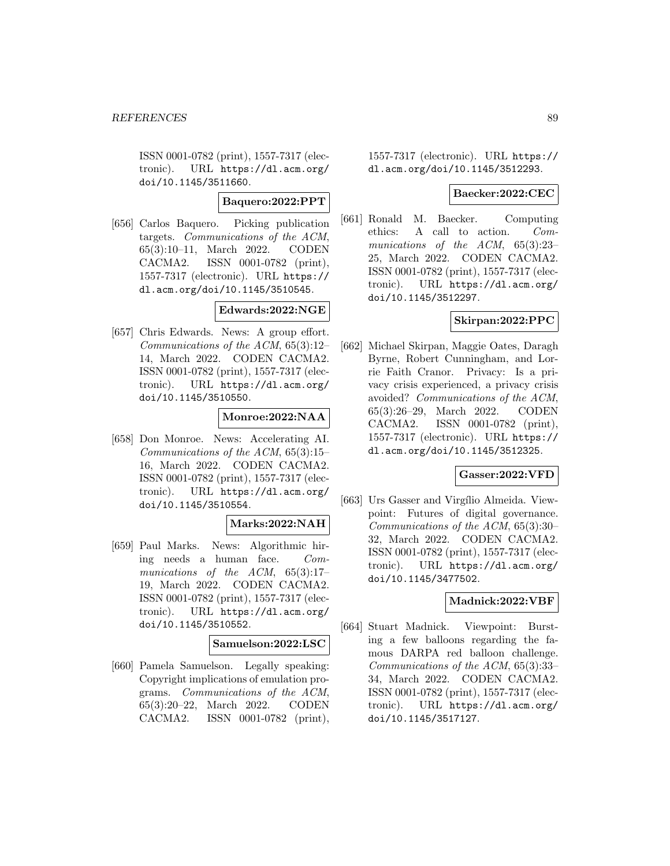ISSN 0001-0782 (print), 1557-7317 (electronic). URL https://dl.acm.org/ doi/10.1145/3511660.

**Baquero:2022:PPT**

[656] Carlos Baquero. Picking publication targets. Communications of the ACM, 65(3):10–11, March 2022. CODEN CACMA2. ISSN 0001-0782 (print), 1557-7317 (electronic). URL https:// dl.acm.org/doi/10.1145/3510545.

**Edwards:2022:NGE**

[657] Chris Edwards. News: A group effort. Communications of the ACM, 65(3):12– 14, March 2022. CODEN CACMA2. ISSN 0001-0782 (print), 1557-7317 (electronic). URL https://dl.acm.org/ doi/10.1145/3510550.

**Monroe:2022:NAA**

[658] Don Monroe. News: Accelerating AI. Communications of the ACM, 65(3):15– 16, March 2022. CODEN CACMA2. ISSN 0001-0782 (print), 1557-7317 (electronic). URL https://dl.acm.org/ doi/10.1145/3510554.

### **Marks:2022:NAH**

[659] Paul Marks. News: Algorithmic hiring needs a human face. Communications of the ACM, 65(3):17– 19, March 2022. CODEN CACMA2. ISSN 0001-0782 (print), 1557-7317 (electronic). URL https://dl.acm.org/ doi/10.1145/3510552.

#### **Samuelson:2022:LSC**

[660] Pamela Samuelson. Legally speaking: Copyright implications of emulation programs. Communications of the ACM, 65(3):20–22, March 2022. CODEN CACMA2. ISSN 0001-0782 (print), 1557-7317 (electronic). URL https:// dl.acm.org/doi/10.1145/3512293.

## **Baecker:2022:CEC**

[661] Ronald M. Baecker. Computing ethics: A call to action. Communications of the ACM, 65(3):23– 25, March 2022. CODEN CACMA2. ISSN 0001-0782 (print), 1557-7317 (electronic). URL https://dl.acm.org/ doi/10.1145/3512297.

# **Skirpan:2022:PPC**

[662] Michael Skirpan, Maggie Oates, Daragh Byrne, Robert Cunningham, and Lorrie Faith Cranor. Privacy: Is a privacy crisis experienced, a privacy crisis avoided? Communications of the ACM, 65(3):26–29, March 2022. CODEN CACMA2. ISSN 0001-0782 (print), 1557-7317 (electronic). URL https:// dl.acm.org/doi/10.1145/3512325.

### **Gasser:2022:VFD**

[663] Urs Gasser and Virgílio Almeida. Viewpoint: Futures of digital governance. Communications of the ACM, 65(3):30– 32, March 2022. CODEN CACMA2. ISSN 0001-0782 (print), 1557-7317 (electronic). URL https://dl.acm.org/ doi/10.1145/3477502.

## **Madnick:2022:VBF**

[664] Stuart Madnick. Viewpoint: Bursting a few balloons regarding the famous DARPA red balloon challenge. Communications of the ACM, 65(3):33– 34, March 2022. CODEN CACMA2. ISSN 0001-0782 (print), 1557-7317 (electronic). URL https://dl.acm.org/ doi/10.1145/3517127.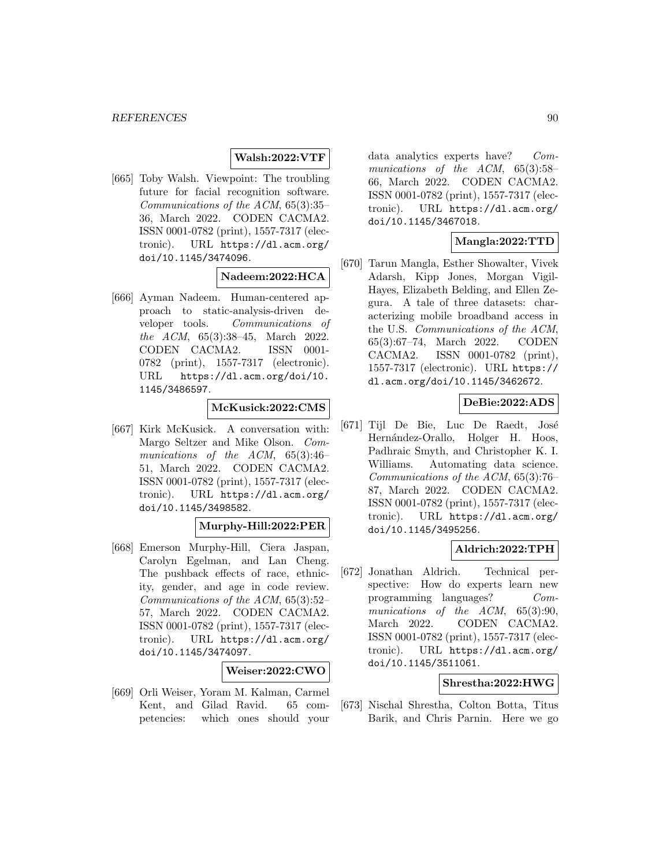## **Walsh:2022:VTF**

[665] Toby Walsh. Viewpoint: The troubling future for facial recognition software. Communications of the ACM, 65(3):35– 36, March 2022. CODEN CACMA2. ISSN 0001-0782 (print), 1557-7317 (electronic). URL https://dl.acm.org/ doi/10.1145/3474096.

#### **Nadeem:2022:HCA**

[666] Ayman Nadeem. Human-centered approach to static-analysis-driven developer tools. Communications of the ACM, 65(3):38–45, March 2022. CODEN CACMA2. ISSN 0001- 0782 (print), 1557-7317 (electronic). URL https://dl.acm.org/doi/10. 1145/3486597.

## **McKusick:2022:CMS**

[667] Kirk McKusick. A conversation with: Margo Seltzer and Mike Olson. Communications of the ACM, 65(3):46– 51, March 2022. CODEN CACMA2. ISSN 0001-0782 (print), 1557-7317 (electronic). URL https://dl.acm.org/ doi/10.1145/3498582.

### **Murphy-Hill:2022:PER**

[668] Emerson Murphy-Hill, Ciera Jaspan, Carolyn Egelman, and Lan Cheng. The pushback effects of race, ethnicity, gender, and age in code review. Communications of the ACM, 65(3):52– 57, March 2022. CODEN CACMA2. ISSN 0001-0782 (print), 1557-7317 (electronic). URL https://dl.acm.org/ doi/10.1145/3474097.

#### **Weiser:2022:CWO**

[669] Orli Weiser, Yoram M. Kalman, Carmel Kent, and Gilad Ravid. 65 competencies: which ones should your data analytics experts have? Communications of the ACM, 65(3):58– 66, March 2022. CODEN CACMA2. ISSN 0001-0782 (print), 1557-7317 (electronic). URL https://dl.acm.org/ doi/10.1145/3467018.

#### **Mangla:2022:TTD**

[670] Tarun Mangla, Esther Showalter, Vivek Adarsh, Kipp Jones, Morgan Vigil-Hayes, Elizabeth Belding, and Ellen Zegura. A tale of three datasets: characterizing mobile broadband access in the U.S. Communications of the ACM, 65(3):67–74, March 2022. CODEN CACMA2. ISSN 0001-0782 (print), 1557-7317 (electronic). URL https:// dl.acm.org/doi/10.1145/3462672.

## **DeBie:2022:ADS**

[671] Tijl De Bie, Luc De Raedt, José Hernández-Orallo, Holger H. Hoos, Padhraic Smyth, and Christopher K. I. Williams. Automating data science. Communications of the ACM, 65(3):76– 87, March 2022. CODEN CACMA2. ISSN 0001-0782 (print), 1557-7317 (electronic). URL https://dl.acm.org/ doi/10.1145/3495256.

#### **Aldrich:2022:TPH**

[672] Jonathan Aldrich. Technical perspective: How do experts learn new programming languages? Communications of the ACM, 65(3):90, March 2022. CODEN CACMA2. ISSN 0001-0782 (print), 1557-7317 (electronic). URL https://dl.acm.org/ doi/10.1145/3511061.

#### **Shrestha:2022:HWG**

[673] Nischal Shrestha, Colton Botta, Titus Barik, and Chris Parnin. Here we go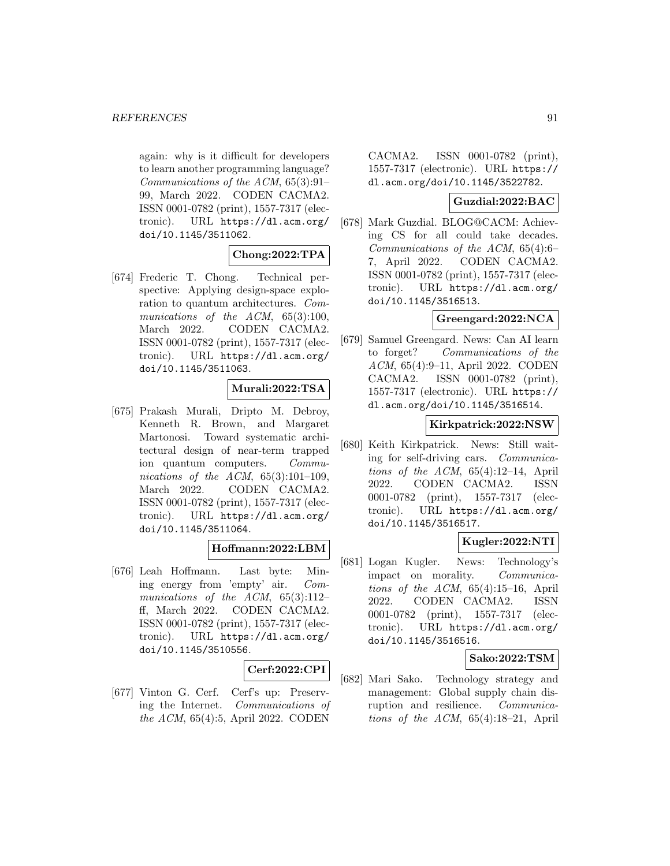again: why is it difficult for developers to learn another programming language? Communications of the ACM, 65(3):91– 99, March 2022. CODEN CACMA2. ISSN 0001-0782 (print), 1557-7317 (electronic). URL https://dl.acm.org/ doi/10.1145/3511062.

#### **Chong:2022:TPA**

[674] Frederic T. Chong. Technical perspective: Applying design-space exploration to quantum architectures. Communications of the ACM, 65(3):100, March 2022. CODEN CACMA2. ISSN 0001-0782 (print), 1557-7317 (electronic). URL https://dl.acm.org/ doi/10.1145/3511063.

#### **Murali:2022:TSA**

[675] Prakash Murali, Dripto M. Debroy, Kenneth R. Brown, and Margaret Martonosi. Toward systematic architectural design of near-term trapped ion quantum computers. Communications of the ACM,  $65(3):101-109$ , March 2022. CODEN CACMA2. ISSN 0001-0782 (print), 1557-7317 (electronic). URL https://dl.acm.org/ doi/10.1145/3511064.

#### **Hoffmann:2022:LBM**

[676] Leah Hoffmann. Last byte: Mining energy from 'empty' air. Communications of the ACM, 65(3):112ff, March 2022. CODEN CACMA2. ISSN 0001-0782 (print), 1557-7317 (electronic). URL https://dl.acm.org/ doi/10.1145/3510556.

#### **Cerf:2022:CPI**

[677] Vinton G. Cerf. Cerf's up: Preserving the Internet. Communications of the ACM, 65(4):5, April 2022. CODEN

CACMA2. ISSN 0001-0782 (print), 1557-7317 (electronic). URL https:// dl.acm.org/doi/10.1145/3522782.

#### **Guzdial:2022:BAC**

[678] Mark Guzdial. BLOG@CACM: Achieving CS for all could take decades. Communications of the ACM, 65(4):6– 7, April 2022. CODEN CACMA2. ISSN 0001-0782 (print), 1557-7317 (electronic). URL https://dl.acm.org/ doi/10.1145/3516513.

#### **Greengard:2022:NCA**

[679] Samuel Greengard. News: Can AI learn to forget? Communications of the ACM, 65(4):9–11, April 2022. CODEN CACMA2. ISSN 0001-0782 (print), 1557-7317 (electronic). URL https:// dl.acm.org/doi/10.1145/3516514.

#### **Kirkpatrick:2022:NSW**

[680] Keith Kirkpatrick. News: Still waiting for self-driving cars. Communications of the  $ACM$ ,  $65(4):12-14$ , April 2022. CODEN CACMA2. ISSN 0001-0782 (print), 1557-7317 (electronic). URL https://dl.acm.org/ doi/10.1145/3516517.

#### **Kugler:2022:NTI**

[681] Logan Kugler. News: Technology's impact on morality. Communications of the  $ACM$ ,  $65(4):15-16$ , April 2022. CODEN CACMA2. ISSN 0001-0782 (print), 1557-7317 (electronic). URL https://dl.acm.org/ doi/10.1145/3516516.

#### **Sako:2022:TSM**

[682] Mari Sako. Technology strategy and management: Global supply chain disruption and resilience. Communications of the  $ACM$ ,  $65(4):18-21$ , April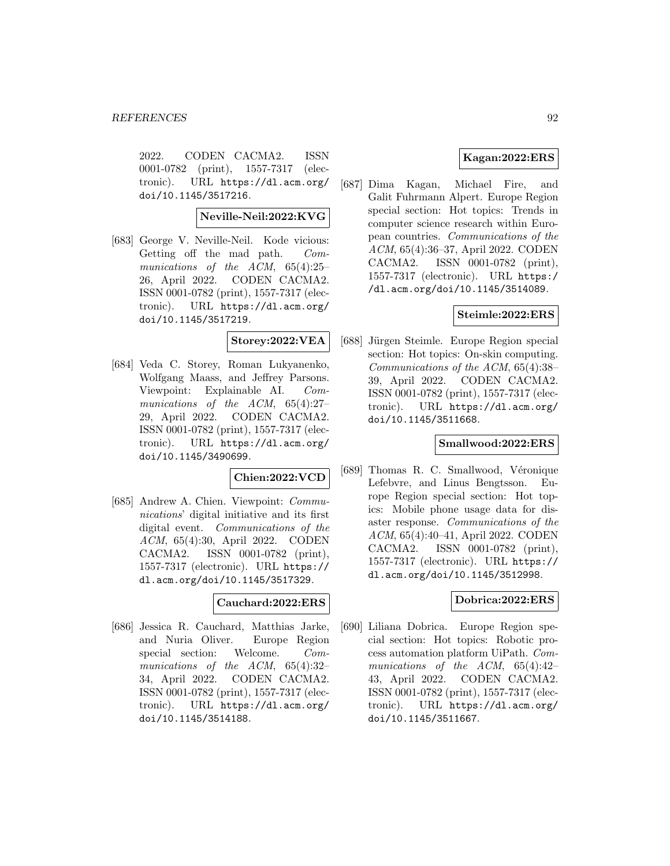2022. CODEN CACMA2. ISSN 0001-0782 (print), 1557-7317 (electronic). URL https://dl.acm.org/ doi/10.1145/3517216.

**Neville-Neil:2022:KVG**

[683] George V. Neville-Neil. Kode vicious: Getting off the mad path. Communications of the ACM, 65(4):25– 26, April 2022. CODEN CACMA2. ISSN 0001-0782 (print), 1557-7317 (electronic). URL https://dl.acm.org/ doi/10.1145/3517219.

# **Storey:2022:VEA**

[684] Veda C. Storey, Roman Lukyanenko, Wolfgang Maass, and Jeffrey Parsons. Viewpoint: Explainable AI. Communications of the ACM, 65(4):27– 29, April 2022. CODEN CACMA2. ISSN 0001-0782 (print), 1557-7317 (electronic). URL https://dl.acm.org/ doi/10.1145/3490699.

#### **Chien:2022:VCD**

[685] Andrew A. Chien. Viewpoint: Communications' digital initiative and its first digital event. Communications of the ACM, 65(4):30, April 2022. CODEN CACMA2. ISSN 0001-0782 (print), 1557-7317 (electronic). URL https:// dl.acm.org/doi/10.1145/3517329.

#### **Cauchard:2022:ERS**

[686] Jessica R. Cauchard, Matthias Jarke, and Nuria Oliver. Europe Region special section: Welcome. Communications of the ACM, 65(4):32– 34, April 2022. CODEN CACMA2. ISSN 0001-0782 (print), 1557-7317 (electronic). URL https://dl.acm.org/ doi/10.1145/3514188.

### **Kagan:2022:ERS**

[687] Dima Kagan, Michael Fire, and Galit Fuhrmann Alpert. Europe Region special section: Hot topics: Trends in computer science research within European countries. Communications of the ACM, 65(4):36–37, April 2022. CODEN CACMA2. ISSN 0001-0782 (print), 1557-7317 (electronic). URL https:/ /dl.acm.org/doi/10.1145/3514089.

## **Steimle:2022:ERS**

[688] Jürgen Steimle. Europe Region special section: Hot topics: On-skin computing. Communications of the ACM, 65(4):38– 39, April 2022. CODEN CACMA2. ISSN 0001-0782 (print), 1557-7317 (electronic). URL https://dl.acm.org/ doi/10.1145/3511668.

#### **Smallwood:2022:ERS**

[689] Thomas R. C. Smallwood, Véronique Lefebvre, and Linus Bengtsson. Europe Region special section: Hot topics: Mobile phone usage data for disaster response. Communications of the ACM, 65(4):40–41, April 2022. CODEN CACMA2. ISSN 0001-0782 (print), 1557-7317 (electronic). URL https:// dl.acm.org/doi/10.1145/3512998.

## **Dobrica:2022:ERS**

[690] Liliana Dobrica. Europe Region special section: Hot topics: Robotic process automation platform UiPath. Communications of the ACM, 65(4):42– 43, April 2022. CODEN CACMA2. ISSN 0001-0782 (print), 1557-7317 (electronic). URL https://dl.acm.org/ doi/10.1145/3511667.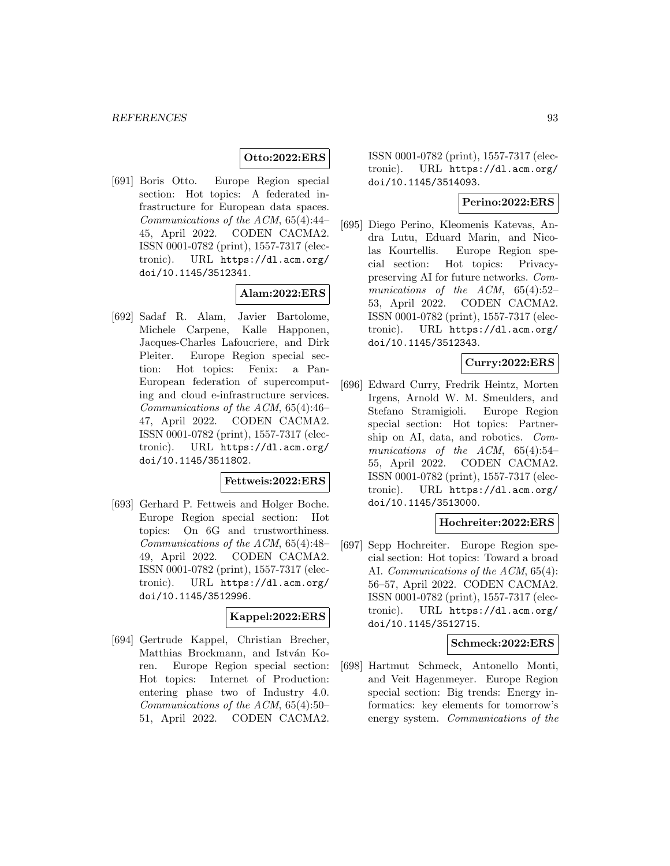### **Otto:2022:ERS**

[691] Boris Otto. Europe Region special section: Hot topics: A federated infrastructure for European data spaces. Communications of the ACM, 65(4):44– 45, April 2022. CODEN CACMA2. ISSN 0001-0782 (print), 1557-7317 (electronic). URL https://dl.acm.org/ doi/10.1145/3512341.

#### **Alam:2022:ERS**

[692] Sadaf R. Alam, Javier Bartolome, Michele Carpene, Kalle Happonen, Jacques-Charles Lafoucriere, and Dirk Pleiter. Europe Region special section: Hot topics: Fenix: a Pan-European federation of supercomputing and cloud e-infrastructure services. Communications of the ACM, 65(4):46– 47, April 2022. CODEN CACMA2. ISSN 0001-0782 (print), 1557-7317 (electronic). URL https://dl.acm.org/ doi/10.1145/3511802.

#### **Fettweis:2022:ERS**

[693] Gerhard P. Fettweis and Holger Boche. Europe Region special section: Hot topics: On 6G and trustworthiness. Communications of the ACM, 65(4):48– 49, April 2022. CODEN CACMA2. ISSN 0001-0782 (print), 1557-7317 (electronic). URL https://dl.acm.org/ doi/10.1145/3512996.

#### **Kappel:2022:ERS**

[694] Gertrude Kappel, Christian Brecher, Matthias Brockmann, and István Koren. Europe Region special section: Hot topics: Internet of Production: entering phase two of Industry 4.0. Communications of the ACM, 65(4):50– 51, April 2022. CODEN CACMA2.

ISSN 0001-0782 (print), 1557-7317 (electronic). URL https://dl.acm.org/ doi/10.1145/3514093.

## **Perino:2022:ERS**

[695] Diego Perino, Kleomenis Katevas, Andra Lutu, Eduard Marin, and Nicolas Kourtellis. Europe Region special section: Hot topics: Privacypreserving AI for future networks. Communications of the ACM, 65(4):52– 53, April 2022. CODEN CACMA2. ISSN 0001-0782 (print), 1557-7317 (electronic). URL https://dl.acm.org/ doi/10.1145/3512343.

## **Curry:2022:ERS**

[696] Edward Curry, Fredrik Heintz, Morten Irgens, Arnold W. M. Smeulders, and Stefano Stramigioli. Europe Region special section: Hot topics: Partnership on AI, data, and robotics. Communications of the ACM, 65(4):54– 55, April 2022. CODEN CACMA2. ISSN 0001-0782 (print), 1557-7317 (electronic). URL https://dl.acm.org/ doi/10.1145/3513000.

# **Hochreiter:2022:ERS**

[697] Sepp Hochreiter. Europe Region special section: Hot topics: Toward a broad AI. Communications of the ACM, 65(4): 56–57, April 2022. CODEN CACMA2. ISSN 0001-0782 (print), 1557-7317 (electronic). URL https://dl.acm.org/ doi/10.1145/3512715.

#### **Schmeck:2022:ERS**

[698] Hartmut Schmeck, Antonello Monti, and Veit Hagenmeyer. Europe Region special section: Big trends: Energy informatics: key elements for tomorrow's energy system. Communications of the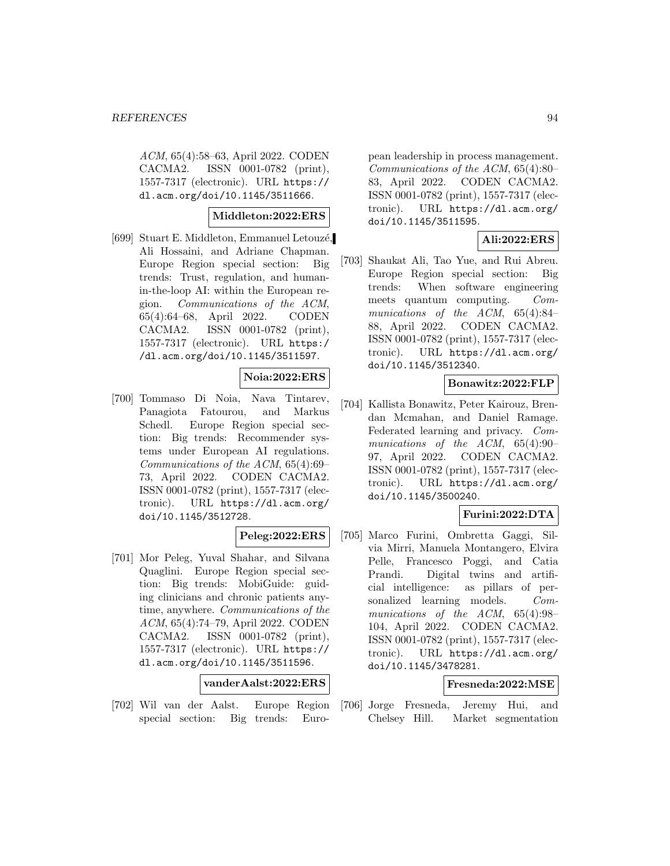ACM, 65(4):58–63, April 2022. CODEN CACMA2. ISSN 0001-0782 (print), 1557-7317 (electronic). URL https:// dl.acm.org/doi/10.1145/3511666.

### **Middleton:2022:ERS**

[699] Stuart E. Middleton, Emmanuel Letouzé, Ali Hossaini, and Adriane Chapman. Europe Region special section: Big trends: Trust, regulation, and humanin-the-loop AI: within the European region. Communications of the ACM, 65(4):64–68, April 2022. CODEN CACMA2. ISSN 0001-0782 (print), 1557-7317 (electronic). URL https:/ /dl.acm.org/doi/10.1145/3511597.

# **Noia:2022:ERS**

[700] Tommaso Di Noia, Nava Tintarev, Panagiota Fatourou, and Markus Schedl. Europe Region special section: Big trends: Recommender systems under European AI regulations. Communications of the ACM, 65(4):69– 73, April 2022. CODEN CACMA2. ISSN 0001-0782 (print), 1557-7317 (electronic). URL https://dl.acm.org/ doi/10.1145/3512728.

### **Peleg:2022:ERS**

[701] Mor Peleg, Yuval Shahar, and Silvana Quaglini. Europe Region special section: Big trends: MobiGuide: guiding clinicians and chronic patients anytime, anywhere. Communications of the ACM, 65(4):74–79, April 2022. CODEN CACMA2. ISSN 0001-0782 (print), 1557-7317 (electronic). URL https:// dl.acm.org/doi/10.1145/3511596.

**vanderAalst:2022:ERS**

[702] Wil van der Aalst. Europe Region special section: Big trends: European leadership in process management. Communications of the ACM, 65(4):80– 83, April 2022. CODEN CACMA2. ISSN 0001-0782 (print), 1557-7317 (electronic). URL https://dl.acm.org/ doi/10.1145/3511595.

# **Ali:2022:ERS**

[703] Shaukat Ali, Tao Yue, and Rui Abreu. Europe Region special section: Big trends: When software engineering meets quantum computing. Communications of the ACM, 65(4):84– 88, April 2022. CODEN CACMA2. ISSN 0001-0782 (print), 1557-7317 (electronic). URL https://dl.acm.org/ doi/10.1145/3512340.

#### **Bonawitz:2022:FLP**

[704] Kallista Bonawitz, Peter Kairouz, Brendan Mcmahan, and Daniel Ramage. Federated learning and privacy. Communications of the ACM, 65(4):90– 97, April 2022. CODEN CACMA2. ISSN 0001-0782 (print), 1557-7317 (electronic). URL https://dl.acm.org/ doi/10.1145/3500240.

#### **Furini:2022:DTA**

[705] Marco Furini, Ombretta Gaggi, Silvia Mirri, Manuela Montangero, Elvira Pelle, Francesco Poggi, and Catia Prandi. Digital twins and artificial intelligence: as pillars of personalized learning models. Communications of the ACM, 65(4):98– 104, April 2022. CODEN CACMA2. ISSN 0001-0782 (print), 1557-7317 (electronic). URL https://dl.acm.org/ doi/10.1145/3478281.

# **Fresneda:2022:MSE**

[706] Jorge Fresneda, Jeremy Hui, and Chelsey Hill. Market segmentation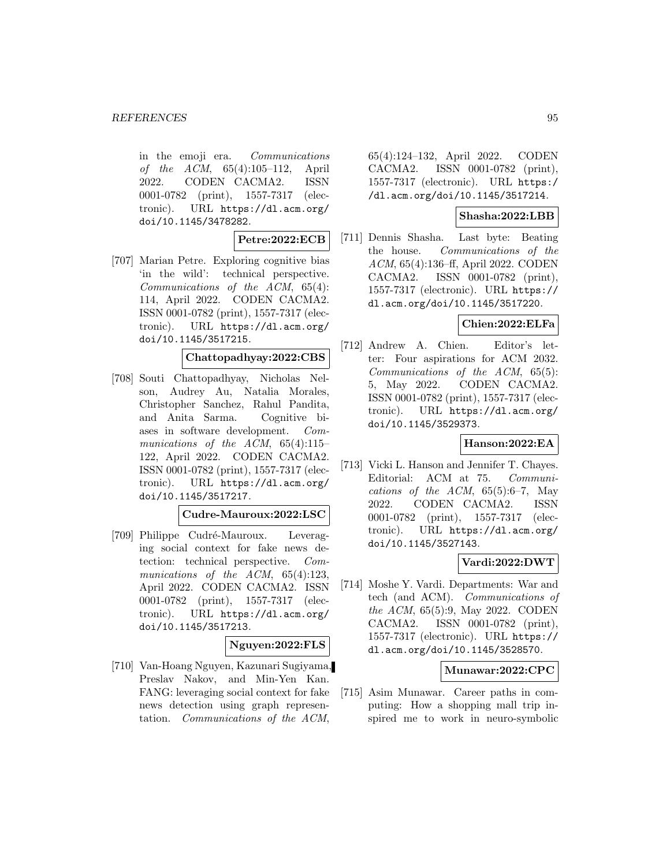in the emoji era. Communications of the ACM, 65(4):105–112, April 2022. CODEN CACMA2. ISSN 0001-0782 (print), 1557-7317 (electronic). URL https://dl.acm.org/ doi/10.1145/3478282.

## **Petre:2022:ECB**

[707] Marian Petre. Exploring cognitive bias 'in the wild': technical perspective. Communications of the ACM, 65(4): 114, April 2022. CODEN CACMA2. ISSN 0001-0782 (print), 1557-7317 (electronic). URL https://dl.acm.org/ doi/10.1145/3517215.

#### **Chattopadhyay:2022:CBS**

[708] Souti Chattopadhyay, Nicholas Nelson, Audrey Au, Natalia Morales, Christopher Sanchez, Rahul Pandita, and Anita Sarma. Cognitive biases in software development. Communications of the ACM, 65(4):115– 122, April 2022. CODEN CACMA2. ISSN 0001-0782 (print), 1557-7317 (electronic). URL https://dl.acm.org/ doi/10.1145/3517217.

#### **Cudre-Mauroux:2022:LSC**

[709] Philippe Cudré-Mauroux. Leveraging social context for fake news detection: technical perspective. Communications of the ACM, 65(4):123, April 2022. CODEN CACMA2. ISSN 0001-0782 (print), 1557-7317 (electronic). URL https://dl.acm.org/ doi/10.1145/3517213.

## **Nguyen:2022:FLS**

[710] Van-Hoang Nguyen, Kazunari Sugiyama, Preslav Nakov, and Min-Yen Kan. FANG: leveraging social context for fake news detection using graph representation. Communications of the ACM,

65(4):124–132, April 2022. CODEN CACMA2. ISSN 0001-0782 (print), 1557-7317 (electronic). URL https:/ /dl.acm.org/doi/10.1145/3517214.

### **Shasha:2022:LBB**

[711] Dennis Shasha. Last byte: Beating the house. Communications of the ACM, 65(4):136–ff, April 2022. CODEN CACMA2. ISSN 0001-0782 (print), 1557-7317 (electronic). URL https:// dl.acm.org/doi/10.1145/3517220.

# **Chien:2022:ELFa**

[712] Andrew A. Chien. Editor's letter: Four aspirations for ACM 2032. Communications of the ACM, 65(5): 5, May 2022. CODEN CACMA2. ISSN 0001-0782 (print), 1557-7317 (electronic). URL https://dl.acm.org/ doi/10.1145/3529373.

#### **Hanson:2022:EA**

[713] Vicki L. Hanson and Jennifer T. Chayes. Editorial: ACM at 75. Communications of the ACM,  $65(5):6-7$ , May 2022. CODEN CACMA2. ISSN 0001-0782 (print), 1557-7317 (electronic). URL https://dl.acm.org/ doi/10.1145/3527143.

### **Vardi:2022:DWT**

[714] Moshe Y. Vardi. Departments: War and tech (and ACM). Communications of the ACM, 65(5):9, May 2022. CODEN CACMA2. ISSN 0001-0782 (print), 1557-7317 (electronic). URL https:// dl.acm.org/doi/10.1145/3528570.

#### **Munawar:2022:CPC**

[715] Asim Munawar. Career paths in computing: How a shopping mall trip inspired me to work in neuro-symbolic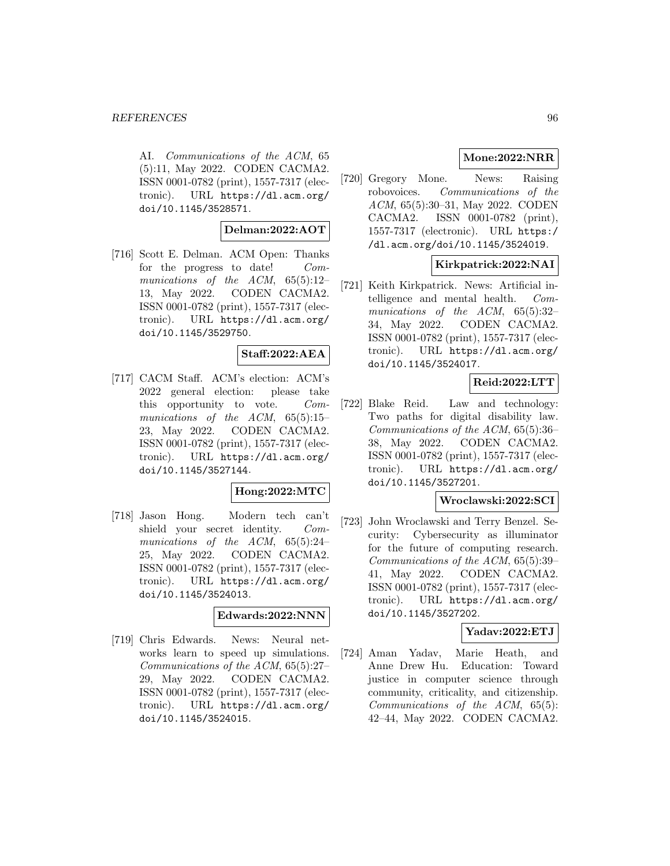AI. Communications of the ACM, 65 (5):11, May 2022. CODEN CACMA2. ISSN 0001-0782 (print), 1557-7317 (electronic). URL https://dl.acm.org/ doi/10.1145/3528571.

#### **Delman:2022:AOT**

[716] Scott E. Delman. ACM Open: Thanks for the progress to date! Communications of the ACM, 65(5):12-13, May 2022. CODEN CACMA2. ISSN 0001-0782 (print), 1557-7317 (electronic). URL https://dl.acm.org/ doi/10.1145/3529750.

#### **Staff:2022:AEA**

[717] CACM Staff. ACM's election: ACM's 2022 general election: please take this opportunity to vote. Communications of the ACM,  $65(5):15-$ 23, May 2022. CODEN CACMA2. ISSN 0001-0782 (print), 1557-7317 (electronic). URL https://dl.acm.org/ doi/10.1145/3527144.

#### **Hong:2022:MTC**

[718] Jason Hong. Modern tech can't shield your secret identity. Communications of the ACM, 65(5):24– 25, May 2022. CODEN CACMA2. ISSN 0001-0782 (print), 1557-7317 (electronic). URL https://dl.acm.org/ doi/10.1145/3524013.

#### **Edwards:2022:NNN**

[719] Chris Edwards. News: Neural networks learn to speed up simulations. Communications of the ACM, 65(5):27– 29, May 2022. CODEN CACMA2. ISSN 0001-0782 (print), 1557-7317 (electronic). URL https://dl.acm.org/ doi/10.1145/3524015.

#### **Mone:2022:NRR**

[720] Gregory Mone. News: Raising robovoices. Communications of the ACM, 65(5):30–31, May 2022. CODEN CACMA2. ISSN 0001-0782 (print), 1557-7317 (electronic). URL https:/ /dl.acm.org/doi/10.1145/3524019.

## **Kirkpatrick:2022:NAI**

[721] Keith Kirkpatrick. News: Artificial intelligence and mental health. Communications of the ACM, 65(5):32– 34, May 2022. CODEN CACMA2. ISSN 0001-0782 (print), 1557-7317 (electronic). URL https://dl.acm.org/ doi/10.1145/3524017.

# **Reid:2022:LTT**

[722] Blake Reid. Law and technology: Two paths for digital disability law. Communications of the ACM, 65(5):36– 38, May 2022. CODEN CACMA2. ISSN 0001-0782 (print), 1557-7317 (electronic). URL https://dl.acm.org/ doi/10.1145/3527201.

## **Wroclawski:2022:SCI**

[723] John Wroclawski and Terry Benzel. Security: Cybersecurity as illuminator for the future of computing research. Communications of the ACM, 65(5):39– 41, May 2022. CODEN CACMA2. ISSN 0001-0782 (print), 1557-7317 (electronic). URL https://dl.acm.org/ doi/10.1145/3527202.

### **Yadav:2022:ETJ**

[724] Aman Yadav, Marie Heath, and Anne Drew Hu. Education: Toward justice in computer science through community, criticality, and citizenship. Communications of the ACM, 65(5): 42–44, May 2022. CODEN CACMA2.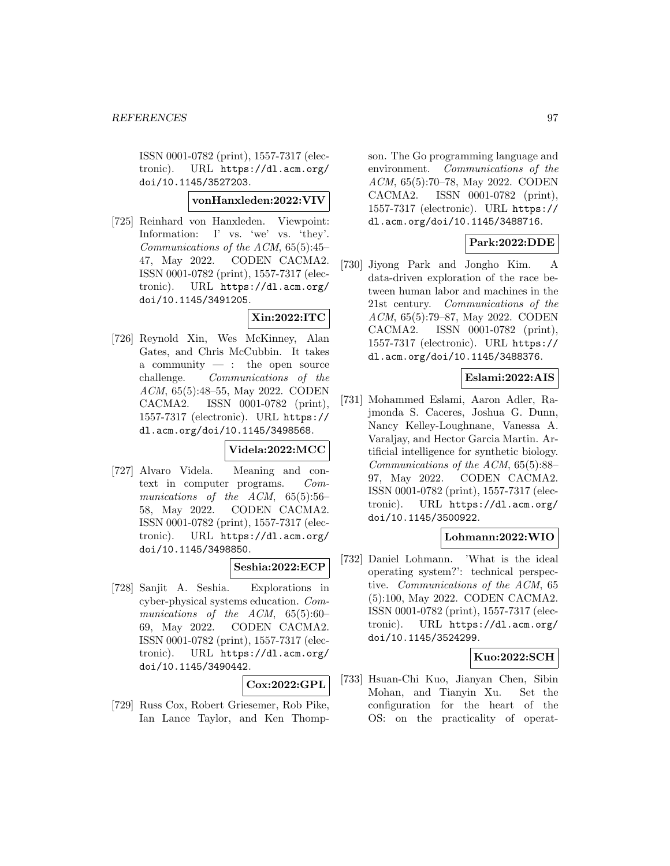ISSN 0001-0782 (print), 1557-7317 (electronic). URL https://dl.acm.org/ doi/10.1145/3527203.

**vonHanxleden:2022:VIV**

[725] Reinhard von Hanxleden. Viewpoint: Information: I' vs. 'we' vs. 'they'. Communications of the ACM, 65(5):45– 47, May 2022. CODEN CACMA2. ISSN 0001-0782 (print), 1557-7317 (electronic). URL https://dl.acm.org/ doi/10.1145/3491205.

# **Xin:2022:ITC**

[726] Reynold Xin, Wes McKinney, Alan Gates, and Chris McCubbin. It takes a community — : the open source challenge. Communications of the ACM, 65(5):48–55, May 2022. CODEN CACMA2. ISSN 0001-0782 (print), 1557-7317 (electronic). URL https:// dl.acm.org/doi/10.1145/3498568.

#### **Videla:2022:MCC**

[727] Alvaro Videla. Meaning and context in computer programs. Communications of the ACM, 65(5):56– 58, May 2022. CODEN CACMA2. ISSN 0001-0782 (print), 1557-7317 (electronic). URL https://dl.acm.org/ doi/10.1145/3498850.

## **Seshia:2022:ECP**

[728] Sanjit A. Seshia. Explorations in cyber-physical systems education. Communications of the ACM,  $65(5):60-$ 69, May 2022. CODEN CACMA2. ISSN 0001-0782 (print), 1557-7317 (electronic). URL https://dl.acm.org/ doi/10.1145/3490442.

# **Cox:2022:GPL**

[729] Russ Cox, Robert Griesemer, Rob Pike, Ian Lance Taylor, and Ken Thompson. The Go programming language and environment. Communications of the ACM, 65(5):70–78, May 2022. CODEN CACMA2. ISSN 0001-0782 (print), 1557-7317 (electronic). URL https:// dl.acm.org/doi/10.1145/3488716.

## **Park:2022:DDE**

[730] Jiyong Park and Jongho Kim. A data-driven exploration of the race between human labor and machines in the 21st century. Communications of the ACM, 65(5):79–87, May 2022. CODEN CACMA2. ISSN 0001-0782 (print), 1557-7317 (electronic). URL https:// dl.acm.org/doi/10.1145/3488376.

#### **Eslami:2022:AIS**

[731] Mohammed Eslami, Aaron Adler, Rajmonda S. Caceres, Joshua G. Dunn, Nancy Kelley-Loughnane, Vanessa A. Varaljay, and Hector Garcia Martin. Artificial intelligence for synthetic biology. Communications of the ACM, 65(5):88– 97, May 2022. CODEN CACMA2. ISSN 0001-0782 (print), 1557-7317 (electronic). URL https://dl.acm.org/ doi/10.1145/3500922.

### **Lohmann:2022:WIO**

[732] Daniel Lohmann. 'What is the ideal operating system?': technical perspective. Communications of the ACM, 65 (5):100, May 2022. CODEN CACMA2. ISSN 0001-0782 (print), 1557-7317 (electronic). URL https://dl.acm.org/ doi/10.1145/3524299.

## **Kuo:2022:SCH**

[733] Hsuan-Chi Kuo, Jianyan Chen, Sibin Mohan, and Tianyin Xu. Set the configuration for the heart of the OS: on the practicality of operat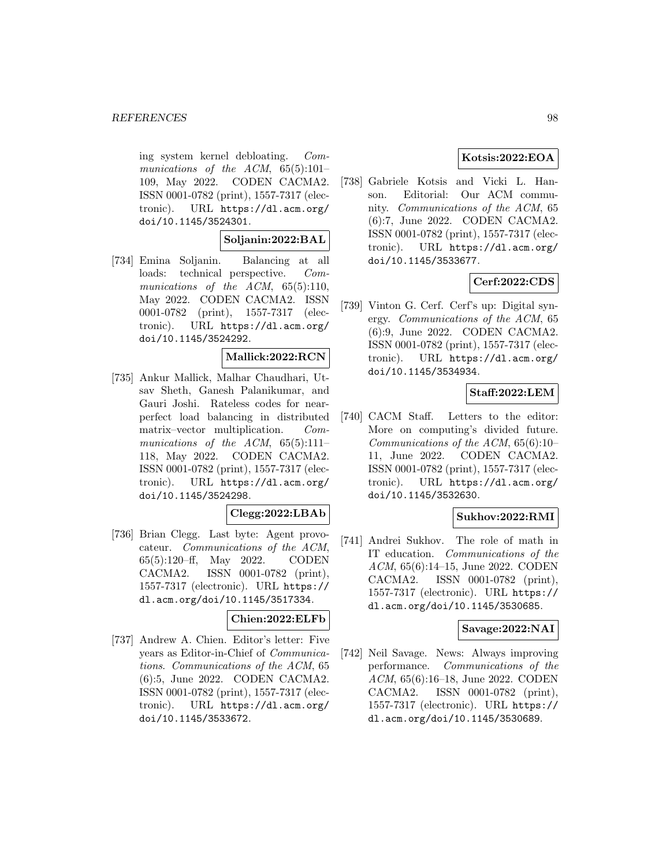ing system kernel debloating. Communications of the ACM, 65(5):101– 109, May 2022. CODEN CACMA2. ISSN 0001-0782 (print), 1557-7317 (electronic). URL https://dl.acm.org/ doi/10.1145/3524301.

#### **Soljanin:2022:BAL**

[734] Emina Soljanin. Balancing at all loads: technical perspective. Communications of the ACM, 65(5):110, May 2022. CODEN CACMA2. ISSN 0001-0782 (print), 1557-7317 (electronic). URL https://dl.acm.org/ doi/10.1145/3524292.

#### **Mallick:2022:RCN**

[735] Ankur Mallick, Malhar Chaudhari, Utsav Sheth, Ganesh Palanikumar, and Gauri Joshi. Rateless codes for nearperfect load balancing in distributed matrix–vector multiplication. Communications of the ACM,  $65(5):111-$ 118, May 2022. CODEN CACMA2. ISSN 0001-0782 (print), 1557-7317 (electronic). URL https://dl.acm.org/ doi/10.1145/3524298.

#### **Clegg:2022:LBAb**

[736] Brian Clegg. Last byte: Agent provocateur. Communications of the ACM, 65(5):120–ff, May 2022. CODEN CACMA2. ISSN 0001-0782 (print), 1557-7317 (electronic). URL https:// dl.acm.org/doi/10.1145/3517334.

#### **Chien:2022:ELFb**

[737] Andrew A. Chien. Editor's letter: Five years as Editor-in-Chief of Communications. Communications of the ACM, 65 (6):5, June 2022. CODEN CACMA2. ISSN 0001-0782 (print), 1557-7317 (electronic). URL https://dl.acm.org/ doi/10.1145/3533672.

## **Kotsis:2022:EOA**

[738] Gabriele Kotsis and Vicki L. Hanson. Editorial: Our ACM community. Communications of the ACM, 65 (6):7, June 2022. CODEN CACMA2. ISSN 0001-0782 (print), 1557-7317 (electronic). URL https://dl.acm.org/ doi/10.1145/3533677.

# **Cerf:2022:CDS**

[739] Vinton G. Cerf. Cerf's up: Digital synergy. Communications of the ACM, 65 (6):9, June 2022. CODEN CACMA2. ISSN 0001-0782 (print), 1557-7317 (electronic). URL https://dl.acm.org/ doi/10.1145/3534934.

#### **Staff:2022:LEM**

[740] CACM Staff. Letters to the editor: More on computing's divided future. Communications of the ACM, 65(6):10– 11, June 2022. CODEN CACMA2. ISSN 0001-0782 (print), 1557-7317 (electronic). URL https://dl.acm.org/ doi/10.1145/3532630.

#### **Sukhov:2022:RMI**

[741] Andrei Sukhov. The role of math in IT education. Communications of the ACM, 65(6):14–15, June 2022. CODEN CACMA2. ISSN 0001-0782 (print), 1557-7317 (electronic). URL https:// dl.acm.org/doi/10.1145/3530685.

#### **Savage:2022:NAI**

[742] Neil Savage. News: Always improving performance. Communications of the ACM, 65(6):16–18, June 2022. CODEN CACMA2. ISSN 0001-0782 (print), 1557-7317 (electronic). URL https:// dl.acm.org/doi/10.1145/3530689.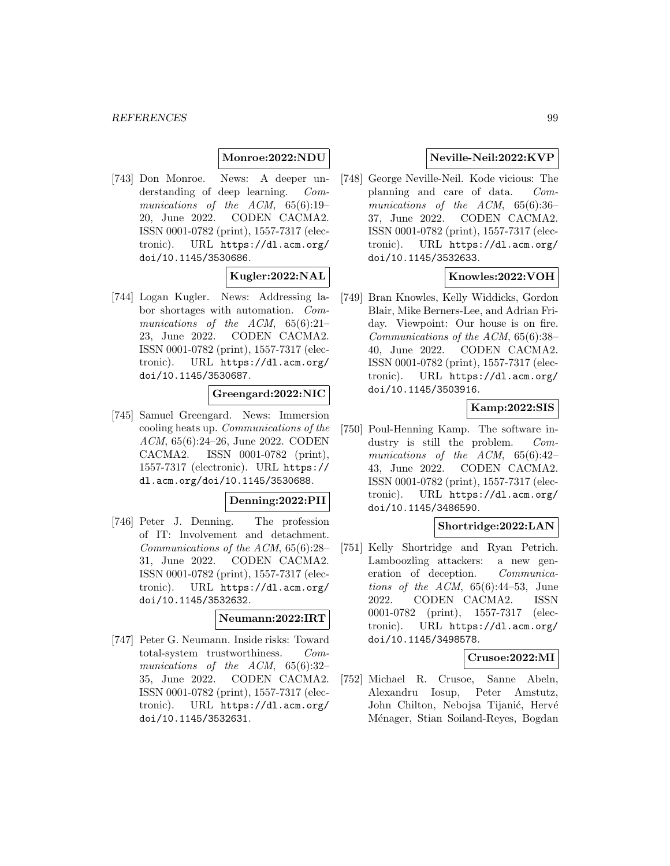#### **Monroe:2022:NDU**

[743] Don Monroe. News: A deeper understanding of deep learning. Communications of the ACM, 65(6):19– 20, June 2022. CODEN CACMA2. ISSN 0001-0782 (print), 1557-7317 (electronic). URL https://dl.acm.org/ doi/10.1145/3530686.

#### **Kugler:2022:NAL**

[744] Logan Kugler. News: Addressing labor shortages with automation. Communications of the ACM,  $65(6):21-$ 23, June 2022. CODEN CACMA2. ISSN 0001-0782 (print), 1557-7317 (electronic). URL https://dl.acm.org/ doi/10.1145/3530687.

#### **Greengard:2022:NIC**

[745] Samuel Greengard. News: Immersion cooling heats up. Communications of the ACM, 65(6):24–26, June 2022. CODEN CACMA2. ISSN 0001-0782 (print), 1557-7317 (electronic). URL https:// dl.acm.org/doi/10.1145/3530688.

## **Denning:2022:PII**

[746] Peter J. Denning. The profession of IT: Involvement and detachment. Communications of the ACM, 65(6):28– 31, June 2022. CODEN CACMA2. ISSN 0001-0782 (print), 1557-7317 (electronic). URL https://dl.acm.org/ doi/10.1145/3532632.

#### **Neumann:2022:IRT**

[747] Peter G. Neumann. Inside risks: Toward total-system trustworthiness. Communications of the ACM, 65(6):32– 35, June 2022. CODEN CACMA2. ISSN 0001-0782 (print), 1557-7317 (electronic). URL https://dl.acm.org/ doi/10.1145/3532631.

## **Neville-Neil:2022:KVP**

[748] George Neville-Neil. Kode vicious: The planning and care of data. Communications of the ACM, 65(6):36– 37, June 2022. CODEN CACMA2. ISSN 0001-0782 (print), 1557-7317 (electronic). URL https://dl.acm.org/ doi/10.1145/3532633.

#### **Knowles:2022:VOH**

[749] Bran Knowles, Kelly Widdicks, Gordon Blair, Mike Berners-Lee, and Adrian Friday. Viewpoint: Our house is on fire. Communications of the ACM, 65(6):38– 40, June 2022. CODEN CACMA2. ISSN 0001-0782 (print), 1557-7317 (electronic). URL https://dl.acm.org/ doi/10.1145/3503916.

## **Kamp:2022:SIS**

[750] Poul-Henning Kamp. The software industry is still the problem. Communications of the ACM, 65(6):42– 43, June 2022. CODEN CACMA2. ISSN 0001-0782 (print), 1557-7317 (electronic). URL https://dl.acm.org/ doi/10.1145/3486590.

#### **Shortridge:2022:LAN**

[751] Kelly Shortridge and Ryan Petrich. Lamboozling attackers: a new generation of deception. Communications of the ACM,  $65(6):44-53$ , June 2022. CODEN CACMA2. ISSN 0001-0782 (print), 1557-7317 (electronic). URL https://dl.acm.org/ doi/10.1145/3498578.

#### **Crusoe:2022:MI**

[752] Michael R. Crusoe, Sanne Abeln, Alexandru Iosup, Peter Amstutz, John Chilton, Nebojsa Tijanić, Hervé Ménager, Stian Soiland-Reyes, Bogdan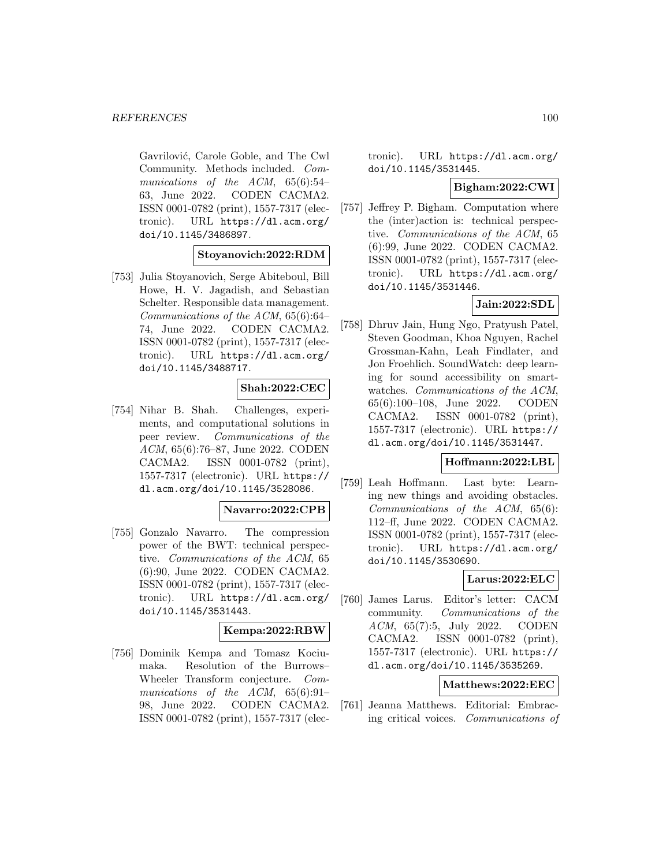Gavrilović, Carole Goble, and The Cwl Community. Methods included. Communications of the ACM, 65(6):54– 63, June 2022. CODEN CACMA2. ISSN 0001-0782 (print), 1557-7317 (electronic). URL https://dl.acm.org/ doi/10.1145/3486897.

**Stoyanovich:2022:RDM**

[753] Julia Stoyanovich, Serge Abiteboul, Bill Howe, H. V. Jagadish, and Sebastian Schelter. Responsible data management. Communications of the ACM, 65(6):64– 74, June 2022. CODEN CACMA2. ISSN 0001-0782 (print), 1557-7317 (electronic). URL https://dl.acm.org/ doi/10.1145/3488717.

#### **Shah:2022:CEC**

[754] Nihar B. Shah. Challenges, experiments, and computational solutions in peer review. Communications of the ACM, 65(6):76–87, June 2022. CODEN CACMA2. ISSN 0001-0782 (print), 1557-7317 (electronic). URL https:// dl.acm.org/doi/10.1145/3528086.

#### **Navarro:2022:CPB**

[755] Gonzalo Navarro. The compression power of the BWT: technical perspective. Communications of the ACM, 65 (6):90, June 2022. CODEN CACMA2. ISSN 0001-0782 (print), 1557-7317 (electronic). URL https://dl.acm.org/ doi/10.1145/3531443.

# **Kempa:2022:RBW**

[756] Dominik Kempa and Tomasz Kociumaka. Resolution of the Burrows– Wheeler Transform conjecture. Communications of the ACM, 65(6):91– 98, June 2022. CODEN CACMA2. ISSN 0001-0782 (print), 1557-7317 (electronic). URL https://dl.acm.org/ doi/10.1145/3531445.

# **Bigham:2022:CWI**

[757] Jeffrey P. Bigham. Computation where the (inter)action is: technical perspective. Communications of the ACM, 65 (6):99, June 2022. CODEN CACMA2. ISSN 0001-0782 (print), 1557-7317 (electronic). URL https://dl.acm.org/ doi/10.1145/3531446.

## **Jain:2022:SDL**

[758] Dhruv Jain, Hung Ngo, Pratyush Patel, Steven Goodman, Khoa Nguyen, Rachel Grossman-Kahn, Leah Findlater, and Jon Froehlich. SoundWatch: deep learning for sound accessibility on smartwatches. Communications of the ACM, 65(6):100–108, June 2022. CODEN CACMA2. ISSN 0001-0782 (print), 1557-7317 (electronic). URL https:// dl.acm.org/doi/10.1145/3531447.

### **Hoffmann:2022:LBL**

[759] Leah Hoffmann. Last byte: Learning new things and avoiding obstacles. Communications of the ACM, 65(6): 112–ff, June 2022. CODEN CACMA2. ISSN 0001-0782 (print), 1557-7317 (electronic). URL https://dl.acm.org/ doi/10.1145/3530690.

# **Larus:2022:ELC**

[760] James Larus. Editor's letter: CACM community. Communications of the ACM, 65(7):5, July 2022. CODEN CACMA2. ISSN 0001-0782 (print), 1557-7317 (electronic). URL https:// dl.acm.org/doi/10.1145/3535269.

#### **Matthews:2022:EEC**

[761] Jeanna Matthews. Editorial: Embracing critical voices. Communications of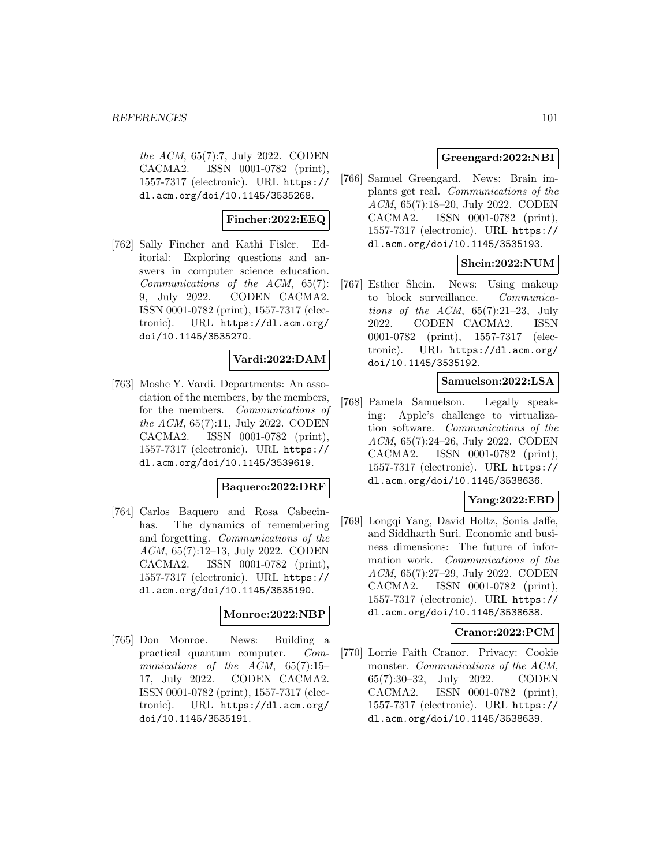the ACM, 65(7):7, July 2022. CODEN CACMA2. ISSN 0001-0782 (print), 1557-7317 (electronic). URL https:// dl.acm.org/doi/10.1145/3535268.

## **Fincher:2022:EEQ**

[762] Sally Fincher and Kathi Fisler. Editorial: Exploring questions and answers in computer science education. Communications of the ACM, 65(7): 9, July 2022. CODEN CACMA2. ISSN 0001-0782 (print), 1557-7317 (electronic). URL https://dl.acm.org/ doi/10.1145/3535270.

#### **Vardi:2022:DAM**

[763] Moshe Y. Vardi. Departments: An association of the members, by the members, for the members. Communications of the ACM, 65(7):11, July 2022. CODEN CACMA2. ISSN 0001-0782 (print), 1557-7317 (electronic). URL https:// dl.acm.org/doi/10.1145/3539619.

### **Baquero:2022:DRF**

[764] Carlos Baquero and Rosa Cabecinhas. The dynamics of remembering and forgetting. Communications of the ACM, 65(7):12–13, July 2022. CODEN CACMA2. ISSN 0001-0782 (print), 1557-7317 (electronic). URL https:// dl.acm.org/doi/10.1145/3535190.

#### **Monroe:2022:NBP**

[765] Don Monroe. News: Building a practical quantum computer. Communications of the ACM, 65(7):15– 17, July 2022. CODEN CACMA2. ISSN 0001-0782 (print), 1557-7317 (electronic). URL https://dl.acm.org/ doi/10.1145/3535191.

## **Greengard:2022:NBI**

[766] Samuel Greengard. News: Brain implants get real. Communications of the ACM, 65(7):18–20, July 2022. CODEN CACMA2. ISSN 0001-0782 (print), 1557-7317 (electronic). URL https:// dl.acm.org/doi/10.1145/3535193.

# **Shein:2022:NUM**

[767] Esther Shein. News: Using makeup to block surveillance. Communications of the ACM,  $65(7):21-23$ , July 2022. CODEN CACMA2. ISSN 0001-0782 (print), 1557-7317 (electronic). URL https://dl.acm.org/ doi/10.1145/3535192.

### **Samuelson:2022:LSA**

[768] Pamela Samuelson. Legally speaking: Apple's challenge to virtualization software. Communications of the ACM, 65(7):24–26, July 2022. CODEN CACMA2. ISSN 0001-0782 (print), 1557-7317 (electronic). URL https:// dl.acm.org/doi/10.1145/3538636.

#### **Yang:2022:EBD**

[769] Longqi Yang, David Holtz, Sonia Jaffe, and Siddharth Suri. Economic and business dimensions: The future of information work. Communications of the ACM, 65(7):27–29, July 2022. CODEN CACMA2. ISSN 0001-0782 (print), 1557-7317 (electronic). URL https:// dl.acm.org/doi/10.1145/3538638.

#### **Cranor:2022:PCM**

[770] Lorrie Faith Cranor. Privacy: Cookie monster. Communications of the ACM, 65(7):30–32, July 2022. CODEN CACMA2. ISSN 0001-0782 (print), 1557-7317 (electronic). URL https:// dl.acm.org/doi/10.1145/3538639.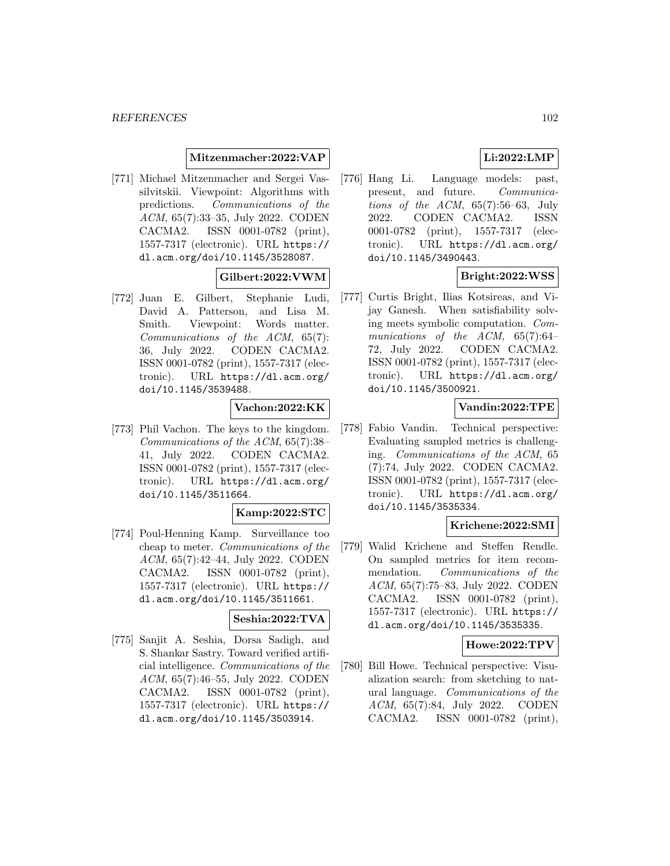#### **Mitzenmacher:2022:VAP**

[771] Michael Mitzenmacher and Sergei Vassilvitskii. Viewpoint: Algorithms with predictions. Communications of the ACM, 65(7):33–35, July 2022. CODEN CACMA2. ISSN 0001-0782 (print), 1557-7317 (electronic). URL https:// dl.acm.org/doi/10.1145/3528087.

## **Gilbert:2022:VWM**

[772] Juan E. Gilbert, Stephanie Ludi, David A. Patterson, and Lisa M. Smith. Viewpoint: Words matter. Communications of the ACM, 65(7): 36, July 2022. CODEN CACMA2. ISSN 0001-0782 (print), 1557-7317 (electronic). URL https://dl.acm.org/ doi/10.1145/3539488.

#### **Vachon:2022:KK**

[773] Phil Vachon. The keys to the kingdom. Communications of the ACM, 65(7):38– 41, July 2022. CODEN CACMA2. ISSN 0001-0782 (print), 1557-7317 (electronic). URL https://dl.acm.org/ doi/10.1145/3511664.

#### **Kamp:2022:STC**

[774] Poul-Henning Kamp. Surveillance too cheap to meter. Communications of the ACM, 65(7):42–44, July 2022. CODEN CACMA2. ISSN 0001-0782 (print), 1557-7317 (electronic). URL https:// dl.acm.org/doi/10.1145/3511661.

#### **Seshia:2022:TVA**

[775] Sanjit A. Seshia, Dorsa Sadigh, and S. Shankar Sastry. Toward verified artificial intelligence. Communications of the ACM, 65(7):46–55, July 2022. CODEN CACMA2. ISSN 0001-0782 (print), 1557-7317 (electronic). URL https:// dl.acm.org/doi/10.1145/3503914.

## **Li:2022:LMP**

[776] Hang Li. Language models: past, present, and future. Communications of the  $ACM$ ,  $65(7):56-63$ , July 2022. CODEN CACMA2. ISSN 0001-0782 (print), 1557-7317 (electronic). URL https://dl.acm.org/ doi/10.1145/3490443.

## **Bright:2022:WSS**

[777] Curtis Bright, Ilias Kotsireas, and Vijay Ganesh. When satisfiability solving meets symbolic computation. Communications of the ACM, 65(7):64– 72, July 2022. CODEN CACMA2. ISSN 0001-0782 (print), 1557-7317 (electronic). URL https://dl.acm.org/ doi/10.1145/3500921.

#### **Vandin:2022:TPE**

[778] Fabio Vandin. Technical perspective: Evaluating sampled metrics is challenging. Communications of the ACM, 65 (7):74, July 2022. CODEN CACMA2. ISSN 0001-0782 (print), 1557-7317 (electronic). URL https://dl.acm.org/ doi/10.1145/3535334.

#### **Krichene:2022:SMI**

[779] Walid Krichene and Steffen Rendle. On sampled metrics for item recommendation. Communications of the ACM, 65(7):75–83, July 2022. CODEN CACMA2. ISSN 0001-0782 (print), 1557-7317 (electronic). URL https:// dl.acm.org/doi/10.1145/3535335.

#### **Howe:2022:TPV**

[780] Bill Howe. Technical perspective: Visualization search: from sketching to natural language. Communications of the ACM, 65(7):84, July 2022. CODEN CACMA2. ISSN 0001-0782 (print),